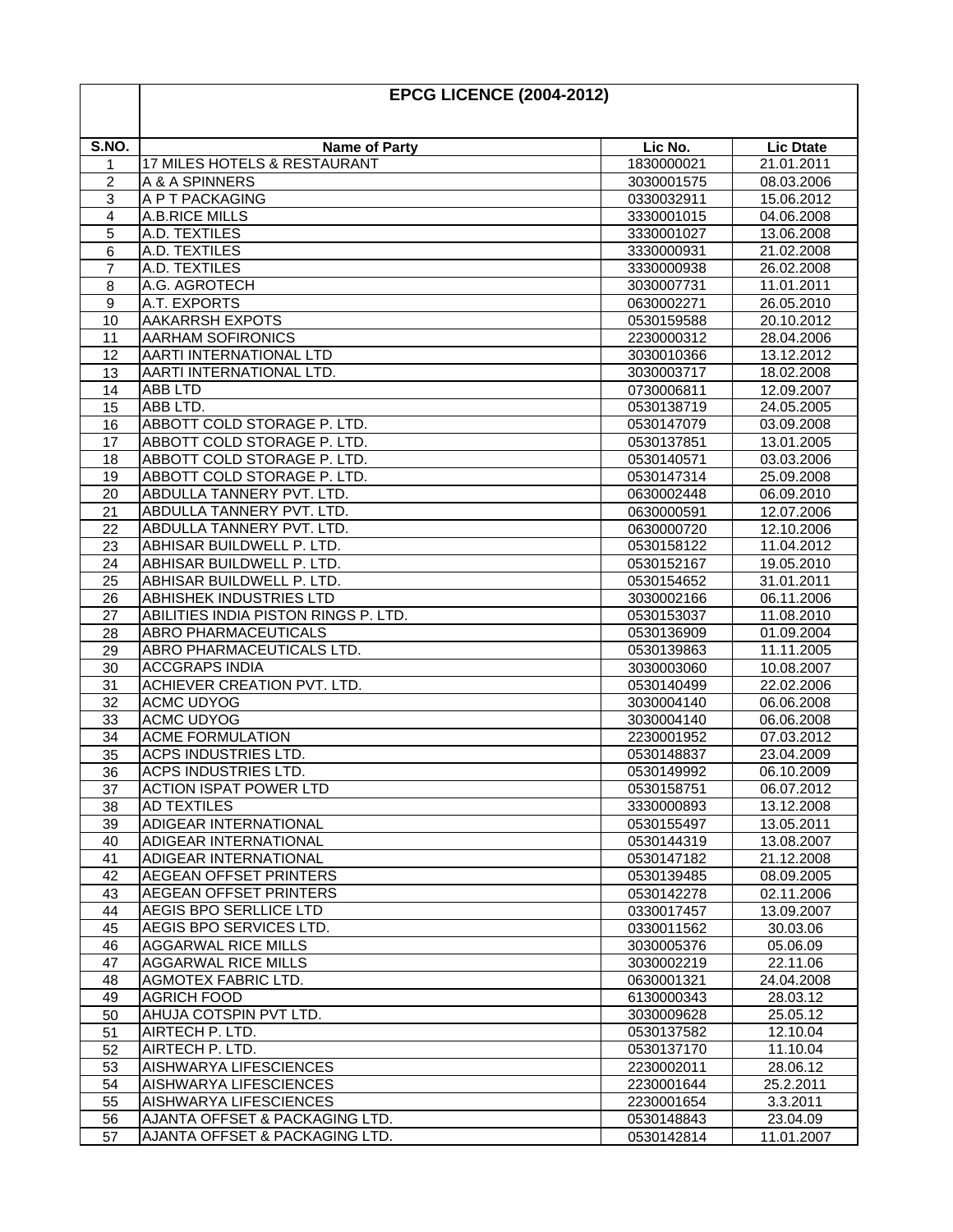| S.NO.<br>Lic No.<br><b>Lic Dtate</b><br><b>Name of Party</b><br>17 MILES HOTELS & RESTAURANT<br>1830000021<br>21.01.2011<br>A & A SPINNERS<br>08.03.2006<br>2<br>3030001575<br>A P T PACKAGING<br>15.06.2012<br>3<br>0330032911<br>A.B.RICE MILLS<br>3330001015<br>04.06.2008<br>4<br>A.D. TEXTILES<br>5<br>3330001027<br>13.06.2008<br>A.D. TEXTILES<br>21.02.2008<br>6<br>3330000931<br>A.D. TEXTILES<br>$\overline{7}$<br>26.02.2008<br>3330000938<br>A.G. AGROTECH<br>3030007731<br>11.01.2011<br>8<br>A.T. EXPORTS<br>9<br>26.05.2010<br>0630002271<br>AAKARRSH EXPOTS<br>10<br>0530159588<br>20.10.2012<br><b>AARHAM SOFIRONICS</b><br>11<br>2230000312<br>28.04.2006<br>AARTI INTERNATIONAL LTD<br>12<br>3030010366<br>13.12.2012<br>AARTI INTERNATIONAL LTD.<br>18.02.2008<br>3030003717<br>13<br><b>ABB LTD</b><br>14<br>0730006811<br>12.09.2007<br>15<br>ABB LTD.<br>0530138719<br>24.05.2005<br>ABBOTT COLD STORAGE P. LTD.<br>16<br>0530147079<br>03.09.2008<br>ABBOTT COLD STORAGE P. LTD.<br>17<br>0530137851<br>13.01.2005<br>ABBOTT COLD STORAGE P. LTD.<br>18<br>0530140571<br>03.03.2006<br>ABBOTT COLD STORAGE P. LTD.<br>19<br>0530147314<br>25.09.2008<br>ABDULLA TANNERY PVT. LTD.<br>0630002448<br>06.09.2010<br>20<br>ABDULLA TANNERY PVT. LTD.<br>21<br>0630000591<br>12.07.2006<br>ABDULLA TANNERY PVT. LTD.<br>12.10.2006<br>22<br>0630000720<br>23<br>ABHISAR BUILDWELL P. LTD.<br>0530158122<br>11.04.2012<br>24<br>ABHISAR BUILDWELL P. LTD.<br>19.05.2010<br>0530152167<br>ABHISAR BUILDWELL P. LTD.<br>25<br>0530154652<br>31.01.2011<br><b>ABHISHEK INDUSTRIES LTD</b><br>26<br>06.11.2006<br>3030002166<br>ABILITIES INDIA PISTON RINGS P. LTD.<br>27<br>11.08.2010<br>0530153037<br>ABRO PHARMACEUTICALS<br>0530136909<br>01.09.2004<br>28<br>ABRO PHARMACEUTICALS LTD.<br>0530139863<br>11.11.2005<br>29<br><b>ACCGRAPS INDIA</b><br>30<br>3030003060<br>10.08.2007<br>31<br>ACHIEVER CREATION PVT. LTD.<br>0530140499<br>22.02.2006<br><b>ACMC UDYOG</b><br>32<br>3030004140<br>06.06.2008<br><b>ACMC UDYOG</b><br>33<br>06.06.2008<br>3030004140<br><b>ACME FORMULATION</b><br>2230001952<br>07.03.2012<br>34<br>35<br>ACPS INDUSTRIES LTD.<br>0530148837<br>23.04.2009<br>36<br>ACPS INDUSTRIES LTD.<br>0530149992<br>06.10.2009<br>$\overline{37}$<br><b>ACTION ISPAT POWER LTD</b><br>06.07.2012<br>0530158751<br>13.12.2008<br>38<br><b>AD TEXTILES</b><br>3330000893<br>39<br>ADIGEAR INTERNATIONAL<br>13.05.2011<br>0530155497<br>40<br><b>ADIGEAR INTERNATIONAL</b><br>0530144319<br>13.08.2007<br>21.12.2008<br>ADIGEAR INTERNATIONAL<br>0530147182<br>41<br>AEGEAN OFFSET PRINTERS<br>42<br>0530139485<br>08.09.2005<br><b>AEGEAN OFFSET PRINTERS</b><br>0530142278<br>02.11.2006<br>43<br>44<br>AEGIS BPO SERLLICE LTD<br>0330017457<br>13.09.2007<br>AEGIS BPO SERVICES LTD.<br>45<br>0330011562<br>30.03.06<br><b>AGGARWAL RICE MILLS</b><br>05.06.09<br>46<br>3030005376<br><b>AGGARWAL RICE MILLS</b><br>22.11.06<br>47<br>3030002219<br><b>AGMOTEX FABRIC LTD.</b><br>24.04.2008<br>48<br>0630001321<br><b>AGRICH FOOD</b><br>28.03.12<br>6130000343<br>49<br>AHUJA COTSPIN PVT LTD.<br>25.05.12<br>50<br>3030009628<br>51<br>AIRTECH P. LTD.<br>0530137582<br>12.10.04<br>AIRTECH P. LTD.<br>52<br>0530137170<br>11.10.04<br>AISHWARYA LIFESCIENCES<br>28.06.12<br>53<br>2230002011<br>AISHWARYA LIFESCIENCES<br>2230001644<br>25.2.2011<br>54<br>AISHWARYA LIFESCIENCES<br>2230001654<br>3.3.2011<br>55<br>AJANTA OFFSET & PACKAGING LTD.<br>0530148843<br>23.04.09<br>56<br>AJANTA OFFSET & PACKAGING LTD.<br>57<br>0530142814<br>11.01.2007 | <b>EPCG LICENCE (2004-2012)</b> |  |  |  |
|-------------------------------------------------------------------------------------------------------------------------------------------------------------------------------------------------------------------------------------------------------------------------------------------------------------------------------------------------------------------------------------------------------------------------------------------------------------------------------------------------------------------------------------------------------------------------------------------------------------------------------------------------------------------------------------------------------------------------------------------------------------------------------------------------------------------------------------------------------------------------------------------------------------------------------------------------------------------------------------------------------------------------------------------------------------------------------------------------------------------------------------------------------------------------------------------------------------------------------------------------------------------------------------------------------------------------------------------------------------------------------------------------------------------------------------------------------------------------------------------------------------------------------------------------------------------------------------------------------------------------------------------------------------------------------------------------------------------------------------------------------------------------------------------------------------------------------------------------------------------------------------------------------------------------------------------------------------------------------------------------------------------------------------------------------------------------------------------------------------------------------------------------------------------------------------------------------------------------------------------------------------------------------------------------------------------------------------------------------------------------------------------------------------------------------------------------------------------------------------------------------------------------------------------------------------------------------------------------------------------------------------------------------------------------------------------------------------------------------------------------------------------------------------------------------------------------------------------------------------------------------------------------------------------------------------------------------------------------------------------------------------------------------------------------------------------------------------------------------------------------------------------------------------------------------------------------------------------------------------------------------------------------------------------------------------------------------------------------------------------------------------------------------------------------------------------------------------------------------------------------------------------------------------------------------------------------------------------------------|---------------------------------|--|--|--|
|                                                                                                                                                                                                                                                                                                                                                                                                                                                                                                                                                                                                                                                                                                                                                                                                                                                                                                                                                                                                                                                                                                                                                                                                                                                                                                                                                                                                                                                                                                                                                                                                                                                                                                                                                                                                                                                                                                                                                                                                                                                                                                                                                                                                                                                                                                                                                                                                                                                                                                                                                                                                                                                                                                                                                                                                                                                                                                                                                                                                                                                                                                                                                                                                                                                                                                                                                                                                                                                                                                                                                                                                       |                                 |  |  |  |
|                                                                                                                                                                                                                                                                                                                                                                                                                                                                                                                                                                                                                                                                                                                                                                                                                                                                                                                                                                                                                                                                                                                                                                                                                                                                                                                                                                                                                                                                                                                                                                                                                                                                                                                                                                                                                                                                                                                                                                                                                                                                                                                                                                                                                                                                                                                                                                                                                                                                                                                                                                                                                                                                                                                                                                                                                                                                                                                                                                                                                                                                                                                                                                                                                                                                                                                                                                                                                                                                                                                                                                                                       |                                 |  |  |  |
|                                                                                                                                                                                                                                                                                                                                                                                                                                                                                                                                                                                                                                                                                                                                                                                                                                                                                                                                                                                                                                                                                                                                                                                                                                                                                                                                                                                                                                                                                                                                                                                                                                                                                                                                                                                                                                                                                                                                                                                                                                                                                                                                                                                                                                                                                                                                                                                                                                                                                                                                                                                                                                                                                                                                                                                                                                                                                                                                                                                                                                                                                                                                                                                                                                                                                                                                                                                                                                                                                                                                                                                                       |                                 |  |  |  |
|                                                                                                                                                                                                                                                                                                                                                                                                                                                                                                                                                                                                                                                                                                                                                                                                                                                                                                                                                                                                                                                                                                                                                                                                                                                                                                                                                                                                                                                                                                                                                                                                                                                                                                                                                                                                                                                                                                                                                                                                                                                                                                                                                                                                                                                                                                                                                                                                                                                                                                                                                                                                                                                                                                                                                                                                                                                                                                                                                                                                                                                                                                                                                                                                                                                                                                                                                                                                                                                                                                                                                                                                       |                                 |  |  |  |
|                                                                                                                                                                                                                                                                                                                                                                                                                                                                                                                                                                                                                                                                                                                                                                                                                                                                                                                                                                                                                                                                                                                                                                                                                                                                                                                                                                                                                                                                                                                                                                                                                                                                                                                                                                                                                                                                                                                                                                                                                                                                                                                                                                                                                                                                                                                                                                                                                                                                                                                                                                                                                                                                                                                                                                                                                                                                                                                                                                                                                                                                                                                                                                                                                                                                                                                                                                                                                                                                                                                                                                                                       |                                 |  |  |  |
|                                                                                                                                                                                                                                                                                                                                                                                                                                                                                                                                                                                                                                                                                                                                                                                                                                                                                                                                                                                                                                                                                                                                                                                                                                                                                                                                                                                                                                                                                                                                                                                                                                                                                                                                                                                                                                                                                                                                                                                                                                                                                                                                                                                                                                                                                                                                                                                                                                                                                                                                                                                                                                                                                                                                                                                                                                                                                                                                                                                                                                                                                                                                                                                                                                                                                                                                                                                                                                                                                                                                                                                                       |                                 |  |  |  |
|                                                                                                                                                                                                                                                                                                                                                                                                                                                                                                                                                                                                                                                                                                                                                                                                                                                                                                                                                                                                                                                                                                                                                                                                                                                                                                                                                                                                                                                                                                                                                                                                                                                                                                                                                                                                                                                                                                                                                                                                                                                                                                                                                                                                                                                                                                                                                                                                                                                                                                                                                                                                                                                                                                                                                                                                                                                                                                                                                                                                                                                                                                                                                                                                                                                                                                                                                                                                                                                                                                                                                                                                       |                                 |  |  |  |
|                                                                                                                                                                                                                                                                                                                                                                                                                                                                                                                                                                                                                                                                                                                                                                                                                                                                                                                                                                                                                                                                                                                                                                                                                                                                                                                                                                                                                                                                                                                                                                                                                                                                                                                                                                                                                                                                                                                                                                                                                                                                                                                                                                                                                                                                                                                                                                                                                                                                                                                                                                                                                                                                                                                                                                                                                                                                                                                                                                                                                                                                                                                                                                                                                                                                                                                                                                                                                                                                                                                                                                                                       |                                 |  |  |  |
|                                                                                                                                                                                                                                                                                                                                                                                                                                                                                                                                                                                                                                                                                                                                                                                                                                                                                                                                                                                                                                                                                                                                                                                                                                                                                                                                                                                                                                                                                                                                                                                                                                                                                                                                                                                                                                                                                                                                                                                                                                                                                                                                                                                                                                                                                                                                                                                                                                                                                                                                                                                                                                                                                                                                                                                                                                                                                                                                                                                                                                                                                                                                                                                                                                                                                                                                                                                                                                                                                                                                                                                                       |                                 |  |  |  |
|                                                                                                                                                                                                                                                                                                                                                                                                                                                                                                                                                                                                                                                                                                                                                                                                                                                                                                                                                                                                                                                                                                                                                                                                                                                                                                                                                                                                                                                                                                                                                                                                                                                                                                                                                                                                                                                                                                                                                                                                                                                                                                                                                                                                                                                                                                                                                                                                                                                                                                                                                                                                                                                                                                                                                                                                                                                                                                                                                                                                                                                                                                                                                                                                                                                                                                                                                                                                                                                                                                                                                                                                       |                                 |  |  |  |
|                                                                                                                                                                                                                                                                                                                                                                                                                                                                                                                                                                                                                                                                                                                                                                                                                                                                                                                                                                                                                                                                                                                                                                                                                                                                                                                                                                                                                                                                                                                                                                                                                                                                                                                                                                                                                                                                                                                                                                                                                                                                                                                                                                                                                                                                                                                                                                                                                                                                                                                                                                                                                                                                                                                                                                                                                                                                                                                                                                                                                                                                                                                                                                                                                                                                                                                                                                                                                                                                                                                                                                                                       |                                 |  |  |  |
|                                                                                                                                                                                                                                                                                                                                                                                                                                                                                                                                                                                                                                                                                                                                                                                                                                                                                                                                                                                                                                                                                                                                                                                                                                                                                                                                                                                                                                                                                                                                                                                                                                                                                                                                                                                                                                                                                                                                                                                                                                                                                                                                                                                                                                                                                                                                                                                                                                                                                                                                                                                                                                                                                                                                                                                                                                                                                                                                                                                                                                                                                                                                                                                                                                                                                                                                                                                                                                                                                                                                                                                                       |                                 |  |  |  |
|                                                                                                                                                                                                                                                                                                                                                                                                                                                                                                                                                                                                                                                                                                                                                                                                                                                                                                                                                                                                                                                                                                                                                                                                                                                                                                                                                                                                                                                                                                                                                                                                                                                                                                                                                                                                                                                                                                                                                                                                                                                                                                                                                                                                                                                                                                                                                                                                                                                                                                                                                                                                                                                                                                                                                                                                                                                                                                                                                                                                                                                                                                                                                                                                                                                                                                                                                                                                                                                                                                                                                                                                       |                                 |  |  |  |
|                                                                                                                                                                                                                                                                                                                                                                                                                                                                                                                                                                                                                                                                                                                                                                                                                                                                                                                                                                                                                                                                                                                                                                                                                                                                                                                                                                                                                                                                                                                                                                                                                                                                                                                                                                                                                                                                                                                                                                                                                                                                                                                                                                                                                                                                                                                                                                                                                                                                                                                                                                                                                                                                                                                                                                                                                                                                                                                                                                                                                                                                                                                                                                                                                                                                                                                                                                                                                                                                                                                                                                                                       |                                 |  |  |  |
|                                                                                                                                                                                                                                                                                                                                                                                                                                                                                                                                                                                                                                                                                                                                                                                                                                                                                                                                                                                                                                                                                                                                                                                                                                                                                                                                                                                                                                                                                                                                                                                                                                                                                                                                                                                                                                                                                                                                                                                                                                                                                                                                                                                                                                                                                                                                                                                                                                                                                                                                                                                                                                                                                                                                                                                                                                                                                                                                                                                                                                                                                                                                                                                                                                                                                                                                                                                                                                                                                                                                                                                                       |                                 |  |  |  |
|                                                                                                                                                                                                                                                                                                                                                                                                                                                                                                                                                                                                                                                                                                                                                                                                                                                                                                                                                                                                                                                                                                                                                                                                                                                                                                                                                                                                                                                                                                                                                                                                                                                                                                                                                                                                                                                                                                                                                                                                                                                                                                                                                                                                                                                                                                                                                                                                                                                                                                                                                                                                                                                                                                                                                                                                                                                                                                                                                                                                                                                                                                                                                                                                                                                                                                                                                                                                                                                                                                                                                                                                       |                                 |  |  |  |
|                                                                                                                                                                                                                                                                                                                                                                                                                                                                                                                                                                                                                                                                                                                                                                                                                                                                                                                                                                                                                                                                                                                                                                                                                                                                                                                                                                                                                                                                                                                                                                                                                                                                                                                                                                                                                                                                                                                                                                                                                                                                                                                                                                                                                                                                                                                                                                                                                                                                                                                                                                                                                                                                                                                                                                                                                                                                                                                                                                                                                                                                                                                                                                                                                                                                                                                                                                                                                                                                                                                                                                                                       |                                 |  |  |  |
|                                                                                                                                                                                                                                                                                                                                                                                                                                                                                                                                                                                                                                                                                                                                                                                                                                                                                                                                                                                                                                                                                                                                                                                                                                                                                                                                                                                                                                                                                                                                                                                                                                                                                                                                                                                                                                                                                                                                                                                                                                                                                                                                                                                                                                                                                                                                                                                                                                                                                                                                                                                                                                                                                                                                                                                                                                                                                                                                                                                                                                                                                                                                                                                                                                                                                                                                                                                                                                                                                                                                                                                                       |                                 |  |  |  |
|                                                                                                                                                                                                                                                                                                                                                                                                                                                                                                                                                                                                                                                                                                                                                                                                                                                                                                                                                                                                                                                                                                                                                                                                                                                                                                                                                                                                                                                                                                                                                                                                                                                                                                                                                                                                                                                                                                                                                                                                                                                                                                                                                                                                                                                                                                                                                                                                                                                                                                                                                                                                                                                                                                                                                                                                                                                                                                                                                                                                                                                                                                                                                                                                                                                                                                                                                                                                                                                                                                                                                                                                       |                                 |  |  |  |
|                                                                                                                                                                                                                                                                                                                                                                                                                                                                                                                                                                                                                                                                                                                                                                                                                                                                                                                                                                                                                                                                                                                                                                                                                                                                                                                                                                                                                                                                                                                                                                                                                                                                                                                                                                                                                                                                                                                                                                                                                                                                                                                                                                                                                                                                                                                                                                                                                                                                                                                                                                                                                                                                                                                                                                                                                                                                                                                                                                                                                                                                                                                                                                                                                                                                                                                                                                                                                                                                                                                                                                                                       |                                 |  |  |  |
|                                                                                                                                                                                                                                                                                                                                                                                                                                                                                                                                                                                                                                                                                                                                                                                                                                                                                                                                                                                                                                                                                                                                                                                                                                                                                                                                                                                                                                                                                                                                                                                                                                                                                                                                                                                                                                                                                                                                                                                                                                                                                                                                                                                                                                                                                                                                                                                                                                                                                                                                                                                                                                                                                                                                                                                                                                                                                                                                                                                                                                                                                                                                                                                                                                                                                                                                                                                                                                                                                                                                                                                                       |                                 |  |  |  |
|                                                                                                                                                                                                                                                                                                                                                                                                                                                                                                                                                                                                                                                                                                                                                                                                                                                                                                                                                                                                                                                                                                                                                                                                                                                                                                                                                                                                                                                                                                                                                                                                                                                                                                                                                                                                                                                                                                                                                                                                                                                                                                                                                                                                                                                                                                                                                                                                                                                                                                                                                                                                                                                                                                                                                                                                                                                                                                                                                                                                                                                                                                                                                                                                                                                                                                                                                                                                                                                                                                                                                                                                       |                                 |  |  |  |
|                                                                                                                                                                                                                                                                                                                                                                                                                                                                                                                                                                                                                                                                                                                                                                                                                                                                                                                                                                                                                                                                                                                                                                                                                                                                                                                                                                                                                                                                                                                                                                                                                                                                                                                                                                                                                                                                                                                                                                                                                                                                                                                                                                                                                                                                                                                                                                                                                                                                                                                                                                                                                                                                                                                                                                                                                                                                                                                                                                                                                                                                                                                                                                                                                                                                                                                                                                                                                                                                                                                                                                                                       |                                 |  |  |  |
|                                                                                                                                                                                                                                                                                                                                                                                                                                                                                                                                                                                                                                                                                                                                                                                                                                                                                                                                                                                                                                                                                                                                                                                                                                                                                                                                                                                                                                                                                                                                                                                                                                                                                                                                                                                                                                                                                                                                                                                                                                                                                                                                                                                                                                                                                                                                                                                                                                                                                                                                                                                                                                                                                                                                                                                                                                                                                                                                                                                                                                                                                                                                                                                                                                                                                                                                                                                                                                                                                                                                                                                                       |                                 |  |  |  |
|                                                                                                                                                                                                                                                                                                                                                                                                                                                                                                                                                                                                                                                                                                                                                                                                                                                                                                                                                                                                                                                                                                                                                                                                                                                                                                                                                                                                                                                                                                                                                                                                                                                                                                                                                                                                                                                                                                                                                                                                                                                                                                                                                                                                                                                                                                                                                                                                                                                                                                                                                                                                                                                                                                                                                                                                                                                                                                                                                                                                                                                                                                                                                                                                                                                                                                                                                                                                                                                                                                                                                                                                       |                                 |  |  |  |
|                                                                                                                                                                                                                                                                                                                                                                                                                                                                                                                                                                                                                                                                                                                                                                                                                                                                                                                                                                                                                                                                                                                                                                                                                                                                                                                                                                                                                                                                                                                                                                                                                                                                                                                                                                                                                                                                                                                                                                                                                                                                                                                                                                                                                                                                                                                                                                                                                                                                                                                                                                                                                                                                                                                                                                                                                                                                                                                                                                                                                                                                                                                                                                                                                                                                                                                                                                                                                                                                                                                                                                                                       |                                 |  |  |  |
|                                                                                                                                                                                                                                                                                                                                                                                                                                                                                                                                                                                                                                                                                                                                                                                                                                                                                                                                                                                                                                                                                                                                                                                                                                                                                                                                                                                                                                                                                                                                                                                                                                                                                                                                                                                                                                                                                                                                                                                                                                                                                                                                                                                                                                                                                                                                                                                                                                                                                                                                                                                                                                                                                                                                                                                                                                                                                                                                                                                                                                                                                                                                                                                                                                                                                                                                                                                                                                                                                                                                                                                                       |                                 |  |  |  |
|                                                                                                                                                                                                                                                                                                                                                                                                                                                                                                                                                                                                                                                                                                                                                                                                                                                                                                                                                                                                                                                                                                                                                                                                                                                                                                                                                                                                                                                                                                                                                                                                                                                                                                                                                                                                                                                                                                                                                                                                                                                                                                                                                                                                                                                                                                                                                                                                                                                                                                                                                                                                                                                                                                                                                                                                                                                                                                                                                                                                                                                                                                                                                                                                                                                                                                                                                                                                                                                                                                                                                                                                       |                                 |  |  |  |
|                                                                                                                                                                                                                                                                                                                                                                                                                                                                                                                                                                                                                                                                                                                                                                                                                                                                                                                                                                                                                                                                                                                                                                                                                                                                                                                                                                                                                                                                                                                                                                                                                                                                                                                                                                                                                                                                                                                                                                                                                                                                                                                                                                                                                                                                                                                                                                                                                                                                                                                                                                                                                                                                                                                                                                                                                                                                                                                                                                                                                                                                                                                                                                                                                                                                                                                                                                                                                                                                                                                                                                                                       |                                 |  |  |  |
|                                                                                                                                                                                                                                                                                                                                                                                                                                                                                                                                                                                                                                                                                                                                                                                                                                                                                                                                                                                                                                                                                                                                                                                                                                                                                                                                                                                                                                                                                                                                                                                                                                                                                                                                                                                                                                                                                                                                                                                                                                                                                                                                                                                                                                                                                                                                                                                                                                                                                                                                                                                                                                                                                                                                                                                                                                                                                                                                                                                                                                                                                                                                                                                                                                                                                                                                                                                                                                                                                                                                                                                                       |                                 |  |  |  |
|                                                                                                                                                                                                                                                                                                                                                                                                                                                                                                                                                                                                                                                                                                                                                                                                                                                                                                                                                                                                                                                                                                                                                                                                                                                                                                                                                                                                                                                                                                                                                                                                                                                                                                                                                                                                                                                                                                                                                                                                                                                                                                                                                                                                                                                                                                                                                                                                                                                                                                                                                                                                                                                                                                                                                                                                                                                                                                                                                                                                                                                                                                                                                                                                                                                                                                                                                                                                                                                                                                                                                                                                       |                                 |  |  |  |
|                                                                                                                                                                                                                                                                                                                                                                                                                                                                                                                                                                                                                                                                                                                                                                                                                                                                                                                                                                                                                                                                                                                                                                                                                                                                                                                                                                                                                                                                                                                                                                                                                                                                                                                                                                                                                                                                                                                                                                                                                                                                                                                                                                                                                                                                                                                                                                                                                                                                                                                                                                                                                                                                                                                                                                                                                                                                                                                                                                                                                                                                                                                                                                                                                                                                                                                                                                                                                                                                                                                                                                                                       |                                 |  |  |  |
|                                                                                                                                                                                                                                                                                                                                                                                                                                                                                                                                                                                                                                                                                                                                                                                                                                                                                                                                                                                                                                                                                                                                                                                                                                                                                                                                                                                                                                                                                                                                                                                                                                                                                                                                                                                                                                                                                                                                                                                                                                                                                                                                                                                                                                                                                                                                                                                                                                                                                                                                                                                                                                                                                                                                                                                                                                                                                                                                                                                                                                                                                                                                                                                                                                                                                                                                                                                                                                                                                                                                                                                                       |                                 |  |  |  |
|                                                                                                                                                                                                                                                                                                                                                                                                                                                                                                                                                                                                                                                                                                                                                                                                                                                                                                                                                                                                                                                                                                                                                                                                                                                                                                                                                                                                                                                                                                                                                                                                                                                                                                                                                                                                                                                                                                                                                                                                                                                                                                                                                                                                                                                                                                                                                                                                                                                                                                                                                                                                                                                                                                                                                                                                                                                                                                                                                                                                                                                                                                                                                                                                                                                                                                                                                                                                                                                                                                                                                                                                       |                                 |  |  |  |
|                                                                                                                                                                                                                                                                                                                                                                                                                                                                                                                                                                                                                                                                                                                                                                                                                                                                                                                                                                                                                                                                                                                                                                                                                                                                                                                                                                                                                                                                                                                                                                                                                                                                                                                                                                                                                                                                                                                                                                                                                                                                                                                                                                                                                                                                                                                                                                                                                                                                                                                                                                                                                                                                                                                                                                                                                                                                                                                                                                                                                                                                                                                                                                                                                                                                                                                                                                                                                                                                                                                                                                                                       |                                 |  |  |  |
|                                                                                                                                                                                                                                                                                                                                                                                                                                                                                                                                                                                                                                                                                                                                                                                                                                                                                                                                                                                                                                                                                                                                                                                                                                                                                                                                                                                                                                                                                                                                                                                                                                                                                                                                                                                                                                                                                                                                                                                                                                                                                                                                                                                                                                                                                                                                                                                                                                                                                                                                                                                                                                                                                                                                                                                                                                                                                                                                                                                                                                                                                                                                                                                                                                                                                                                                                                                                                                                                                                                                                                                                       |                                 |  |  |  |
|                                                                                                                                                                                                                                                                                                                                                                                                                                                                                                                                                                                                                                                                                                                                                                                                                                                                                                                                                                                                                                                                                                                                                                                                                                                                                                                                                                                                                                                                                                                                                                                                                                                                                                                                                                                                                                                                                                                                                                                                                                                                                                                                                                                                                                                                                                                                                                                                                                                                                                                                                                                                                                                                                                                                                                                                                                                                                                                                                                                                                                                                                                                                                                                                                                                                                                                                                                                                                                                                                                                                                                                                       |                                 |  |  |  |
|                                                                                                                                                                                                                                                                                                                                                                                                                                                                                                                                                                                                                                                                                                                                                                                                                                                                                                                                                                                                                                                                                                                                                                                                                                                                                                                                                                                                                                                                                                                                                                                                                                                                                                                                                                                                                                                                                                                                                                                                                                                                                                                                                                                                                                                                                                                                                                                                                                                                                                                                                                                                                                                                                                                                                                                                                                                                                                                                                                                                                                                                                                                                                                                                                                                                                                                                                                                                                                                                                                                                                                                                       |                                 |  |  |  |
|                                                                                                                                                                                                                                                                                                                                                                                                                                                                                                                                                                                                                                                                                                                                                                                                                                                                                                                                                                                                                                                                                                                                                                                                                                                                                                                                                                                                                                                                                                                                                                                                                                                                                                                                                                                                                                                                                                                                                                                                                                                                                                                                                                                                                                                                                                                                                                                                                                                                                                                                                                                                                                                                                                                                                                                                                                                                                                                                                                                                                                                                                                                                                                                                                                                                                                                                                                                                                                                                                                                                                                                                       |                                 |  |  |  |
|                                                                                                                                                                                                                                                                                                                                                                                                                                                                                                                                                                                                                                                                                                                                                                                                                                                                                                                                                                                                                                                                                                                                                                                                                                                                                                                                                                                                                                                                                                                                                                                                                                                                                                                                                                                                                                                                                                                                                                                                                                                                                                                                                                                                                                                                                                                                                                                                                                                                                                                                                                                                                                                                                                                                                                                                                                                                                                                                                                                                                                                                                                                                                                                                                                                                                                                                                                                                                                                                                                                                                                                                       |                                 |  |  |  |
|                                                                                                                                                                                                                                                                                                                                                                                                                                                                                                                                                                                                                                                                                                                                                                                                                                                                                                                                                                                                                                                                                                                                                                                                                                                                                                                                                                                                                                                                                                                                                                                                                                                                                                                                                                                                                                                                                                                                                                                                                                                                                                                                                                                                                                                                                                                                                                                                                                                                                                                                                                                                                                                                                                                                                                                                                                                                                                                                                                                                                                                                                                                                                                                                                                                                                                                                                                                                                                                                                                                                                                                                       |                                 |  |  |  |
|                                                                                                                                                                                                                                                                                                                                                                                                                                                                                                                                                                                                                                                                                                                                                                                                                                                                                                                                                                                                                                                                                                                                                                                                                                                                                                                                                                                                                                                                                                                                                                                                                                                                                                                                                                                                                                                                                                                                                                                                                                                                                                                                                                                                                                                                                                                                                                                                                                                                                                                                                                                                                                                                                                                                                                                                                                                                                                                                                                                                                                                                                                                                                                                                                                                                                                                                                                                                                                                                                                                                                                                                       |                                 |  |  |  |
|                                                                                                                                                                                                                                                                                                                                                                                                                                                                                                                                                                                                                                                                                                                                                                                                                                                                                                                                                                                                                                                                                                                                                                                                                                                                                                                                                                                                                                                                                                                                                                                                                                                                                                                                                                                                                                                                                                                                                                                                                                                                                                                                                                                                                                                                                                                                                                                                                                                                                                                                                                                                                                                                                                                                                                                                                                                                                                                                                                                                                                                                                                                                                                                                                                                                                                                                                                                                                                                                                                                                                                                                       |                                 |  |  |  |
|                                                                                                                                                                                                                                                                                                                                                                                                                                                                                                                                                                                                                                                                                                                                                                                                                                                                                                                                                                                                                                                                                                                                                                                                                                                                                                                                                                                                                                                                                                                                                                                                                                                                                                                                                                                                                                                                                                                                                                                                                                                                                                                                                                                                                                                                                                                                                                                                                                                                                                                                                                                                                                                                                                                                                                                                                                                                                                                                                                                                                                                                                                                                                                                                                                                                                                                                                                                                                                                                                                                                                                                                       |                                 |  |  |  |
|                                                                                                                                                                                                                                                                                                                                                                                                                                                                                                                                                                                                                                                                                                                                                                                                                                                                                                                                                                                                                                                                                                                                                                                                                                                                                                                                                                                                                                                                                                                                                                                                                                                                                                                                                                                                                                                                                                                                                                                                                                                                                                                                                                                                                                                                                                                                                                                                                                                                                                                                                                                                                                                                                                                                                                                                                                                                                                                                                                                                                                                                                                                                                                                                                                                                                                                                                                                                                                                                                                                                                                                                       |                                 |  |  |  |
|                                                                                                                                                                                                                                                                                                                                                                                                                                                                                                                                                                                                                                                                                                                                                                                                                                                                                                                                                                                                                                                                                                                                                                                                                                                                                                                                                                                                                                                                                                                                                                                                                                                                                                                                                                                                                                                                                                                                                                                                                                                                                                                                                                                                                                                                                                                                                                                                                                                                                                                                                                                                                                                                                                                                                                                                                                                                                                                                                                                                                                                                                                                                                                                                                                                                                                                                                                                                                                                                                                                                                                                                       |                                 |  |  |  |
|                                                                                                                                                                                                                                                                                                                                                                                                                                                                                                                                                                                                                                                                                                                                                                                                                                                                                                                                                                                                                                                                                                                                                                                                                                                                                                                                                                                                                                                                                                                                                                                                                                                                                                                                                                                                                                                                                                                                                                                                                                                                                                                                                                                                                                                                                                                                                                                                                                                                                                                                                                                                                                                                                                                                                                                                                                                                                                                                                                                                                                                                                                                                                                                                                                                                                                                                                                                                                                                                                                                                                                                                       |                                 |  |  |  |
|                                                                                                                                                                                                                                                                                                                                                                                                                                                                                                                                                                                                                                                                                                                                                                                                                                                                                                                                                                                                                                                                                                                                                                                                                                                                                                                                                                                                                                                                                                                                                                                                                                                                                                                                                                                                                                                                                                                                                                                                                                                                                                                                                                                                                                                                                                                                                                                                                                                                                                                                                                                                                                                                                                                                                                                                                                                                                                                                                                                                                                                                                                                                                                                                                                                                                                                                                                                                                                                                                                                                                                                                       |                                 |  |  |  |
|                                                                                                                                                                                                                                                                                                                                                                                                                                                                                                                                                                                                                                                                                                                                                                                                                                                                                                                                                                                                                                                                                                                                                                                                                                                                                                                                                                                                                                                                                                                                                                                                                                                                                                                                                                                                                                                                                                                                                                                                                                                                                                                                                                                                                                                                                                                                                                                                                                                                                                                                                                                                                                                                                                                                                                                                                                                                                                                                                                                                                                                                                                                                                                                                                                                                                                                                                                                                                                                                                                                                                                                                       |                                 |  |  |  |
|                                                                                                                                                                                                                                                                                                                                                                                                                                                                                                                                                                                                                                                                                                                                                                                                                                                                                                                                                                                                                                                                                                                                                                                                                                                                                                                                                                                                                                                                                                                                                                                                                                                                                                                                                                                                                                                                                                                                                                                                                                                                                                                                                                                                                                                                                                                                                                                                                                                                                                                                                                                                                                                                                                                                                                                                                                                                                                                                                                                                                                                                                                                                                                                                                                                                                                                                                                                                                                                                                                                                                                                                       |                                 |  |  |  |
|                                                                                                                                                                                                                                                                                                                                                                                                                                                                                                                                                                                                                                                                                                                                                                                                                                                                                                                                                                                                                                                                                                                                                                                                                                                                                                                                                                                                                                                                                                                                                                                                                                                                                                                                                                                                                                                                                                                                                                                                                                                                                                                                                                                                                                                                                                                                                                                                                                                                                                                                                                                                                                                                                                                                                                                                                                                                                                                                                                                                                                                                                                                                                                                                                                                                                                                                                                                                                                                                                                                                                                                                       |                                 |  |  |  |
|                                                                                                                                                                                                                                                                                                                                                                                                                                                                                                                                                                                                                                                                                                                                                                                                                                                                                                                                                                                                                                                                                                                                                                                                                                                                                                                                                                                                                                                                                                                                                                                                                                                                                                                                                                                                                                                                                                                                                                                                                                                                                                                                                                                                                                                                                                                                                                                                                                                                                                                                                                                                                                                                                                                                                                                                                                                                                                                                                                                                                                                                                                                                                                                                                                                                                                                                                                                                                                                                                                                                                                                                       |                                 |  |  |  |
|                                                                                                                                                                                                                                                                                                                                                                                                                                                                                                                                                                                                                                                                                                                                                                                                                                                                                                                                                                                                                                                                                                                                                                                                                                                                                                                                                                                                                                                                                                                                                                                                                                                                                                                                                                                                                                                                                                                                                                                                                                                                                                                                                                                                                                                                                                                                                                                                                                                                                                                                                                                                                                                                                                                                                                                                                                                                                                                                                                                                                                                                                                                                                                                                                                                                                                                                                                                                                                                                                                                                                                                                       |                                 |  |  |  |
|                                                                                                                                                                                                                                                                                                                                                                                                                                                                                                                                                                                                                                                                                                                                                                                                                                                                                                                                                                                                                                                                                                                                                                                                                                                                                                                                                                                                                                                                                                                                                                                                                                                                                                                                                                                                                                                                                                                                                                                                                                                                                                                                                                                                                                                                                                                                                                                                                                                                                                                                                                                                                                                                                                                                                                                                                                                                                                                                                                                                                                                                                                                                                                                                                                                                                                                                                                                                                                                                                                                                                                                                       |                                 |  |  |  |
|                                                                                                                                                                                                                                                                                                                                                                                                                                                                                                                                                                                                                                                                                                                                                                                                                                                                                                                                                                                                                                                                                                                                                                                                                                                                                                                                                                                                                                                                                                                                                                                                                                                                                                                                                                                                                                                                                                                                                                                                                                                                                                                                                                                                                                                                                                                                                                                                                                                                                                                                                                                                                                                                                                                                                                                                                                                                                                                                                                                                                                                                                                                                                                                                                                                                                                                                                                                                                                                                                                                                                                                                       |                                 |  |  |  |
|                                                                                                                                                                                                                                                                                                                                                                                                                                                                                                                                                                                                                                                                                                                                                                                                                                                                                                                                                                                                                                                                                                                                                                                                                                                                                                                                                                                                                                                                                                                                                                                                                                                                                                                                                                                                                                                                                                                                                                                                                                                                                                                                                                                                                                                                                                                                                                                                                                                                                                                                                                                                                                                                                                                                                                                                                                                                                                                                                                                                                                                                                                                                                                                                                                                                                                                                                                                                                                                                                                                                                                                                       |                                 |  |  |  |
|                                                                                                                                                                                                                                                                                                                                                                                                                                                                                                                                                                                                                                                                                                                                                                                                                                                                                                                                                                                                                                                                                                                                                                                                                                                                                                                                                                                                                                                                                                                                                                                                                                                                                                                                                                                                                                                                                                                                                                                                                                                                                                                                                                                                                                                                                                                                                                                                                                                                                                                                                                                                                                                                                                                                                                                                                                                                                                                                                                                                                                                                                                                                                                                                                                                                                                                                                                                                                                                                                                                                                                                                       |                                 |  |  |  |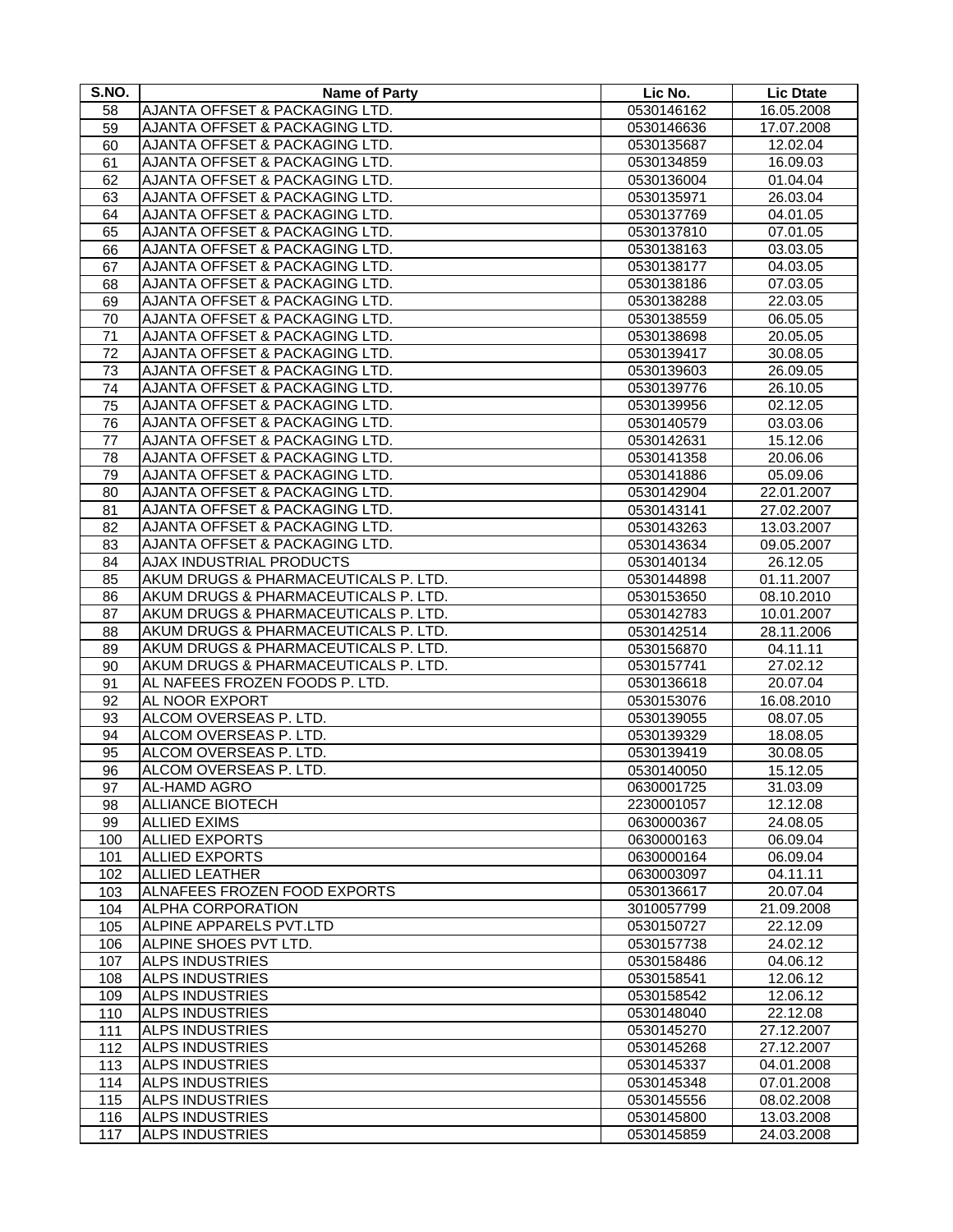| S.NO. | <b>Name of Party</b>                 | Lic No.    | <b>Lic Dtate</b>      |
|-------|--------------------------------------|------------|-----------------------|
| 58    | AJANTA OFFSET & PACKAGING LTD.       | 0530146162 | 16.05.2008            |
| 59    | AJANTA OFFSET & PACKAGING LTD.       | 0530146636 | 17.07.2008            |
| 60    | AJANTA OFFSET & PACKAGING LTD.       | 0530135687 | 12.02.04              |
| 61    | AJANTA OFFSET & PACKAGING LTD.       | 0530134859 | 16.09.03              |
| 62    | AJANTA OFFSET & PACKAGING LTD.       | 0530136004 | 01.04.04              |
| 63    | AJANTA OFFSET & PACKAGING LTD.       | 0530135971 | 26.03.04              |
| 64    | AJANTA OFFSET & PACKAGING LTD.       | 0530137769 | 04.01.05              |
| 65    | AJANTA OFFSET & PACKAGING LTD.       | 0530137810 | 07.01.05              |
| 66    | AJANTA OFFSET & PACKAGING LTD.       | 0530138163 | 03.03.05              |
| 67    | AJANTA OFFSET & PACKAGING LTD.       | 0530138177 | 04.03.05              |
| 68    | AJANTA OFFSET & PACKAGING LTD.       | 0530138186 | 07.03.05              |
| 69    | AJANTA OFFSET & PACKAGING LTD.       | 0530138288 | 22.03.05              |
| 70    | AJANTA OFFSET & PACKAGING LTD.       | 0530138559 | 06.05.05              |
| 71    | AJANTA OFFSET & PACKAGING LTD.       | 0530138698 | 20.05.05              |
| 72    | AJANTA OFFSET & PACKAGING LTD.       | 0530139417 | 30.08.05              |
| 73    | AJANTA OFFSET & PACKAGING LTD.       | 0530139603 | 26.09.05              |
| 74    | AJANTA OFFSET & PACKAGING LTD.       | 0530139776 | 26.10.05              |
| 75    | AJANTA OFFSET & PACKAGING LTD.       | 0530139956 | 02.12.05              |
| 76    | AJANTA OFFSET & PACKAGING LTD.       | 0530140579 | 03.03.06              |
| 77    | AJANTA OFFSET & PACKAGING LTD.       | 0530142631 | 15.12.06              |
| 78    | AJANTA OFFSET & PACKAGING LTD.       | 0530141358 | 20.06.06              |
| 79    | AJANTA OFFSET & PACKAGING LTD.       | 0530141886 | 05.09.06              |
| 80    | AJANTA OFFSET & PACKAGING LTD.       | 0530142904 | 22.01.2007            |
| 81    | AJANTA OFFSET & PACKAGING LTD.       | 0530143141 | 27.02.2007            |
| 82    | AJANTA OFFSET & PACKAGING LTD.       | 0530143263 | 13.03.2007            |
| 83    | AJANTA OFFSET & PACKAGING LTD.       | 0530143634 | 09.05.2007            |
| 84    | AJAX INDUSTRIAL PRODUCTS             | 0530140134 | 26.12.05              |
| 85    | AKUM DRUGS & PHARMACEUTICALS P. LTD. | 0530144898 | 01.11.2007            |
| 86    | AKUM DRUGS & PHARMACEUTICALS P. LTD. | 0530153650 | 08.10.2010            |
| 87    | AKUM DRUGS & PHARMACEUTICALS P. LTD. | 0530142783 | 10.01.2007            |
| 88    | AKUM DRUGS & PHARMACEUTICALS P. LTD. | 0530142514 | 28.11.2006            |
| 89    | AKUM DRUGS & PHARMACEUTICALS P. LTD. | 0530156870 | 04.11.11              |
| 90    | AKUM DRUGS & PHARMACEUTICALS P. LTD. | 0530157741 | 27.02.12              |
| 91    | AL NAFEES FROZEN FOODS P. LTD.       | 0530136618 | 20.07.04              |
| 92    | AL NOOR EXPORT                       | 0530153076 | 16.08.2010            |
| 93    | ALCOM OVERSEAS P. LTD.               | 0530139055 | $\overline{08.07.05}$ |
| 94    | ALCOM OVERSEAS P. LTD.               | 0530139329 | 18.08.05              |
| 95    | ALCOM OVERSEAS P. LTD.               | 0530139419 | 30.08.05              |
| 96    | ALCOM OVERSEAS P. LTD.               | 0530140050 | 15.12.05              |
| 97    | AL-HAMD AGRO                         | 0630001725 | 31.03.09              |
| 98    | <b>ALLIANCE BIOTECH</b>              | 2230001057 | 12.12.08              |
| 99    | <b>ALLIED EXIMS</b>                  | 0630000367 | 24.08.05              |
| 100   | <b>ALLIED EXPORTS</b>                | 0630000163 | 06.09.04              |
| 101   | <b>ALLIED EXPORTS</b>                | 0630000164 | 06.09.04              |
| 102   | <b>ALLIED LEATHER</b>                | 0630003097 | 04.11.11              |
| 103   | ALNAFEES FROZEN FOOD EXPORTS         | 0530136617 | 20.07.04              |
| 104   | <b>ALPHA CORPORATION</b>             | 3010057799 | 21.09.2008            |
| 105   | ALPINE APPARELS PVT.LTD              | 0530150727 | 22.12.09              |
| 106   | ALPINE SHOES PVT LTD.                | 0530157738 | 24.02.12              |
| 107   | <b>ALPS INDUSTRIES</b>               | 0530158486 | 04.06.12              |
| 108   | <b>ALPS INDUSTRIES</b>               | 0530158541 | 12.06.12              |
| 109   | <b>ALPS INDUSTRIES</b>               | 0530158542 | 12.06.12              |
| 110   | <b>ALPS INDUSTRIES</b>               | 0530148040 | 22.12.08              |
| 111   | <b>ALPS INDUSTRIES</b>               | 0530145270 | 27.12.2007            |
| 112   | <b>ALPS INDUSTRIES</b>               | 0530145268 | 27.12.2007            |
| 113   | <b>ALPS INDUSTRIES</b>               | 0530145337 | 04.01.2008            |
| 114   | <b>ALPS INDUSTRIES</b>               | 0530145348 | 07.01.2008            |
| 115   | <b>ALPS INDUSTRIES</b>               | 0530145556 | 08.02.2008            |
| 116   | <b>ALPS INDUSTRIES</b>               | 0530145800 | 13.03.2008            |
| 117   | <b>ALPS INDUSTRIES</b>               | 0530145859 | 24.03.2008            |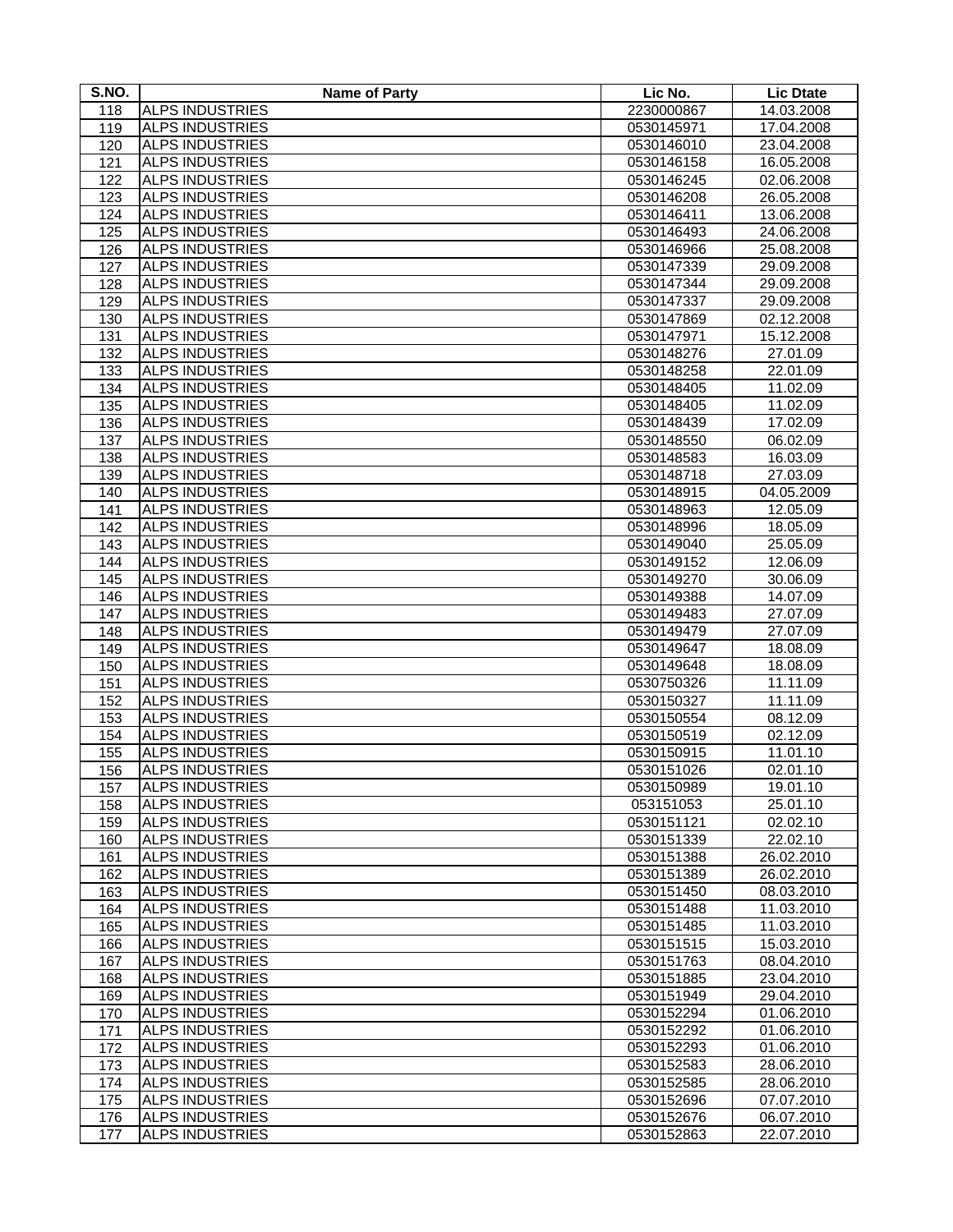| S.NO. | <b>Name of Party</b>   | Lic No.    | <b>Lic Dtate</b> |
|-------|------------------------|------------|------------------|
| 118   | <b>ALPS INDUSTRIES</b> | 2230000867 | 14.03.2008       |
| 119   | <b>ALPS INDUSTRIES</b> | 0530145971 | 17.04.2008       |
| 120   | <b>ALPS INDUSTRIES</b> | 0530146010 | 23.04.2008       |
| 121   | <b>ALPS INDUSTRIES</b> | 0530146158 | 16.05.2008       |
| 122   | <b>ALPS INDUSTRIES</b> | 0530146245 | 02.06.2008       |
| 123   | <b>ALPS INDUSTRIES</b> | 0530146208 | 26.05.2008       |
| 124   | <b>ALPS INDUSTRIES</b> | 0530146411 | 13.06.2008       |
| 125   | <b>ALPS INDUSTRIES</b> | 0530146493 | 24.06.2008       |
| 126   | <b>ALPS INDUSTRIES</b> | 0530146966 | 25.08.2008       |
| 127   | <b>ALPS INDUSTRIES</b> | 0530147339 | 29.09.2008       |
| 128   | <b>ALPS INDUSTRIES</b> | 0530147344 | 29.09.2008       |
| 129   | <b>ALPS INDUSTRIES</b> | 0530147337 | 29.09.2008       |
| 130   | <b>ALPS INDUSTRIES</b> | 0530147869 | 02.12.2008       |
| 131   | <b>ALPS INDUSTRIES</b> | 0530147971 | 15.12.2008       |
| 132   | <b>ALPS INDUSTRIES</b> | 0530148276 | 27.01.09         |
| 133   | <b>ALPS INDUSTRIES</b> | 0530148258 | 22.01.09         |
| 134   | <b>ALPS INDUSTRIES</b> | 0530148405 | 11.02.09         |
| 135   | <b>ALPS INDUSTRIES</b> | 0530148405 | 11.02.09         |
| 136   | <b>ALPS INDUSTRIES</b> | 0530148439 | 17.02.09         |
| 137   | <b>ALPS INDUSTRIES</b> | 0530148550 | 06.02.09         |
| 138   | <b>ALPS INDUSTRIES</b> | 0530148583 | 16.03.09         |
| 139   | <b>ALPS INDUSTRIES</b> | 0530148718 | 27.03.09         |
| 140   | <b>ALPS INDUSTRIES</b> | 0530148915 | 04.05.2009       |
| 141   | <b>ALPS INDUSTRIES</b> | 0530148963 | 12.05.09         |
| 142   | <b>ALPS INDUSTRIES</b> | 0530148996 | 18.05.09         |
| 143   | <b>ALPS INDUSTRIES</b> | 0530149040 | 25.05.09         |
| 144   | <b>ALPS INDUSTRIES</b> | 0530149152 | 12.06.09         |
| 145   | <b>ALPS INDUSTRIES</b> | 0530149270 | 30.06.09         |
| 146   | <b>ALPS INDUSTRIES</b> | 0530149388 | 14.07.09         |
| 147   | <b>ALPS INDUSTRIES</b> | 0530149483 | 27.07.09         |
| 148   | <b>ALPS INDUSTRIES</b> | 0530149479 | 27.07.09         |
| 149   | <b>ALPS INDUSTRIES</b> | 0530149647 | 18.08.09         |
| 150   | <b>ALPS INDUSTRIES</b> | 0530149648 | 18.08.09         |
| 151   | <b>ALPS INDUSTRIES</b> | 0530750326 | 11.11.09         |
| 152   | <b>ALPS INDUSTRIES</b> | 0530150327 | 11.11.09         |
| 153   | <b>ALPS INDUSTRIES</b> | 0530150554 | 08.12.09         |
| 154   | <b>ALPS INDUSTRIES</b> | 0530150519 | 02.12.09         |
| 155   | <b>ALPS INDUSTRIES</b> | 0530150915 | 11.01.10         |
| 156   | <b>ALPS INDUSTRIES</b> | 0530151026 | 02.01.10         |
| 157   | <b>ALPS INDUSTRIES</b> | 0530150989 | 19.01.10         |
| 158   | <b>ALPS INDUSTRIES</b> | 053151053  | 25.01.10         |
| 159   | <b>ALPS INDUSTRIES</b> | 0530151121 | 02.02.10         |
| 160   | <b>ALPS INDUSTRIES</b> | 0530151339 | 22.02.10         |
| 161   | <b>ALPS INDUSTRIES</b> | 0530151388 | 26.02.2010       |
| 162   | <b>ALPS INDUSTRIES</b> | 0530151389 | 26.02.2010       |
| 163   | <b>ALPS INDUSTRIES</b> | 0530151450 | 08.03.2010       |
| 164   | <b>ALPS INDUSTRIES</b> | 0530151488 | 11.03.2010       |
| 165   | <b>ALPS INDUSTRIES</b> | 0530151485 | 11.03.2010       |
| 166   | <b>ALPS INDUSTRIES</b> | 0530151515 | 15.03.2010       |
| 167   | <b>ALPS INDUSTRIES</b> | 0530151763 | 08.04.2010       |
| 168   | <b>ALPS INDUSTRIES</b> | 0530151885 | 23.04.2010       |
| 169   | <b>ALPS INDUSTRIES</b> | 0530151949 | 29.04.2010       |
| 170   | <b>ALPS INDUSTRIES</b> | 0530152294 | 01.06.2010       |
| 171   | <b>ALPS INDUSTRIES</b> | 0530152292 | 01.06.2010       |
| 172   | <b>ALPS INDUSTRIES</b> | 0530152293 | 01.06.2010       |
| 173   | <b>ALPS INDUSTRIES</b> | 0530152583 | 28.06.2010       |
| 174   | <b>ALPS INDUSTRIES</b> | 0530152585 | 28.06.2010       |
| 175   | <b>ALPS INDUSTRIES</b> | 0530152696 | 07.07.2010       |
| 176   | <b>ALPS INDUSTRIES</b> | 0530152676 | 06.07.2010       |
| 177   | <b>ALPS INDUSTRIES</b> | 0530152863 | 22.07.2010       |
|       |                        |            |                  |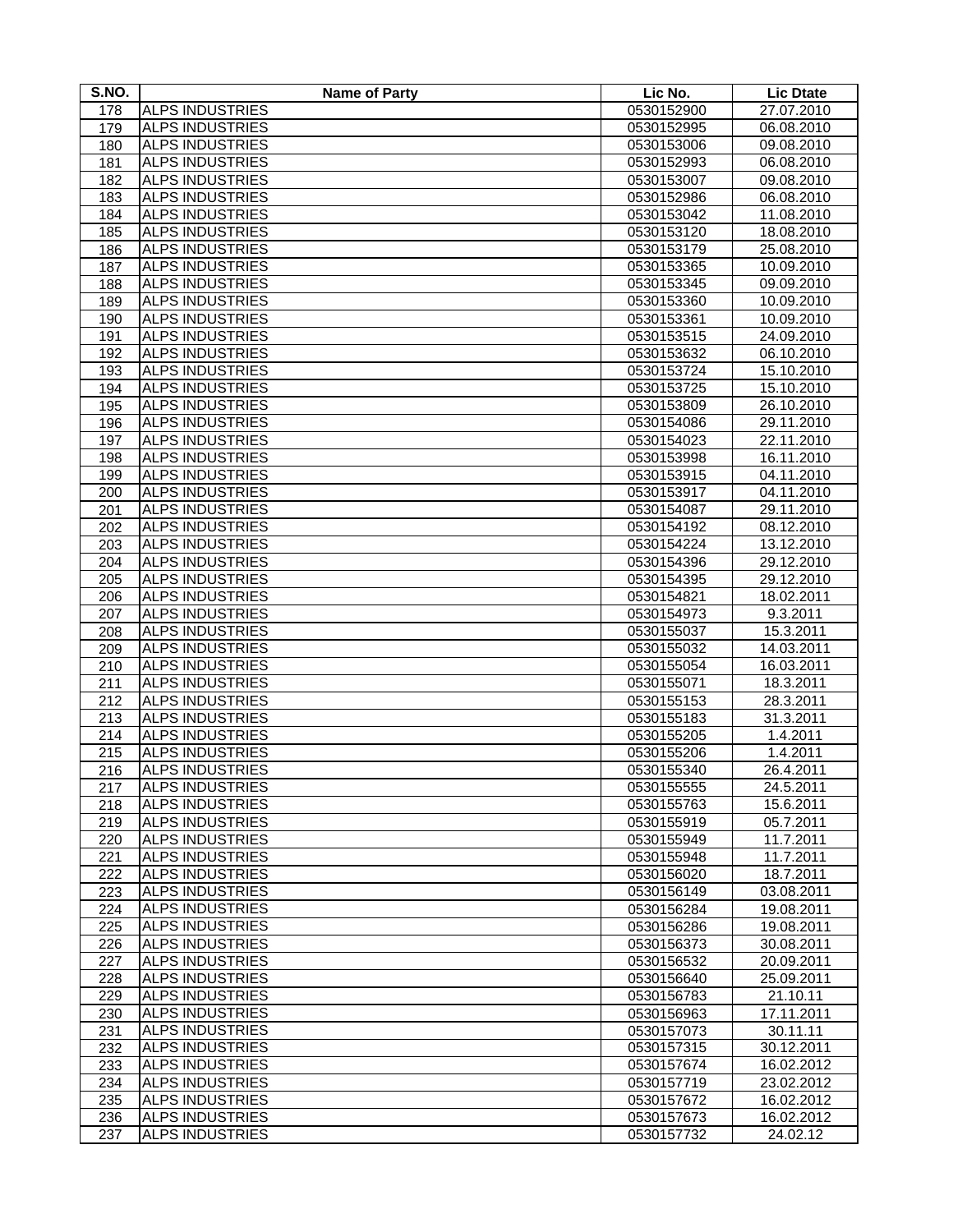| S.NO. | <b>Name of Party</b>   | Lic No.    | <b>Lic Dtate</b> |
|-------|------------------------|------------|------------------|
| 178   | <b>ALPS INDUSTRIES</b> | 0530152900 | 27.07.2010       |
| 179   | <b>ALPS INDUSTRIES</b> | 0530152995 | 06.08.2010       |
| 180   | <b>ALPS INDUSTRIES</b> | 0530153006 | 09.08.2010       |
| 181   | <b>ALPS INDUSTRIES</b> | 0530152993 | 06.08.2010       |
| 182   | <b>ALPS INDUSTRIES</b> | 0530153007 | 09.08.2010       |
| 183   | <b>ALPS INDUSTRIES</b> | 0530152986 | 06.08.2010       |
| 184   | <b>ALPS INDUSTRIES</b> | 0530153042 | 11.08.2010       |
| 185   | <b>ALPS INDUSTRIES</b> | 0530153120 | 18.08.2010       |
| 186   | <b>ALPS INDUSTRIES</b> | 0530153179 | 25.08.2010       |
| 187   | <b>ALPS INDUSTRIES</b> | 0530153365 | 10.09.2010       |
| 188   | <b>ALPS INDUSTRIES</b> | 0530153345 | 09.09.2010       |
| 189   | <b>ALPS INDUSTRIES</b> | 0530153360 | 10.09.2010       |
| 190   | <b>ALPS INDUSTRIES</b> | 0530153361 | 10.09.2010       |
| 191   | <b>ALPS INDUSTRIES</b> | 0530153515 | 24.09.2010       |
| 192   | <b>ALPS INDUSTRIES</b> | 0530153632 | 06.10.2010       |
| 193   | <b>ALPS INDUSTRIES</b> | 0530153724 | 15.10.2010       |
| 194   | <b>ALPS INDUSTRIES</b> | 0530153725 | 15.10.2010       |
| 195   | <b>ALPS INDUSTRIES</b> | 0530153809 | 26.10.2010       |
| 196   | <b>ALPS INDUSTRIES</b> | 0530154086 | 29.11.2010       |
| 197   | <b>ALPS INDUSTRIES</b> | 0530154023 | 22.11.2010       |
| 198   | <b>ALPS INDUSTRIES</b> | 0530153998 | 16.11.2010       |
| 199   | <b>ALPS INDUSTRIES</b> | 0530153915 | 04.11.2010       |
| 200   | <b>ALPS INDUSTRIES</b> | 0530153917 | 04.11.2010       |
| 201   | <b>ALPS INDUSTRIES</b> | 0530154087 | 29.11.2010       |
| 202   | <b>ALPS INDUSTRIES</b> | 0530154192 | 08.12.2010       |
| 203   | <b>ALPS INDUSTRIES</b> | 0530154224 | 13.12.2010       |
| 204   | <b>ALPS INDUSTRIES</b> | 0530154396 | 29.12.2010       |
| 205   | <b>ALPS INDUSTRIES</b> | 0530154395 | 29.12.2010       |
| 206   | <b>ALPS INDUSTRIES</b> | 0530154821 | 18.02.2011       |
| 207   | <b>ALPS INDUSTRIES</b> | 0530154973 | 9.3.2011         |
| 208   | <b>ALPS INDUSTRIES</b> | 0530155037 | 15.3.2011        |
| 209   | <b>ALPS INDUSTRIES</b> | 0530155032 | 14.03.2011       |
| 210   | <b>ALPS INDUSTRIES</b> | 0530155054 | 16.03.2011       |
| 211   | <b>ALPS INDUSTRIES</b> | 0530155071 | 18.3.2011        |
| 212   | <b>ALPS INDUSTRIES</b> | 0530155153 | 28.3.2011        |
| 213   | <b>ALPS INDUSTRIES</b> | 0530155183 | 31.3.2011        |
| 214   | <b>ALPS INDUSTRIES</b> | 0530155205 | 1.4.2011         |
| 215   | <b>ALPS INDUSTRIES</b> | 0530155206 | 1.4.2011         |
| 216   | <b>ALPS INDUSTRIES</b> | 0530155340 | 26.4.2011        |
| 217   | <b>ALPS INDUSTRIES</b> | 0530155555 | 24.5.2011        |
| 218   | <b>ALPS INDUSTRIES</b> | 0530155763 | 15.6.2011        |
| 219   | <b>ALPS INDUSTRIES</b> | 0530155919 | 05.7.2011        |
| 220   | <b>ALPS INDUSTRIES</b> | 0530155949 | 11.7.2011        |
| 221   | <b>ALPS INDUSTRIES</b> | 0530155948 | 11.7.2011        |
| 222   | <b>ALPS INDUSTRIES</b> | 0530156020 | 18.7.2011        |
| 223   | <b>ALPS INDUSTRIES</b> | 0530156149 | 03.08.2011       |
| 224   | <b>ALPS INDUSTRIES</b> | 0530156284 | 19.08.2011       |
| 225   | <b>ALPS INDUSTRIES</b> | 0530156286 | 19.08.2011       |
| 226   | <b>ALPS INDUSTRIES</b> | 0530156373 | 30.08.2011       |
| 227   | <b>ALPS INDUSTRIES</b> | 0530156532 | 20.09.2011       |
| 228   | <b>ALPS INDUSTRIES</b> | 0530156640 | 25.09.2011       |
| 229   | <b>ALPS INDUSTRIES</b> | 0530156783 | 21.10.11         |
| 230   | <b>ALPS INDUSTRIES</b> | 0530156963 | 17.11.2011       |
| 231   | <b>ALPS INDUSTRIES</b> | 0530157073 | 30.11.11         |
| 232   | <b>ALPS INDUSTRIES</b> | 0530157315 | 30.12.2011       |
| 233   | <b>ALPS INDUSTRIES</b> | 0530157674 | 16.02.2012       |
| 234   | <b>ALPS INDUSTRIES</b> | 0530157719 | 23.02.2012       |
| 235   | <b>ALPS INDUSTRIES</b> | 0530157672 | 16.02.2012       |
| 236   | <b>ALPS INDUSTRIES</b> | 0530157673 | 16.02.2012       |
| 237   | <b>ALPS INDUSTRIES</b> | 0530157732 | 24.02.12         |
|       |                        |            |                  |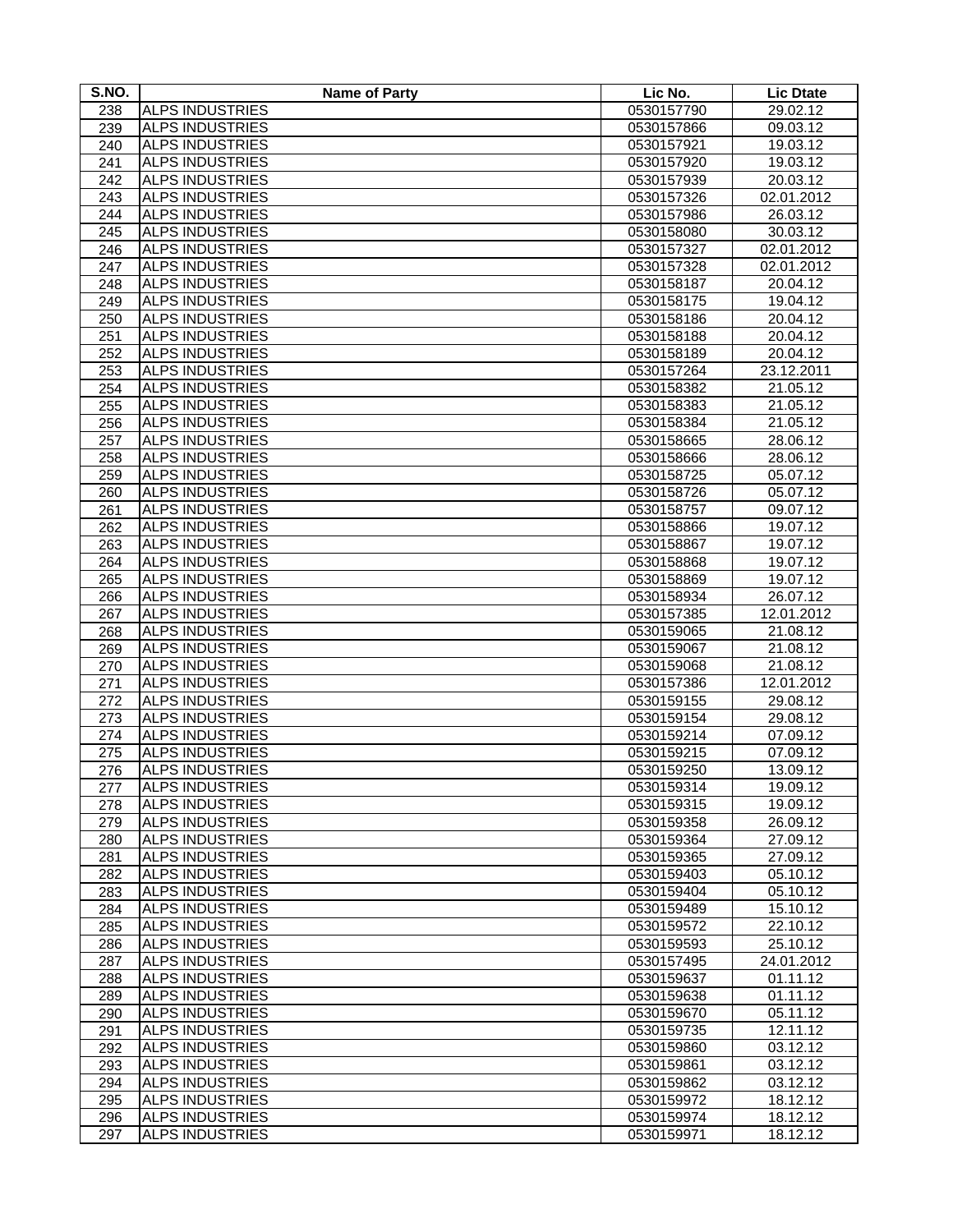| S.NO. | <b>Name of Party</b>   | Lic No.    | <b>Lic Dtate</b> |
|-------|------------------------|------------|------------------|
| 238   | <b>ALPS INDUSTRIES</b> | 0530157790 | 29.02.12         |
| 239   | <b>ALPS INDUSTRIES</b> | 0530157866 | 09.03.12         |
| 240   | <b>ALPS INDUSTRIES</b> | 0530157921 | 19.03.12         |
| 241   | <b>ALPS INDUSTRIES</b> | 0530157920 | 19.03.12         |
| 242   | <b>ALPS INDUSTRIES</b> | 0530157939 | 20.03.12         |
| 243   | <b>ALPS INDUSTRIES</b> | 0530157326 | 02.01.2012       |
| 244   | <b>ALPS INDUSTRIES</b> | 0530157986 | 26.03.12         |
| 245   | <b>ALPS INDUSTRIES</b> | 0530158080 | 30.03.12         |
| 246   | <b>ALPS INDUSTRIES</b> | 0530157327 | 02.01.2012       |
| 247   | <b>ALPS INDUSTRIES</b> | 0530157328 | 02.01.2012       |
| 248   | <b>ALPS INDUSTRIES</b> | 0530158187 | 20.04.12         |
| 249   | <b>ALPS INDUSTRIES</b> | 0530158175 | 19.04.12         |
| 250   | <b>ALPS INDUSTRIES</b> | 0530158186 | 20.04.12         |
| 251   | <b>ALPS INDUSTRIES</b> | 0530158188 | 20.04.12         |
| 252   | <b>ALPS INDUSTRIES</b> | 0530158189 | 20.04.12         |
| 253   | <b>ALPS INDUSTRIES</b> | 0530157264 | 23.12.2011       |
| 254   | <b>ALPS INDUSTRIES</b> | 0530158382 | 21.05.12         |
| 255   | <b>ALPS INDUSTRIES</b> | 0530158383 | 21.05.12         |
| 256   | <b>ALPS INDUSTRIES</b> | 0530158384 | 21.05.12         |
| 257   | <b>ALPS INDUSTRIES</b> | 0530158665 | 28.06.12         |
| 258   | <b>ALPS INDUSTRIES</b> | 0530158666 | 28.06.12         |
| 259   | <b>ALPS INDUSTRIES</b> | 0530158725 | 05.07.12         |
| 260   | <b>ALPS INDUSTRIES</b> | 0530158726 | 05.07.12         |
| 261   | <b>ALPS INDUSTRIES</b> | 0530158757 | 09.07.12         |
| 262   | <b>ALPS INDUSTRIES</b> | 0530158866 | 19.07.12         |
| 263   | <b>ALPS INDUSTRIES</b> | 0530158867 | 19.07.12         |
| 264   | <b>ALPS INDUSTRIES</b> | 0530158868 | 19.07.12         |
| 265   | <b>ALPS INDUSTRIES</b> | 0530158869 | 19.07.12         |
| 266   | <b>ALPS INDUSTRIES</b> | 0530158934 | 26.07.12         |
| 267   | <b>ALPS INDUSTRIES</b> | 0530157385 | 12.01.2012       |
| 268   | <b>ALPS INDUSTRIES</b> | 0530159065 | 21.08.12         |
| 269   | <b>ALPS INDUSTRIES</b> | 0530159067 | 21.08.12         |
| 270   | <b>ALPS INDUSTRIES</b> | 0530159068 | 21.08.12         |
| 271   | <b>ALPS INDUSTRIES</b> | 0530157386 | 12.01.2012       |
| 272   | <b>ALPS INDUSTRIES</b> | 0530159155 | 29.08.12         |
| 273   | <b>ALPS INDUSTRIES</b> | 0530159154 | 29.08.12         |
| 274   | <b>ALPS INDUSTRIES</b> | 0530159214 | 07.09.12         |
| 275   | <b>ALPS INDUSTRIES</b> | 0530159215 | 07.09.12         |
| 276   | <b>ALPS INDUSTRIES</b> | 0530159250 | 13.09.12         |
| 277   | ALPS INDUSTRIES        | 0530159314 | 19.09.12         |
| 278   | <b>ALPS INDUSTRIES</b> | 0530159315 | 19.09.12         |
| 279   | <b>ALPS INDUSTRIES</b> | 0530159358 | 26.09.12         |
| 280   | <b>ALPS INDUSTRIES</b> | 0530159364 | 27.09.12         |
| 281   | <b>ALPS INDUSTRIES</b> | 0530159365 | 27.09.12         |
| 282   | <b>ALPS INDUSTRIES</b> | 0530159403 | 05.10.12         |
| 283   | <b>ALPS INDUSTRIES</b> | 0530159404 | 05.10.12         |
| 284   | <b>ALPS INDUSTRIES</b> | 0530159489 | 15.10.12         |
| 285   | <b>ALPS INDUSTRIES</b> | 0530159572 | 22.10.12         |
| 286   | <b>ALPS INDUSTRIES</b> | 0530159593 | 25.10.12         |
| 287   | <b>ALPS INDUSTRIES</b> | 0530157495 | 24.01.2012       |
| 288   | <b>ALPS INDUSTRIES</b> | 0530159637 | 01.11.12         |
| 289   | <b>ALPS INDUSTRIES</b> | 0530159638 | 01.11.12         |
| 290   | <b>ALPS INDUSTRIES</b> | 0530159670 | 05.11.12         |
| 291   | <b>ALPS INDUSTRIES</b> | 0530159735 | 12.11.12         |
| 292   | <b>ALPS INDUSTRIES</b> | 0530159860 | 03.12.12         |
| 293   | <b>ALPS INDUSTRIES</b> | 0530159861 | 03.12.12         |
| 294   | <b>ALPS INDUSTRIES</b> | 0530159862 | 03.12.12         |
| 295   | <b>ALPS INDUSTRIES</b> | 0530159972 | 18.12.12         |
| 296   | <b>ALPS INDUSTRIES</b> | 0530159974 | 18.12.12         |
| 297   | <b>ALPS INDUSTRIES</b> | 0530159971 | 18.12.12         |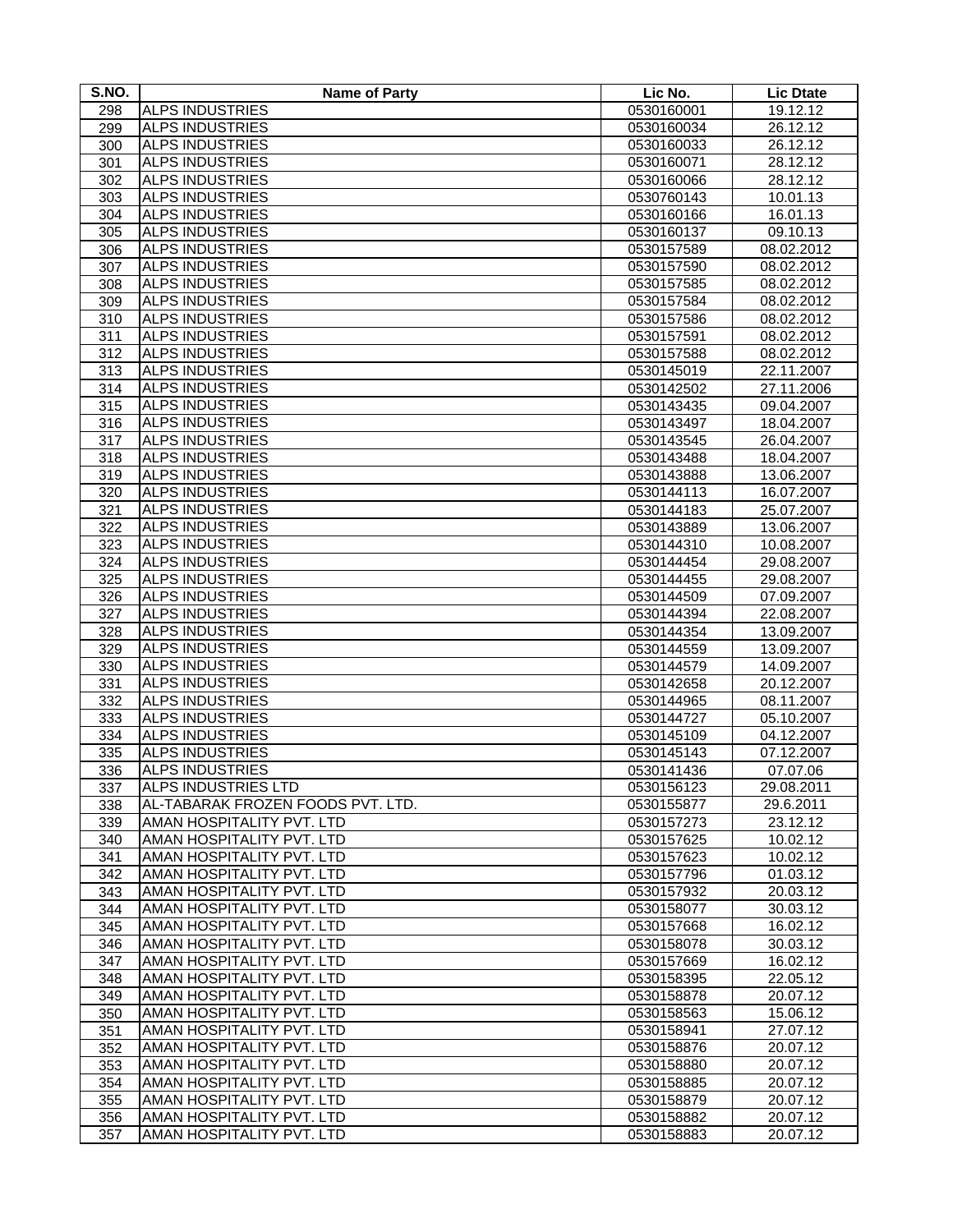| S.NO.      | <b>Name of Party</b>                                   | Lic No.                  | <b>Lic Dtate</b>         |
|------------|--------------------------------------------------------|--------------------------|--------------------------|
| 298        | <b>ALPS INDUSTRIES</b>                                 | 0530160001               | 19.12.12                 |
| 299        | <b>ALPS INDUSTRIES</b>                                 | 0530160034               | 26.12.12                 |
| 300        | <b>ALPS INDUSTRIES</b>                                 | 0530160033               | 26.12.12                 |
| 301        | <b>ALPS INDUSTRIES</b>                                 | 0530160071               | 28.12.12                 |
| 302        | <b>ALPS INDUSTRIES</b>                                 | 0530160066               | 28.12.12                 |
| 303        | <b>ALPS INDUSTRIES</b>                                 | 0530760143               | 10.01.13                 |
| 304        | <b>ALPS INDUSTRIES</b>                                 | 0530160166               | 16.01.13                 |
| 305        | <b>ALPS INDUSTRIES</b>                                 | 0530160137               | 09.10.13                 |
| 306        | <b>ALPS INDUSTRIES</b>                                 | 0530157589               | 08.02.2012               |
| 307        | <b>ALPS INDUSTRIES</b>                                 | 0530157590               | 08.02.2012               |
| 308        | <b>ALPS INDUSTRIES</b>                                 | 0530157585               | 08.02.2012               |
| 309        | <b>ALPS INDUSTRIES</b>                                 | 0530157584               | 08.02.2012               |
| 310        | <b>ALPS INDUSTRIES</b>                                 | 0530157586               | 08.02.2012               |
| 311        | <b>ALPS INDUSTRIES</b>                                 | 0530157591               | 08.02.2012               |
| 312        | <b>ALPS INDUSTRIES</b>                                 | 0530157588               | 08.02.2012               |
| 313        | <b>ALPS INDUSTRIES</b>                                 | 0530145019               | 22.11.2007               |
| 314        | <b>ALPS INDUSTRIES</b>                                 | 0530142502               | 27.11.2006               |
| 315        | <b>ALPS INDUSTRIES</b>                                 | 0530143435               | 09.04.2007               |
| 316        | <b>ALPS INDUSTRIES</b>                                 | 0530143497               | 18.04.2007               |
| 317        | <b>ALPS INDUSTRIES</b>                                 | 0530143545               | 26.04.2007               |
| 318        | <b>ALPS INDUSTRIES</b>                                 | 0530143488               | 18.04.2007               |
| 319        | <b>ALPS INDUSTRIES</b>                                 | 0530143888               | 13.06.2007               |
| 320        | <b>ALPS INDUSTRIES</b>                                 | 0530144113               | 16.07.2007               |
| 321        | <b>ALPS INDUSTRIES</b>                                 | 0530144183               | 25.07.2007               |
| 322        | <b>ALPS INDUSTRIES</b>                                 | 0530143889               | 13.06.2007               |
| 323        | <b>ALPS INDUSTRIES</b>                                 | 0530144310               | 10.08.2007               |
| 324        | <b>ALPS INDUSTRIES</b>                                 | 0530144454               | 29.08.2007               |
| 325        | <b>ALPS INDUSTRIES</b>                                 | 0530144455               | 29.08.2007               |
| 326        | <b>ALPS INDUSTRIES</b>                                 | 0530144509               | 07.09.2007               |
| 327        | <b>ALPS INDUSTRIES</b>                                 | 0530144394               | 22.08.2007               |
| 328        | <b>ALPS INDUSTRIES</b>                                 | 0530144354               | 13.09.2007               |
| 329        | <b>ALPS INDUSTRIES</b>                                 |                          |                          |
| 330        | <b>ALPS INDUSTRIES</b>                                 | 0530144559               | 13.09.2007<br>14.09.2007 |
| 331        | <b>ALPS INDUSTRIES</b>                                 | 0530144579<br>0530142658 | 20.12.2007               |
| 332        | <b>ALPS INDUSTRIES</b>                                 | 0530144965               | 08.11.2007               |
| 333        | <b>ALPS INDUSTRIES</b>                                 | 0530144727               | 05.10.2007               |
| 334        | <b>ALPS INDUSTRIES</b>                                 | 0530145109               | 04.12.2007               |
|            | <b>ALPS INDUSTRIES</b>                                 |                          | 07.12.2007               |
| 335<br>336 | <b>ALPS INDUSTRIES</b>                                 | 0530145143<br>0530141436 |                          |
|            |                                                        |                          | 07.07.06<br>29.08.2011   |
| 337        | <b>ALPS INDUSTRIES LTD</b>                             | 0530156123               |                          |
| 338        | AL-TABARAK FROZEN FOODS PVT. LTD.                      | 0530155877               | 29.6.2011                |
| 339        | AMAN HOSPITALITY PVT. LTD                              | 0530157273               | 23.12.12                 |
| 340        | AMAN HOSPITALITY PVT. LTD<br>AMAN HOSPITALITY PVT. LTD | 0530157625               | 10.02.12                 |
| 341        | AMAN HOSPITALITY PVT. LTD                              | 0530157623<br>0530157796 | 10.02.12<br>01.03.12     |
| 342        | AMAN HOSPITALITY PVT. LTD                              |                          |                          |
| 343<br>344 | AMAN HOSPITALITY PVT. LTD                              | 0530157932               | 20.03.12                 |
|            |                                                        | 0530158077               | 30.03.12                 |
| 345        | AMAN HOSPITALITY PVT. LTD                              | 0530157668               | 16.02.12                 |
| 346        | AMAN HOSPITALITY PVT. LTD                              | 0530158078               | 30.03.12                 |
| 347        | AMAN HOSPITALITY PVT. LTD                              | 0530157669               | 16.02.12                 |
| 348        | AMAN HOSPITALITY PVT. LTD                              | 0530158395               | 22.05.12                 |
| 349        | AMAN HOSPITALITY PVT. LTD                              | 0530158878               | 20.07.12                 |
| 350        | AMAN HOSPITALITY PVT. LTD                              | 0530158563               | 15.06.12                 |
| 351        | AMAN HOSPITALITY PVT. LTD                              | 0530158941               | 27.07.12                 |
| 352        | AMAN HOSPITALITY PVT. LTD                              | 0530158876               | 20.07.12                 |
| 353        | AMAN HOSPITALITY PVT. LTD                              | 0530158880               | 20.07.12                 |
| 354        | AMAN HOSPITALITY PVT. LTD                              | 0530158885               | 20.07.12                 |
| 355        | AMAN HOSPITALITY PVT. LTD                              | 0530158879               | 20.07.12                 |
| 356        | AMAN HOSPITALITY PVT. LTD                              | 0530158882               | 20.07.12                 |
| 357        | AMAN HOSPITALITY PVT. LTD                              | 0530158883               | 20.07.12                 |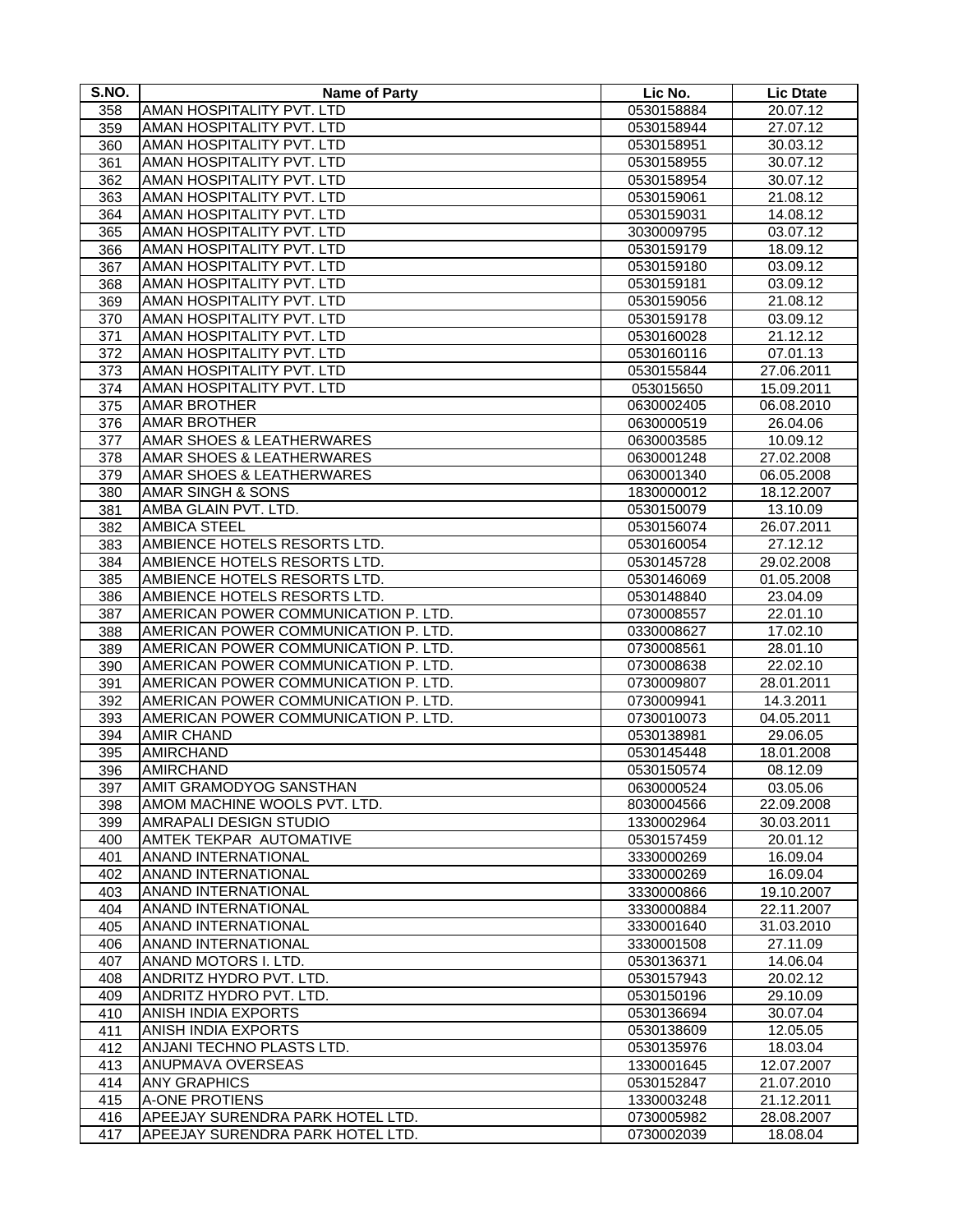| S.NO. | <b>Name of Party</b>                 | Lic No.    | <b>Lic Dtate</b> |
|-------|--------------------------------------|------------|------------------|
| 358   | AMAN HOSPITALITY PVT. LTD            | 0530158884 | 20.07.12         |
| 359   | AMAN HOSPITALITY PVT. LTD            | 0530158944 | 27.07.12         |
| 360   | AMAN HOSPITALITY PVT. LTD            | 0530158951 | 30.03.12         |
| 361   | AMAN HOSPITALITY PVT. LTD            | 0530158955 | 30.07.12         |
| 362   | AMAN HOSPITALITY PVT. LTD            | 0530158954 | 30.07.12         |
| 363   | AMAN HOSPITALITY PVT. LTD            | 0530159061 | 21.08.12         |
| 364   | AMAN HOSPITALITY PVT. LTD            | 0530159031 | 14.08.12         |
| 365   | AMAN HOSPITALITY PVT. LTD            | 3030009795 | 03.07.12         |
| 366   | AMAN HOSPITALITY PVT. LTD            | 0530159179 | 18.09.12         |
| 367   | AMAN HOSPITALITY PVT. LTD            | 0530159180 | 03.09.12         |
| 368   | AMAN HOSPITALITY PVT. LTD            | 0530159181 | 03.09.12         |
| 369   | AMAN HOSPITALITY PVT. LTD            | 0530159056 | 21.08.12         |
| 370   | AMAN HOSPITALITY PVT. LTD            | 0530159178 | 03.09.12         |
| 371   | AMAN HOSPITALITY PVT. LTD            | 0530160028 | 21.12.12         |
| 372   | AMAN HOSPITALITY PVT. LTD            | 0530160116 | 07.01.13         |
| 373   | AMAN HOSPITALITY PVT. LTD            | 0530155844 | 27.06.2011       |
| 374   | AMAN HOSPITALITY PVT. LTD            | 053015650  | 15.09.2011       |
| 375   | <b>AMAR BROTHER</b>                  | 0630002405 | 06.08.2010       |
| 376   | <b>AMAR BROTHER</b>                  | 0630000519 | 26.04.06         |
| 377   | AMAR SHOES & LEATHERWARES            | 0630003585 | 10.09.12         |
| 378   | <b>AMAR SHOES &amp; LEATHERWARES</b> | 0630001248 | 27.02.2008       |
| 379   | <b>AMAR SHOES &amp; LEATHERWARES</b> | 0630001340 | 06.05.2008       |
| 380   | <b>AMAR SINGH &amp; SONS</b>         | 1830000012 | 18.12.2007       |
| 381   | AMBA GLAIN PVT. LTD.                 | 0530150079 | 13.10.09         |
| 382   | <b>AMBICA STEEL</b>                  | 0530156074 | 26.07.2011       |
| 383   | AMBIENCE HOTELS RESORTS LTD.         | 0530160054 | 27.12.12         |
| 384   | AMBIENCE HOTELS RESORTS LTD.         | 0530145728 | 29.02.2008       |
| 385   | AMBIENCE HOTELS RESORTS LTD.         | 0530146069 | 01.05.2008       |
| 386   | AMBIENCE HOTELS RESORTS LTD.         | 0530148840 | 23.04.09         |
| 387   | AMERICAN POWER COMMUNICATION P. LTD. | 0730008557 | 22.01.10         |
| 388   | AMERICAN POWER COMMUNICATION P. LTD. | 0330008627 | 17.02.10         |
| 389   | AMERICAN POWER COMMUNICATION P. LTD. | 0730008561 | 28.01.10         |
| 390   | AMERICAN POWER COMMUNICATION P. LTD. | 0730008638 | 22.02.10         |
| 391   | AMERICAN POWER COMMUNICATION P. LTD. | 0730009807 | 28.01.2011       |
| 392   | AMERICAN POWER COMMUNICATION P. LTD. | 0730009941 | 14.3.2011        |
| 393   | AMERICAN POWER COMMUNICATION P. LTD. | 0730010073 | 04.05.2011       |
| 394   | <b>AMIR CHAND</b>                    | 0530138981 | 29.06.05         |
| 395   | <b>AMIRCHAND</b>                     | 0530145448 | 18.01.2008       |
| 396   | <b>AMIRCHAND</b>                     | 0530150574 | 08.12.09         |
| 397   | AMIT GRAMODYOG SANSTHAN              | 0630000524 | 03.05.06         |
| 398   | AMOM MACHINE WOOLS PVT. LTD.         | 8030004566 | 22.09.2008       |
| 399   | AMRAPALI DESIGN STUDIO               | 1330002964 | 30.03.2011       |
| 400   | AMTEK TEKPAR AUTOMATIVE              | 0530157459 | 20.01.12         |
| 401   | <b>ANAND INTERNATIONAL</b>           | 3330000269 | 16.09.04         |
| 402   | <b>ANAND INTERNATIONAL</b>           | 3330000269 | 16.09.04         |
| 403   | ANAND INTERNATIONAL                  | 3330000866 | 19.10.2007       |
| 404   | <b>ANAND INTERNATIONAL</b>           | 3330000884 | 22.11.2007       |
| 405   | ANAND INTERNATIONAL                  | 3330001640 | 31.03.2010       |
| 406   | ANAND INTERNATIONAL                  | 3330001508 | 27.11.09         |
| 407   | ANAND MOTORS I. LTD.                 | 0530136371 | 14.06.04         |
| 408   | ANDRITZ HYDRO PVT. LTD.              | 0530157943 | 20.02.12         |
| 409   | ANDRITZ HYDRO PVT. LTD.              | 0530150196 | 29.10.09         |
| 410   | ANISH INDIA EXPORTS                  | 0530136694 | 30.07.04         |
| 411   | ANISH INDIA EXPORTS                  | 0530138609 | 12.05.05         |
| 412   | ANJANI TECHNO PLASTS LTD.            | 0530135976 | 18.03.04         |
| 413   | ANUPMAVA OVERSEAS                    | 1330001645 | 12.07.2007       |
| 414   | <b>ANY GRAPHICS</b>                  | 0530152847 | 21.07.2010       |
| 415   | A-ONE PROTIENS                       | 1330003248 | 21.12.2011       |
| 416   | APEEJAY SURENDRA PARK HOTEL LTD.     | 0730005982 | 28.08.2007       |
| 417   | APEEJAY SURENDRA PARK HOTEL LTD.     | 0730002039 | 18.08.04         |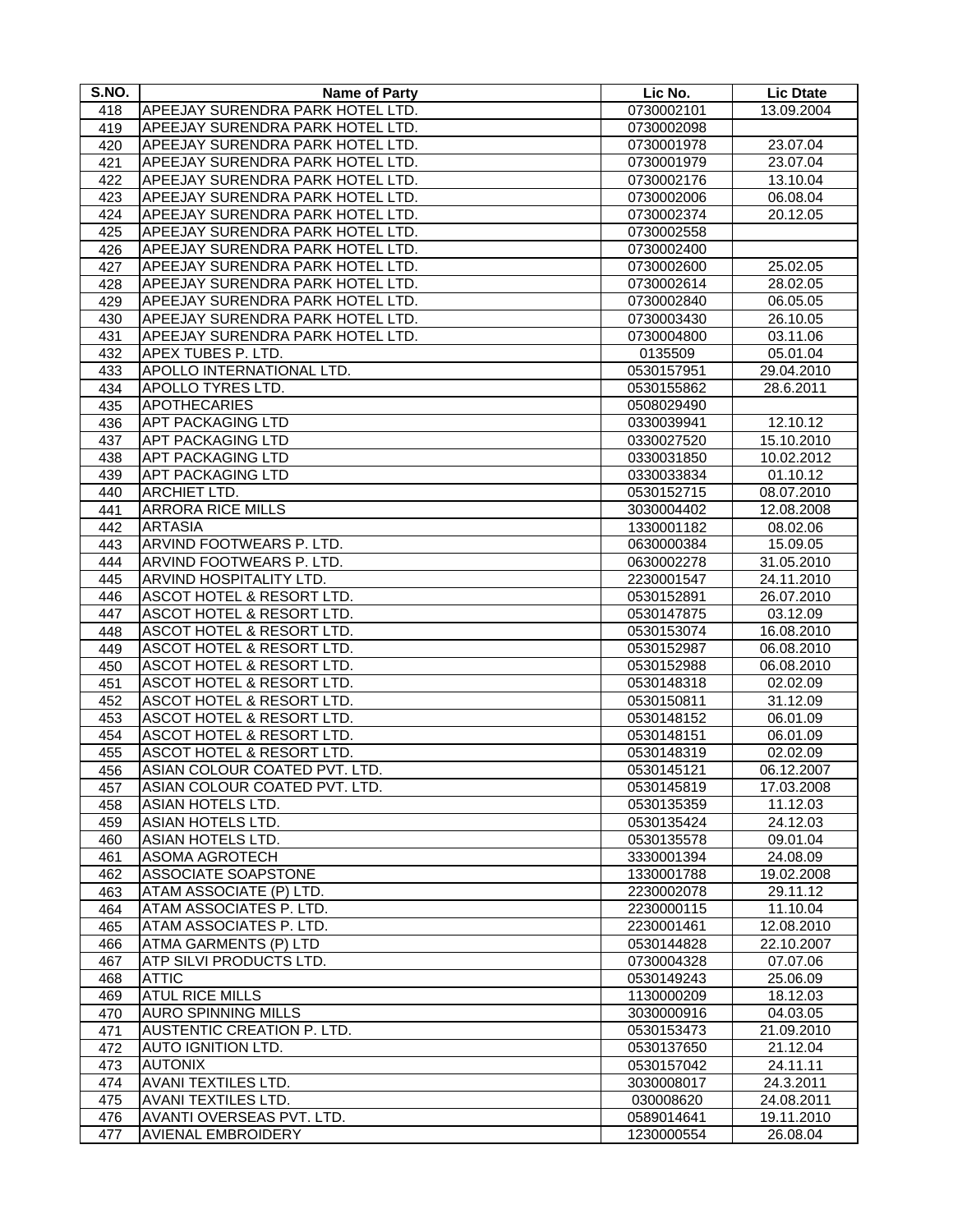| S.NO. | <b>Name of Party</b>             | Lic No.    | <b>Lic Dtate</b> |
|-------|----------------------------------|------------|------------------|
| 418   | APEEJAY SURENDRA PARK HOTEL LTD. | 0730002101 | 13.09.2004       |
| 419   | APEEJAY SURENDRA PARK HOTEL LTD. | 0730002098 |                  |
| 420   | APEEJAY SURENDRA PARK HOTEL LTD. | 0730001978 | 23.07.04         |
| 421   | APEEJAY SURENDRA PARK HOTEL LTD. | 0730001979 | 23.07.04         |
| 422   | APEEJAY SURENDRA PARK HOTEL LTD. | 0730002176 | 13.10.04         |
| 423   | APEEJAY SURENDRA PARK HOTEL LTD. | 0730002006 | 06.08.04         |
| 424   | APEEJAY SURENDRA PARK HOTEL LTD. | 0730002374 | 20.12.05         |
| 425   | APEEJAY SURENDRA PARK HOTEL LTD. | 0730002558 |                  |
| 426   | APEEJAY SURENDRA PARK HOTEL LTD. | 0730002400 |                  |
| 427   | APEEJAY SURENDRA PARK HOTEL LTD. | 0730002600 | 25.02.05         |
| 428   | APEEJAY SURENDRA PARK HOTEL LTD. | 0730002614 | 28.02.05         |
| 429   | APEEJAY SURENDRA PARK HOTEL LTD. | 0730002840 | 06.05.05         |
| 430   | APEEJAY SURENDRA PARK HOTEL LTD. | 0730003430 | 26.10.05         |
| 431   | APEEJAY SURENDRA PARK HOTEL LTD. | 0730004800 | 03.11.06         |
| 432   | APEX TUBES P. LTD.               | 0135509    | 05.01.04         |
| 433   | APOLLO INTERNATIONAL LTD.        | 0530157951 | 29.04.2010       |
| 434   | <b>APOLLO TYRES LTD.</b>         | 0530155862 | 28.6.2011        |
| 435   | <b>APOTHECARIES</b>              | 0508029490 |                  |
| 436   | <b>APT PACKAGING LTD</b>         | 0330039941 | 12.10.12         |
| 437   | <b>APT PACKAGING LTD</b>         | 0330027520 | 15.10.2010       |
| 438   | <b>APT PACKAGING LTD</b>         | 0330031850 | 10.02.2012       |
| 439   | <b>APT PACKAGING LTD</b>         | 0330033834 | 01.10.12         |
| 440   | <b>ARCHIET LTD.</b>              | 0530152715 | 08.07.2010       |
| 441   | <b>ARRORA RICE MILLS</b>         | 3030004402 | 12.08.2008       |
| 442   | <b>ARTASIA</b>                   | 1330001182 | 08.02.06         |
| 443   | ARVIND FOOTWEARS P. LTD.         | 0630000384 | 15.09.05         |
| 444   | ARVIND FOOTWEARS P. LTD.         | 0630002278 | 31.05.2010       |
| 445   | ARVIND HOSPITALITY LTD.          | 2230001547 | 24.11.2010       |
| 446   | ASCOT HOTEL & RESORT LTD.        | 0530152891 | 26.07.2010       |
| 447   | ASCOT HOTEL & RESORT LTD.        | 0530147875 | 03.12.09         |
| 448   | ASCOT HOTEL & RESORT LTD.        | 0530153074 | 16.08.2010       |
| 449   | ASCOT HOTEL & RESORT LTD.        | 0530152987 | 06.08.2010       |
| 450   | ASCOT HOTEL & RESORT LTD.        | 0530152988 | 06.08.2010       |
| 451   | ASCOT HOTEL & RESORT LTD.        | 0530148318 | 02.02.09         |
| 452   | ASCOT HOTEL & RESORT LTD.        | 0530150811 | 31.12.09         |
| 453   | ASCOT HOTEL & RESORT LTD.        | 0530148152 | 06.01.09         |
| 454   | ASCOT HOTEL & RESORT LTD.        | 0530148151 | 06.01.09         |
| 455   | ASCOT HOTEL & RESORT LTD.        | 0530148319 | 02.02.09         |
| 456   | ASIAN COLOUR COATED PVT. LTD.    | 0530145121 | 06.12.2007       |
| 457   | ASIAN COLOUR COATED PVT. LTD.    | 0530145819 | 17.03.2008       |
| 458   | <b>ASIAN HOTELS LTD.</b>         | 0530135359 | 11.12.03         |
| 459   | ASIAN HOTELS LTD.                | 0530135424 | 24.12.03         |
| 460   | ASIAN HOTELS LTD.                | 0530135578 | 09.01.04         |
| 461   | <b>ASOMA AGROTECH</b>            | 3330001394 | 24.08.09         |
| 462   | ASSOCIATE SOAPSTONE              | 1330001788 | 19.02.2008       |
| 463   | ATAM ASSOCIATE (P) LTD.          | 2230002078 | 29.11.12         |
| 464   | ATAM ASSOCIATES P. LTD.          | 2230000115 | 11.10.04         |
| 465   | ATAM ASSOCIATES P. LTD.          | 2230001461 | 12.08.2010       |
| 466   | ATMA GARMENTS (P) LTD            | 0530144828 | 22.10.2007       |
| 467   | ATP SILVI PRODUCTS LTD.          | 0730004328 | 07.07.06         |
| 468   | <b>ATTIC</b>                     | 0530149243 | 25.06.09         |
| 469   | <b>ATUL RICE MILLS</b>           | 1130000209 | 18.12.03         |
| 470   | <b>AURO SPINNING MILLS</b>       | 3030000916 | 04.03.05         |
| 471   | AUSTENTIC CREATION P. LTD.       | 0530153473 | 21.09.2010       |
| 472   | <b>AUTO IGNITION LTD.</b>        | 0530137650 | 21.12.04         |
| 473   | <b>AUTONIX</b>                   | 0530157042 | 24.11.11         |
| 474   | AVANI TEXTILES LTD.              | 3030008017 | 24.3.2011        |
| 475   | AVANI TEXTILES LTD.              | 030008620  | 24.08.2011       |
| 476   | AVANTI OVERSEAS PVT. LTD.        | 0589014641 | 19.11.2010       |
| 477   | <b>AVIENAL EMBROIDERY</b>        | 1230000554 | 26.08.04         |
|       |                                  |            |                  |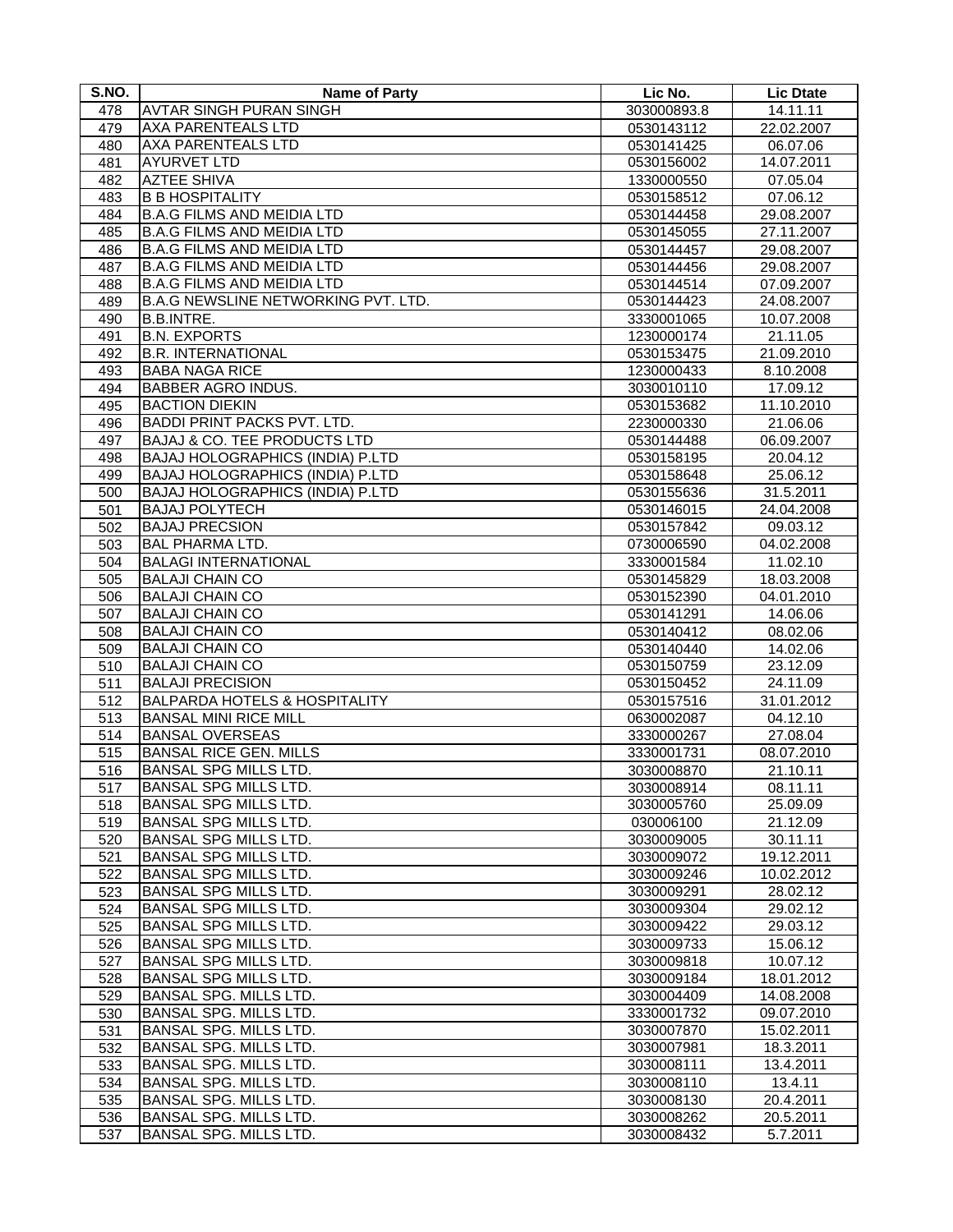| S.NO. | <b>Name of Party</b>                     | Lic No.     | <b>Lic Dtate</b> |
|-------|------------------------------------------|-------------|------------------|
| 478   | <b>AVTAR SINGH PURAN SINGH</b>           | 303000893.8 | 14.11.11         |
| 479   | <b>AXA PARENTEALS LTD</b>                | 0530143112  | 22.02.2007       |
| 480   | <b>AXA PARENTEALS LTD</b>                | 0530141425  | 06.07.06         |
| 481   | <b>AYURVET LTD</b>                       | 0530156002  | 14.07.2011       |
| 482   | <b>AZTEE SHIVA</b>                       | 1330000550  | 07.05.04         |
| 483   | <b>B B HOSPITALITY</b>                   | 0530158512  | 07.06.12         |
| 484   | <b>B.A.G FILMS AND MEIDIA LTD</b>        | 0530144458  | 29.08.2007       |
| 485   | <b>B.A.G FILMS AND MEIDIA LTD</b>        | 0530145055  | 27.11.2007       |
| 486   | <b>B.A.G FILMS AND MEIDIA LTD</b>        | 0530144457  | 29.08.2007       |
| 487   | <b>B.A.G FILMS AND MEIDIA LTD</b>        | 0530144456  | 29.08.2007       |
| 488   | <b>B.A.G FILMS AND MEIDIA LTD</b>        | 0530144514  | 07.09.2007       |
| 489   | B.A.G NEWSLINE NETWORKING PVT. LTD.      | 0530144423  | 24.08.2007       |
| 490   | <b>B.B.INTRE.</b>                        | 3330001065  | 10.07.2008       |
| 491   | <b>B.N. EXPORTS</b>                      | 1230000174  | 21.11.05         |
| 492   | <b>B.R. INTERNATIONAL</b>                | 0530153475  | 21.09.2010       |
| 493   | <b>BABA NAGA RICE</b>                    | 1230000433  | 8.10.2008        |
| 494   | <b>BABBER AGRO INDUS.</b>                | 3030010110  | 17.09.12         |
| 495   | <b>BACTION DIEKIN</b>                    | 0530153682  | 11.10.2010       |
| 496   | <b>BADDI PRINT PACKS PVT. LTD.</b>       | 2230000330  | 21.06.06         |
| 497   | BAJAJ & CO. TEE PRODUCTS LTD             | 0530144488  | 06.09.2007       |
| 498   | BAJAJ HOLOGRAPHICS (INDIA) P.LTD         | 0530158195  | 20.04.12         |
| 499   | BAJAJ HOLOGRAPHICS (INDIA) P.LTD         | 0530158648  | 25.06.12         |
| 500   | BAJAJ HOLOGRAPHICS (INDIA) P.LTD         | 0530155636  | 31.5.2011        |
| 501   | <b>BAJAJ POLYTECH</b>                    | 0530146015  | 24.04.2008       |
| 502   | <b>BAJAJ PRECSION</b>                    | 0530157842  | 09.03.12         |
| 503   | <b>BAL PHARMA LTD.</b>                   | 0730006590  | 04.02.2008       |
| 504   | <b>BALAGI INTERNATIONAL</b>              | 3330001584  | 11.02.10         |
| 505   | <b>BALAJI CHAIN CO</b>                   | 0530145829  | 18.03.2008       |
| 506   | <b>BALAJI CHAIN CO</b>                   | 0530152390  | 04.01.2010       |
| 507   | <b>BALAJI CHAIN CO</b>                   | 0530141291  | 14.06.06         |
| 508   | <b>BALAJI CHAIN CO</b>                   | 0530140412  | 08.02.06         |
| 509   | <b>BALAJI CHAIN CO</b>                   | 0530140440  | 14.02.06         |
| 510   | <b>BALAJI CHAIN CO</b>                   | 0530150759  | 23.12.09         |
| 511   | <b>BALAJI PRECISION</b>                  | 0530150452  | 24.11.09         |
| 512   | <b>BALPARDA HOTELS &amp; HOSPITALITY</b> | 0530157516  | 31.01.2012       |
| 513   | <b>BANSAL MINI RICE MILL</b>             | 0630002087  | 04.12.10         |
| 514   | <b>BANSAL OVERSEAS</b>                   | 3330000267  | 27.08.04         |
| 515   | <b>BANSAL RICE GEN. MILLS</b>            | 3330001731  | 08.07.2010       |
| 516   | <b>BANSAL SPG MILLS LTD.</b>             | 3030008870  | 21.10.11         |
| 517   | BANSAL SPG MILLS LTD.                    | 3030008914  | 08.11.11         |
| 518   | <b>BANSAL SPG MILLS LTD.</b>             | 3030005760  | 25.09.09         |
| 519   | BANSAL SPG MILLS LTD.                    | 030006100   | 21.12.09         |
| 520   | BANSAL SPG MILLS LTD.                    | 3030009005  | 30.11.11         |
| 521   | <b>BANSAL SPG MILLS LTD.</b>             | 3030009072  | 19.12.2011       |
| 522   | <b>BANSAL SPG MILLS LTD.</b>             | 3030009246  | 10.02.2012       |
| 523   | <b>BANSAL SPG MILLS LTD.</b>             | 3030009291  | 28.02.12         |
| 524   | <b>BANSAL SPG MILLS LTD.</b>             | 3030009304  | 29.02.12         |
| 525   | <b>BANSAL SPG MILLS LTD.</b>             | 3030009422  | 29.03.12         |
| 526   | <b>BANSAL SPG MILLS LTD.</b>             | 3030009733  | 15.06.12         |
| 527   | <b>BANSAL SPG MILLS LTD.</b>             | 3030009818  | 10.07.12         |
| 528   | <b>BANSAL SPG MILLS LTD.</b>             | 3030009184  | 18.01.2012       |
| 529   | BANSAL SPG. MILLS LTD.                   | 3030004409  | 14.08.2008       |
| 530   | BANSAL SPG. MILLS LTD.                   | 3330001732  | 09.07.2010       |
| 531   | BANSAL SPG. MILLS LTD.                   | 3030007870  | 15.02.2011       |
| 532   | BANSAL SPG. MILLS LTD.                   | 3030007981  | 18.3.2011        |
| 533   | BANSAL SPG. MILLS LTD.                   | 3030008111  | 13.4.2011        |
| 534   | BANSAL SPG. MILLS LTD.                   | 3030008110  | 13.4.11          |
| 535   | BANSAL SPG. MILLS LTD.                   | 3030008130  | 20.4.2011        |
| 536   | BANSAL SPG. MILLS LTD.                   | 3030008262  | 20.5.2011        |
| 537   | BANSAL SPG. MILLS LTD.                   | 3030008432  | 5.7.2011         |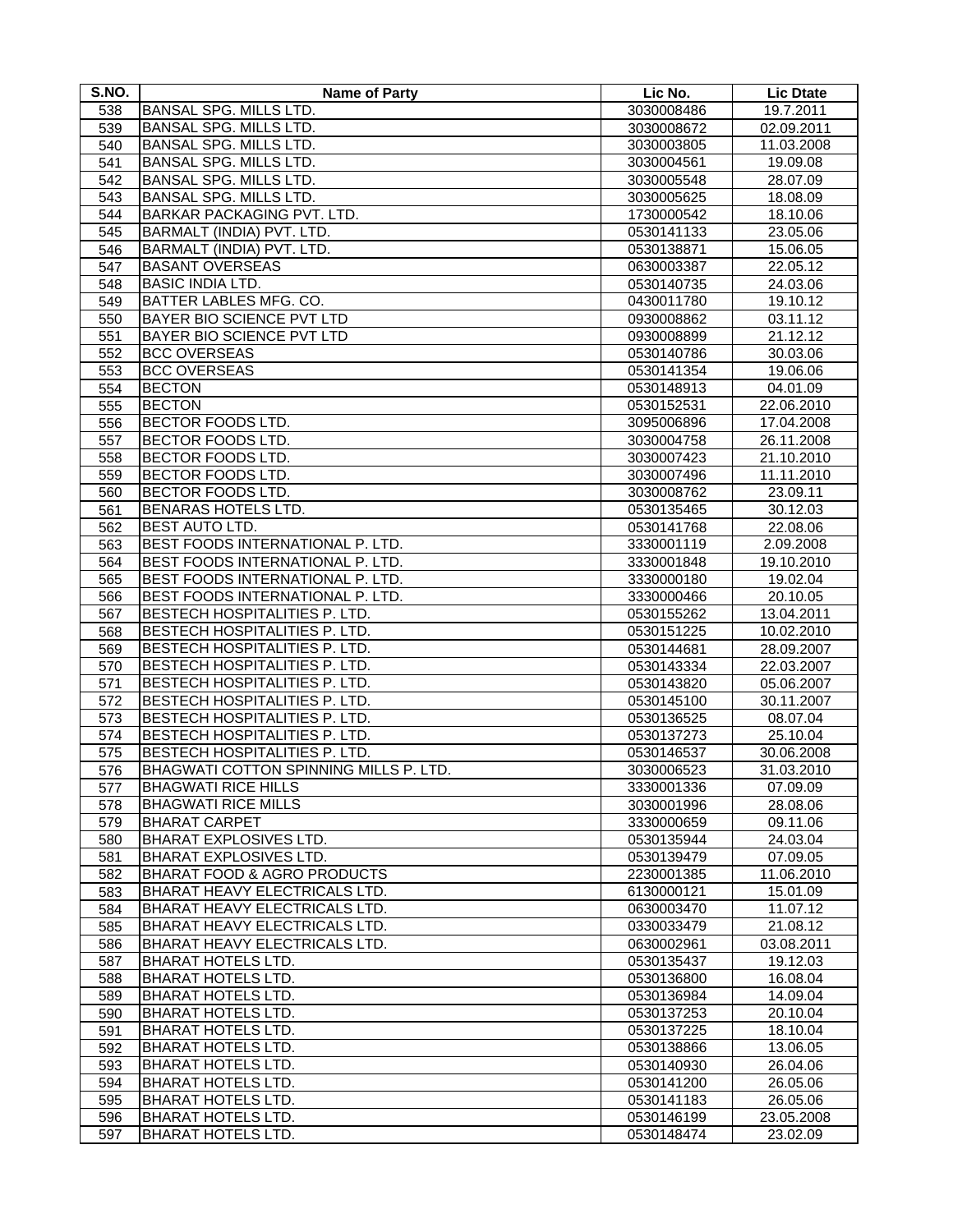| S.NO.      | <b>Name of Party</b>                                                    | Lic No.                  | <b>Lic Dtate</b>         |
|------------|-------------------------------------------------------------------------|--------------------------|--------------------------|
| 538        | <b>BANSAL SPG. MILLS LTD.</b>                                           | 3030008486               | 19.7.2011                |
| 539        | <b>BANSAL SPG. MILLS LTD.</b>                                           | 3030008672               | 02.09.2011               |
| 540        | BANSAL SPG. MILLS LTD.                                                  | 3030003805               | 11.03.2008               |
| 541        | BANSAL SPG. MILLS LTD.                                                  | 3030004561               | 19.09.08                 |
| 542        | BANSAL SPG. MILLS LTD.                                                  | 3030005548               | 28.07.09                 |
| 543        | <b>BANSAL SPG. MILLS LTD.</b>                                           | 3030005625               | 18.08.09                 |
| 544        | BARKAR PACKAGING PVT. LTD.                                              | 1730000542               | 18.10.06                 |
| 545        | BARMALT (INDIA) PVT. LTD.                                               | 0530141133               | 23.05.06                 |
| 546        | BARMALT (INDIA) PVT. LTD.                                               | 0530138871               | 15.06.05                 |
| 547        | <b>BASANT OVERSEAS</b>                                                  | 0630003387               | 22.05.12                 |
| 548        | <b>BASIC INDIA LTD.</b>                                                 | 0530140735               | 24.03.06                 |
| 549        | BATTER LABLES MFG. CO.                                                  | 0430011780               | 19.10.12                 |
| 550        | BAYER BIO SCIENCE PVT LTD                                               | 0930008862               | 03.11.12                 |
| 551        | BAYER BIO SCIENCE PVT LTD                                               | 0930008899               | 21.12.12                 |
| 552        | <b>BCC OVERSEAS</b>                                                     | 0530140786               | 30.03.06                 |
| 553        | <b>BCC OVERSEAS</b>                                                     | 0530141354               | 19.06.06                 |
| 554        | <b>BECTON</b>                                                           | 0530148913               | 04.01.09                 |
| 555        | <b>BECTON</b>                                                           | 0530152531               | 22.06.2010               |
| 556        | <b>BECTOR FOODS LTD.</b>                                                | 3095006896               | 17.04.2008               |
| 557        | <b>BECTOR FOODS LTD.</b>                                                | 3030004758               | 26.11.2008               |
| 558        | <b>BECTOR FOODS LTD.</b>                                                | 3030007423               | 21.10.2010               |
| 559        | BECTOR FOODS LTD.                                                       | 3030007496               | 11.11.2010               |
| 560        | <b>BECTOR FOODS LTD.</b>                                                | 3030008762               | 23.09.11                 |
| 561        | BENARAS HOTELS LTD.                                                     | 0530135465               | 30.12.03                 |
| 562        | <b>BEST AUTO LTD.</b>                                                   | 0530141768               | 22.08.06                 |
| 563        | BEST FOODS INTERNATIONAL P. LTD.                                        | 3330001119               | 2.09.2008                |
| 564        | BEST FOODS INTERNATIONAL P. LTD.                                        | 3330001848               | 19.10.2010               |
| 565        | BEST FOODS INTERNATIONAL P. LTD.                                        | 3330000180               | 19.02.04                 |
|            | BEST FOODS INTERNATIONAL P. LTD.                                        | 3330000466               | 20.10.05                 |
| 566<br>567 | <b>BESTECH HOSPITALITIES P. LTD.</b>                                    | 0530155262               | 13.04.2011               |
| 568        | <b>BESTECH HOSPITALITIES P. LTD.</b>                                    | 0530151225               | 10.02.2010               |
| 569        | <b>BESTECH HOSPITALITIES P. LTD.</b>                                    |                          |                          |
| 570        | <b>BESTECH HOSPITALITIES P. LTD.</b>                                    | 0530144681               | 28.09.2007<br>22.03.2007 |
| 571        | BESTECH HOSPITALITIES P. LTD.                                           | 0530143334<br>0530143820 | 05.06.2007               |
| 572        | BESTECH HOSPITALITIES P. LTD.                                           | 0530145100               | 30.11.2007               |
| 573        | <b>BESTECH HOSPITALITIES P. LTD.</b>                                    | 0530136525               | 08.07.04                 |
|            | <b>BESTECH HOSPITALITIES P. LTD.</b>                                    | 0530137273               | 25.10.04                 |
| 574        | <b>BESTECH HOSPITALITIES P. LTD.</b>                                    | 0530146537               | 30.06.2008               |
| 575<br>576 | BHAGWATI COTTON SPINNING MILLS P. LTD.                                  |                          | 31.03.2010               |
|            | <b>BHAGWATI RICE HILLS</b>                                              | 3030006523               |                          |
| 577        |                                                                         | 3330001336               | 07.09.09                 |
| 578        | <b>BHAGWATI RICE MILLS</b>                                              | 3030001996               | 28.08.06                 |
| 579        | <b>BHARAT CARPET</b>                                                    | 3330000659               | 09.11.06                 |
| 580        | <b>BHARAT EXPLOSIVES LTD.</b><br><b>BHARAT EXPLOSIVES LTD.</b>          | 0530135944               | 24.03.04                 |
| 581        |                                                                         | 0530139479               | 07.09.05                 |
| 582        | <b>BHARAT FOOD &amp; AGRO PRODUCTS</b><br>BHARAT HEAVY ELECTRICALS LTD. | 2230001385<br>6130000121 | 11.06.2010<br>15.01.09   |
| 583        |                                                                         |                          |                          |
| 584        | BHARAT HEAVY ELECTRICALS LTD.                                           | 0630003470               | 11.07.12                 |
| 585        | <b>BHARAT HEAVY ELECTRICALS LTD.</b>                                    | 0330033479               | 21.08.12                 |
| 586        | BHARAT HEAVY ELECTRICALS LTD.                                           | 0630002961               | 03.08.2011               |
| 587        | <b>BHARAT HOTELS LTD.</b>                                               | 0530135437               | 19.12.03                 |
| 588        | <b>BHARAT HOTELS LTD.</b>                                               | 0530136800               | 16.08.04                 |
| 589        | <b>BHARAT HOTELS LTD.</b>                                               | 0530136984               | 14.09.04                 |
| 590        | <b>BHARAT HOTELS LTD.</b>                                               | 0530137253               | 20.10.04                 |
| 591        | <b>BHARAT HOTELS LTD.</b>                                               | 0530137225               | 18.10.04                 |
| 592        | <b>BHARAT HOTELS LTD.</b>                                               | 0530138866               | 13.06.05                 |
| 593        | <b>BHARAT HOTELS LTD.</b>                                               | 0530140930               | 26.04.06                 |
| 594        | <b>BHARAT HOTELS LTD.</b>                                               | 0530141200               | 26.05.06                 |
| 595        | <b>BHARAT HOTELS LTD.</b>                                               | 0530141183               | 26.05.06                 |
| 596        | <b>BHARAT HOTELS LTD.</b>                                               | 0530146199               | 23.05.2008               |
| 597        | <b>BHARAT HOTELS LTD.</b>                                               | 0530148474               | 23.02.09                 |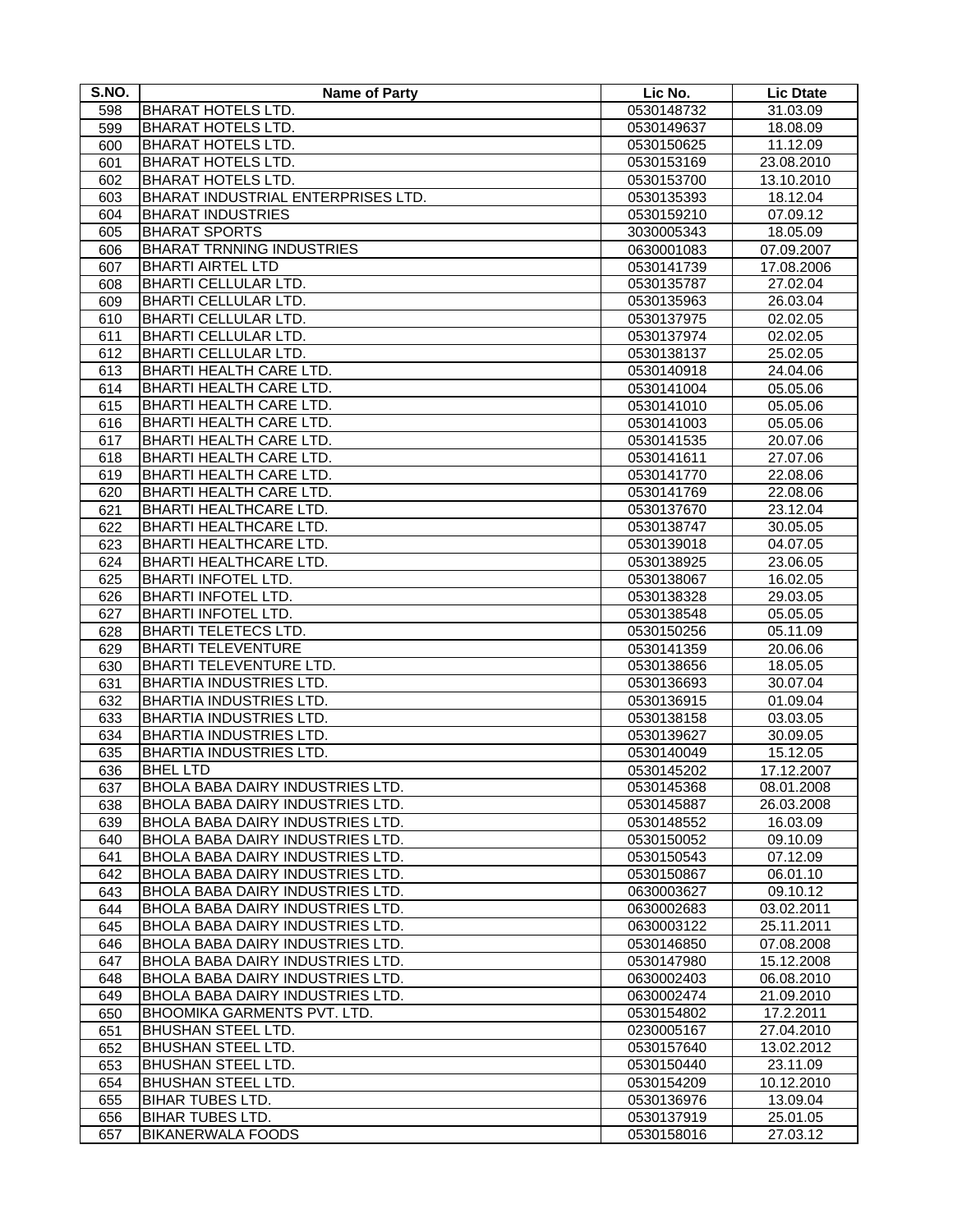| S.NO.      | <b>Name of Party</b>                    | Lic No.    | <b>Lic Dtate</b>     |
|------------|-----------------------------------------|------------|----------------------|
| 598        | <b>BHARAT HOTELS LTD.</b>               | 0530148732 | 31.03.09             |
| 599        | <b>BHARAT HOTELS LTD.</b>               | 0530149637 | 18.08.09             |
| 600        | <b>BHARAT HOTELS LTD.</b>               | 0530150625 | 11.12.09             |
| 601        | <b>BHARAT HOTELS LTD.</b>               | 0530153169 | 23.08.2010           |
| 602        | <b>BHARAT HOTELS LTD.</b>               | 0530153700 | 13.10.2010           |
| 603        | BHARAT INDUSTRIAL ENTERPRISES LTD.      | 0530135393 | 18.12.04             |
| 604        | <b>BHARAT INDUSTRIES</b>                | 0530159210 | 07.09.12             |
| 605        | <b>BHARAT SPORTS</b>                    | 3030005343 | 18.05.09             |
| 606        | <b>BHARAT TRNNING INDUSTRIES</b>        | 0630001083 | 07.09.2007           |
| 607        | <b>BHARTI AIRTEL LTD</b>                | 0530141739 | 17.08.2006           |
| 608        | <b>BHARTI CELLULAR LTD.</b>             | 0530135787 | 27.02.04             |
|            | <b>BHARTI CELLULAR LTD.</b>             | 0530135963 | 26.03.04             |
| 609        | <b>BHARTI CELLULAR LTD.</b>             |            |                      |
| 610<br>611 | <b>BHARTI CELLULAR LTD.</b>             | 0530137975 | 02.02.05             |
|            | <b>BHARTI CELLULAR LTD.</b>             | 0530137974 | 02.02.05<br>25.02.05 |
| 612        |                                         | 0530138137 |                      |
| 613        | <b>BHARTI HEALTH CARE LTD.</b>          | 0530140918 | 24.04.06             |
| 614        | BHARTI HEALTH CARE LTD.                 | 0530141004 | 05.05.06             |
| 615        | <b>BHARTI HEALTH CARE LTD.</b>          | 0530141010 | 05.05.06             |
| 616        | BHARTI HEALTH CARE LTD.                 | 0530141003 | 05.05.06             |
| 617        | BHARTI HEALTH CARE LTD.                 | 0530141535 | 20.07.06             |
| 618        | <b>BHARTI HEALTH CARE LTD.</b>          | 0530141611 | 27.07.06             |
| 619        | <b>BHARTI HEALTH CARE LTD.</b>          | 0530141770 | 22.08.06             |
| 620        | <b>BHARTI HEALTH CARE LTD.</b>          | 0530141769 | 22.08.06             |
| 621        | <b>BHARTI HEALTHCARE LTD.</b>           | 0530137670 | 23.12.04             |
| 622        | <b>BHARTI HEALTHCARE LTD.</b>           | 0530138747 | 30.05.05             |
| 623        | BHARTI HEALTHCARE LTD.                  | 0530139018 | 04.07.05             |
| 624        | BHARTI HEALTHCARE LTD.                  | 0530138925 | 23.06.05             |
| 625        | <b>BHARTI INFOTEL LTD.</b>              | 0530138067 | 16.02.05             |
| 626        | <b>BHARTI INFOTEL LTD.</b>              | 0530138328 | 29.03.05             |
| 627        | <b>BHARTI INFOTEL LTD.</b>              | 0530138548 | 05.05.05             |
| 628        | <b>BHARTI TELETECS LTD.</b>             | 0530150256 | 05.11.09             |
| 629        | <b>BHARTI TELEVENTURE</b>               | 0530141359 | 20.06.06             |
| 630        | BHARTI TELEVENTURE LTD.                 | 0530138656 | 18.05.05             |
| 631        | <b>BHARTIA INDUSTRIES LTD.</b>          | 0530136693 | 30.07.04             |
| 632        | <b>BHARTIA INDUSTRIES LTD.</b>          | 0530136915 | 01.09.04             |
| 633        | <b>BHARTIA INDUSTRIES LTD.</b>          | 0530138158 | 03.03.05             |
| 634        | BHARTIA INDUSTRIES LTD.                 | 0530139627 | 30.09.05             |
| 635        | <b>BHARTIA INDUSTRIES LTD.</b>          | 0530140049 | 15.12.05             |
| 636        | <b>BHEL LTD</b>                         | 0530145202 | 17.12.2007           |
| 637        | <b>BHOLA BABA DAIRY INDUSTRIES LTD.</b> | 0530145368 | 08.01.2008           |
| 638        | <b>BHOLA BABA DAIRY INDUSTRIES LTD.</b> | 0530145887 | 26.03.2008           |
| 639        | BHOLA BABA DAIRY INDUSTRIES LTD.        | 0530148552 | 16.03.09             |
| 640        | <b>BHOLA BABA DAIRY INDUSTRIES LTD.</b> | 0530150052 | 09.10.09             |
| 641        | BHOLA BABA DAIRY INDUSTRIES LTD.        | 0530150543 | 07.12.09             |
| 642        | BHOLA BABA DAIRY INDUSTRIES LTD.        | 0530150867 | 06.01.10             |
| 643        | BHOLA BABA DAIRY INDUSTRIES LTD.        | 0630003627 | 09.10.12             |
| 644        | <b>BHOLA BABA DAIRY INDUSTRIES LTD.</b> | 0630002683 | 03.02.2011           |
| 645        | <b>BHOLA BABA DAIRY INDUSTRIES LTD.</b> | 0630003122 | 25.11.2011           |
| 646        | BHOLA BABA DAIRY INDUSTRIES LTD.        | 0530146850 | 07.08.2008           |
| 647        | <b>BHOLA BABA DAIRY INDUSTRIES LTD.</b> | 0530147980 | 15.12.2008           |
| 648        | <b>BHOLA BABA DAIRY INDUSTRIES LTD.</b> | 0630002403 | 06.08.2010           |
| 649        | BHOLA BABA DAIRY INDUSTRIES LTD.        | 0630002474 | 21.09.2010           |
| 650        | <b>BHOOMIKA GARMENTS PVT. LTD.</b>      | 0530154802 | 17.2.2011            |
| 651        | BHUSHAN STEEL LTD.                      | 0230005167 | 27.04.2010           |
| 652        | <b>BHUSHAN STEEL LTD.</b>               | 0530157640 | 13.02.2012           |
| 653        | BHUSHAN STEEL LTD.                      | 0530150440 | 23.11.09             |
| 654        | <b>BHUSHAN STEEL LTD.</b>               | 0530154209 | 10.12.2010           |
| 655        | <b>BIHAR TUBES LTD.</b>                 | 0530136976 | 13.09.04             |
| 656        | <b>BIHAR TUBES LTD.</b>                 | 0530137919 | 25.01.05             |
| 657        | <b>BIKANERWALA FOODS</b>                | 0530158016 | 27.03.12             |
|            |                                         |            |                      |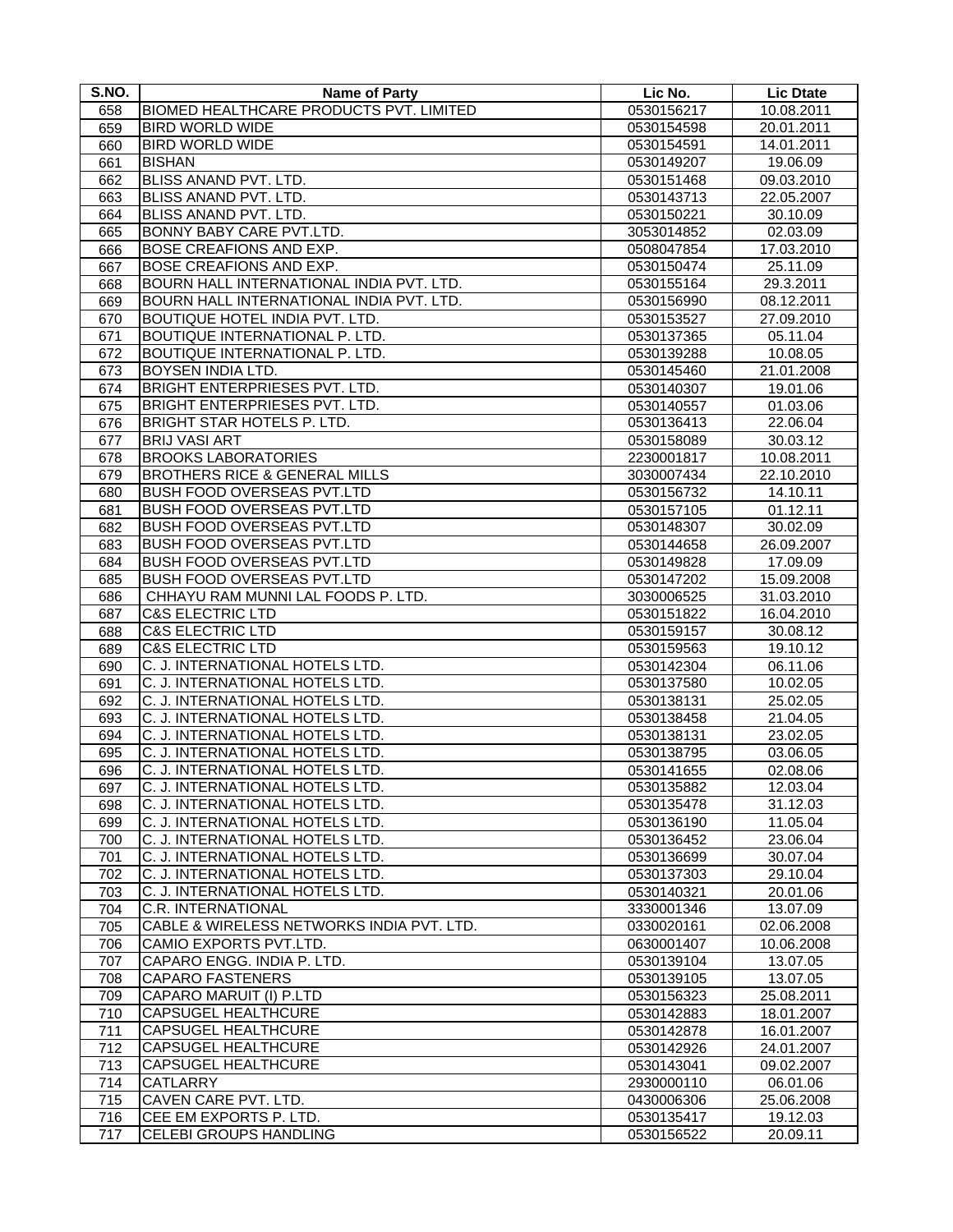| S.NO.      | <b>Name of Party</b>                           | Lic No.    | <b>Lic Dtate</b> |
|------------|------------------------------------------------|------------|------------------|
| 658        | <b>BIOMED HEALTHCARE PRODUCTS PVT. LIMITED</b> | 0530156217 | 10.08.2011       |
| 659        | <b>BIRD WORLD WIDE</b>                         | 0530154598 | 20.01.2011       |
| 660        | <b>BIRD WORLD WIDE</b>                         | 0530154591 | 14.01.2011       |
| 661        | <b>BISHAN</b>                                  | 0530149207 | 19.06.09         |
| 662        | BLISS ANAND PVT. LTD.                          | 0530151468 | 09.03.2010       |
| 663        | BLISS ANAND PVT. LTD.                          | 0530143713 | 22.05.2007       |
| 664        | BLISS ANAND PVT. LTD.                          | 0530150221 | 30.10.09         |
| 665        | BONNY BABY CARE PVT.LTD.                       | 3053014852 | 02.03.09         |
| 666        | BOSE CREAFIONS AND EXP.                        | 0508047854 | 17.03.2010       |
| 667        | BOSE CREAFIONS AND EXP.                        | 0530150474 | 25.11.09         |
|            | BOURN HALL INTERNATIONAL INDIA PVT. LTD.       | 0530155164 | 29.3.2011        |
| 668        | BOURN HALL INTERNATIONAL INDIA PVT. LTD.       |            | 08.12.2011       |
| 669        | <b>BOUTIQUE HOTEL INDIA PVT. LTD.</b>          | 0530156990 |                  |
| 670<br>671 | BOUTIQUE INTERNATIONAL P. LTD.                 | 0530153527 | 27.09.2010       |
|            |                                                | 0530137365 | 05.11.04         |
| 672        | <b>BOUTIQUE INTERNATIONAL P. LTD.</b>          | 0530139288 | 10.08.05         |
| 673        | <b>BOYSEN INDIA LTD.</b>                       | 0530145460 | 21.01.2008       |
| 674        | <b>BRIGHT ENTERPRIESES PVT. LTD.</b>           | 0530140307 | 19.01.06         |
| 675        | <b>BRIGHT ENTERPRIESES PVT. LTD.</b>           | 0530140557 | 01.03.06         |
| 676        | BRIGHT STAR HOTELS P. LTD.                     | 0530136413 | 22.06.04         |
| 677        | <b>BRIJ VASI ART</b>                           | 0530158089 | 30.03.12         |
| 678        | <b>BROOKS LABORATORIES</b>                     | 2230001817 | 10.08.2011       |
| 679        | <b>BROTHERS RICE &amp; GENERAL MILLS</b>       | 3030007434 | 22.10.2010       |
| 680        | <b>BUSH FOOD OVERSEAS PVT.LTD</b>              | 0530156732 | 14.10.11         |
| 681        | <b>BUSH FOOD OVERSEAS PVT.LTD</b>              | 0530157105 | 01.12.11         |
| 682        | <b>BUSH FOOD OVERSEAS PVT.LTD</b>              | 0530148307 | 30.02.09         |
| 683        | <b>BUSH FOOD OVERSEAS PVT.LTD</b>              | 0530144658 | 26.09.2007       |
| 684        | <b>BUSH FOOD OVERSEAS PVT.LTD</b>              | 0530149828 | 17.09.09         |
| 685        | BUSH FOOD OVERSEAS PVT.LTD                     | 0530147202 | 15.09.2008       |
| 686        | CHHAYU RAM MUNNI LAL FOODS P. LTD.             | 3030006525 | 31.03.2010       |
| 687        | <b>C&amp;S ELECTRIC LTD</b>                    | 0530151822 | 16.04.2010       |
| 688        | <b>C&amp;S ELECTRIC LTD</b>                    | 0530159157 | 30.08.12         |
| 689        | <b>C&amp;S ELECTRIC LTD</b>                    | 0530159563 | 19.10.12         |
| 690        | C. J. INTERNATIONAL HOTELS LTD.                | 0530142304 | 06.11.06         |
| 691        | C. J. INTERNATIONAL HOTELS LTD.                | 0530137580 | 10.02.05         |
| 692        | C. J. INTERNATIONAL HOTELS LTD.                | 0530138131 | 25.02.05         |
| 693        | C. J. INTERNATIONAL HOTELS LTD.                | 0530138458 | 21.04.05         |
| 694        | C. J. INTERNATIONAL HOTELS LTD.                | 0530138131 | 23.02.05         |
| 695        | C. J. INTERNATIONAL HOTELS LTD.                | 0530138795 | 03.06.05         |
| 696        | C. J. INTERNATIONAL HOTELS LTD.                | 0530141655 | 02.08.06         |
| 697        | C. J. INTERNATIONAL HOTELS LTD.                | 0530135882 | 12.03.04         |
| 698        | C. J. INTERNATIONAL HOTELS LTD.                | 0530135478 | 31.12.03         |
| 699        | C. J. INTERNATIONAL HOTELS LTD.                | 0530136190 | 11.05.04         |
| 700        | C. J. INTERNATIONAL HOTELS LTD.                | 0530136452 | 23.06.04         |
| 701        | C. J. INTERNATIONAL HOTELS LTD.                | 0530136699 | 30.07.04         |
| 702        | C. J. INTERNATIONAL HOTELS LTD.                | 0530137303 | 29.10.04         |
| 703        | C. J. INTERNATIONAL HOTELS LTD.                | 0530140321 | 20.01.06         |
| 704        | C.R. INTERNATIONAL                             | 3330001346 | 13.07.09         |
| 705        | CABLE & WIRELESS NETWORKS INDIA PVT. LTD.      | 0330020161 | 02.06.2008       |
| 706        | CAMIO EXPORTS PVT.LTD.                         | 0630001407 | 10.06.2008       |
| 707        | CAPARO ENGG. INDIA P. LTD.                     | 0530139104 | 13.07.05         |
| 708        | <b>CAPARO FASTENERS</b>                        | 0530139105 | 13.07.05         |
| 709        | CAPARO MARUIT (I) P.LTD                        | 0530156323 | 25.08.2011       |
| 710        | CAPSUGEL HEALTHCURE                            | 0530142883 | 18.01.2007       |
| 711        | CAPSUGEL HEALTHCURE                            | 0530142878 | 16.01.2007       |
| 712        | CAPSUGEL HEALTHCURE                            | 0530142926 | 24.01.2007       |
| 713        | <b>CAPSUGEL HEALTHCURE</b>                     | 0530143041 | 09.02.2007       |
| 714        | CATLARRY                                       | 2930000110 | 06.01.06         |
| 715        | CAVEN CARE PVT. LTD.                           | 0430006306 | 25.06.2008       |
| 716        | CEE EM EXPORTS P. LTD.                         | 0530135417 | 19.12.03         |
| 717        | CELEBI GROUPS HANDLING                         | 0530156522 | 20.09.11         |
|            |                                                |            |                  |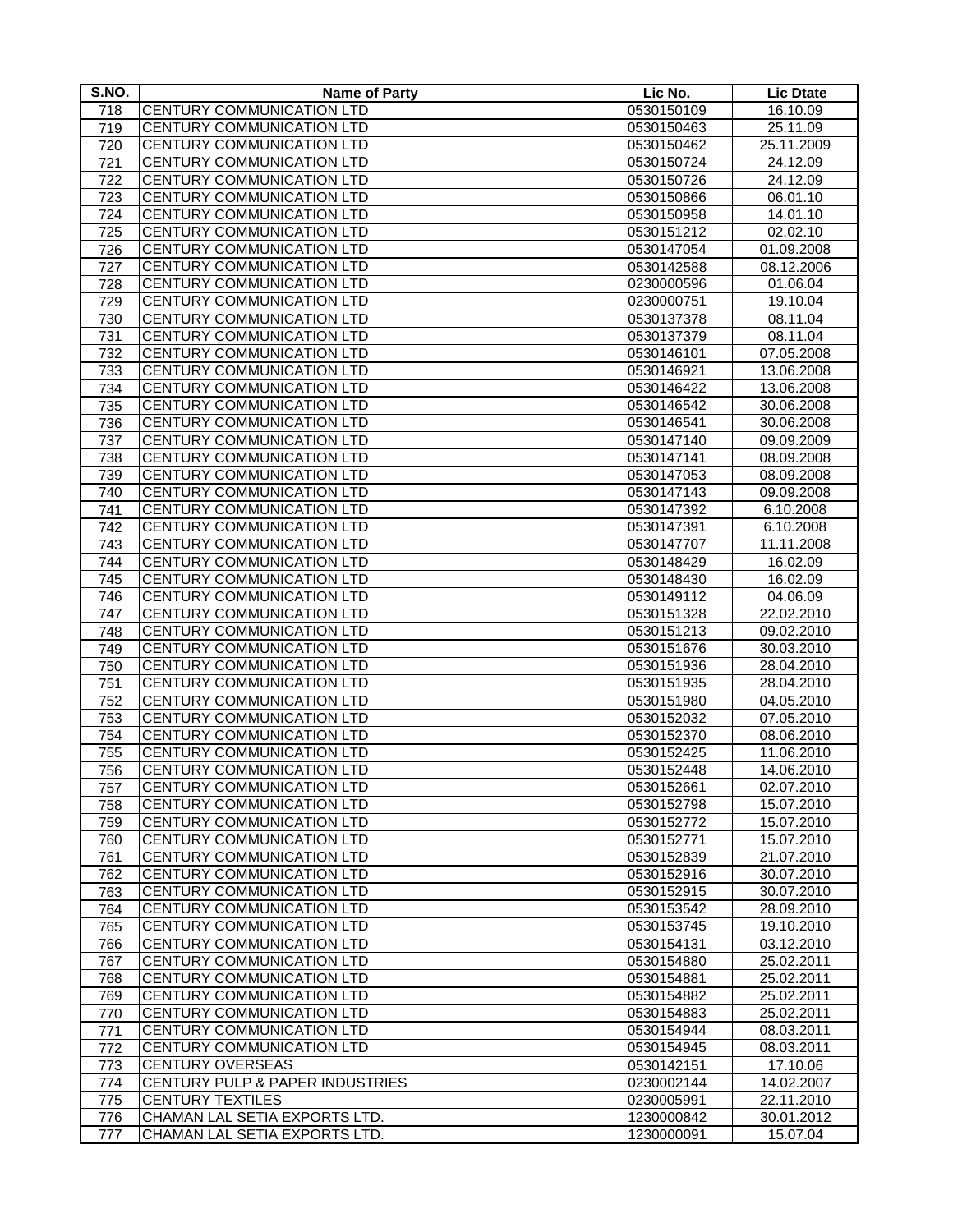| S.NO. | <b>Name of Party</b>             | Lic No.    | <b>Lic Dtate</b> |
|-------|----------------------------------|------------|------------------|
| 718   | CENTURY COMMUNICATION LTD        | 0530150109 | 16.10.09         |
| 719   | CENTURY COMMUNICATION LTD        | 0530150463 | 25.11.09         |
| 720   | CENTURY COMMUNICATION LTD        | 0530150462 | 25.11.2009       |
| 721   | CENTURY COMMUNICATION LTD        | 0530150724 | 24.12.09         |
| 722   | CENTURY COMMUNICATION LTD        | 0530150726 | 24.12.09         |
| 723   | CENTURY COMMUNICATION LTD        | 0530150866 | 06.01.10         |
| 724   | CENTURY COMMUNICATION LTD        | 0530150958 | 14.01.10         |
| 725   | CENTURY COMMUNICATION LTD        | 0530151212 | 02.02.10         |
| 726   | CENTURY COMMUNICATION LTD        | 0530147054 | 01.09.2008       |
| 727   | CENTURY COMMUNICATION LTD        | 0530142588 | 08.12.2006       |
| 728   | CENTURY COMMUNICATION LTD        | 0230000596 | 01.06.04         |
| 729   | <b>CENTURY COMMUNICATION LTD</b> | 0230000751 | 19.10.04         |
| 730   | CENTURY COMMUNICATION LTD        | 0530137378 | 08.11.04         |
| 731   | CENTURY COMMUNICATION LTD        | 0530137379 | 08.11.04         |
| 732   | CENTURY COMMUNICATION LTD        | 0530146101 | 07.05.2008       |
| 733   | <b>CENTURY COMMUNICATION LTD</b> | 0530146921 | 13.06.2008       |
| 734   | <b>CENTURY COMMUNICATION LTD</b> | 0530146422 | 13.06.2008       |
| 735   | CENTURY COMMUNICATION LTD        | 0530146542 | 30.06.2008       |
| 736   | <b>CENTURY COMMUNICATION LTD</b> | 0530146541 | 30.06.2008       |
| 737   | CENTURY COMMUNICATION LTD        | 0530147140 | 09.09.2009       |
| 738   | CENTURY COMMUNICATION LTD        | 0530147141 | 08.09.2008       |
| 739   | CENTURY COMMUNICATION LTD        | 0530147053 | 08.09.2008       |
| 740   | <b>CENTURY COMMUNICATION LTD</b> | 0530147143 | 09.09.2008       |
| 741   | <b>CENTURY COMMUNICATION LTD</b> | 0530147392 | 6.10.2008        |
| 742   | <b>CENTURY COMMUNICATION LTD</b> | 0530147391 | 6.10.2008        |
| 743   | CENTURY COMMUNICATION LTD        | 0530147707 | 11.11.2008       |
| 744   | CENTURY COMMUNICATION LTD        | 0530148429 | 16.02.09         |
| 745   | CENTURY COMMUNICATION LTD        | 0530148430 | 16.02.09         |
| 746   | CENTURY COMMUNICATION LTD        | 0530149112 | 04.06.09         |
| 747   | CENTURY COMMUNICATION LTD        | 0530151328 | 22.02.2010       |
| 748   | CENTURY COMMUNICATION LTD        | 0530151213 | 09.02.2010       |
| 749   | CENTURY COMMUNICATION LTD        | 0530151676 | 30.03.2010       |
| 750   | CENTURY COMMUNICATION LTD        | 0530151936 | 28.04.2010       |
| 751   | CENTURY COMMUNICATION LTD        | 0530151935 | 28.04.2010       |
| 752   | CENTURY COMMUNICATION LTD        | 0530151980 | 04.05.2010       |
| 753   | CENTURY COMMUNICATION LTD        | 0530152032 | 07.05.2010       |
| 754   | CENTURY COMMUNICATION LTD        | 0530152370 | 08.06.2010       |
| 755   | CENTURY COMMUNICATION LTD        | 0530152425 | 11.06.2010       |
| 756   | CENTURY COMMUNICATION LTD        | 0530152448 | 14.06.2010       |
| 757   | CENTURY COMMUNICATION LTD        | 0530152661 | 02.07.2010       |
| 758   | CENTURY COMMUNICATION LTD        | 0530152798 | 15.07.2010       |
| 759   | CENTURY COMMUNICATION LTD        | 0530152772 | 15.07.2010       |
| 760   | CENTURY COMMUNICATION LTD        | 0530152771 | 15.07.2010       |
| 761   | CENTURY COMMUNICATION LTD        | 0530152839 | 21.07.2010       |
| 762   | CENTURY COMMUNICATION LTD        | 0530152916 | 30.07.2010       |
| 763   | CENTURY COMMUNICATION LTD        | 0530152915 | 30.07.2010       |
| 764   | CENTURY COMMUNICATION LTD        | 0530153542 | 28.09.2010       |
| 765   | CENTURY COMMUNICATION LTD        | 0530153745 | 19.10.2010       |
| 766   | CENTURY COMMUNICATION LTD        | 0530154131 | 03.12.2010       |
| 767   | CENTURY COMMUNICATION LTD        | 0530154880 | 25.02.2011       |
| 768   | CENTURY COMMUNICATION LTD        | 0530154881 | 25.02.2011       |
| 769   | CENTURY COMMUNICATION LTD        | 0530154882 | 25.02.2011       |
| 770   | CENTURY COMMUNICATION LTD        | 0530154883 | 25.02.2011       |
| 771   | CENTURY COMMUNICATION LTD        | 0530154944 | 08.03.2011       |
| 772   | CENTURY COMMUNICATION LTD        | 0530154945 | 08.03.2011       |
| 773   | <b>CENTURY OVERSEAS</b>          | 0530142151 | 17.10.06         |
| 774   | CENTURY PULP & PAPER INDUSTRIES  | 0230002144 | 14.02.2007       |
| 775   | <b>CENTURY TEXTILES</b>          | 0230005991 | 22.11.2010       |
| 776   | CHAMAN LAL SETIA EXPORTS LTD.    | 1230000842 | 30.01.2012       |
| 777   | CHAMAN LAL SETIA EXPORTS LTD.    | 1230000091 | 15.07.04         |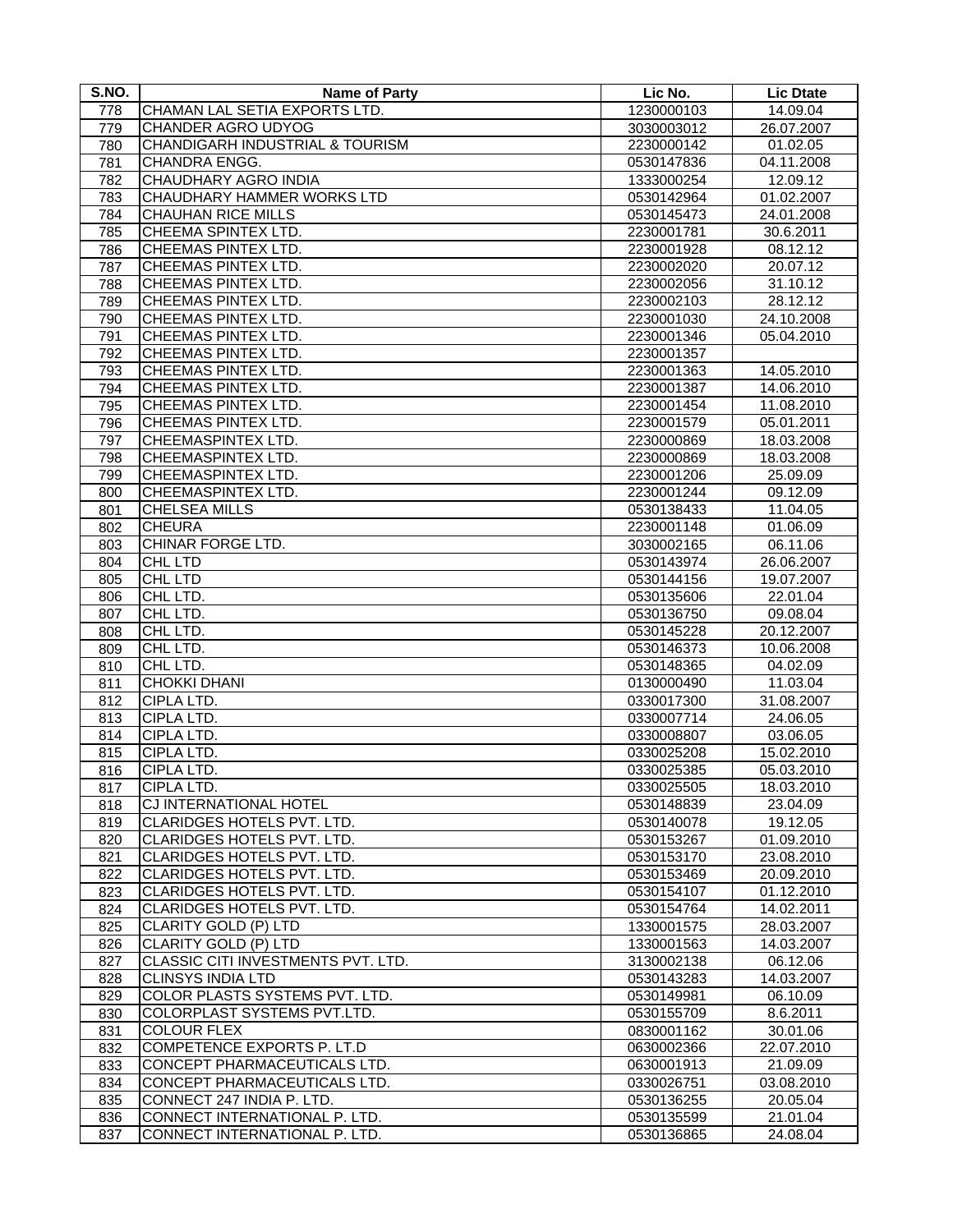| S.NO. | <b>Name of Party</b>                       | Lic No.    | <b>Lic Dtate</b> |
|-------|--------------------------------------------|------------|------------------|
| 778   | CHAMAN LAL SETIA EXPORTS LTD.              | 1230000103 | 14.09.04         |
| 779   | CHANDER AGRO UDYOG                         | 3030003012 | 26.07.2007       |
| 780   | <b>CHANDIGARH INDUSTRIAL &amp; TOURISM</b> | 2230000142 | 01.02.05         |
| 781   | CHANDRA ENGG.                              | 0530147836 | 04.11.2008       |
| 782   | CHAUDHARY AGRO INDIA                       | 1333000254 | 12.09.12         |
| 783   | CHAUDHARY HAMMER WORKS LTD                 | 0530142964 | 01.02.2007       |
| 784   | CHAUHAN RICE MILLS                         | 0530145473 | 24.01.2008       |
| 785   | CHEEMA SPINTEX LTD.                        | 2230001781 | 30.6.2011        |
| 786   | <b>CHEEMAS PINTEX LTD.</b>                 | 2230001928 | 08.12.12         |
| 787   | CHEEMAS PINTEX LTD.                        | 2230002020 | 20.07.12         |
| 788   | <b>CHEEMAS PINTEX LTD.</b>                 | 2230002056 | 31.10.12         |
| 789   | CHEEMAS PINTEX LTD.                        | 2230002103 | 28.12.12         |
| 790   | CHEEMAS PINTEX LTD.                        | 2230001030 | 24.10.2008       |
| 791   | CHEEMAS PINTEX LTD.                        | 2230001346 | 05.04.2010       |
| 792   | <b>CHEEMAS PINTEX LTD.</b>                 | 2230001357 |                  |
| 793   | <b>CHEEMAS PINTEX LTD.</b>                 | 2230001363 | 14.05.2010       |
| 794   | <b>CHEEMAS PINTEX LTD.</b>                 | 2230001387 | 14.06.2010       |
| 795   | <b>CHEEMAS PINTEX LTD.</b>                 | 2230001454 | 11.08.2010       |
| 796   | CHEEMAS PINTEX LTD.                        | 2230001579 | 05.01.2011       |
| 797   | <b>CHEEMASPINTEX LTD.</b>                  | 2230000869 | 18.03.2008       |
| 798   | CHEEMASPINTEX LTD.                         | 2230000869 | 18.03.2008       |
| 799   | <b>CHEEMASPINTEX LTD.</b>                  | 2230001206 | 25.09.09         |
| 800   | CHEEMASPINTEX LTD.                         | 2230001244 | 09.12.09         |
|       | <b>CHELSEA MILLS</b>                       | 0530138433 | 11.04.05         |
| 801   | <b>CHEURA</b>                              |            |                  |
| 802   |                                            | 2230001148 | 01.06.09         |
| 803   | CHINAR FORGE LTD.                          | 3030002165 | 06.11.06         |
| 804   | CHL LTD                                    | 0530143974 | 26.06.2007       |
| 805   | CHL LTD                                    | 0530144156 | 19.07.2007       |
| 806   | CHL LTD.                                   | 0530135606 | 22.01.04         |
| 807   | CHL LTD.                                   | 0530136750 | 09.08.04         |
| 808   | CHL LTD.                                   | 0530145228 | 20.12.2007       |
| 809   | CHL LTD.                                   | 0530146373 | 10.06.2008       |
| 810   | CHL LTD.                                   | 0530148365 | 04.02.09         |
| 811   | <b>CHOKKI DHANI</b>                        | 0130000490 | 11.03.04         |
| 812   | CIPLA LTD.                                 | 0330017300 | 31.08.2007       |
| 813   | CIPLA LTD.                                 | 0330007714 | 24.06.05         |
| 814   | CIPLA LTD.                                 | 0330008807 | 03.06.05         |
| 815   | CIPLA LTD.                                 | 0330025208 | 15.02.2010       |
| 816   | CIPLA LTD.                                 | 0330025385 | 05.03.2010       |
| 817   | CIPLA LTD.                                 | 0330025505 | 18.03.2010       |
| 818   | CJ INTERNATIONAL HOTEL                     | 0530148839 | 23.04.09         |
| 819   | CLARIDGES HOTELS PVT. LTD.                 | 0530140078 | 19.12.05         |
| 820   | CLARIDGES HOTELS PVT. LTD.                 | 0530153267 | 01.09.2010       |
| 821   | CLARIDGES HOTELS PVT. LTD.                 | 0530153170 | 23.08.2010       |
| 822   | CLARIDGES HOTELS PVT. LTD.                 | 0530153469 | 20.09.2010       |
| 823   | <b>CLARIDGES HOTELS PVT. LTD.</b>          | 0530154107 | 01.12.2010       |
| 824   | CLARIDGES HOTELS PVT. LTD.                 | 0530154764 | 14.02.2011       |
| 825   | CLARITY GOLD (P) LTD                       | 1330001575 | 28.03.2007       |
| 826   | CLARITY GOLD (P) LTD                       | 1330001563 | 14.03.2007       |
| 827   | CLASSIC CITI INVESTMENTS PVT. LTD.         | 3130002138 | 06.12.06         |
| 828   | <b>CLINSYS INDIA LTD</b>                   | 0530143283 | 14.03.2007       |
| 829   | COLOR PLASTS SYSTEMS PVT. LTD.             | 0530149981 | 06.10.09         |
| 830   | COLORPLAST SYSTEMS PVT.LTD.                | 0530155709 | 8.6.2011         |
| 831   | <b>COLOUR FLEX</b>                         | 0830001162 | 30.01.06         |
| 832   | COMPETENCE EXPORTS P. LT.D                 | 0630002366 | 22.07.2010       |
| 833   | CONCEPT PHARMACEUTICALS LTD.               | 0630001913 | 21.09.09         |
| 834   | CONCEPT PHARMACEUTICALS LTD.               | 0330026751 | 03.08.2010       |
| 835   | CONNECT 247 INDIA P. LTD.                  | 0530136255 | 20.05.04         |
| 836   | CONNECT INTERNATIONAL P. LTD.              | 0530135599 | 21.01.04         |
| 837   | CONNECT INTERNATIONAL P. LTD.              | 0530136865 | 24.08.04         |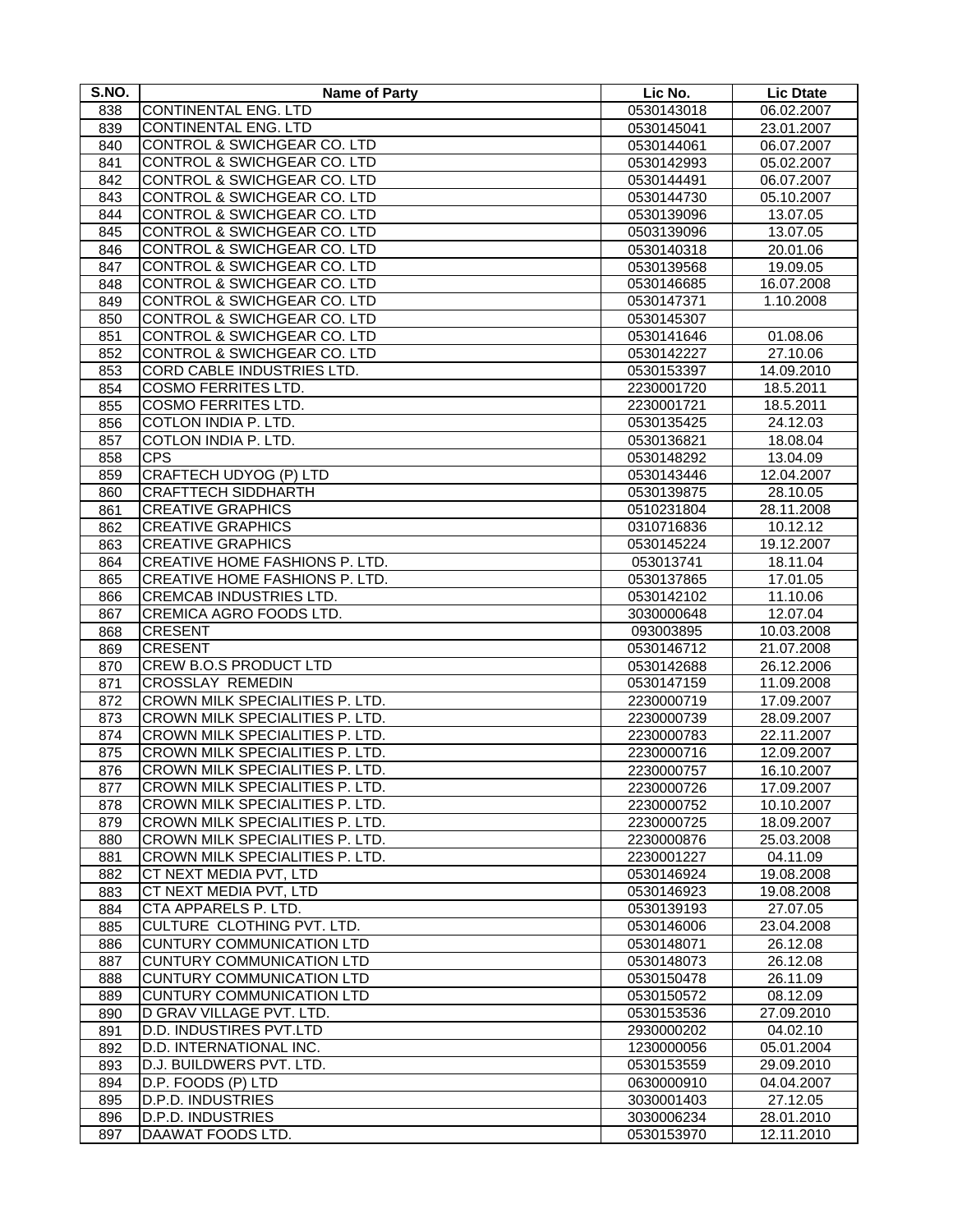| S.NO.      | <b>Name of Party</b>                           | Lic No.                  | <b>Lic Dtate</b>       |
|------------|------------------------------------------------|--------------------------|------------------------|
| 838        | CONTINENTAL ENG. LTD                           | 0530143018               | 06.02.2007             |
| 839        | <b>CONTINENTAL ENG. LTD</b>                    | 0530145041               | 23.01.2007             |
| 840        | <b>CONTROL &amp; SWICHGEAR CO. LTD</b>         | 0530144061               | 06.07.2007             |
| 841        | <b>CONTROL &amp; SWICHGEAR CO. LTD</b>         | 0530142993               | 05.02.2007             |
| 842        | CONTROL & SWICHGEAR CO. LTD                    | 0530144491               | 06.07.2007             |
| 843        | CONTROL & SWICHGEAR CO. LTD                    | 0530144730               | 05.10.2007             |
| 844        | CONTROL & SWICHGEAR CO. LTD                    | 0530139096               | 13.07.05               |
| 845        | CONTROL & SWICHGEAR CO. LTD                    | 0503139096               | 13.07.05               |
| 846        | CONTROL & SWICHGEAR CO. LTD                    | 0530140318               | 20.01.06               |
| 847        | CONTROL & SWICHGEAR CO. LTD                    | 0530139568               | 19.09.05               |
| 848        | <b>CONTROL &amp; SWICHGEAR CO. LTD</b>         | 0530146685               | 16.07.2008             |
| 849        | <b>CONTROL &amp; SWICHGEAR CO. LTD</b>         | 0530147371               | 1.10.2008              |
| 850        | <b>CONTROL &amp; SWICHGEAR CO. LTD</b>         | 0530145307               |                        |
| 851        | CONTROL & SWICHGEAR CO. LTD                    | 0530141646               | 01.08.06               |
| 852        | CONTROL & SWICHGEAR CO. LTD                    | 0530142227               | 27.10.06               |
| 853        | CORD CABLE INDUSTRIES LTD.                     | 0530153397               | 14.09.2010             |
| 854        | <b>COSMO FERRITES LTD.</b>                     | 2230001720               | 18.5.2011              |
| 855        | <b>COSMO FERRITES LTD.</b>                     | 2230001721               | 18.5.2011              |
| 856        | COTLON INDIA P. LTD.                           | 0530135425               | 24.12.03               |
| 857        | COTLON INDIA P. LTD.                           | 0530136821               | 18.08.04               |
| 858        | <b>CPS</b>                                     | 0530148292               | 13.04.09               |
| 859        | CRAFTECH UDYOG (P) LTD                         | 0530143446               | 12.04.2007             |
| 860        | <b>CRAFTTECH SIDDHARTH</b>                     | 0530139875               | 28.10.05               |
| 861        | <b>CREATIVE GRAPHICS</b>                       | 0510231804               | 28.11.2008             |
| 862        | <b>CREATIVE GRAPHICS</b>                       | 0310716836               | 10.12.12               |
| 863        | <b>CREATIVE GRAPHICS</b>                       | 0530145224               | 19.12.2007             |
| 864        | CREATIVE HOME FASHIONS P. LTD.                 | 053013741                | 18.11.04               |
| 865        | CREATIVE HOME FASHIONS P. LTD.                 | 0530137865               | 17.01.05               |
| 866        | CREMCAB INDUSTRIES LTD.                        | 0530142102               | 11.10.06               |
| 867        | CREMICA AGRO FOODS LTD.                        | 3030000648               | 12.07.04               |
| 868        | <b>CRESENT</b>                                 | 093003895                | 10.03.2008             |
| 869        | <b>CRESENT</b>                                 | 0530146712               | 21.07.2008             |
| 870        | CREW B.O.S PRODUCT LTD                         | 0530142688               | 26.12.2006             |
| 871        | <b>CROSSLAY REMEDIN</b>                        | 0530147159               | 11.09.2008             |
| 872        | CROWN MILK SPECIALITIES P. LTD.                | 2230000719               | 17.09.2007             |
| 873        | CROWN MILK SPECIALITIES P. LTD.                | 2230000739               | 28.09.2007             |
| 874        | CROWN MILK SPECIALITIES P. LTD.                | 2230000783               | 22.11.2007             |
| 875        | CROWN MILK SPECIALITIES P. LTD.                | 2230000716               | 12.09.2007             |
| 876        | CROWN MILK SPECIALITIES P. LTD.                | 2230000757               | 16.10.2007             |
| 877        | CROWN MILK SPECIALITIES P. LTD.                | 2230000726               | 17.09.2007             |
| 878        | CROWN MILK SPECIALITIES P. LTD.                | 2230000752               | 10.10.2007             |
| 879        | CROWN MILK SPECIALITIES P. LTD.                | 2230000725               | 18.09.2007             |
| 880        | CROWN MILK SPECIALITIES P. LTD.                | 2230000876               | 25.03.2008             |
| 881        | CROWN MILK SPECIALITIES P. LTD.                | 2230001227               | 04.11.09               |
| 882        | CT NEXT MEDIA PVT, LTD                         | 0530146924               | 19.08.2008             |
| 883        | CT NEXT MEDIA PVT, LTD                         | 0530146923               | 19.08.2008             |
| 884        | CTA APPARELS P. LTD.                           | 0530139193               | 27.07.05               |
| 885        | CULTURE CLOTHING PVT. LTD.                     | 0530146006               | 23.04.2008             |
| 886        | <b>CUNTURY COMMUNICATION LTD</b>               | 0530148071               | 26.12.08               |
| 887        | <b>CUNTURY COMMUNICATION LTD</b>               | 0530148073               | 26.12.08               |
| 888        | <b>CUNTURY COMMUNICATION LTD</b>               | 0530150478               | 26.11.09               |
| 889        | <b>CUNTURY COMMUNICATION LTD</b>               | 0530150572               | 08.12.09               |
| 890        | D GRAV VILLAGE PVT. LTD.                       | 0530153536               | 27.09.2010             |
| 891        | D.D. INDUSTIRES PVT.LTD                        | 2930000202               | 04.02.10               |
| 892        | D.D. INTERNATIONAL INC.                        | 1230000056               | 05.01.2004             |
| 893        | D.J. BUILDWERS PVT. LTD.                       | 0530153559               | 29.09.2010             |
| 894        | D.P. FOODS (P) LTD<br><b>D.P.D. INDUSTRIES</b> | 0630000910               | 04.04.2007             |
| 895<br>896 | D.P.D. INDUSTRIES                              | 3030001403<br>3030006234 | 27.12.05<br>28.01.2010 |
| 897        | DAAWAT FOODS LTD.                              | 0530153970               | 12.11.2010             |
|            |                                                |                          |                        |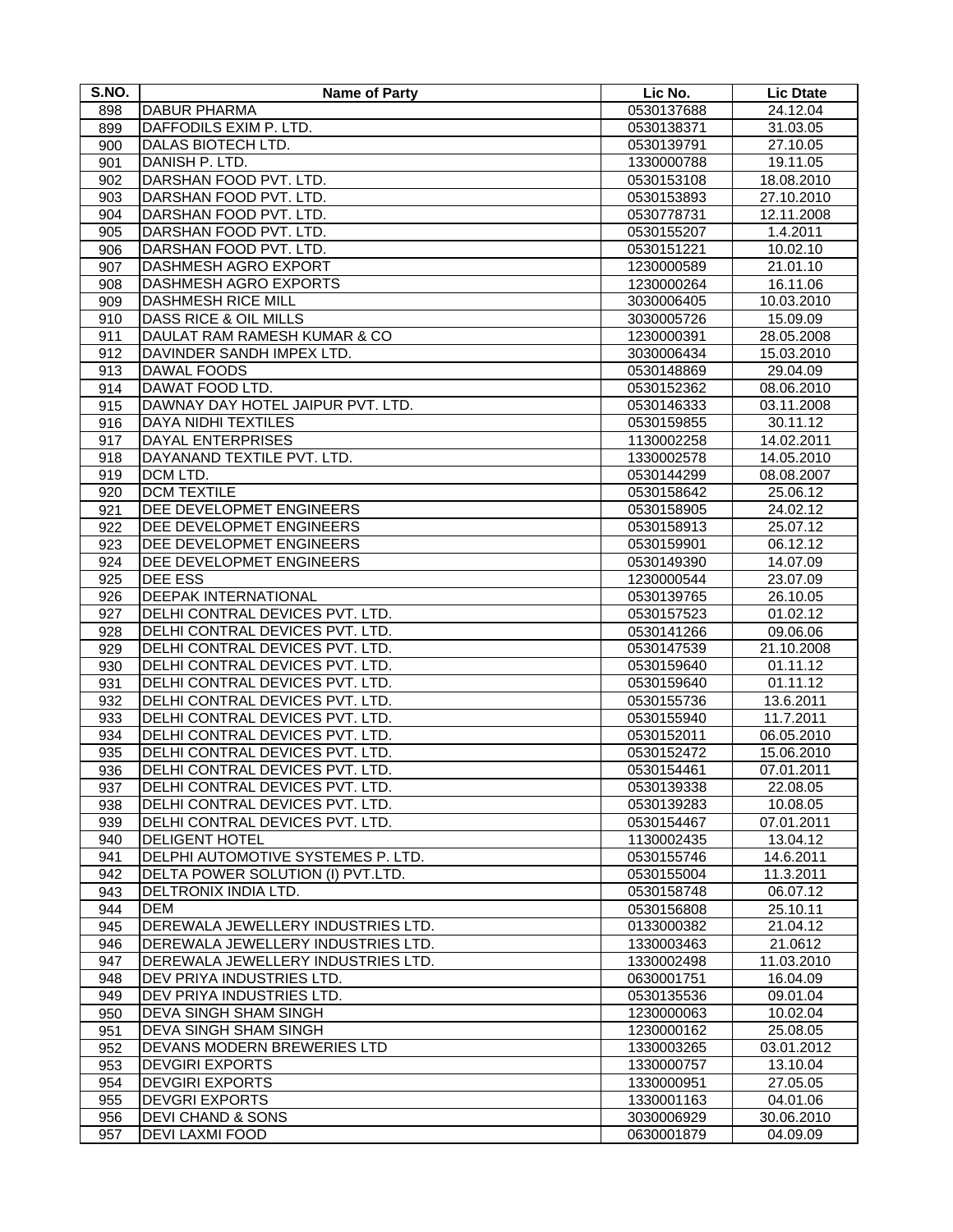| S.NO. | <b>Name of Party</b>               | Lic No.    | <b>Lic Dtate</b> |
|-------|------------------------------------|------------|------------------|
| 898   | <b>DABUR PHARMA</b>                | 0530137688 | 24.12.04         |
| 899   | DAFFODILS EXIM P. LTD.             | 0530138371 | 31.03.05         |
| 900   | DALAS BIOTECH LTD.                 | 0530139791 | 27.10.05         |
| 901   | DANISH P. LTD.                     | 1330000788 | 19.11.05         |
| 902   | DARSHAN FOOD PVT. LTD.             | 0530153108 | 18.08.2010       |
| 903   | DARSHAN FOOD PVT. LTD.             | 0530153893 | 27.10.2010       |
| 904   | DARSHAN FOOD PVT. LTD.             | 0530778731 | 12.11.2008       |
| 905   | DARSHAN FOOD PVT. LTD.             | 0530155207 | 1.4.2011         |
| 906   | DARSHAN FOOD PVT. LTD.             | 0530151221 | 10.02.10         |
| 907   | <b>DASHMESH AGRO EXPORT</b>        | 1230000589 | 21.01.10         |
| 908   | DASHMESH AGRO EXPORTS              | 1230000264 | 16.11.06         |
| 909   | <b>DASHMESH RICE MILL</b>          | 3030006405 | 10.03.2010       |
| 910   | DASS RICE & OIL MILLS              | 3030005726 | 15.09.09         |
| 911   | DAULAT RAM RAMESH KUMAR & CO       | 1230000391 | 28.05.2008       |
| 912   | DAVINDER SANDH IMPEX LTD.          | 3030006434 | 15.03.2010       |
| 913   | <b>DAWAL FOODS</b>                 | 0530148869 | 29.04.09         |
| 914   | DAWAT FOOD LTD.                    | 0530152362 | 08.06.2010       |
| 915   | DAWNAY DAY HOTEL JAIPUR PVT. LTD.  | 0530146333 | 03.11.2008       |
| 916   | DAYA NIDHI TEXTILES                | 0530159855 | 30.11.12         |
| 917   | DAYAL ENTERPRISES                  | 1130002258 | 14.02.2011       |
| 918   | DAYANAND TEXTILE PVT. LTD.         | 1330002578 | 14.05.2010       |
| 919   | DCM LTD.                           | 0530144299 | 08.08.2007       |
| 920   | <b>DCM TEXTILE</b>                 | 0530158642 | 25.06.12         |
| 921   | DEE DEVELOPMET ENGINEERS           | 0530158905 | 24.02.12         |
| 922   | DEE DEVELOPMET ENGINEERS           | 0530158913 | 25.07.12         |
| 923   | DEE DEVELOPMET ENGINEERS           | 0530159901 | 06.12.12         |
| 924   | DEE DEVELOPMET ENGINEERS           | 0530149390 | 14.07.09         |
| 925   | <b>DEE ESS</b>                     | 1230000544 | 23.07.09         |
| 926   | <b>DEEPAK INTERNATIONAL</b>        | 0530139765 | 26.10.05         |
| 927   | DELHI CONTRAL DEVICES PVT. LTD.    | 0530157523 | 01.02.12         |
| 928   | DELHI CONTRAL DEVICES PVT. LTD.    | 0530141266 | 09.06.06         |
| 929   | DELHI CONTRAL DEVICES PVT. LTD.    | 0530147539 | 21.10.2008       |
| 930   | DELHI CONTRAL DEVICES PVT. LTD.    | 0530159640 | 01.11.12         |
| 931   | DELHI CONTRAL DEVICES PVT. LTD.    | 0530159640 | 01.11.12         |
| 932   | DELHI CONTRAL DEVICES PVT. LTD.    | 0530155736 | 13.6.2011        |
| 933   | DELHI CONTRAL DEVICES PVT. LTD.    | 0530155940 | 11.7.2011        |
| 934   | DELHI CONTRAL DEVICES PVT. LTD.    | 0530152011 | 06.05.2010       |
| 935   | DELHI CONTRAL DEVICES PVT. LTD.    | 0530152472 | 15.06.2010       |
| 936   | DELHI CONTRAL DEVICES PVT. LTD.    | 0530154461 | 07.01.2011       |
| 937   | DELHI CONTRAL DEVICES PVT. LTD.    | 0530139338 | 22.08.05         |
| 938   | DELHI CONTRAL DEVICES PVT. LTD.    | 0530139283 | 10.08.05         |
| 939   | DELHI CONTRAL DEVICES PVT. LTD.    | 0530154467 | 07.01.2011       |
| 940   | <b>DELIGENT HOTEL</b>              | 1130002435 | 13.04.12         |
| 941   | DELPHI AUTOMOTIVE SYSTEMES P. LTD. | 0530155746 | 14.6.2011        |
| 942   | DELTA POWER SOLUTION (I) PVT.LTD.  | 0530155004 | 11.3.2011        |
| 943   | DELTRONIX INDIA LTD.               | 0530158748 | 06.07.12         |
| 944   | <b>DEM</b>                         | 0530156808 | 25.10.11         |
| 945   | DEREWALA JEWELLERY INDUSTRIES LTD. | 0133000382 | 21.04.12         |
| 946   | DEREWALA JEWELLERY INDUSTRIES LTD. | 1330003463 | 21.0612          |
| 947   | DEREWALA JEWELLERY INDUSTRIES LTD. | 1330002498 | 11.03.2010       |
| 948   | DEV PRIYA INDUSTRIES LTD.          | 0630001751 | 16.04.09         |
| 949   | DEV PRIYA INDUSTRIES LTD.          | 0530135536 | 09.01.04         |
| 950   | <b>DEVA SINGH SHAM SINGH</b>       | 1230000063 | 10.02.04         |
| 951   | <b>DEVA SINGH SHAM SINGH</b>       | 1230000162 | 25.08.05         |
| 952   | DEVANS MODERN BREWERIES LTD        | 1330003265 | 03.01.2012       |
| 953   | <b>DEVGIRI EXPORTS</b>             | 1330000757 | 13.10.04         |
| 954   | <b>DEVGIRI EXPORTS</b>             | 1330000951 | 27.05.05         |
| 955   | <b>DEVGRI EXPORTS</b>              | 1330001163 | 04.01.06         |
| 956   | <b>DEVI CHAND &amp; SONS</b>       | 3030006929 | 30.06.2010       |
| 957   | DEVI LAXMI FOOD                    | 0630001879 | 04.09.09         |
|       |                                    |            |                  |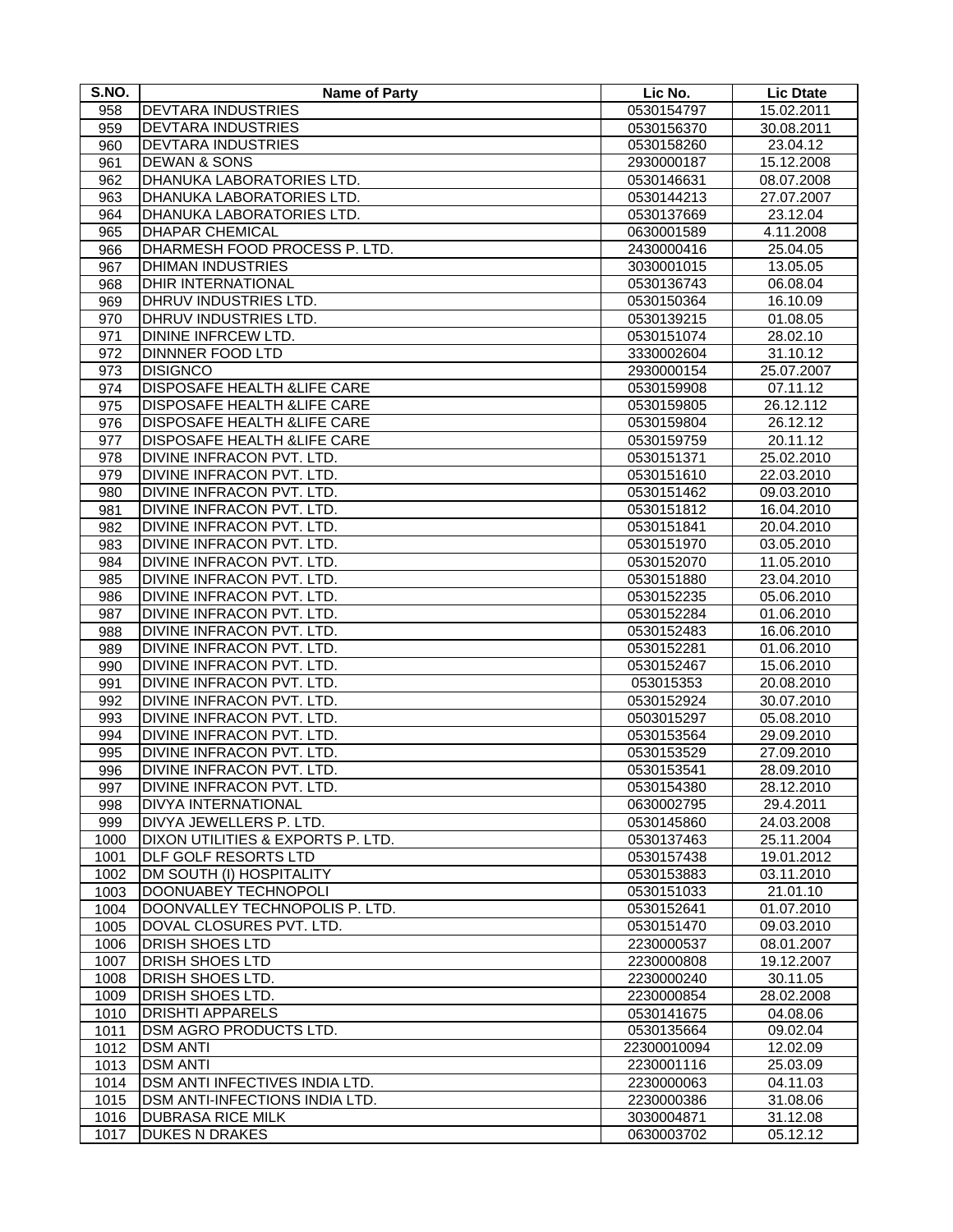| S.NO. | <b>Name of Party</b>                   | Lic No.     | <b>Lic Dtate</b>         |
|-------|----------------------------------------|-------------|--------------------------|
| 958   | <b>DEVTARA INDUSTRIES</b>              | 0530154797  | 15.02.2011               |
| 959   | <b>DEVTARA INDUSTRIES</b>              | 0530156370  | 30.08.2011               |
| 960   | <b>DEVTARA INDUSTRIES</b>              | 0530158260  | 23.04.12                 |
| 961   | <b>DEWAN &amp; SONS</b>                | 2930000187  | 15.12.2008               |
| 962   | DHANUKA LABORATORIES LTD.              | 0530146631  | 08.07.2008               |
| 963   | DHANUKA LABORATORIES LTD.              | 0530144213  | 27.07.2007               |
| 964   | DHANUKA LABORATORIES LTD.              | 0530137669  | 23.12.04                 |
| 965   | <b>DHAPAR CHEMICAL</b>                 | 0630001589  | 4.11.2008                |
| 966   | DHARMESH FOOD PROCESS P. LTD.          | 2430000416  | 25.04.05                 |
| 967   | <b>DHIMAN INDUSTRIES</b>               | 3030001015  | 13.05.05                 |
| 968   | <b>DHIR INTERNATIONAL</b>              | 0530136743  | 06.08.04                 |
| 969   | DHRUV INDUSTRIES LTD.                  | 0530150364  | 16.10.09                 |
| 970   | DHRUV INDUSTRIES LTD.                  | 0530139215  | 01.08.05                 |
| 971   | DININE INFRCEW LTD.                    | 0530151074  | 28.02.10                 |
| 972   | <b>DINNNER FOOD LTD</b>                | 3330002604  | 31.10.12                 |
| 973   | <b>DISIGNCO</b>                        | 2930000154  | 25.07.2007               |
| 974   | <b>DISPOSAFE HEALTH &amp;LIFE CARE</b> | 0530159908  | 07.11.12                 |
| 975   | <b>DISPOSAFE HEALTH &amp;LIFE CARE</b> | 0530159805  | 26.12.112                |
| 976   | DISPOSAFE HEALTH & LIFE CARE           | 0530159804  | 26.12.12                 |
| 977   | DISPOSAFE HEALTH & LIFE CARE           | 0530159759  | 20.11.12                 |
| 978   | DIVINE INFRACON PVT. LTD.              | 0530151371  | 25.02.2010               |
|       | DIVINE INFRACON PVT. LTD.              | 0530151610  | 22.03.2010               |
| 979   | DIVINE INFRACON PVT. LTD.              | 0530151462  | 09.03.2010               |
| 980   | DIVINE INFRACON PVT. LTD.              |             |                          |
| 981   |                                        | 0530151812  | 16.04.2010<br>20.04.2010 |
| 982   | DIVINE INFRACON PVT. LTD.              | 0530151841  |                          |
| 983   | DIVINE INFRACON PVT. LTD.              | 0530151970  | 03.05.2010               |
| 984   | DIVINE INFRACON PVT. LTD.              | 0530152070  | 11.05.2010               |
| 985   | DIVINE INFRACON PVT. LTD.              | 0530151880  | 23.04.2010               |
| 986   | <b>DIVINE INFRACON PVT. LTD.</b>       | 0530152235  | 05.06.2010               |
| 987   | DIVINE INFRACON PVT. LTD.              | 0530152284  | 01.06.2010               |
| 988   | DIVINE INFRACON PVT. LTD.              | 0530152483  | 16.06.2010               |
| 989   | DIVINE INFRACON PVT. LTD.              | 0530152281  | 01.06.2010               |
| 990   | DIVINE INFRACON PVT. LTD.              | 0530152467  | 15.06.2010               |
| 991   | DIVINE INFRACON PVT. LTD.              | 053015353   | 20.08.2010               |
| 992   | DIVINE INFRACON PVT. LTD.              | 0530152924  | 30.07.2010               |
| 993   | DIVINE INFRACON PVT. LTD.              | 0503015297  | 05.08.2010               |
| 994   | DIVINE INFRACON PVT. LTD.              | 0530153564  | 29.09.2010               |
| 995   | DIVINE INFRACON PVT. LTD.              | 0530153529  | 27.09.2010               |
| 996   | DIVINE INFRACON PVT. LTD.              | 0530153541  | 28.09.2010               |
| 997   | DIVINE INFRACON PVT. LTD.              | 0530154380  | 28.12.2010               |
| 998   | DIVYA INTERNATIONAL                    | 0630002795  | 29.4.2011                |
| 999   | DIVYA JEWELLERS P. LTD.                | 0530145860  | 24.03.2008               |
| 1000  | DIXON UTILITIES & EXPORTS P. LTD.      | 0530137463  | 25.11.2004               |
| 1001  | DLF GOLF RESORTS LTD                   | 0530157438  | 19.01.2012               |
| 1002  | DM SOUTH (I) HOSPITALITY               | 0530153883  | 03.11.2010               |
| 1003  | DOONUABEY TECHNOPOLI                   | 0530151033  | 21.01.10                 |
| 1004  | DOONVALLEY TECHNOPOLIS P. LTD.         | 0530152641  | 01.07.2010               |
| 1005  | DOVAL CLOSURES PVT. LTD.               | 0530151470  | 09.03.2010               |
| 1006  | <b>DRISH SHOES LTD</b>                 | 2230000537  | 08.01.2007               |
| 1007  | <b>DRISH SHOES LTD</b>                 | 2230000808  | 19.12.2007               |
| 1008  | DRISH SHOES LTD.                       | 2230000240  | 30.11.05                 |
| 1009  | DRISH SHOES LTD.                       | 2230000854  | 28.02.2008               |
| 1010  | <b>DRISHTI APPARELS</b>                | 0530141675  | 04.08.06                 |
| 1011  | DSM AGRO PRODUCTS LTD.                 | 0530135664  | 09.02.04                 |
| 1012  | <b>DSM ANTI</b>                        | 22300010094 | 12.02.09                 |
| 1013  | <b>DSM ANTI</b>                        | 2230001116  | 25.03.09                 |
| 1014  | DSM ANTI INFECTIVES INDIA LTD.         | 2230000063  | 04.11.03                 |
| 1015  | DSM ANTI-INFECTIONS INDIA LTD.         | 2230000386  | 31.08.06                 |
| 1016  | <b>DUBRASA RICE MILK</b>               | 3030004871  | 31.12.08                 |
| 1017  | <b>DUKES N DRAKES</b>                  | 0630003702  | 05.12.12                 |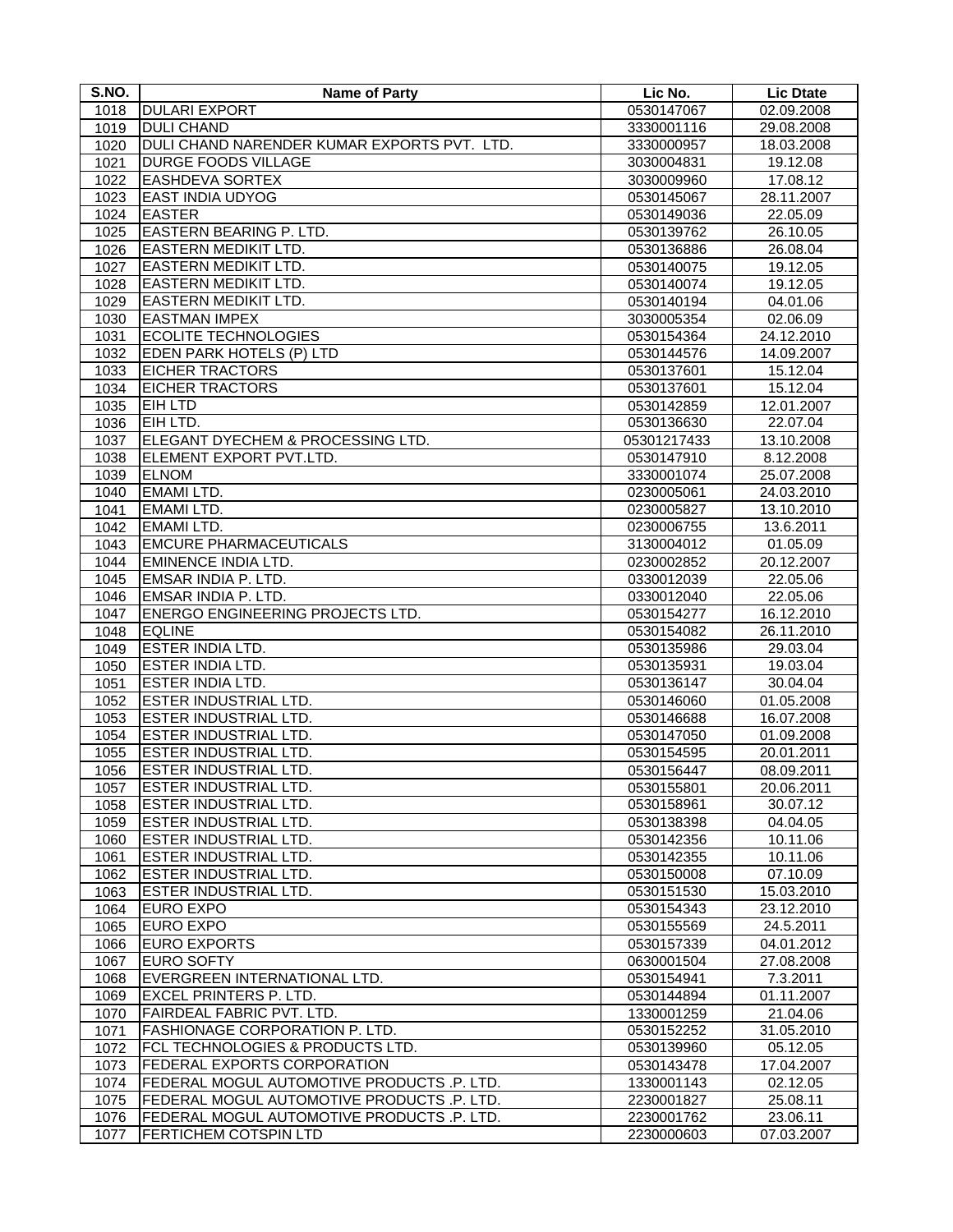| S.NO. | <b>Name of Party</b>                        | Lic No.     | <b>Lic Dtate</b> |
|-------|---------------------------------------------|-------------|------------------|
| 1018  | <b>DULARI EXPORT</b>                        | 0530147067  | 02.09.2008       |
| 1019  | <b>DULI CHAND</b>                           | 3330001116  | 29.08.2008       |
| 1020  | DULI CHAND NARENDER KUMAR EXPORTS PVT. LTD. | 3330000957  | 18.03.2008       |
| 1021  | <b>DURGE FOODS VILLAGE</b>                  | 3030004831  | 19.12.08         |
| 1022  | <b>EASHDEVA SORTEX</b>                      | 3030009960  | 17.08.12         |
| 1023  | <b>EAST INDIA UDYOG</b>                     | 0530145067  | 28.11.2007       |
| 1024  | <b>EASTER</b>                               | 0530149036  | 22.05.09         |
| 1025  | EASTERN BEARING P. LTD.                     | 0530139762  | 26.10.05         |
| 1026  | <b>EASTERN MEDIKIT LTD.</b>                 | 0530136886  | 26.08.04         |
| 1027  | <b>EASTERN MEDIKIT LTD.</b>                 | 0530140075  | 19.12.05         |
| 1028  | <b>EASTERN MEDIKIT LTD.</b>                 | 0530140074  | 19.12.05         |
| 1029  | <b>EASTERN MEDIKIT LTD.</b>                 | 0530140194  | 04.01.06         |
| 1030  | <b>EASTMAN IMPEX</b>                        | 3030005354  | 02.06.09         |
| 1031  | <b>ECOLITE TECHNOLOGIES</b>                 | 0530154364  | 24.12.2010       |
| 1032  | EDEN PARK HOTELS (P) LTD                    | 0530144576  | 14.09.2007       |
| 1033  | <b>EICHER TRACTORS</b>                      | 0530137601  | 15.12.04         |
| 1034  | <b>EICHER TRACTORS</b>                      | 0530137601  | 15.12.04         |
| 1035  | <b>EIH LTD</b>                              | 0530142859  | 12.01.2007       |
| 1036  | EIH LTD.                                    | 0530136630  | 22.07.04         |
| 1037  | ELEGANT DYECHEM & PROCESSING LTD.           | 05301217433 | 13.10.2008       |
| 1038  | ELEMENT EXPORT PVT.LTD.                     | 0530147910  | 8.12.2008        |
| 1039  | <b>ELNOM</b>                                | 3330001074  | 25.07.2008       |
| 1040  | <b>EMAMI LTD.</b>                           | 0230005061  | 24.03.2010       |
| 1041  | <b>EMAMI LTD.</b>                           | 0230005827  | 13.10.2010       |
| 1042  | <b>EMAMILTD.</b>                            | 0230006755  | 13.6.2011        |
| 1043  | <b>EMCURE PHARMACEUTICALS</b>               | 3130004012  | 01.05.09         |
| 1044  | <b>EMINENCE INDIA LTD.</b>                  | 0230002852  | 20.12.2007       |
| 1045  | EMSAR INDIA P. LTD.                         | 0330012039  | 22.05.06         |
| 1046  | EMSAR INDIA P. LTD.                         | 0330012040  | 22.05.06         |
| 1047  | ENERGO ENGINEERING PROJECTS LTD.            | 0530154277  | 16.12.2010       |
| 1048  | <b>EQLINE</b>                               | 0530154082  | 26.11.2010       |
| 1049  | <b>ESTER INDIA LTD.</b>                     | 0530135986  | 29.03.04         |
| 1050  | <b>ESTER INDIA LTD.</b>                     | 0530135931  | 19.03.04         |
| 1051  | <b>ESTER INDIA LTD.</b>                     | 0530136147  | 30.04.04         |
| 1052  | ESTER INDUSTRIAL LTD.                       | 0530146060  | 01.05.2008       |
| 1053  | <b>ESTER INDUSTRIAL LTD.</b>                | 0530146688  | 16.07.2008       |
| 1054  | <b>ESTER INDUSTRIAL LTD.</b>                | 0530147050  | 01.09.2008       |
| 1055  | <b>ESTER INDUSTRIAL LTD.</b>                | 0530154595  | 20.01.2011       |
| 1056  | <b>ESTER INDUSTRIAL LTD.</b>                | 0530156447  | 08.09.2011       |
| 1057  | ESTER INDUSTRIAL LTD.                       | 0530155801  | 20.06.2011       |
| 1058  | <b>ESTER INDUSTRIAL LTD.</b>                | 0530158961  | 30.07.12         |
| 1059  | <b>ESTER INDUSTRIAL LTD.</b>                | 0530138398  | 04.04.05         |
| 1060  | ESTER INDUSTRIAL LTD.                       | 0530142356  | 10.11.06         |
| 1061  | ESTER INDUSTRIAL LTD.                       | 0530142355  | 10.11.06         |
| 1062  | <b>ESTER INDUSTRIAL LTD.</b>                | 0530150008  | 07.10.09         |
| 1063  | <b>ESTER INDUSTRIAL LTD.</b>                | 0530151530  | 15.03.2010       |
| 1064  | <b>EURO EXPO</b>                            | 0530154343  | 23.12.2010       |
| 1065  | <b>EURO EXPO</b>                            | 0530155569  | 24.5.2011        |
| 1066  | <b>EURO EXPORTS</b>                         | 0530157339  | 04.01.2012       |
| 1067  | <b>EURO SOFTY</b>                           | 0630001504  | 27.08.2008       |
| 1068  | EVERGREEN INTERNATIONAL LTD.                | 0530154941  | 7.3.2011         |
| 1069  | <b>EXCEL PRINTERS P. LTD.</b>               | 0530144894  | 01.11.2007       |
| 1070  | FAIRDEAL FABRIC PVT. LTD.                   | 1330001259  | 21.04.06         |
| 1071  | FASHIONAGE CORPORATION P. LTD.              | 0530152252  | 31.05.2010       |
| 1072  | FCL TECHNOLOGIES & PRODUCTS LTD.            | 0530139960  | 05.12.05         |
| 1073  | FEDERAL EXPORTS CORPORATION                 | 0530143478  | 17.04.2007       |
| 1074  | FEDERAL MOGUL AUTOMOTIVE PRODUCTS .P. LTD.  | 1330001143  | 02.12.05         |
| 1075  | FEDERAL MOGUL AUTOMOTIVE PRODUCTS .P. LTD.  | 2230001827  | 25.08.11         |
| 1076  | FEDERAL MOGUL AUTOMOTIVE PRODUCTS .P. LTD.  | 2230001762  | 23.06.11         |
| 1077  | FERTICHEM COTSPIN LTD                       | 2230000603  | 07.03.2007       |
|       |                                             |             |                  |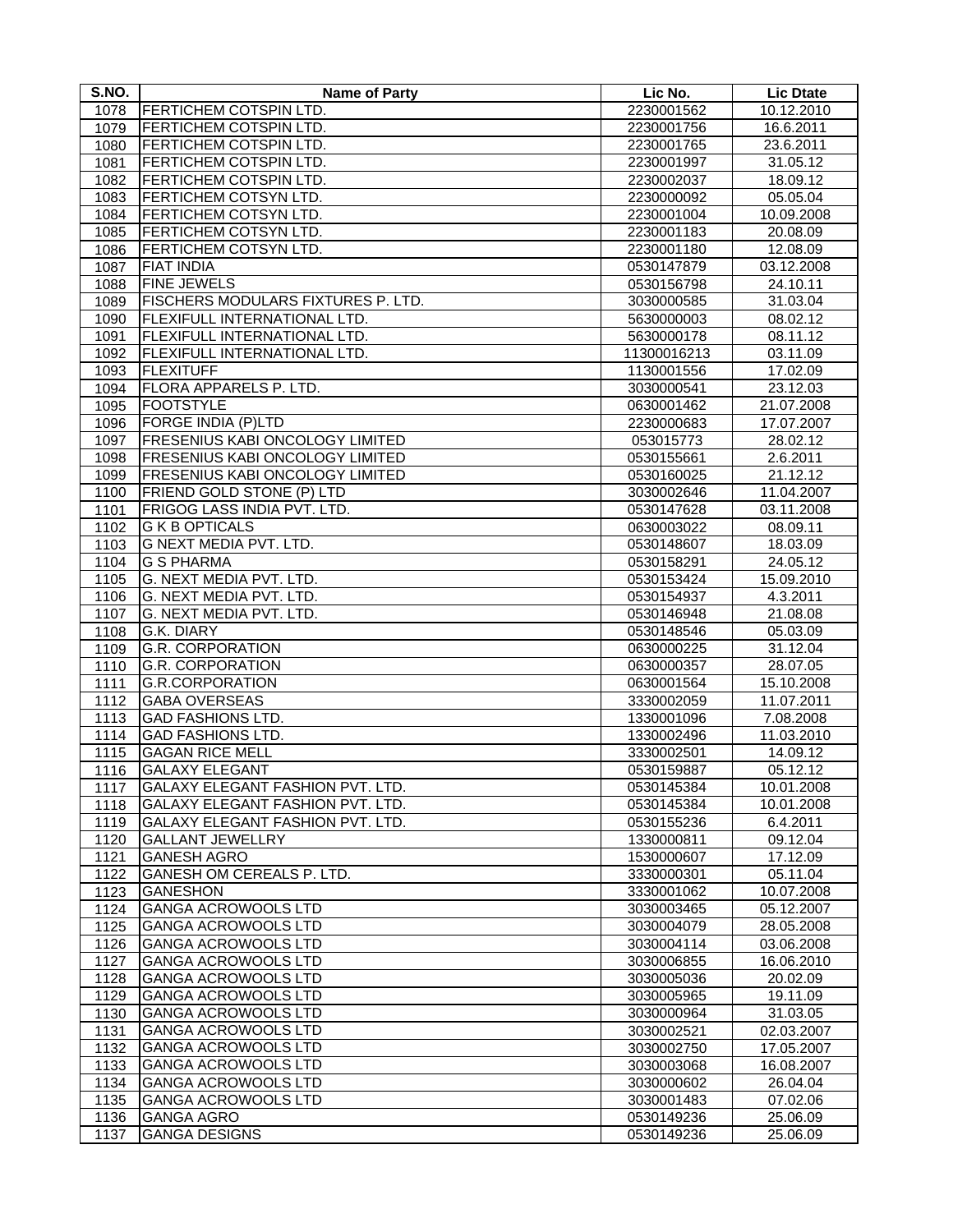| S.NO.             | <b>Name of Party</b>                            | Lic No.                  | <b>Lic Dtate</b>     |
|-------------------|-------------------------------------------------|--------------------------|----------------------|
| 1078              | FERTICHEM COTSPIN LTD.                          | 2230001562               | 10.12.2010           |
| 1079              | FERTICHEM COTSPIN LTD.                          | 2230001756               | 16.6.2011            |
| 1080              | FERTICHEM COTSPIN LTD.                          | 2230001765               | 23.6.2011            |
| 1081              | FERTICHEM COTSPIN LTD.                          | 2230001997               | 31.05.12             |
| 1082              | FERTICHEM COTSPIN LTD.                          | 2230002037               | 18.09.12             |
| 1083              | FERTICHEM COTSYN LTD.                           | 2230000092               | 05.05.04             |
| 1084              | FERTICHEM COTSYN LTD.                           | 2230001004               | 10.09.2008           |
| 1085              | FERTICHEM COTSYN LTD.                           | 2230001183               | 20.08.09             |
| 1086              | FERTICHEM COTSYN LTD.                           | 2230001180               | 12.08.09             |
| 1087              | <b>FIAT INDIA</b>                               | 0530147879               | 03.12.2008           |
| 1088              | <b>FINE JEWELS</b>                              | 0530156798               | 24.10.11             |
| 1089              | FISCHERS MODULARS FIXTURES P. LTD.              | 3030000585               | 31.03.04             |
| 1090              | FLEXIFULL INTERNATIONAL LTD.                    | 5630000003               | 08.02.12             |
| 1091              | FLEXIFULL INTERNATIONAL LTD.                    | 5630000178               | 08.11.12             |
| 1092              | FLEXIFULL INTERNATIONAL LTD.                    | 11300016213              | 03.11.09             |
| 1093              | <b>FLEXITUFF</b>                                | 1130001556               | 17.02.09             |
| 1094              | FLORA APPARELS P. LTD.                          | 3030000541               | 23.12.03             |
| 1095              | <b>FOOTSTYLE</b>                                | 0630001462               | 21.07.2008           |
| 1096              | FORGE INDIA (P)LTD                              | 2230000683               | 17.07.2007           |
| 1097              | <b>FRESENIUS KABI ONCOLOGY LIMITED</b>          | 053015773                | 28.02.12             |
| 1098              | FRESENIUS KABI ONCOLOGY LIMITED                 | 0530155661               | 2.6.2011             |
| 1099              | FRESENIUS KABI ONCOLOGY LIMITED                 | 0530160025               | 21.12.12             |
| 1100              | FRIEND GOLD STONE (P) LTD                       | 3030002646               | 11.04.2007           |
| 1101              | FRIGOG LASS INDIA PVT. LTD.                     | 0530147628               | 03.11.2008           |
| 1102              | <b>G K B OPTICALS</b>                           | 0630003022               | 08.09.11             |
| 1103              | G NEXT MEDIA PVT. LTD.                          | 0530148607               | 18.03.09             |
| 1104              | <b>G S PHARMA</b>                               | 0530158291               | 24.05.12             |
| 1105              | G. NEXT MEDIA PVT. LTD.                         | 0530153424               | 15.09.2010           |
| 1106              | G. NEXT MEDIA PVT. LTD.                         | 0530154937               | 4.3.2011             |
| 1107<br>1108      | G. NEXT MEDIA PVT. LTD.<br>G.K. DIARY           | 0530146948<br>0530148546 | 21.08.08<br>05.03.09 |
| 1109              | <b>G.R. CORPORATION</b>                         | 0630000225               | 31.12.04             |
| $11\overline{10}$ | <b>G.R. CORPORATION</b>                         | 0630000357               | 28.07.05             |
| 1111              | <b>G.R.CORPORATION</b>                          | 0630001564               | 15.10.2008           |
| 1112              | <b>GABA OVERSEAS</b>                            | 3330002059               | 11.07.2011           |
| 1113              | <b>GAD FASHIONS LTD.</b>                        | 1330001096               | 7.08.2008            |
| 1114              | <b>GAD FASHIONS LTD.</b>                        | 1330002496               | 11.03.2010           |
| 1115              | <b>GAGAN RICE MELL</b>                          | 3330002501               | 14.09.12             |
| 1116              | <b>GALAXY ELEGANT</b>                           | 0530159887               | 05.12.12             |
| 1117              | GALAXY ELEGANT FASHION PVT. LTD.                | 0530145384               | 10.01.2008           |
| 1118              | GALAXY ELEGANT FASHION PVT. LTD.                | 0530145384               | 10.01.2008           |
| 1119              | GALAXY ELEGANT FASHION PVT. LTD.                | 0530155236               | 6.4.2011             |
| 1120              | <b>GALLANT JEWELLRY</b>                         | 1330000811               | 09.12.04             |
| 1121              | <b>GANESH AGRO</b>                              | 1530000607               | 17.12.09             |
| 1122              | <b>GANESH OM CEREALS P. LTD.</b>                | 3330000301               | 05.11.04             |
| 1123              | <b>GANESHON</b>                                 | 3330001062               | 10.07.2008           |
| 1124              | <b>GANGA ACROWOOLS LTD</b>                      | 3030003465               | 05.12.2007           |
| 1125              | <b>GANGA ACROWOOLS LTD</b>                      | 3030004079               | 28.05.2008           |
| 1126              | <b>GANGA ACROWOOLS LTD</b>                      | 3030004114               | 03.06.2008           |
| 1127              | <b>GANGA ACROWOOLS LTD</b>                      | 3030006855               | 16.06.2010           |
| 1128              | <b>GANGA ACROWOOLS LTD</b>                      | 3030005036               | 20.02.09             |
| 1129              | <b>GANGA ACROWOOLS LTD</b>                      | 3030005965               | 19.11.09             |
| 1130              | <b>GANGA ACROWOOLS LTD</b>                      | 3030000964               | 31.03.05             |
| 1131              | <b>GANGA ACROWOOLS LTD</b>                      | 3030002521               | 02.03.2007           |
| 1132              | <b>GANGA ACROWOOLS LTD</b>                      | 3030002750               | 17.05.2007           |
| 1133              | <b>GANGA ACROWOOLS LTD</b>                      | 3030003068               | 16.08.2007           |
| 1134              | <b>GANGA ACROWOOLS LTD</b>                      | 3030000602               | 26.04.04             |
| 1135<br>1136      | <b>GANGA ACROWOOLS LTD</b><br><b>GANGA AGRO</b> | 3030001483<br>0530149236 | 07.02.06<br>25.06.09 |
| 1137              | <b>GANGA DESIGNS</b>                            | 0530149236               | 25.06.09             |
|                   |                                                 |                          |                      |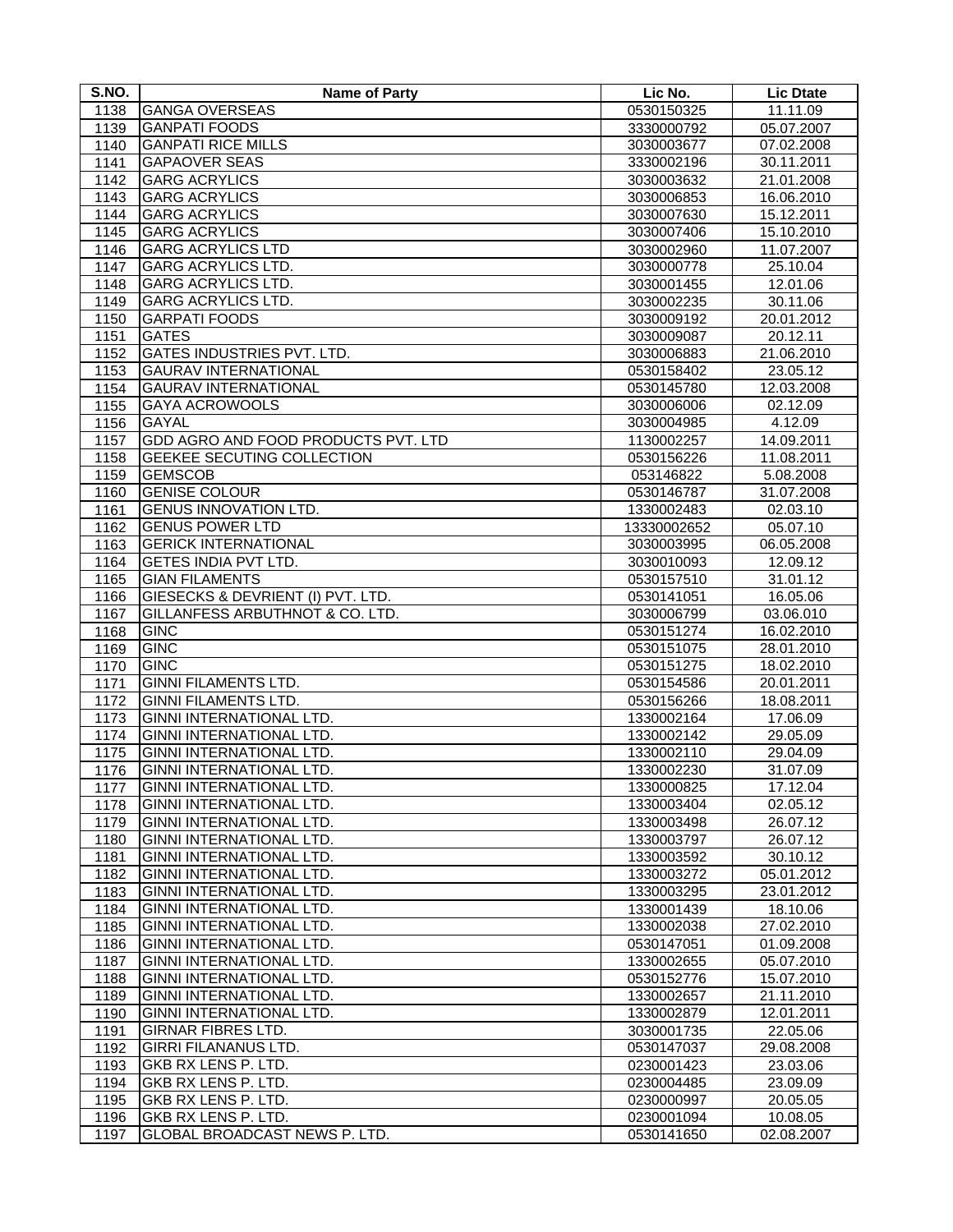| S.NO.        | <b>Name of Party</b>                                 | Lic No.                  | <b>Lic Dtate</b>       |
|--------------|------------------------------------------------------|--------------------------|------------------------|
| 1138         | <b>GANGA OVERSEAS</b>                                | 0530150325               | 11.11.09               |
| 1139         | <b>GANPATI FOODS</b>                                 | 3330000792               | 05.07.2007             |
| 1140         | <b>GANPATI RICE MILLS</b>                            | 3030003677               | 07.02.2008             |
| 1141         | <b>GAPAOVER SEAS</b>                                 | 3330002196               | 30.11.2011             |
| 1142         | <b>GARG ACRYLICS</b>                                 | 3030003632               | 21.01.2008             |
| 1143         | <b>GARG ACRYLICS</b>                                 | 3030006853               | 16.06.2010             |
| 1144         | <b>GARG ACRYLICS</b>                                 | 3030007630               | 15.12.2011             |
| 1145         | <b>GARG ACRYLICS</b>                                 | 3030007406               | 15.10.2010             |
| 1146         | <b>GARG ACRYLICS LTD</b>                             | 3030002960               | 11.07.2007             |
| 1147         | <b>GARG ACRYLICS LTD.</b>                            | 3030000778               | 25.10.04               |
| 1148         | <b>GARG ACRYLICS LTD.</b>                            | 3030001455               | 12.01.06               |
| 1149         | <b>GARG ACRYLICS LTD.</b>                            | 3030002235               | 30.11.06               |
| 1150         | <b>GARPATI FOODS</b>                                 | 3030009192               | 20.01.2012             |
| 1151         | <b>GATES</b>                                         | 3030009087               | 20.12.11               |
| 1152         | <b>GATES INDUSTRIES PVT. LTD.</b>                    | 3030006883               | 21.06.2010             |
| 1153         | <b>GAURAV INTERNATIONAL</b>                          | 0530158402               | 23.05.12               |
| 1154         | <b>GAURAV INTERNATIONAL</b>                          | 0530145780               | 12.03.2008             |
| 1155         | <b>GAYA ACROWOOLS</b>                                | 3030006006               | 02.12.09               |
| 1156         | <b>GAYAL</b>                                         | 3030004985               | 4.12.09                |
| 1157         | GDD AGRO AND FOOD PRODUCTS PVT. LTD                  | 1130002257               | 14.09.2011             |
| 1158         | GEEKEE SECUTING COLLECTION                           | 0530156226               | 11.08.2011             |
| 1159         | <b>GEMSCOB</b>                                       | 053146822                | 5.08.2008              |
| 1160         | <b>GENISE COLOUR</b><br><b>GENUS INNOVATION LTD.</b> | 0530146787<br>1330002483 | 31.07.2008<br>02.03.10 |
| 1161<br>1162 | <b>GENUS POWER LTD</b>                               | 13330002652              | 05.07.10               |
| 1163         | <b>GERICK INTERNATIONAL</b>                          | 3030003995               | 06.05.2008             |
| 1164         | GETES INDIA PVT LTD.                                 | 3030010093               | 12.09.12               |
| 1165         | <b>GIAN FILAMENTS</b>                                | 0530157510               | 31.01.12               |
| 1166         | GIESECKS & DEVRIENT (I) PVT. LTD.                    | 0530141051               | 16.05.06               |
| 1167         | <b>GILLANFESS ARBUTHNOT &amp; CO. LTD.</b>           | 3030006799               | 03.06.010              |
| 1168         | <b>GINC</b>                                          | 0530151274               | 16.02.2010             |
| 1169         | <b>GINC</b>                                          | 0530151075               | 28.01.2010             |
| 1170         | <b>GINC</b>                                          | 0530151275               | 18.02.2010             |
| 1171         | <b>GINNI FILAMENTS LTD.</b>                          | 0530154586               | 20.01.2011             |
| 1172         | <b>GINNI FILAMENTS LTD.</b>                          | 0530156266               | 18.08.2011             |
| 1173         | GINNI INTERNATIONAL LTD.                             | 1330002164               | 17.06.09               |
| 1174         | GINNI INTERNATIONAL LTD.                             | 1330002142               | 29.05.09               |
| 1175         | GINNI INTERNATIONAL LTD.                             | 1330002110               | 29.04.09               |
| 1176         | GINNI INTERNATIONAL LTD.                             | 1330002230               | 31.07.09               |
| 1177         | GINNI INTERNATIONAL LTD.                             | 1330000825               | 17.12.04               |
| 1178         | GINNI INTERNATIONAL LTD.                             | 1330003404               | 02.05.12               |
| 1179         | GINNI INTERNATIONAL LTD.                             | 1330003498               | 26.07.12               |
| 1180         | GINNI INTERNATIONAL LTD.                             | 1330003797               | 26.07.12               |
| 1181         | GINNI INTERNATIONAL LTD.                             | 1330003592               | 30.10.12               |
| 1182         | GINNI INTERNATIONAL LTD.<br>GINNI INTERNATIONAL LTD. | 1330003272               | 05.01.2012             |
| 1183<br>1184 | GINNI INTERNATIONAL LTD.                             | 1330003295<br>1330001439 | 23.01.2012<br>18.10.06 |
| 1185         | <b>GINNI INTERNATIONAL LTD.</b>                      | 1330002038               | 27.02.2010             |
| 1186         | GINNI INTERNATIONAL LTD.                             | 0530147051               | 01.09.2008             |
| 1187         | GINNI INTERNATIONAL LTD.                             | 1330002655               | 05.07.2010             |
| 1188         | GINNI INTERNATIONAL LTD.                             | 0530152776               | 15.07.2010             |
| 1189         | GINNI INTERNATIONAL LTD.                             | 1330002657               | 21.11.2010             |
| 1190         | GINNI INTERNATIONAL LTD.                             | 1330002879               | 12.01.2011             |
| 1191         | <b>GIRNAR FIBRES LTD.</b>                            | 3030001735               | 22.05.06               |
| 1192         | <b>GIRRI FILANANUS LTD.</b>                          | 0530147037               | 29.08.2008             |
| 1193         | GKB RX LENS P. LTD.                                  | 0230001423               | 23.03.06               |
| 1194         | GKB RX LENS P. LTD.                                  | 0230004485               | 23.09.09               |
| 1195         | GKB RX LENS P. LTD.                                  | 0230000997               | 20.05.05               |
| 1196         | GKB RX LENS P. LTD.                                  | 0230001094               | 10.08.05               |
| 1197         | GLOBAL BROADCAST NEWS P. LTD.                        | 0530141650               | 02.08.2007             |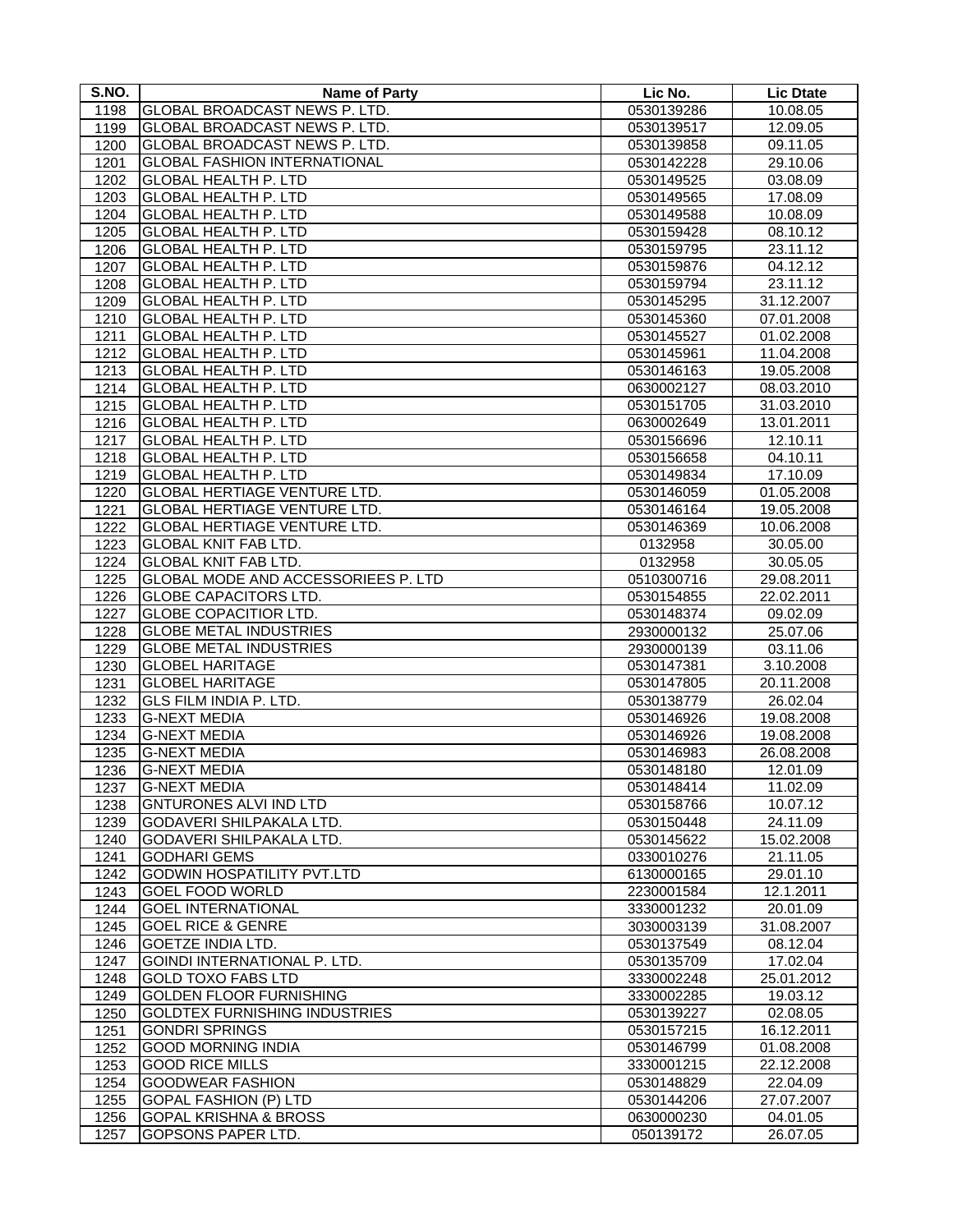| S.NO. | <b>Name of Party</b>                 | Lic No.    | <b>Lic Dtate</b> |
|-------|--------------------------------------|------------|------------------|
| 1198  | GLOBAL BROADCAST NEWS P. LTD.        | 0530139286 | 10.08.05         |
| 1199  | <b>GLOBAL BROADCAST NEWS P. LTD.</b> | 0530139517 | 12.09.05         |
| 1200  | GLOBAL BROADCAST NEWS P. LTD.        | 0530139858 | 09.11.05         |
| 1201  | <b>GLOBAL FASHION INTERNATIONAL</b>  | 0530142228 | 29.10.06         |
| 1202  | <b>GLOBAL HEALTH P. LTD</b>          | 0530149525 | 03.08.09         |
| 1203  | <b>GLOBAL HEALTH P. LTD</b>          | 0530149565 | 17.08.09         |
| 1204  | <b>GLOBAL HEALTH P. LTD</b>          | 0530149588 | 10.08.09         |
| 1205  | <b>GLOBAL HEALTH P. LTD</b>          | 0530159428 | 08.10.12         |
| 1206  | <b>GLOBAL HEALTH P. LTD</b>          | 0530159795 | 23.11.12         |
| 1207  | <b>GLOBAL HEALTH P. LTD</b>          | 0530159876 | 04.12.12         |
| 1208  | <b>GLOBAL HEALTH P. LTD</b>          | 0530159794 | 23.11.12         |
| 1209  | <b>GLOBAL HEALTH P. LTD</b>          | 0530145295 | 31.12.2007       |
| 1210  | <b>GLOBAL HEALTH P. LTD</b>          | 0530145360 | 07.01.2008       |
| 1211  | <b>GLOBAL HEALTH P. LTD</b>          | 0530145527 | 01.02.2008       |
| 1212  | <b>GLOBAL HEALTH P. LTD</b>          | 0530145961 | 11.04.2008       |
| 1213  | <b>GLOBAL HEALTH P. LTD</b>          | 0530146163 | 19.05.2008       |
| 1214  | <b>GLOBAL HEALTH P. LTD</b>          | 0630002127 | 08.03.2010       |
| 1215  | <b>GLOBAL HEALTH P. LTD</b>          | 0530151705 | 31.03.2010       |
| 1216  | <b>GLOBAL HEALTH P. LTD</b>          | 0630002649 | 13.01.2011       |
| 1217  | <b>GLOBAL HEALTH P. LTD</b>          | 0530156696 | 12.10.11         |
| 1218  | <b>GLOBAL HEALTH P. LTD</b>          | 0530156658 | 04.10.11         |
| 1219  | <b>GLOBAL HEALTH P. LTD</b>          | 0530149834 | 17.10.09         |
| 1220  | <b>GLOBAL HERTIAGE VENTURE LTD.</b>  | 0530146059 | 01.05.2008       |
| 1221  | GLOBAL HERTIAGE VENTURE LTD.         | 0530146164 | 19.05.2008       |
| 1222  | <b>GLOBAL HERTIAGE VENTURE LTD.</b>  | 0530146369 | 10.06.2008       |
| 1223  | <b>GLOBAL KNIT FAB LTD.</b>          | 0132958    | 30.05.00         |
| 1224  | <b>GLOBAL KNIT FAB LTD.</b>          | 0132958    | 30.05.05         |
| 1225  | GLOBAL MODE AND ACCESSORIEES P. LTD  | 0510300716 | 29.08.2011       |
| 1226  | <b>GLOBE CAPACITORS LTD.</b>         | 0530154855 | 22.02.2011       |
| 1227  | <b>GLOBE COPACITIOR LTD.</b>         | 0530148374 | 09.02.09         |
| 1228  | <b>GLOBE METAL INDUSTRIES</b>        | 2930000132 | 25.07.06         |
| 1229  | <b>GLOBE METAL INDUSTRIES</b>        | 2930000139 | 03.11.06         |
| 1230  | <b>GLOBEL HARITAGE</b>               | 0530147381 | 3.10.2008        |
| 1231  | <b>GLOBEL HARITAGE</b>               | 0530147805 | 20.11.2008       |
| 1232  | GLS FILM INDIA P. LTD.               | 0530138779 | 26.02.04         |
| 1233  | <b>G-NEXT MEDIA</b>                  | 0530146926 | 19.08.2008       |
| 1234  | <b>G-NEXT MEDIA</b>                  | 0530146926 | 19.08.2008       |
| 1235  | <b>G-NEXT MEDIA</b>                  | 0530146983 | 26.08.2008       |
| 1236  | <b>G-NEXT MEDIA</b>                  | 0530148180 | 12.01.09         |
| 1237  | <b>G-NEXT MEDIA</b>                  | 0530148414 | 11.02.09         |
| 1238  | <b>GNTURONES ALVI IND LTD</b>        | 0530158766 | 10.07.12         |
| 1239  | GODAVERI SHILPAKALA LTD.             | 0530150448 | 24.11.09         |
| 1240  | GODAVERI SHILPAKALA LTD.             | 0530145622 | 15.02.2008       |
| 1241  | <b>GODHARI GEMS</b>                  | 0330010276 | 21.11.05         |
| 1242  | <b>GODWIN HOSPATILITY PVT.LTD</b>    | 6130000165 | 29.01.10         |
| 1243  | <b>GOEL FOOD WORLD</b>               | 2230001584 | 12.1.2011        |
| 1244  | <b>GOEL INTERNATIONAL</b>            | 3330001232 | 20.01.09         |
| 1245  | <b>GOEL RICE &amp; GENRE</b>         | 3030003139 | 31.08.2007       |
| 1246  | <b>GOETZE INDIA LTD.</b>             | 0530137549 | 08.12.04         |
| 1247  | GOINDI INTERNATIONAL P. LTD.         | 0530135709 | 17.02.04         |
| 1248  | <b>GOLD TOXO FABS LTD</b>            | 3330002248 | 25.01.2012       |
| 1249  | <b>GOLDEN FLOOR FURNISHING</b>       | 3330002285 | 19.03.12         |
| 1250  | <b>GOLDTEX FURNISHING INDUSTRIES</b> | 0530139227 | 02.08.05         |
| 1251  | <b>GONDRI SPRINGS</b>                | 0530157215 | 16.12.2011       |
| 1252  | <b>GOOD MORNING INDIA</b>            | 0530146799 | 01.08.2008       |
| 1253  | <b>GOOD RICE MILLS</b>               | 3330001215 | 22.12.2008       |
| 1254  | <b>GOODWEAR FASHION</b>              | 0530148829 | 22.04.09         |
| 1255  | <b>GOPAL FASHION (P) LTD</b>         | 0530144206 | 27.07.2007       |
| 1256  | <b>GOPAL KRISHNA &amp; BROSS</b>     | 0630000230 | 04.01.05         |
| 1257  | GOPSONS PAPER LTD.                   | 050139172  | 26.07.05         |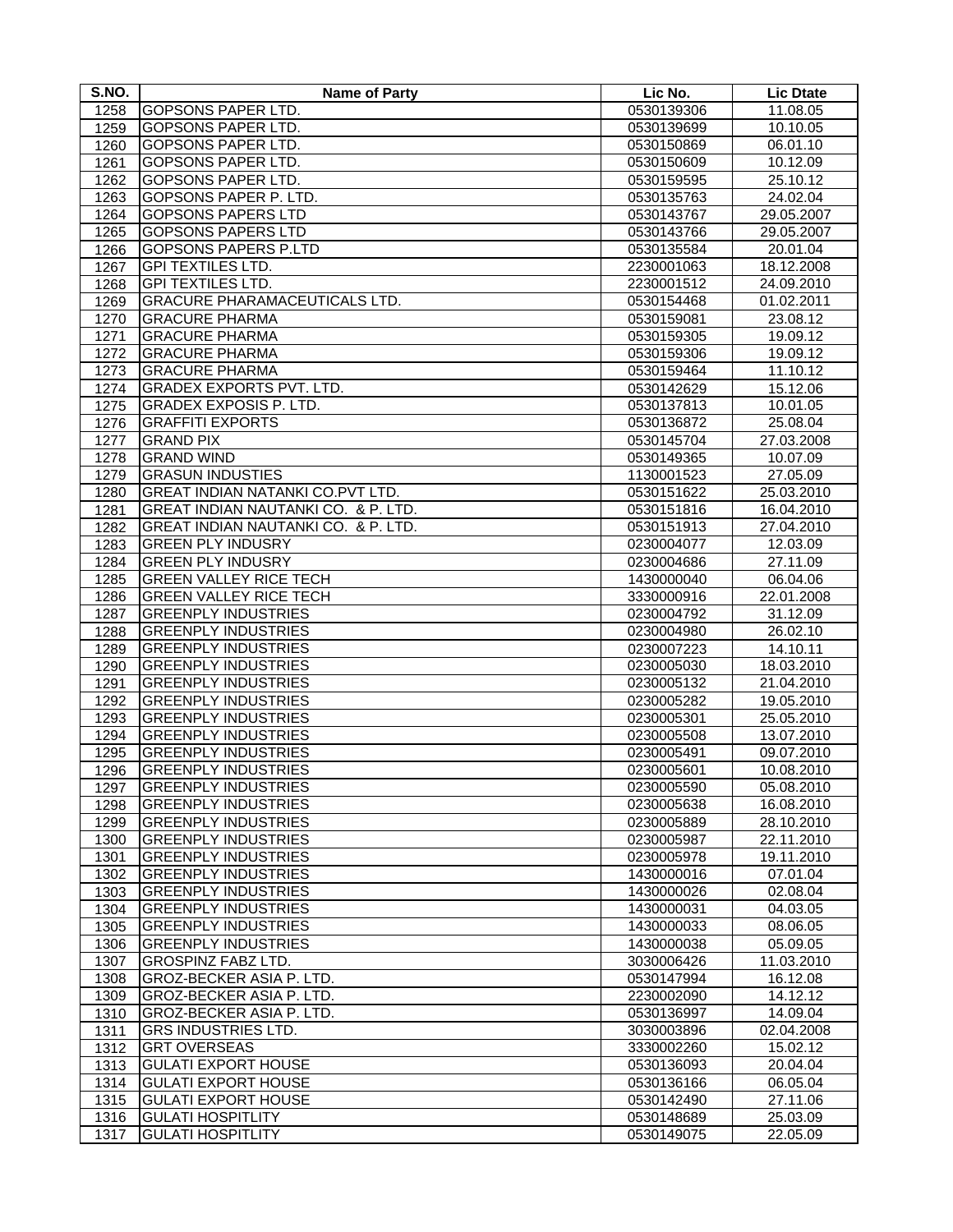| S.NO. | <b>Name of Party</b>                 | Lic No.    | <b>Lic Dtate</b> |
|-------|--------------------------------------|------------|------------------|
| 1258  | GOPSONS PAPER LTD.                   | 0530139306 | 11.08.05         |
| 1259  | <b>GOPSONS PAPER LTD.</b>            | 0530139699 | 10.10.05         |
| 1260  | <b>GOPSONS PAPER LTD.</b>            | 0530150869 | 06.01.10         |
| 1261  | GOPSONS PAPER LTD.                   | 0530150609 | 10.12.09         |
| 1262  | GOPSONS PAPER LTD.                   | 0530159595 | 25.10.12         |
| 1263  | GOPSONS PAPER P. LTD.                | 0530135763 | 24.02.04         |
| 1264  | <b>GOPSONS PAPERS LTD</b>            | 0530143767 | 29.05.2007       |
| 1265  | <b>GOPSONS PAPERS LTD</b>            | 0530143766 | 29.05.2007       |
| 1266  | <b>GOPSONS PAPERS P.LTD</b>          | 0530135584 | 20.01.04         |
| 1267  | <b>GPI TEXTILES LTD.</b>             | 2230001063 | 18.12.2008       |
| 1268  | <b>GPI TEXTILES LTD.</b>             | 2230001512 | 24.09.2010       |
| 1269  | <b>GRACURE PHARAMACEUTICALS LTD.</b> | 0530154468 | 01.02.2011       |
| 1270  | <b>GRACURE PHARMA</b>                | 0530159081 | 23.08.12         |
| 1271  | <b>GRACURE PHARMA</b>                | 0530159305 | 19.09.12         |
| 1272  | <b>GRACURE PHARMA</b>                | 0530159306 | 19.09.12         |
| 1273  | <b>GRACURE PHARMA</b>                | 0530159464 | 11.10.12         |
| 1274  | <b>GRADEX EXPORTS PVT. LTD.</b>      | 0530142629 | 15.12.06         |
| 1275  | <b>GRADEX EXPOSIS P. LTD.</b>        | 0530137813 | 10.01.05         |
| 1276  | <b>GRAFFITI EXPORTS</b>              | 0530136872 | 25.08.04         |
| 1277  | <b>GRAND PIX</b>                     | 0530145704 | 27.03.2008       |
| 1278  | <b>GRAND WIND</b>                    | 0530149365 | 10.07.09         |
| 1279  | <b>GRASUN INDUSTIES</b>              | 1130001523 | 27.05.09         |
| 1280  | GREAT INDIAN NATANKI CO.PVT LTD.     | 0530151622 | 25.03.2010       |
| 1281  | GREAT INDIAN NAUTANKI CO. & P. LTD.  | 0530151816 | 16.04.2010       |
| 1282  | GREAT INDIAN NAUTANKI CO. & P. LTD.  | 0530151913 | 27.04.2010       |
| 1283  | <b>GREEN PLY INDUSRY</b>             | 0230004077 | 12.03.09         |
| 1284  | <b>GREEN PLY INDUSRY</b>             | 0230004686 | 27.11.09         |
| 1285  | <b>GREEN VALLEY RICE TECH</b>        | 1430000040 | 06.04.06         |
| 1286  | <b>GREEN VALLEY RICE TECH</b>        | 3330000916 | 22.01.2008       |
| 1287  | <b>GREENPLY INDUSTRIES</b>           | 0230004792 | 31.12.09         |
| 1288  | <b>GREENPLY INDUSTRIES</b>           | 0230004980 | 26.02.10         |
| 1289  | <b>GREENPLY INDUSTRIES</b>           | 0230007223 | 14.10.11         |
| 1290  | <b>GREENPLY INDUSTRIES</b>           | 0230005030 | 18.03.2010       |
| 1291  | <b>GREENPLY INDUSTRIES</b>           | 0230005132 | 21.04.2010       |
| 1292  | <b>GREENPLY INDUSTRIES</b>           | 0230005282 | 19.05.2010       |
| 1293  | <b>GREENPLY INDUSTRIES</b>           | 0230005301 | 25.05.2010       |
| 1294  | <b>GREENPLY INDUSTRIES</b>           | 0230005508 | 13.07.2010       |
| 1295  | <b>GREENPLY INDUSTRIES</b>           | 0230005491 | 09.07.2010       |
| 1296  | <b>GREENPLY INDUSTRIES</b>           | 0230005601 | 10.08.2010       |
| 1297  | <b>GREENPLY INDUSTRIES</b>           | 0230005590 | 05.08.2010       |
| 1298  | <b>GREENPLY INDUSTRIES</b>           | 0230005638 | 16.08.2010       |
| 1299  | <b>GREENPLY INDUSTRIES</b>           | 0230005889 | 28.10.2010       |
| 1300  | <b>GREENPLY INDUSTRIES</b>           | 0230005987 | 22.11.2010       |
| 1301  | <b>GREENPLY INDUSTRIES</b>           | 0230005978 | 19.11.2010       |
| 1302  | <b>GREENPLY INDUSTRIES</b>           | 1430000016 | 07.01.04         |
| 1303  | <b>GREENPLY INDUSTRIES</b>           | 1430000026 | 02.08.04         |
| 1304  | <b>GREENPLY INDUSTRIES</b>           | 1430000031 | 04.03.05         |
| 1305  | <b>GREENPLY INDUSTRIES</b>           | 1430000033 | 08.06.05         |
| 1306  | <b>GREENPLY INDUSTRIES</b>           | 1430000038 | 05.09.05         |
| 1307  | <b>GROSPINZ FABZ LTD.</b>            | 3030006426 | 11.03.2010       |
| 1308  | GROZ-BECKER ASIA P. LTD.             | 0530147994 | 16.12.08         |
| 1309  | GROZ-BECKER ASIA P. LTD.             | 2230002090 | 14.12.12         |
| 1310  | GROZ-BECKER ASIA P. LTD.             | 0530136997 | 14.09.04         |
| 1311  | <b>GRS INDUSTRIES LTD.</b>           | 3030003896 | 02.04.2008       |
| 1312  | <b>GRT OVERSEAS</b>                  | 3330002260 | 15.02.12         |
| 1313  | <b>GULATI EXPORT HOUSE</b>           | 0530136093 | 20.04.04         |
| 1314  | <b>GULATI EXPORT HOUSE</b>           | 0530136166 | 06.05.04         |
| 1315  | <b>GULATI EXPORT HOUSE</b>           | 0530142490 | 27.11.06         |
| 1316  | <b>GULATI HOSPITLITY</b>             | 0530148689 | 25.03.09         |
| 1317  | <b>GULATI HOSPITLITY</b>             | 0530149075 | 22.05.09         |
|       |                                      |            |                  |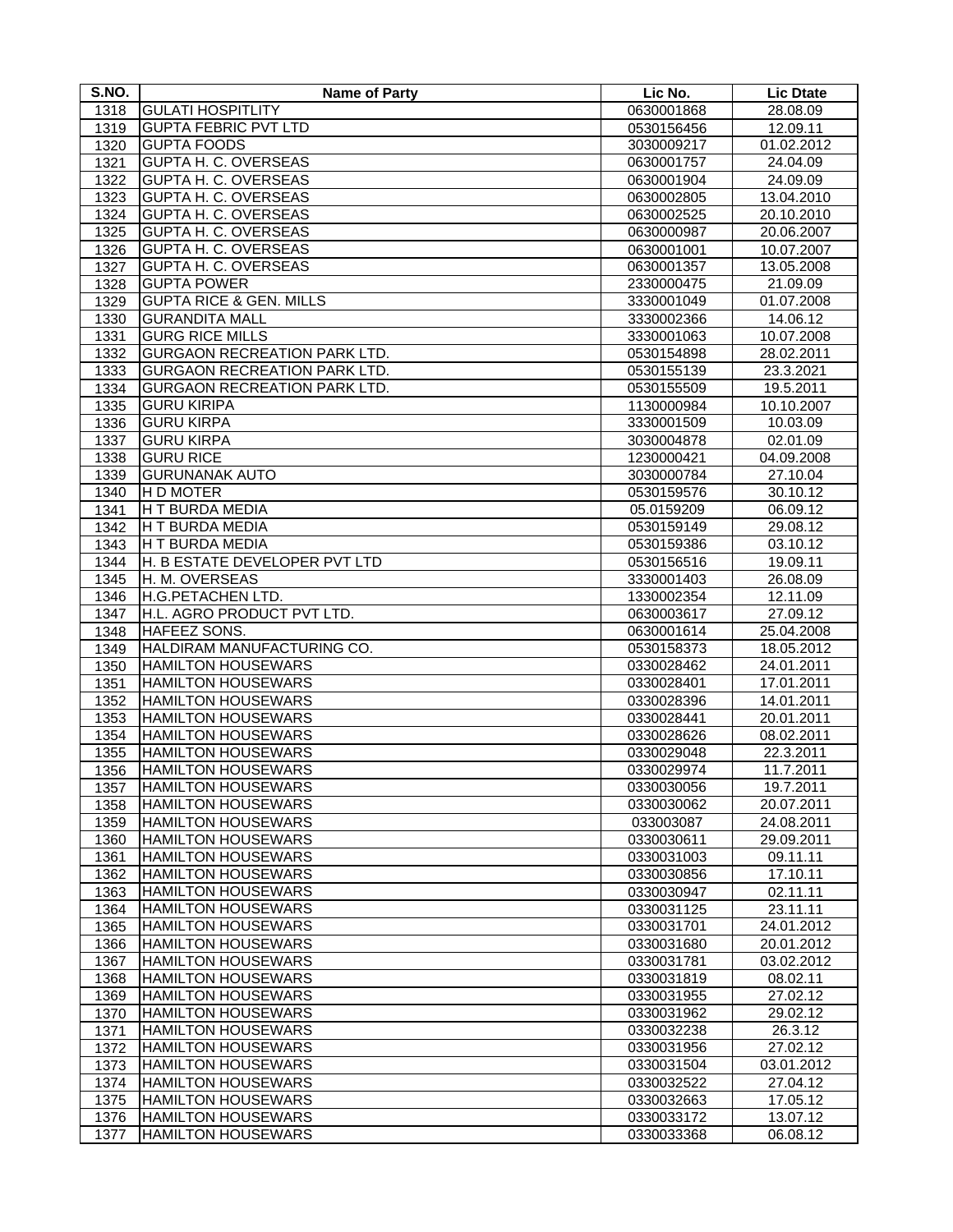| S.NO. | <b>Name of Party</b>                | Lic No.    | <b>Lic Dtate</b> |
|-------|-------------------------------------|------------|------------------|
| 1318  | <b>GULATI HOSPITLITY</b>            | 0630001868 | 28.08.09         |
| 1319  | <b>GUPTA FEBRIC PVT LTD</b>         | 0530156456 | 12.09.11         |
| 1320  | <b>GUPTA FOODS</b>                  | 3030009217 | 01.02.2012       |
| 1321  | <b>GUPTA H. C. OVERSEAS</b>         | 0630001757 | 24.04.09         |
| 1322  | <b>GUPTA H. C. OVERSEAS</b>         | 0630001904 | 24.09.09         |
| 1323  | GUPTA H. C. OVERSEAS                | 0630002805 | 13.04.2010       |
| 1324  | GUPTA H. C. OVERSEAS                | 0630002525 | 20.10.2010       |
| 1325  | <b>GUPTA H. C. OVERSEAS</b>         | 0630000987 | 20.06.2007       |
| 1326  | <b>GUPTA H. C. OVERSEAS</b>         | 0630001001 | 10.07.2007       |
| 1327  | <b>GUPTA H. C. OVERSEAS</b>         | 0630001357 | 13.05.2008       |
| 1328  | <b>GUPTA POWER</b>                  | 2330000475 | 21.09.09         |
| 1329  | <b>GUPTA RICE &amp; GEN. MILLS</b>  | 3330001049 | 01.07.2008       |
| 1330  | <b>GURANDITA MALL</b>               | 3330002366 | 14.06.12         |
| 1331  | <b>GURG RICE MILLS</b>              | 3330001063 | 10.07.2008       |
| 1332  | <b>GURGAON RECREATION PARK LTD.</b> | 0530154898 | 28.02.2011       |
| 1333  | <b>GURGAON RECREATION PARK LTD.</b> | 0530155139 | 23.3.2021        |
| 1334  | <b>GURGAON RECREATION PARK LTD.</b> | 0530155509 | 19.5.2011        |
| 1335  | <b>GURU KIRIPA</b>                  | 1130000984 | 10.10.2007       |
| 1336  | <b>GURU KIRPA</b>                   | 3330001509 | 10.03.09         |
| 1337  | <b>GURU KIRPA</b>                   | 3030004878 | 02.01.09         |
| 1338  | <b>GURU RICE</b>                    | 1230000421 | 04.09.2008       |
| 1339  | <b>GURUNANAK AUTO</b>               | 3030000784 | 27.10.04         |
| 1340  | H D MOTER                           | 0530159576 | 30.10.12         |
| 1341  | <b>H T BURDA MEDIA</b>              | 05.0159209 | 06.09.12         |
| 1342  | H T BURDA MEDIA                     | 0530159149 | 29.08.12         |
| 1343  | H T BURDA MEDIA                     | 0530159386 | 03.10.12         |
| 1344  | H. B ESTATE DEVELOPER PVT LTD       | 0530156516 | 19.09.11         |
| 1345  | H. M. OVERSEAS                      | 3330001403 | 26.08.09         |
| 1346  | H.G.PETACHEN LTD.                   | 1330002354 | 12.11.09         |
| 1347  | H.L. AGRO PRODUCT PVT LTD.          | 0630003617 | 27.09.12         |
| 1348  | HAFEEZ SONS.                        | 0630001614 | 25.04.2008       |
| 1349  | HALDIRAM MANUFACTURING CO.          | 0530158373 | 18.05.2012       |
| 1350  | <b>HAMILTON HOUSEWARS</b>           | 0330028462 | 24.01.2011       |
| 1351  | <b>HAMILTON HOUSEWARS</b>           | 0330028401 | 17.01.2011       |
| 1352  | <b>HAMILTON HOUSEWARS</b>           | 0330028396 | 14.01.2011       |
| 1353  | <b>HAMILTON HOUSEWARS</b>           | 0330028441 | 20.01.2011       |
| 1354  | <b>HAMILTON HOUSEWARS</b>           | 0330028626 | 08.02.2011       |
| 1355  | <b>HAMILTON HOUSEWARS</b>           | 0330029048 | 22.3.2011        |
| 1356  | <b>HAMILTON HOUSEWARS</b>           | 0330029974 | 11.7.2011        |
| 1357  | <b>HAMILTON HOUSEWARS</b>           | 0330030056 | 19.7.2011        |
| 1358  | HAMILTON HOUSEWARS                  | 0330030062 | 20.07.2011       |
| 1359  | <b>HAMILTON HOUSEWARS</b>           | 033003087  | 24.08.2011       |
| 1360  | <b>HAMILTON HOUSEWARS</b>           | 0330030611 | 29.09.2011       |
| 1361  | <b>HAMILTON HOUSEWARS</b>           | 0330031003 | 09.11.11         |
| 1362  | <b>HAMILTON HOUSEWARS</b>           | 0330030856 | 17.10.11         |
| 1363  | <b>HAMILTON HOUSEWARS</b>           | 0330030947 | 02.11.11         |
| 1364  | <b>HAMILTON HOUSEWARS</b>           | 0330031125 | 23.11.11         |
| 1365  | <b>HAMILTON HOUSEWARS</b>           | 0330031701 | 24.01.2012       |
| 1366  | <b>HAMILTON HOUSEWARS</b>           | 0330031680 | 20.01.2012       |
| 1367  | <b>HAMILTON HOUSEWARS</b>           | 0330031781 | 03.02.2012       |
| 1368  | <b>HAMILTON HOUSEWARS</b>           | 0330031819 | 08.02.11         |
| 1369  | <b>HAMILTON HOUSEWARS</b>           | 0330031955 | 27.02.12         |
| 1370  | <b>HAMILTON HOUSEWARS</b>           | 0330031962 | 29.02.12         |
| 1371  | <b>HAMILTON HOUSEWARS</b>           | 0330032238 | 26.3.12          |
| 1372  | <b>HAMILTON HOUSEWARS</b>           | 0330031956 | 27.02.12         |
| 1373  | <b>HAMILTON HOUSEWARS</b>           | 0330031504 | 03.01.2012       |
| 1374  | <b>HAMILTON HOUSEWARS</b>           | 0330032522 | 27.04.12         |
| 1375  | <b>HAMILTON HOUSEWARS</b>           | 0330032663 | 17.05.12         |
| 1376  | <b>HAMILTON HOUSEWARS</b>           | 0330033172 | 13.07.12         |
| 1377  | <b>HAMILTON HOUSEWARS</b>           | 0330033368 | 06.08.12         |
|       |                                     |            |                  |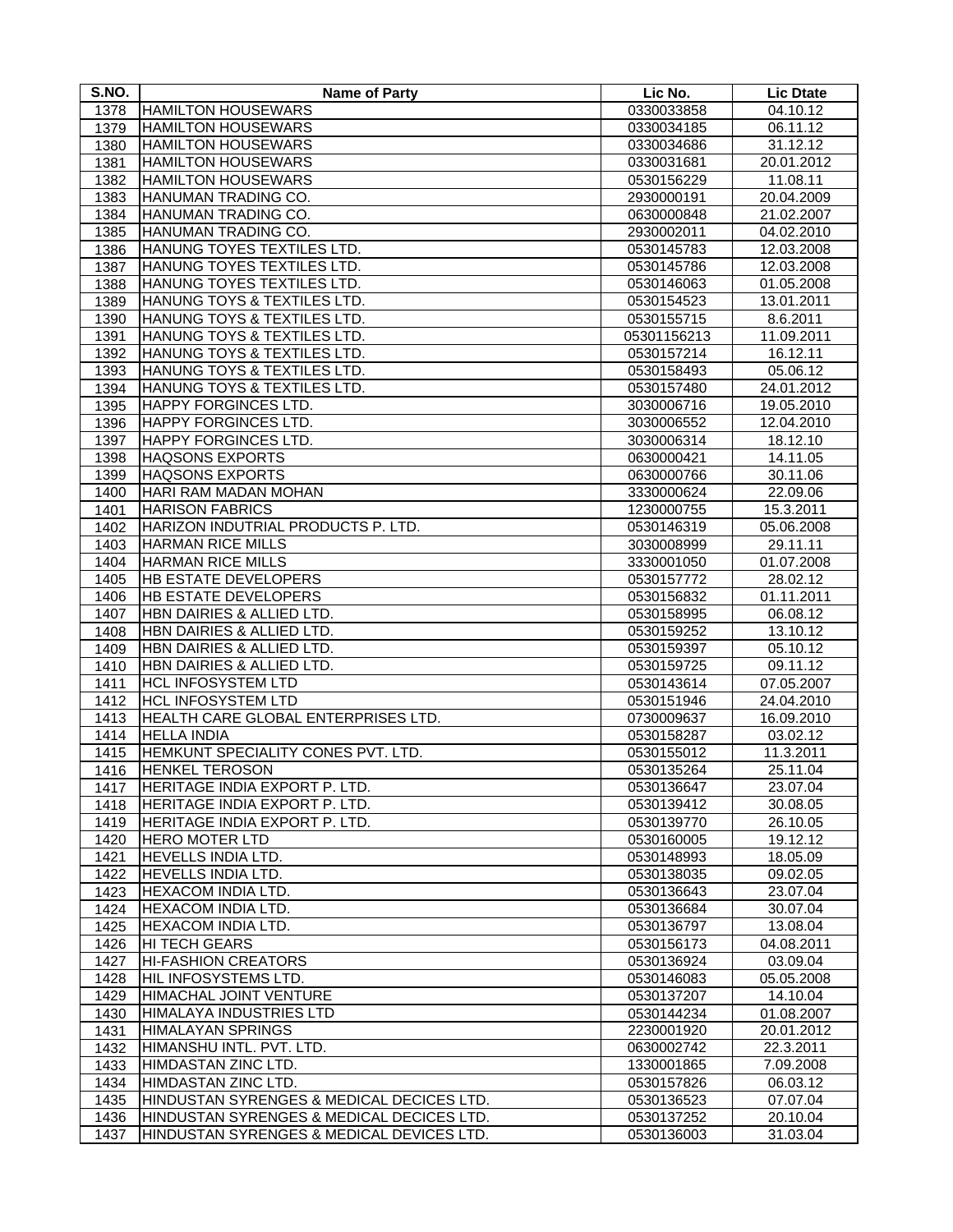| S.NO.        | <b>Name of Party</b>                               | Lic No.                  | <b>Lic Dtate</b>     |
|--------------|----------------------------------------------------|--------------------------|----------------------|
| 1378         | <b>HAMILTON HOUSEWARS</b>                          | 0330033858               | 04.10.12             |
| 1379         | <b>HAMILTON HOUSEWARS</b>                          | 0330034185               | 06.11.12             |
| 1380         | <b>HAMILTON HOUSEWARS</b>                          | 0330034686               | 31.12.12             |
| 1381         | <b>HAMILTON HOUSEWARS</b>                          | 0330031681               | 20.01.2012           |
| 1382         | <b>HAMILTON HOUSEWARS</b>                          | 0530156229               | 11.08.11             |
| 1383         | HANUMAN TRADING CO.                                | 2930000191               | 20.04.2009           |
| 1384         | HANUMAN TRADING CO.                                | 0630000848               | 21.02.2007           |
| 1385         | HANUMAN TRADING CO.                                | 2930002011               | 04.02.2010           |
| 1386         | HANUNG TOYES TEXTILES LTD.                         | 0530145783               | 12.03.2008           |
| 1387         | HANUNG TOYES TEXTILES LTD.                         | 0530145786               | 12.03.2008           |
| 1388         | HANUNG TOYES TEXTILES LTD.                         | 0530146063               | 01.05.2008           |
| 1389         | HANUNG TOYS & TEXTILES LTD.                        | 0530154523               | 13.01.2011           |
| 1390         | HANUNG TOYS & TEXTILES LTD.                        | 0530155715               | 8.6.2011             |
| 1391         | HANUNG TOYS & TEXTILES LTD.                        | 05301156213              | 11.09.2011           |
| 1392         | HANUNG TOYS & TEXTILES LTD.                        | 0530157214               | 16.12.11             |
| 1393         | HANUNG TOYS & TEXTILES LTD.                        | 0530158493               | 05.06.12             |
| 1394         | HANUNG TOYS & TEXTILES LTD.                        | 0530157480               | 24.01.2012           |
| 1395         | <b>HAPPY FORGINCES LTD.</b>                        | 3030006716               | 19.05.2010           |
| 1396         | HAPPY FORGINCES LTD.                               | 3030006552               | 12.04.2010           |
| 1397         | HAPPY FORGINCES LTD.                               | 3030006314               | 18.12.10             |
| 1398         | <b>HAQSONS EXPORTS</b>                             | 0630000421               | 14.11.05             |
| 1399         | <b>HAQSONS EXPORTS</b>                             | 0630000766               | 30.11.06             |
| 1400         | HARI RAM MADAN MOHAN                               | 3330000624               | 22.09.06             |
| 1401         | <b>HARISON FABRICS</b>                             | 1230000755               | 15.3.2011            |
| 1402         | HARIZON INDUTRIAL PRODUCTS P. LTD.                 | 0530146319               | 05.06.2008           |
| 1403         | <b>HARMAN RICE MILLS</b>                           | 3030008999               | 29.11.11             |
| 1404         | <b>HARMAN RICE MILLS</b>                           | 3330001050               | 01.07.2008           |
| 1405         | HB ESTATE DEVELOPERS                               | 0530157772               | 28.02.12             |
| 1406         | HB ESTATE DEVELOPERS                               |                          | 01.11.2011           |
| 1407         | HBN DAIRIES & ALLIED LTD.                          | 0530156832<br>0530158995 | 06.08.12             |
| 1408         | HBN DAIRIES & ALLIED LTD.                          | 0530159252               | 13.10.12             |
| 1409         | HBN DAIRIES & ALLIED LTD.                          | 0530159397               | 05.10.12             |
| 1410         | HBN DAIRIES & ALLIED LTD.                          | 0530159725               | 09.11.12             |
| 1411         | <b>HCL INFOSYSTEM LTD</b>                          | 0530143614               | 07.05.2007           |
| 1412         | <b>HCL INFOSYSTEM LTD</b>                          | 0530151946               | 24.04.2010           |
|              | HEALTH CARE GLOBAL ENTERPRISES LTD.                | 0730009637               | 16.09.2010           |
| 1413         | <b>HELLA INDIA</b>                                 | 0530158287               | 03.02.12             |
| 1414         | HEMKUNT SPECIALITY CONES PVT. LTD.                 | 0530155012               | 11.3.2011            |
| 1415         |                                                    |                          |                      |
| 1416         | <b>HENKEL TEROSON</b>                              | 0530135264               | 25.11.04             |
| 1417         | HERITAGE INDIA EXPORT P. LTD.                      | 0530136647               | 23.07.04             |
| 1418         | HERITAGE INDIA EXPORT P. LTD.                      | 0530139412               | 30.08.05             |
| 1419         | HERITAGE INDIA EXPORT P. LTD.                      | 0530139770               | 26.10.05             |
| 1420         | <b>HERO MOTER LTD</b><br><b>HEVELLS INDIA LTD.</b> | 0530160005               | 19.12.12             |
| 1421         | HEVELLS INDIA LTD.                                 | 0530148993<br>0530138035 | 18.05.09<br>09.02.05 |
| 1422         |                                                    |                          |                      |
| 1423<br>1424 | <b>HEXACOM INDIA LTD.</b>                          | 0530136643               | 23.07.04             |
|              | HEXACOM INDIA LTD.                                 | 0530136684               | 30.07.04             |
| 1425         | HEXACOM INDIA LTD.                                 | 0530136797               | 13.08.04             |
| 1426         | HI TECH GEARS                                      | 0530156173               | 04.08.2011           |
| 1427         | <b>HI-FASHION CREATORS</b>                         | 0530136924               | 03.09.04             |
| 1428         | HIL INFOSYSTEMS LTD.                               | 0530146083               | 05.05.2008           |
| 1429         | HIMACHAL JOINT VENTURE                             | 0530137207               | 14.10.04             |
| 1430         | HIMALAYA INDUSTRIES LTD                            | 0530144234               | 01.08.2007           |
| 1431         | <b>HIMALAYAN SPRINGS</b>                           | 2230001920               | 20.01.2012           |
| 1432         | HIMANSHU INTL. PVT. LTD.                           | 0630002742               | 22.3.2011            |
| 1433         | HIMDASTAN ZINC LTD.                                | 1330001865               | 7.09.2008            |
| 1434         | HIMDASTAN ZINC LTD.                                | 0530157826               | 06.03.12             |
| 1435         | HINDUSTAN SYRENGES & MEDICAL DECICES LTD.          | 0530136523               | 07.07.04             |
| 1436         | HINDUSTAN SYRENGES & MEDICAL DECICES LTD.          | 0530137252               | 20.10.04             |
| 1437         | HINDUSTAN SYRENGES & MEDICAL DEVICES LTD.          | 0530136003               | 31.03.04             |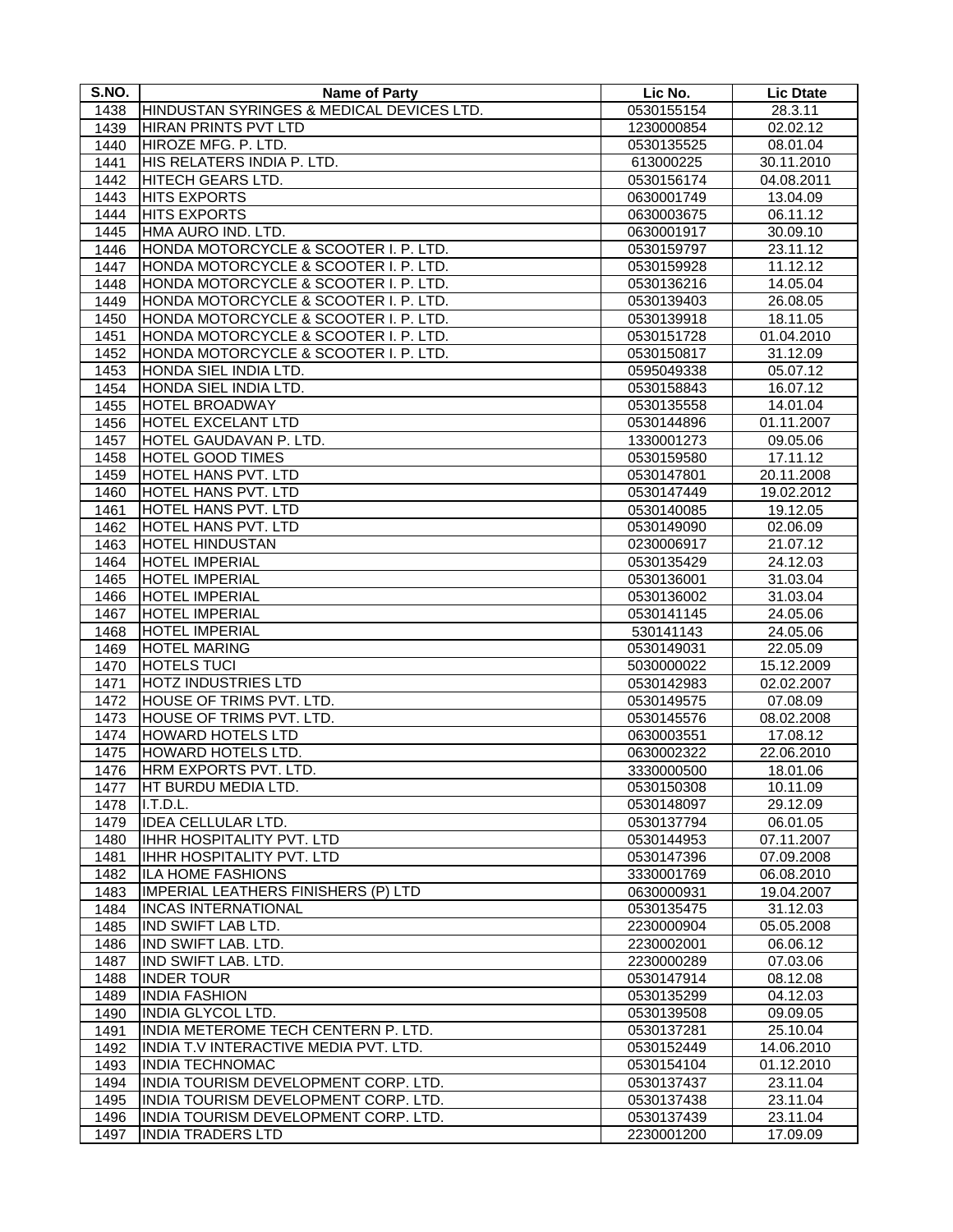| S.NO. | Name of Party                             | Lic No.    | <b>Lic Dtate</b> |
|-------|-------------------------------------------|------------|------------------|
| 1438  | HINDUSTAN SYRINGES & MEDICAL DEVICES LTD. | 0530155154 | 28.3.11          |
| 1439  | HIRAN PRINTS PVT LTD                      | 1230000854 | 02.02.12         |
| 1440  | HIROZE MFG. P. LTD.                       | 0530135525 | 08.01.04         |
| 1441  | HIS RELATERS INDIA P. LTD.                | 613000225  | 30.11.2010       |
| 1442  | HITECH GEARS LTD.                         | 0530156174 | 04.08.2011       |
| 1443  | <b>HITS EXPORTS</b>                       | 0630001749 | 13.04.09         |
| 1444  | <b>HITS EXPORTS</b>                       | 0630003675 | 06.11.12         |
| 1445  | HMA AURO IND. LTD.                        | 0630001917 | 30.09.10         |
| 1446  | HONDA MOTORCYCLE & SCOOTER I. P. LTD.     | 0530159797 | 23.11.12         |
| 1447  | HONDA MOTORCYCLE & SCOOTER I. P. LTD.     | 0530159928 | 11.12.12         |
| 1448  | HONDA MOTORCYCLE & SCOOTER I. P. LTD.     | 0530136216 | 14.05.04         |
| 1449  | HONDA MOTORCYCLE & SCOOTER I. P. LTD.     | 0530139403 | 26.08.05         |
| 1450  | HONDA MOTORCYCLE & SCOOTER I. P. LTD.     | 0530139918 | 18.11.05         |
| 1451  | HONDA MOTORCYCLE & SCOOTER I. P. LTD.     | 0530151728 | 01.04.2010       |
| 1452  | HONDA MOTORCYCLE & SCOOTER I. P. LTD.     | 0530150817 | 31.12.09         |
| 1453  | HONDA SIEL INDIA LTD.                     | 0595049338 | 05.07.12         |
| 1454  | HONDA SIEL INDIA LTD.                     | 0530158843 | 16.07.12         |
| 1455  | <b>HOTEL BROADWAY</b>                     | 0530135558 | 14.01.04         |
| 1456  | <b>HOTEL EXCELANT LTD</b>                 | 0530144896 | 01.11.2007       |
| 1457  | HOTEL GAUDAVAN P. LTD.                    | 1330001273 | 09.05.06         |
| 1458  | <b>HOTEL GOOD TIMES</b>                   | 0530159580 | 17.11.12         |
| 1459  | HOTEL HANS PVT. LTD                       | 0530147801 | 20.11.2008       |
| 1460  | <b>HOTEL HANS PVT. LTD</b>                | 0530147449 | 19.02.2012       |
| 1461  | HOTEL HANS PVT. LTD                       | 0530140085 | 19.12.05         |
| 1462  | HOTEL HANS PVT. LTD                       | 0530149090 | 02.06.09         |
| 1463  | <b>HOTEL HINDUSTAN</b>                    | 0230006917 | 21.07.12         |
| 1464  | <b>HOTEL IMPERIAL</b>                     | 0530135429 | 24.12.03         |
| 1465  | <b>HOTEL IMPERIAL</b>                     | 0530136001 | 31.03.04         |
| 1466  | HOTEL IMPERIAL                            | 0530136002 | 31.03.04         |
| 1467  | <b>HOTEL IMPERIAL</b>                     | 0530141145 | 24.05.06         |
| 1468  | <b>HOTEL IMPERIAL</b>                     | 530141143  | 24.05.06         |
| 1469  | <b>HOTEL MARING</b>                       | 0530149031 | 22.05.09         |
| 1470  | <b>HOTELS TUCI</b>                        | 5030000022 | 15.12.2009       |
| 1471  | <b>HOTZ INDUSTRIES LTD</b>                | 0530142983 | 02.02.2007       |
| 1472  | HOUSE OF TRIMS PVT. LTD.                  | 0530149575 | 07.08.09         |
| 1473  | HOUSE OF TRIMS PVT. LTD.                  | 0530145576 | 08.02.2008       |
| 1474  | <b>HOWARD HOTELS LTD</b>                  | 0630003551 | 17.08.12         |
| 1475  | <b>HOWARD HOTELS LTD.</b>                 | 0630002322 | 22.06.2010       |
| 1476  | HRM EXPORTS PVT. LTD.                     | 3330000500 | 18.01.06         |
| 1477  | <b>HT BURDU MEDIA LTD.</b>                | 0530150308 | 10.11.09         |
| 1478  | II.T.D.L.                                 | 0530148097 | 29.12.09         |
| 1479  | <b>IDEA CELLULAR LTD.</b>                 | 0530137794 | 06.01.05         |
| 1480  | IHHR HOSPITALITY PVT. LTD                 | 0530144953 | 07.11.2007       |
| 1481  | <b>IHHR HOSPITALITY PVT. LTD</b>          | 0530147396 | 07.09.2008       |
| 1482  | <b>ILA HOME FASHIONS</b>                  | 3330001769 | 06.08.2010       |
| 1483  | IMPERIAL LEATHERS FINISHERS (P) LTD       | 0630000931 | 19.04.2007       |
| 1484  | <b>INCAS INTERNATIONAL</b>                | 0530135475 | 31.12.03         |
| 1485  | IND SWIFT LAB LTD.                        | 2230000904 | 05.05.2008       |
| 1486  | IND SWIFT LAB. LTD.                       | 2230002001 | 06.06.12         |
| 1487  | IND SWIFT LAB. LTD.                       | 2230000289 | 07.03.06         |
| 1488  | <b>INDER TOUR</b>                         | 0530147914 | 08.12.08         |
| 1489  | <b>INDIA FASHION</b>                      | 0530135299 | 04.12.03         |
| 1490  | <b>INDIA GLYCOL LTD.</b>                  | 0530139508 | 09.09.05         |
| 1491  | INDIA METEROME TECH CENTERN P. LTD.       | 0530137281 | 25.10.04         |
| 1492  | INDIA T.V INTERACTIVE MEDIA PVT. LTD.     | 0530152449 | 14.06.2010       |
| 1493  | <b>INDIA TECHNOMAC</b>                    | 0530154104 | 01.12.2010       |
| 1494  | INDIA TOURISM DEVELOPMENT CORP. LTD.      | 0530137437 | 23.11.04         |
| 1495  | INDIA TOURISM DEVELOPMENT CORP. LTD.      | 0530137438 | 23.11.04         |
| 1496  | INDIA TOURISM DEVELOPMENT CORP. LTD.      | 0530137439 | 23.11.04         |
| 1497  | <b>INDIA TRADERS LTD</b>                  | 2230001200 | 17.09.09         |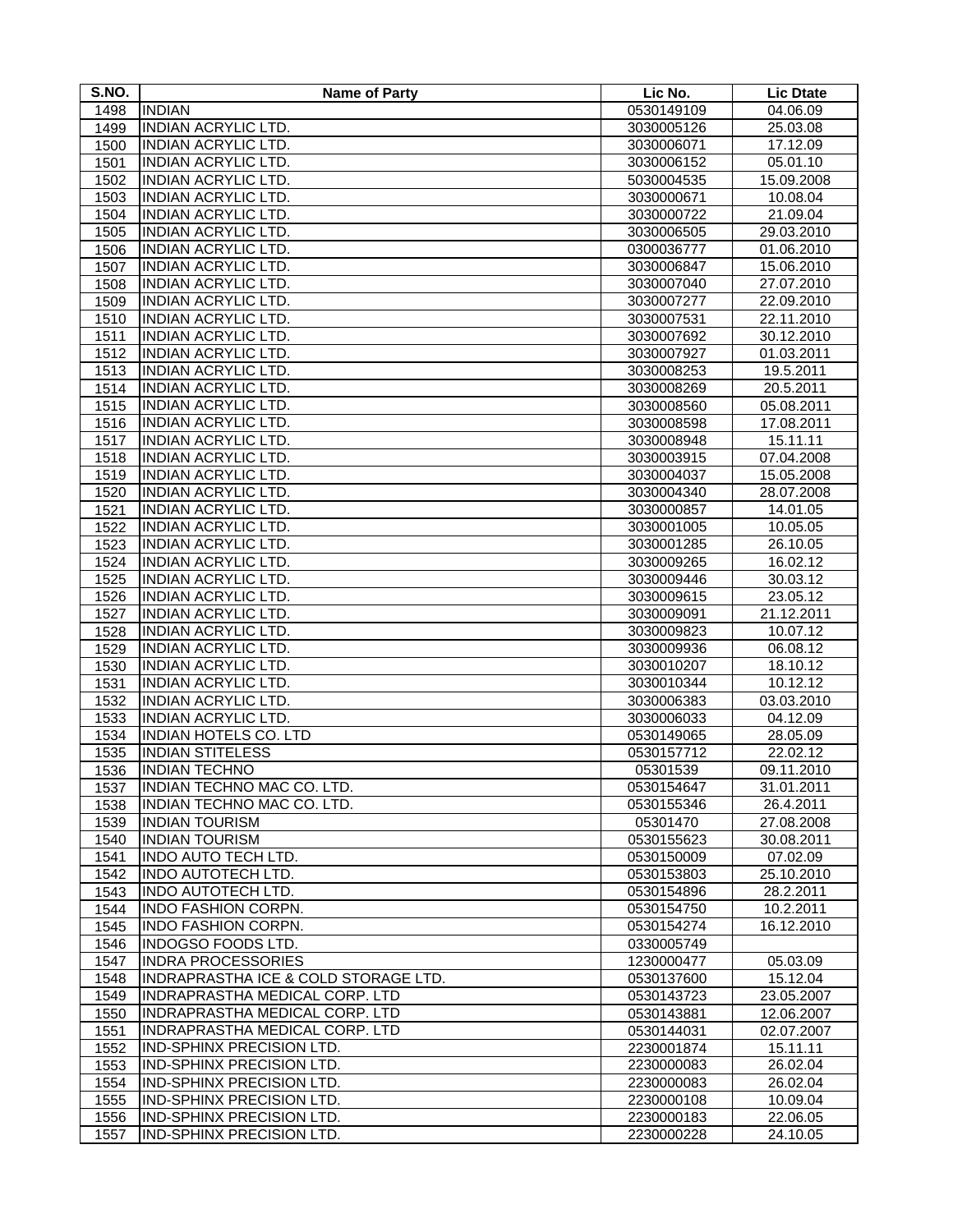| S.NO. | <b>Name of Party</b>                  | Lic No.    | <b>Lic Dtate</b> |
|-------|---------------------------------------|------------|------------------|
| 1498  | <b>INDIAN</b>                         | 0530149109 | 04.06.09         |
| 1499  | <b>INDIAN ACRYLIC LTD.</b>            | 3030005126 | 25.03.08         |
| 1500  | <b>INDIAN ACRYLIC LTD.</b>            | 3030006071 | 17.12.09         |
| 1501  | <b>INDIAN ACRYLIC LTD.</b>            | 3030006152 | 05.01.10         |
| 1502  | <b>INDIAN ACRYLIC LTD.</b>            | 5030004535 | 15.09.2008       |
| 1503  | <b>INDIAN ACRYLIC LTD.</b>            | 3030000671 | 10.08.04         |
| 1504  | <b>INDIAN ACRYLIC LTD.</b>            | 3030000722 | 21.09.04         |
| 1505  | <b>INDIAN ACRYLIC LTD.</b>            | 3030006505 | 29.03.2010       |
| 1506  | <b>INDIAN ACRYLIC LTD.</b>            | 0300036777 | 01.06.2010       |
| 1507  | <b>INDIAN ACRYLIC LTD.</b>            | 3030006847 | 15.06.2010       |
| 1508  | <b>INDIAN ACRYLIC LTD.</b>            | 3030007040 | 27.07.2010       |
| 1509  | <b>INDIAN ACRYLIC LTD.</b>            | 3030007277 | 22.09.2010       |
| 1510  | <b>INDIAN ACRYLIC LTD.</b>            | 3030007531 | 22.11.2010       |
| 1511  | <b>INDIAN ACRYLIC LTD.</b>            | 3030007692 | 30.12.2010       |
| 1512  | <b>INDIAN ACRYLIC LTD.</b>            | 3030007927 | 01.03.2011       |
| 1513  | <b>INDIAN ACRYLIC LTD.</b>            | 3030008253 | 19.5.2011        |
| 1514  | <b>INDIAN ACRYLIC LTD.</b>            | 3030008269 | 20.5.2011        |
| 1515  | <b>INDIAN ACRYLIC LTD.</b>            | 3030008560 | 05.08.2011       |
| 1516  | <b>INDIAN ACRYLIC LTD.</b>            | 3030008598 | 17.08.2011       |
| 1517  | <b>INDIAN ACRYLIC LTD.</b>            | 3030008948 | 15.11.11         |
| 1518  | <b>INDIAN ACRYLIC LTD.</b>            | 3030003915 | 07.04.2008       |
| 1519  | <b>INDIAN ACRYLIC LTD.</b>            | 3030004037 | 15.05.2008       |
| 1520  | <b>INDIAN ACRYLIC LTD.</b>            | 3030004340 | 28.07.2008       |
| 1521  | <b>INDIAN ACRYLIC LTD.</b>            | 3030000857 | 14.01.05         |
| 1522  | <b>INDIAN ACRYLIC LTD.</b>            | 3030001005 | 10.05.05         |
| 1523  | <b>INDIAN ACRYLIC LTD.</b>            | 3030001285 | 26.10.05         |
| 1524  | <b>INDIAN ACRYLIC LTD.</b>            | 3030009265 | 16.02.12         |
| 1525  | <b>INDIAN ACRYLIC LTD.</b>            | 3030009446 | 30.03.12         |
| 1526  | <b>INDIAN ACRYLIC LTD.</b>            | 3030009615 | 23.05.12         |
| 1527  | <b>INDIAN ACRYLIC LTD.</b>            | 3030009091 | 21.12.2011       |
| 1528  | <b>INDIAN ACRYLIC LTD.</b>            | 3030009823 | 10.07.12         |
| 1529  | <b>INDIAN ACRYLIC LTD.</b>            | 3030009936 | 06.08.12         |
| 1530  | <b>INDIAN ACRYLIC LTD.</b>            | 3030010207 | 18.10.12         |
| 1531  | <b>INDIAN ACRYLIC LTD.</b>            | 3030010344 | 10.12.12         |
| 1532  | INDIAN ACRYLIC LTD.                   | 3030006383 | 03.03.2010       |
| 1533  | <b>INDIAN ACRYLIC LTD.</b>            | 3030006033 | 04.12.09         |
| 1534  | <b>INDIAN HOTELS CO. LTD</b>          | 0530149065 | 28.05.09         |
| 1535  | <b>INDIAN STITELESS</b>               | 0530157712 | 22.02.12         |
| 1536  | <b>INDIAN TECHNO</b>                  | 05301539   | 09.11.2010       |
| 1537  | <b>INDIAN TECHNO MAC CO. LTD.</b>     | 0530154647 | 31.01.2011       |
| 1538  | INDIAN TECHNO MAC CO. LTD.            | 0530155346 | 26.4.2011        |
| 1539  | <b>INDIAN TOURISM</b>                 | 05301470   | 27.08.2008       |
| 1540  | <b>INDIAN TOURISM</b>                 | 0530155623 | 30.08.2011       |
| 1541  | INDO AUTO TECH LTD.                   | 0530150009 | 07.02.09         |
| 1542  | INDO AUTOTECH LTD.                    | 0530153803 | 25.10.2010       |
| 1543  | <b>INDO AUTOTECH LTD.</b>             | 0530154896 | 28.2.2011        |
| 1544  | <b>INDO FASHION CORPN.</b>            | 0530154750 | 10.2.2011        |
| 1545  | INDO FASHION CORPN.                   | 0530154274 | 16.12.2010       |
| 1546  | <b>INDOGSO FOODS LTD.</b>             | 0330005749 |                  |
| 1547  | <b>INDRA PROCESSORIES</b>             | 1230000477 | 05.03.09         |
| 1548  | INDRAPRASTHA ICE & COLD STORAGE LTD.  | 0530137600 | 15.12.04         |
| 1549  | INDRAPRASTHA MEDICAL CORP. LTD        | 0530143723 | 23.05.2007       |
| 1550  | <b>INDRAPRASTHA MEDICAL CORP. LTD</b> | 0530143881 | 12.06.2007       |
| 1551  | INDRAPRASTHA MEDICAL CORP. LTD        | 0530144031 | 02.07.2007       |
| 1552  | IND-SPHINX PRECISION LTD.             | 2230001874 | 15.11.11         |
| 1553  | <b>IND-SPHINX PRECISION LTD.</b>      | 2230000083 | 26.02.04         |
| 1554  | <b>IND-SPHINX PRECISION LTD.</b>      | 2230000083 | 26.02.04         |
| 1555  | <b>IND-SPHINX PRECISION LTD.</b>      | 2230000108 | 10.09.04         |
| 1556  | IND-SPHINX PRECISION LTD.             | 2230000183 | 22.06.05         |
| 1557  | <b>IND-SPHINX PRECISION LTD.</b>      | 2230000228 | 24.10.05         |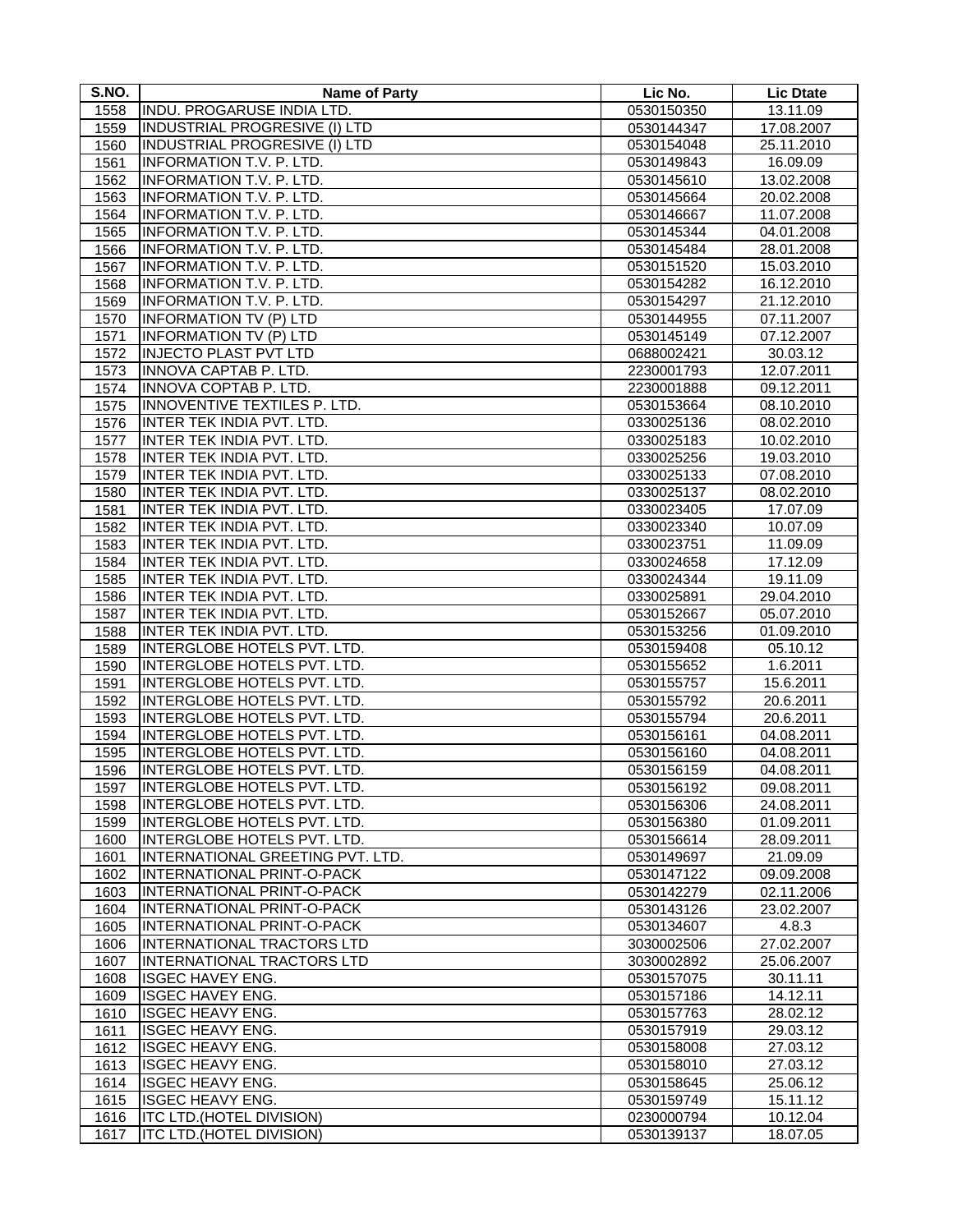| S.NO. | <b>Name of Party</b>                 | Lic No.    | <b>Lic Dtate</b> |
|-------|--------------------------------------|------------|------------------|
| 1558  | <b>INDU. PROGARUSE INDIA LTD.</b>    | 0530150350 | 13.11.09         |
| 1559  | <b>INDUSTRIAL PROGRESIVE (I) LTD</b> | 0530144347 | 17.08.2007       |
| 1560  | <b>INDUSTRIAL PROGRESIVE (I) LTD</b> | 0530154048 | 25.11.2010       |
| 1561  | <b>INFORMATION T.V. P. LTD.</b>      | 0530149843 | 16.09.09         |
| 1562  | <b>INFORMATION T.V. P. LTD.</b>      | 0530145610 | 13.02.2008       |
| 1563  | <b>INFORMATION T.V. P. LTD.</b>      | 0530145664 | 20.02.2008       |
| 1564  | <b>INFORMATION T.V. P. LTD.</b>      | 0530146667 | 11.07.2008       |
| 1565  | <b>INFORMATION T.V. P. LTD.</b>      | 0530145344 | 04.01.2008       |
| 1566  | <b>INFORMATION T.V. P. LTD.</b>      | 0530145484 | 28.01.2008       |
| 1567  | <b>INFORMATION T.V. P. LTD.</b>      | 0530151520 | 15.03.2010       |
| 1568  | <b>INFORMATION T.V. P. LTD.</b>      | 0530154282 | 16.12.2010       |
| 1569  | <b>INFORMATION T.V. P. LTD.</b>      | 0530154297 | 21.12.2010       |
| 1570  | <b>INFORMATION TV (P) LTD</b>        | 0530144955 | 07.11.2007       |
| 1571  | <b>INFORMATION TV (P) LTD</b>        | 0530145149 | 07.12.2007       |
| 1572  | <b>INJECTO PLAST PVT LTD</b>         | 0688002421 | 30.03.12         |
| 1573  | <b>INNOVA CAPTAB P. LTD.</b>         | 2230001793 | 12.07.2011       |
| 1574  | <b>INNOVA COPTAB P. LTD.</b>         | 2230001888 | 09.12.2011       |
| 1575  | INNOVENTIVE TEXTILES P. LTD.         | 0530153664 | 08.10.2010       |
| 1576  | <b>INTER TEK INDIA PVT. LTD.</b>     | 0330025136 | 08.02.2010       |
| 1577  | <b>INTER TEK INDIA PVT. LTD.</b>     | 0330025183 | 10.02.2010       |
| 1578  | <b>INTER TEK INDIA PVT. LTD.</b>     | 0330025256 | 19.03.2010       |
| 1579  | INTER TEK INDIA PVT. LTD.            | 0330025133 | 07.08.2010       |
| 1580  | <b>INTER TEK INDIA PVT. LTD.</b>     | 0330025137 | 08.02.2010       |
| 1581  | INTER TEK INDIA PVT. LTD.            | 0330023405 | 17.07.09         |
| 1582  | <b>INTER TEK INDIA PVT. LTD.</b>     | 0330023340 | 10.07.09         |
| 1583  | INTER TEK INDIA PVT. LTD.            | 0330023751 | 11.09.09         |
| 1584  | INTER TEK INDIA PVT. LTD.            | 0330024658 | 17.12.09         |
| 1585  | <b>INTER TEK INDIA PVT. LTD.</b>     | 0330024344 | 19.11.09         |
| 1586  | <b>INTER TEK INDIA PVT. LTD.</b>     | 0330025891 | 29.04.2010       |
| 1587  | INTER TEK INDIA PVT. LTD.            | 0530152667 | 05.07.2010       |
| 1588  | INTER TEK INDIA PVT. LTD.            | 0530153256 | 01.09.2010       |
| 1589  | INTERGLOBE HOTELS PVT. LTD.          | 0530159408 | 05.10.12         |
| 1590  | INTERGLOBE HOTELS PVT. LTD.          | 0530155652 | 1.6.2011         |
| 1591  | INTERGLOBE HOTELS PVT. LTD.          | 0530155757 | 15.6.2011        |
| 1592  | INTERGLOBE HOTELS PVT. LTD.          | 0530155792 | 20.6.2011        |
| 1593  | INTERGLOBE HOTELS PVT. LTD.          | 0530155794 | 20.6.2011        |
| 1594  | <b>INTERGLOBE HOTELS PVT. LTD.</b>   | 0530156161 | 04.08.2011       |
| 1595  | INTERGLOBE HOTELS PVT. LTD.          | 0530156160 | 04.08.2011       |
| 1596  | INTERGLOBE HOTELS PVT. LTD.          | 0530156159 | 04.08.2011       |
| 1597  | INTERGLOBE HOTELS PVT. LTD.          | 0530156192 | 09.08.2011       |
| 1598  | INTERGLOBE HOTELS PVT. LTD.          | 0530156306 | 24.08.2011       |
| 1599  | <b>INTERGLOBE HOTELS PVT. LTD.</b>   | 0530156380 | 01.09.2011       |
| 1600  | INTERGLOBE HOTELS PVT. LTD.          | 0530156614 | 28.09.2011       |
| 1601  | INTERNATIONAL GREETING PVT. LTD.     | 0530149697 | 21.09.09         |
| 1602  | <b>INTERNATIONAL PRINT-O-PACK</b>    | 0530147122 | 09.09.2008       |
| 1603  | INTERNATIONAL PRINT-O-PACK           | 0530142279 | 02.11.2006       |
| 1604  | <b>INTERNATIONAL PRINT-O-PACK</b>    | 0530143126 | 23.02.2007       |
| 1605  | <b>INTERNATIONAL PRINT-O-PACK</b>    | 0530134607 | 4.8.3            |
| 1606  | <b>INTERNATIONAL TRACTORS LTD</b>    | 3030002506 | 27.02.2007       |
| 1607  | <b>INTERNATIONAL TRACTORS LTD</b>    | 3030002892 | 25.06.2007       |
| 1608  | <b>ISGEC HAVEY ENG.</b>              | 0530157075 | 30.11.11         |
| 1609  | <b>ISGEC HAVEY ENG.</b>              | 0530157186 | 14.12.11         |
| 1610  | <b>ISGEC HEAVY ENG.</b>              | 0530157763 | 28.02.12         |
| 1611  | <b>ISGEC HEAVY ENG.</b>              | 0530157919 | 29.03.12         |
| 1612  | <b>ISGEC HEAVY ENG.</b>              | 0530158008 | 27.03.12         |
| 1613  | <b>ISGEC HEAVY ENG.</b>              | 0530158010 | 27.03.12         |
| 1614  | <b>ISGEC HEAVY ENG.</b>              | 0530158645 | 25.06.12         |
| 1615  | <b>ISGEC HEAVY ENG.</b>              | 0530159749 | 15.11.12         |
| 1616  | <b>ITC LTD.(HOTEL DIVISION)</b>      | 0230000794 | 10.12.04         |
| 1617  | <b>ITC LTD.(HOTEL DIVISION)</b>      | 0530139137 | 18.07.05         |
|       |                                      |            |                  |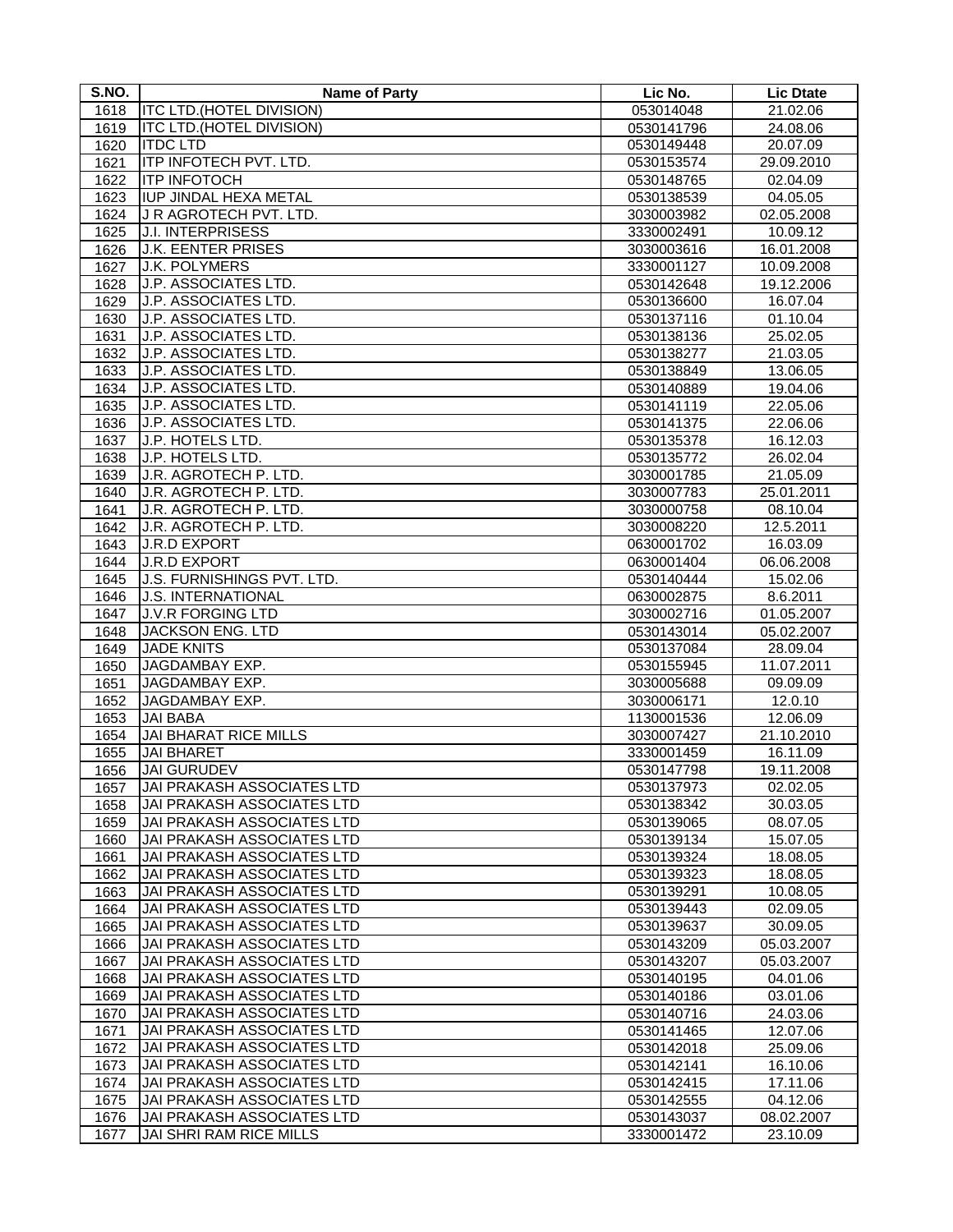| S.NO. | <b>Name of Party</b>              | Lic No.    | <b>Lic Dtate</b> |
|-------|-----------------------------------|------------|------------------|
| 1618  | <b>ITC LTD.(HOTEL DIVISION)</b>   | 053014048  | 21.02.06         |
| 1619  | <b>ITC LTD.(HOTEL DIVISION)</b>   | 0530141796 | 24.08.06         |
| 1620  | <b>ITDC LTD</b>                   | 0530149448 | 20.07.09         |
| 1621  | ITP INFOTECH PVT. LTD.            | 0530153574 | 29.09.2010       |
| 1622  | <b>ITP INFOTOCH</b>               | 0530148765 | 02.04.09         |
| 1623  | <b>IUP JINDAL HEXA METAL</b>      | 0530138539 | 04.05.05         |
| 1624  | J R AGROTECH PVT. LTD.            | 3030003982 | 02.05.2008       |
| 1625  | <b>J.I. INTERPRISESS</b>          | 3330002491 | 10.09.12         |
| 1626  | <b>J.K. EENTER PRISES</b>         | 3030003616 | 16.01.2008       |
| 1627  | <b>J.K. POLYMERS</b>              | 3330001127 | 10.09.2008       |
| 1628  | J.P. ASSOCIATES LTD.              | 0530142648 | 19.12.2006       |
| 1629  | J.P. ASSOCIATES LTD.              | 0530136600 | 16.07.04         |
| 1630  | J.P. ASSOCIATES LTD.              | 0530137116 | 01.10.04         |
| 1631  | J.P. ASSOCIATES LTD.              | 0530138136 | 25.02.05         |
| 1632  | J.P. ASSOCIATES LTD.              | 0530138277 | 21.03.05         |
| 1633  | J.P. ASSOCIATES LTD.              | 0530138849 | 13.06.05         |
| 1634  | J.P. ASSOCIATES LTD.              | 0530140889 | 19.04.06         |
| 1635  | J.P. ASSOCIATES LTD.              | 0530141119 | 22.05.06         |
| 1636  | J.P. ASSOCIATES LTD.              | 0530141375 | 22.06.06         |
| 1637  | J.P. HOTELS LTD.                  | 0530135378 | 16.12.03         |
| 1638  | J.P. HOTELS LTD.                  | 0530135772 | 26.02.04         |
| 1639  | J.R. AGROTECH P. LTD.             | 3030001785 | 21.05.09         |
| 1640  | J.R. AGROTECH P. LTD.             | 3030007783 | 25.01.2011       |
| 1641  | J.R. AGROTECH P. LTD.             | 3030000758 | 08.10.04         |
| 1642  | J.R. AGROTECH P. LTD.             | 3030008220 | 12.5.2011        |
| 1643  | <b>J.R.D EXPORT</b>               | 0630001702 | 16.03.09         |
| 1644  | <b>J.R.D EXPORT</b>               | 0630001404 | 06.06.2008       |
| 1645  | J.S. FURNISHINGS PVT. LTD.        | 0530140444 | 15.02.06         |
| 1646  | <b>J.S. INTERNATIONAL</b>         | 0630002875 | 8.6.2011         |
| 1647  | <b>J.V.R FORGING LTD</b>          | 3030002716 | 01.05.2007       |
| 1648  | <b>JACKSON ENG. LTD</b>           | 0530143014 | 05.02.2007       |
| 1649  | <b>JADE KNITS</b>                 | 0530137084 | 28.09.04         |
| 1650  | JAGDAMBAY EXP.                    | 0530155945 | 11.07.2011       |
| 1651  | JAGDAMBAY EXP.                    | 3030005688 | 09.09.09         |
| 1652  | JAGDAMBAY EXP.                    | 3030006171 | 12.0.10          |
| 1653  | <b>JAI BABA</b>                   | 1130001536 | 12.06.09         |
| 1654  | <b>JAI BHARAT RICE MILLS</b>      | 3030007427 | 21.10.2010       |
| 1655  | <b>JAI BHARET</b>                 | 3330001459 | 16.11.09         |
| 1656  | <b>JAI GURUDEV</b>                | 0530147798 | 19.11.2008       |
| 1657  | JAI PRAKASH ASSOCIATES LTD        | 0530137973 | 02.02.05         |
| 1658  | JAI PRAKASH ASSOCIATES LTD        | 0530138342 | 30.03.05         |
| 1659  | JAI PRAKASH ASSOCIATES LTD        | 0530139065 | 08.07.05         |
| 1660  | JAI PRAKASH ASSOCIATES LTD        | 0530139134 | 15.07.05         |
| 1661  | JAI PRAKASH ASSOCIATES LTD        | 0530139324 | 18.08.05         |
| 1662  | JAI PRAKASH ASSOCIATES LTD        | 0530139323 | 18.08.05         |
| 1663  | <b>JAI PRAKASH ASSOCIATES LTD</b> | 0530139291 | 10.08.05         |
| 1664  | JAI PRAKASH ASSOCIATES LTD        | 0530139443 | 02.09.05         |
| 1665  | JAI PRAKASH ASSOCIATES LTD        | 0530139637 | 30.09.05         |
| 1666  | JAI PRAKASH ASSOCIATES LTD        | 0530143209 | 05.03.2007       |
| 1667  | JAI PRAKASH ASSOCIATES LTD        | 0530143207 | 05.03.2007       |
| 1668  | JAI PRAKASH ASSOCIATES LTD        | 0530140195 | 04.01.06         |
| 1669  | <b>JAI PRAKASH ASSOCIATES LTD</b> | 0530140186 | 03.01.06         |
| 1670  | JAI PRAKASH ASSOCIATES LTD        | 0530140716 | 24.03.06         |
| 1671  | JAI PRAKASH ASSOCIATES LTD        | 0530141465 | 12.07.06         |
| 1672  | JAI PRAKASH ASSOCIATES LTD        | 0530142018 | 25.09.06         |
| 1673  | JAI PRAKASH ASSOCIATES LTD        | 0530142141 | 16.10.06         |
| 1674  | JAI PRAKASH ASSOCIATES LTD        | 0530142415 | 17.11.06         |
| 1675  | JAI PRAKASH ASSOCIATES LTD        | 0530142555 | 04.12.06         |
| 1676  | JAI PRAKASH ASSOCIATES LTD        | 0530143037 | 08.02.2007       |
| 1677  | <b>JAI SHRI RAM RICE MILLS</b>    | 3330001472 | 23.10.09         |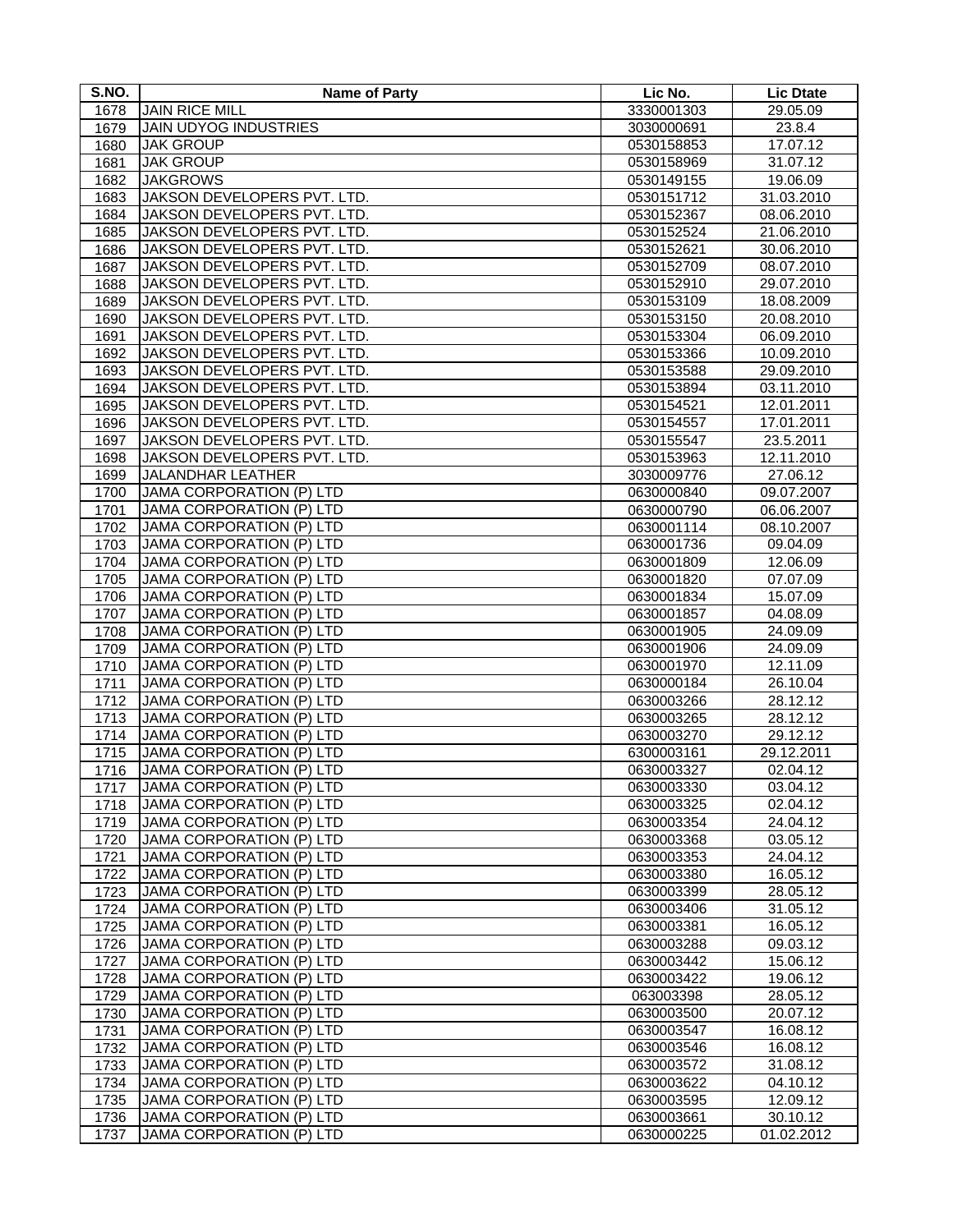| S.NO.        | <b>Name of Party</b>                                        | Lic No.                  | <b>Lic Dtate</b>     |
|--------------|-------------------------------------------------------------|--------------------------|----------------------|
| 1678         | <b>JAIN RICE MILL</b>                                       | 3330001303               | 29.05.09             |
| 1679         | <b>JAIN UDYOG INDUSTRIES</b>                                | 3030000691               | 23.8.4               |
| 1680         | <b>JAK GROUP</b>                                            | 0530158853               | 17.07.12             |
| 1681         | <b>JAK GROUP</b>                                            | 0530158969               | 31.07.12             |
| 1682         | <b>JAKGROWS</b>                                             | 0530149155               | 19.06.09             |
| 1683         | JAKSON DEVELOPERS PVT. LTD.                                 | 0530151712               | 31.03.2010           |
| 1684         | JAKSON DEVELOPERS PVT. LTD.                                 | 0530152367               | 08.06.2010           |
| 1685         | JAKSON DEVELOPERS PVT. LTD.                                 | 0530152524               | 21.06.2010           |
| 1686         | JAKSON DEVELOPERS PVT. LTD.                                 | 0530152621               | 30.06.2010           |
| 1687         | JAKSON DEVELOPERS PVT. LTD.                                 | 0530152709               | 08.07.2010           |
| 1688         | JAKSON DEVELOPERS PVT. LTD.                                 | 0530152910               | 29.07.2010           |
| 1689         | JAKSON DEVELOPERS PVT. LTD.                                 | 0530153109               | 18.08.2009           |
| 1690         | JAKSON DEVELOPERS PVT. LTD.                                 | 0530153150               | 20.08.2010           |
| 1691         | JAKSON DEVELOPERS PVT. LTD.                                 | 0530153304               | 06.09.2010           |
| 1692         | JAKSON DEVELOPERS PVT. LTD.                                 | 0530153366               | 10.09.2010           |
| 1693         | JAKSON DEVELOPERS PVT. LTD.                                 | 0530153588               | 29.09.2010           |
| 1694         | JAKSON DEVELOPERS PVT. LTD.                                 | 0530153894               | 03.11.2010           |
| 1695         | JAKSON DEVELOPERS PVT. LTD.                                 | 0530154521               | 12.01.2011           |
| 1696         | JAKSON DEVELOPERS PVT. LTD.                                 | 0530154557               | 17.01.2011           |
| 1697         | JAKSON DEVELOPERS PVT. LTD.                                 | 0530155547               | 23.5.2011            |
| 1698         | JAKSON DEVELOPERS PVT. LTD.                                 | 0530153963               | 12.11.2010           |
| 1699         | <b>JALANDHAR LEATHER</b>                                    | 3030009776               | 27.06.12             |
| 1700         | JAMA CORPORATION (P) LTD                                    | 0630000840               | 09.07.2007           |
| 1701         | <b>JAMA CORPORATION (P) LTD</b>                             | 0630000790               | 06.06.2007           |
| 1702         | JAMA CORPORATION (P) LTD                                    | 0630001114               | 08.10.2007           |
| 1703         | JAMA CORPORATION (P) LTD                                    | 0630001736               | 09.04.09             |
| 1704         | JAMA CORPORATION (P) LTD                                    | 0630001809               | 12.06.09             |
| 1705         | JAMA CORPORATION (P) LTD                                    | 0630001820               | 07.07.09             |
| 1706         | JAMA CORPORATION (P) LTD                                    | 0630001834               | 15.07.09             |
| 1707         | JAMA CORPORATION (P) LTD                                    | 0630001857               | 04.08.09             |
| 1708         | JAMA CORPORATION (P) LTD                                    | 0630001905               | 24.09.09             |
| 1709         | JAMA CORPORATION (P) LTD                                    | 0630001906               | 24.09.09             |
| 1710         | <b>JAMA CORPORATION (P) LTD</b>                             | 0630001970               | 12.11.09             |
| 1711<br>1712 | JAMA CORPORATION (P) LTD<br><b>JAMA CORPORATION (P) LTD</b> | 0630000184<br>0630003266 | 26.10.04<br>28.12.12 |
| 1713         | JAMA CORPORATION (P) LTD                                    | 0630003265               | 28.12.12             |
| 1714         | <b>JAMA CORPORATION (P) LTD</b>                             | 0630003270               | 29.12.12             |
| 1715         | <b>JAMA CORPORATION (P) LTD</b>                             | 6300003161               | 29.12.2011           |
| 1716         | JAMA CORPORATION (P) LTD                                    | 0630003327               | 02.04.12             |
| 1717         | JAMA CORPORATION (P) LTD                                    | 0630003330               | 03.04.12             |
| 1718         | JAMA CORPORATION (P) LTD                                    | 0630003325               | 02.04.12             |
| 1719         | JAMA CORPORATION (P) LTD                                    | 0630003354               | 24.04.12             |
| 1720         | JAMA CORPORATION (P) LTD                                    | 0630003368               | 03.05.12             |
| 1721         | JAMA CORPORATION (P) LTD                                    | 0630003353               | 24.04.12             |
| 1722         | JAMA CORPORATION (P) LTD                                    | 0630003380               | 16.05.12             |
| 1723         | <b>JAMA CORPORATION (P) LTD</b>                             | 0630003399               | 28.05.12             |
| 1724         | <b>JAMA CORPORATION (P) LTD</b>                             | 0630003406               | 31.05.12             |
| 1725         | JAMA CORPORATION (P) LTD                                    | 0630003381               | 16.05.12             |
| 1726         | JAMA CORPORATION (P) LTD                                    | 0630003288               | 09.03.12             |
| 1727         | JAMA CORPORATION (P) LTD                                    | 0630003442               | 15.06.12             |
| 1728         | JAMA CORPORATION (P) LTD                                    | 0630003422               | 19.06.12             |
| 1729         | JAMA CORPORATION (P) LTD                                    | 063003398                | 28.05.12             |
| 1730         | JAMA CORPORATION (P) LTD                                    | 0630003500               | 20.07.12             |
| 1731         | JAMA CORPORATION (P) LTD                                    | 0630003547               | 16.08.12             |
| 1732         | JAMA CORPORATION (P) LTD                                    | 0630003546               | 16.08.12             |
| 1733         | JAMA CORPORATION (P) LTD                                    | 0630003572               | 31.08.12             |
| 1734         | JAMA CORPORATION (P) LTD                                    | 0630003622               | 04.10.12             |
| 1735<br>1736 | JAMA CORPORATION (P) LTD<br>JAMA CORPORATION (P) LTD        | 0630003595<br>0630003661 | 12.09.12<br>30.10.12 |
| 1737         | JAMA CORPORATION (P) LTD                                    | 0630000225               | 01.02.2012           |
|              |                                                             |                          |                      |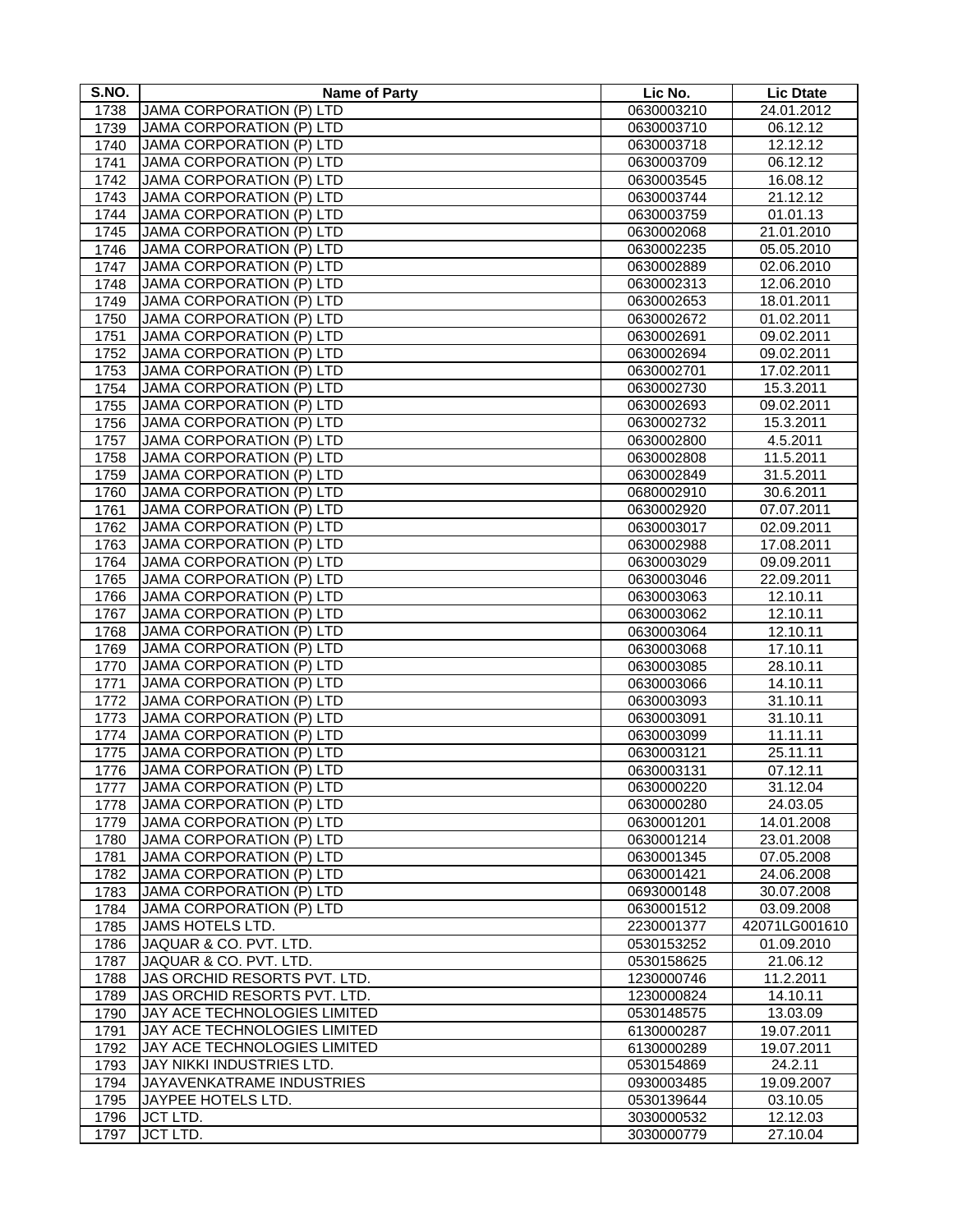| S.NO. | <b>Name of Party</b>            | Lic No.    | <b>Lic Dtate</b>         |
|-------|---------------------------------|------------|--------------------------|
| 1738  | <b>JAMA CORPORATION (P) LTD</b> | 0630003210 | 24.01.2012               |
| 1739  | JAMA CORPORATION (P) LTD        | 0630003710 | 06.12.12                 |
| 1740  | <b>JAMA CORPORATION (P) LTD</b> | 0630003718 | 12.12.12                 |
| 1741  | <b>JAMA CORPORATION (P) LTD</b> | 0630003709 | 06.12.12                 |
| 1742  | <b>JAMA CORPORATION (P) LTD</b> | 0630003545 | 16.08.12                 |
| 1743  | JAMA CORPORATION (P) LTD        | 0630003744 | 21.12.12                 |
| 1744  | JAMA CORPORATION (P) LTD        | 0630003759 | 01.01.13                 |
| 1745  | JAMA CORPORATION (P) LTD        | 0630002068 | 21.01.2010               |
| 1746  | <b>JAMA CORPORATION (P) LTD</b> | 0630002235 | 05.05.2010               |
| 1747  | <b>JAMA CORPORATION (P) LTD</b> | 0630002889 | 02.06.2010               |
| 1748  | <b>JAMA CORPORATION (P) LTD</b> | 0630002313 | 12.06.2010               |
| 1749  | <b>JAMA CORPORATION (P) LTD</b> | 0630002653 | 18.01.2011               |
| 1750  | <b>JAMA CORPORATION (P) LTD</b> | 0630002672 | 01.02.2011               |
| 1751  | <b>JAMA CORPORATION (P) LTD</b> | 0630002691 | 09.02.2011               |
| 1752  | JAMA CORPORATION (P) LTD        | 0630002694 | 09.02.2011               |
| 1753  | <b>JAMA CORPORATION (P) LTD</b> | 0630002701 | 17.02.2011               |
| 1754  | <b>JAMA CORPORATION (P) LTD</b> | 0630002730 | 15.3.2011                |
| 1755  | <b>JAMA CORPORATION (P) LTD</b> | 0630002693 | 09.02.2011               |
| 1756  | JAMA CORPORATION (P) LTD        | 0630002732 | 15.3.2011                |
| 1757  | JAMA CORPORATION (P) LTD        | 0630002800 | 4.5.2011                 |
| 1758  | JAMA CORPORATION (P) LTD        | 0630002808 | 11.5.2011                |
| 1759  | JAMA CORPORATION (P) LTD        | 0630002849 | 31.5.2011                |
| 1760  | JAMA CORPORATION (P) LTD        | 0680002910 | 30.6.2011                |
| 1761  | <b>JAMA CORPORATION (P) LTD</b> | 0630002920 | 07.07.2011               |
| 1762  | JAMA CORPORATION (P) LTD        | 0630003017 | 02.09.2011               |
| 1763  | JAMA CORPORATION (P) LTD        | 0630002988 | 17.08.2011               |
| 1764  | JAMA CORPORATION (P) LTD        | 0630003029 | 09.09.2011               |
| 1765  | JAMA CORPORATION (P) LTD        | 0630003046 | 22.09.2011               |
| 1766  | JAMA CORPORATION (P) LTD        | 0630003063 | 12.10.11                 |
| 1767  | <b>JAMA CORPORATION (P) LTD</b> | 0630003062 | 12.10.11                 |
| 1768  | <b>JAMA CORPORATION (P) LTD</b> | 0630003064 | 12.10.11                 |
| 1769  | JAMA CORPORATION (P) LTD        | 0630003068 | 17.10.11                 |
| 1770  | <b>JAMA CORPORATION (P) LTD</b> | 0630003085 | 28.10.11                 |
| 1771  | <b>JAMA CORPORATION (P) LTD</b> | 0630003066 | 14.10.11                 |
| 1772  | <b>JAMA CORPORATION (P) LTD</b> | 0630003093 | 31.10.11                 |
| 1773  | JAMA CORPORATION (P) LTD        | 0630003091 | 31.10.11                 |
| 1774  | <b>JAMA CORPORATION (P) LTD</b> | 0630003099 | 11.11.11                 |
| 1775  | <b>JAMA CORPORATION (P) LTD</b> | 0630003121 | 25.11.11                 |
| 1776  | <b>JAMA CORPORATION (P) LTD</b> | 0630003131 | 07.12.11                 |
| 1777  | JAMA CORPORATION (P) LTD        | 0630000220 | 31.12.04                 |
| 1778  | JAMA CORPORATION (P) LTD        | 0630000280 | 24.03.05                 |
| 1779  | <b>JAMA CORPORATION (P) LTD</b> | 0630001201 | 14.01.2008               |
| 1780  | JAMA CORPORATION (P) LTD        | 0630001214 | 23.01.2008               |
| 1781  | JAMA CORPORATION (P) LTD        | 0630001345 | $\overline{07}$ .05.2008 |
| 1782  | JAMA CORPORATION (P) LTD        | 0630001421 | 24.06.2008               |
| 1783  | <b>JAMA CORPORATION (P) LTD</b> | 0693000148 | 30.07.2008               |
| 1784  | <b>JAMA CORPORATION (P) LTD</b> | 0630001512 | 03.09.2008               |
| 1785  | JAMS HOTELS LTD.                | 2230001377 | 42071LG001610            |
| 1786  | JAQUAR & CO. PVT. LTD.          | 0530153252 | 01.09.2010               |
| 1787  | JAQUAR & CO. PVT. LTD.          | 0530158625 | 21.06.12                 |
| 1788  | JAS ORCHID RESORTS PVT. LTD.    | 1230000746 | 11.2.2011                |
| 1789  | JAS ORCHID RESORTS PVT. LTD.    | 1230000824 | 14.10.11                 |
| 1790  | JAY ACE TECHNOLOGIES LIMITED    | 0530148575 | 13.03.09                 |
| 1791  | JAY ACE TECHNOLOGIES LIMITED    | 6130000287 | 19.07.2011               |
| 1792  | JAY ACE TECHNOLOGIES LIMITED    | 6130000289 | 19.07.2011               |
| 1793  | JAY NIKKI INDUSTRIES LTD.       | 0530154869 | 24.2.11                  |
| 1794  | JAYAVENKATRAME INDUSTRIES       | 0930003485 | 19.09.2007               |
| 1795  | JAYPEE HOTELS LTD.              | 0530139644 | 03.10.05                 |
| 1796  | <b>JCT LTD.</b>                 | 3030000532 | 12.12.03                 |
| 1797  | <b>JCT LTD.</b>                 | 3030000779 | 27.10.04                 |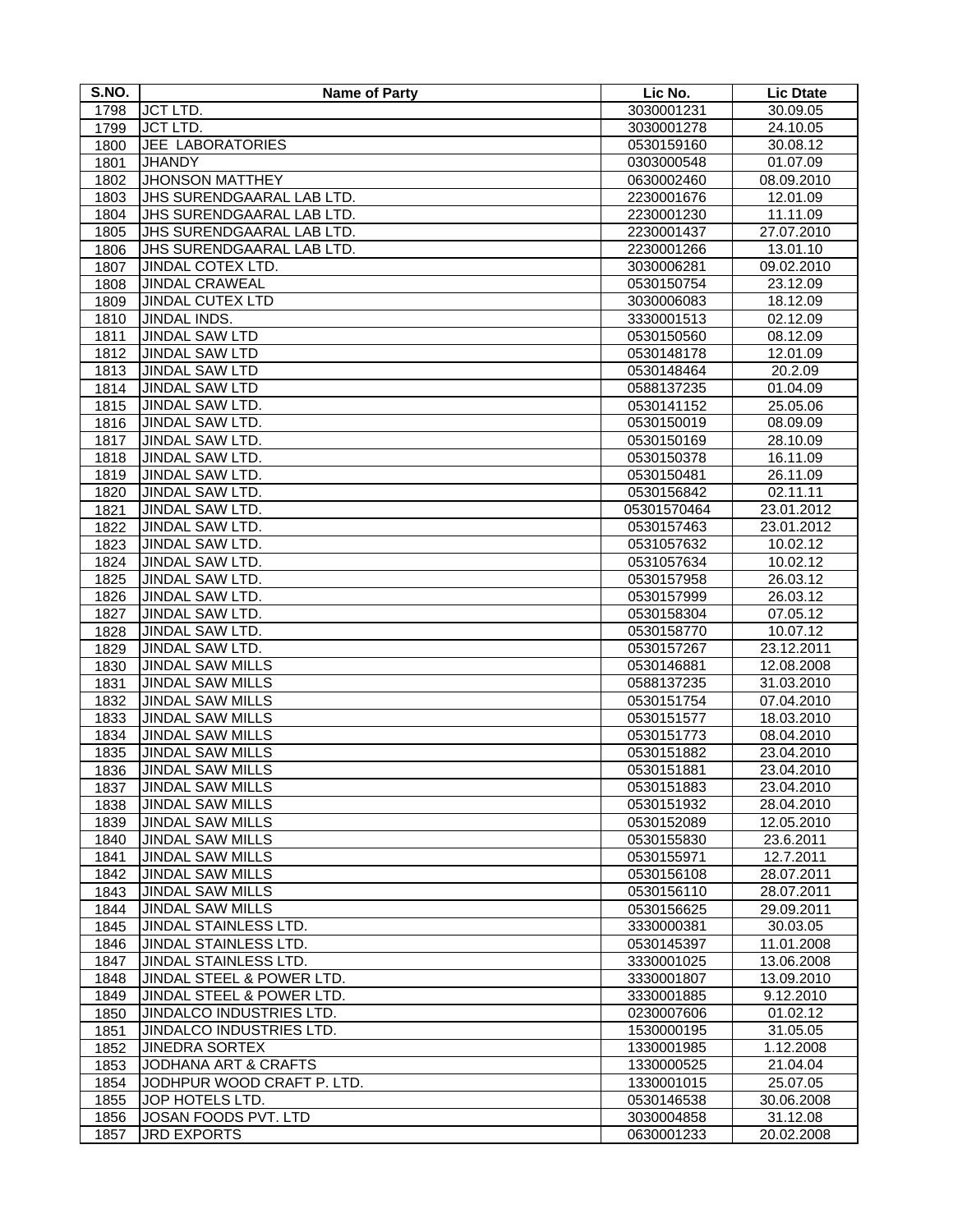| S.NO. | <b>Name of Party</b>             | Lic No.     | <b>Lic Dtate</b> |
|-------|----------------------------------|-------------|------------------|
| 1798  | <b>JCT LTD.</b>                  | 3030001231  | 30.09.05         |
| 1799  | <b>JCT LTD.</b>                  | 3030001278  | 24.10.05         |
| 1800  | JEE LABORATORIES                 | 0530159160  | 30.08.12         |
| 1801  | <b>JHANDY</b>                    | 0303000548  | 01.07.09         |
| 1802  | <b>JHONSON MATTHEY</b>           | 0630002460  | 08.09.2010       |
| 1803  | <b>JHS SURENDGAARAL LAB LTD.</b> | 2230001676  | 12.01.09         |
| 1804  | JHS SURENDGAARAL LAB LTD.        | 2230001230  | 11.11.09         |
| 1805  | JHS SURENDGAARAL LAB LTD.        | 2230001437  | 27.07.2010       |
| 1806  | JHS SURENDGAARAL LAB LTD.        | 2230001266  | 13.01.10         |
| 1807  | JINDAL COTEX LTD.                | 3030006281  | 09.02.2010       |
| 1808  | <b>JINDAL CRAWEAL</b>            | 0530150754  | 23.12.09         |
| 1809  | <b>JINDAL CUTEX LTD</b>          | 3030006083  | 18.12.09         |
| 1810  | JINDAL INDS.                     | 3330001513  | 02.12.09         |
| 1811  | <b>JINDAL SAW LTD</b>            | 0530150560  | 08.12.09         |
| 1812  | <b>JINDAL SAW LTD</b>            | 0530148178  | 12.01.09         |
| 1813  | <b>JINDAL SAW LTD</b>            | 0530148464  | 20.2.09          |
| 1814  | <b>JINDAL SAW LTD</b>            | 0588137235  | 01.04.09         |
| 1815  | JINDAL SAW LTD.                  | 0530141152  | 25.05.06         |
| 1816  | <b>JINDAL SAW LTD.</b>           | 0530150019  | 08.09.09         |
| 1817  | JINDAL SAW LTD.                  | 0530150169  | 28.10.09         |
| 1818  | JINDAL SAW LTD.                  | 0530150378  | 16.11.09         |
| 1819  | JINDAL SAW LTD.                  | 0530150481  | 26.11.09         |
| 1820  | JINDAL SAW LTD.                  | 0530156842  | 02.11.11         |
| 1821  | JINDAL SAW LTD.                  | 05301570464 | 23.01.2012       |
| 1822  | JINDAL SAW LTD.                  | 0530157463  | 23.01.2012       |
| 1823  | JINDAL SAW LTD.                  | 0531057632  | 10.02.12         |
| 1824  | JINDAL SAW LTD.                  | 0531057634  | 10.02.12         |
| 1825  | JINDAL SAW LTD.                  | 0530157958  | 26.03.12         |
| 1826  | JINDAL SAW LTD.                  | 0530157999  | 26.03.12         |
| 1827  | JINDAL SAW LTD.                  | 0530158304  | 07.05.12         |
| 1828  | JINDAL SAW LTD.                  | 0530158770  | 10.07.12         |
| 1829  | JINDAL SAW LTD.                  | 0530157267  | 23.12.2011       |
| 1830  | <b>JINDAL SAW MILLS</b>          | 0530146881  | 12.08.2008       |
| 1831  | <b>JINDAL SAW MILLS</b>          | 0588137235  | 31.03.2010       |
| 1832  | <b>JINDAL SAW MILLS</b>          | 0530151754  | 07.04.2010       |
| 1833  | <b>JINDAL SAW MILLS</b>          | 0530151577  | 18.03.2010       |
| 1834  | <b>JINDAL SAW MILLS</b>          | 0530151773  | 08.04.2010       |
| 1835  | <b>JINDAL SAW MILLS</b>          | 0530151882  | 23.04.2010       |
| 1836  | <b>JINDAL SAW MILLS</b>          | 0530151881  | 23.04.2010       |
| 1837  | <b>JINDAL SAW MILLS</b>          | 0530151883  | 23.04.2010       |
| 1838  | <b>JINDAL SAW MILLS</b>          | 0530151932  | 28.04.2010       |
| 1839  | <b>JINDAL SAW MILLS</b>          | 0530152089  | 12.05.2010       |
| 1840  | <b>JINDAL SAW MILLS</b>          | 0530155830  | 23.6.2011        |
| 1841  | <b>JINDAL SAW MILLS</b>          | 0530155971  | 12.7.2011        |
| 1842  | <b>JINDAL SAW MILLS</b>          | 0530156108  | 28.07.2011       |
| 1843  | <b>JINDAL SAW MILLS</b>          | 0530156110  | 28.07.2011       |
| 1844  | <b>JINDAL SAW MILLS</b>          | 0530156625  | 29.09.2011       |
| 1845  | JINDAL STAINLESS LTD.            | 3330000381  | 30.03.05         |
| 1846  | JINDAL STAINLESS LTD.            | 0530145397  | 11.01.2008       |
| 1847  | JINDAL STAINLESS LTD.            | 3330001025  | 13.06.2008       |
| 1848  | JINDAL STEEL & POWER LTD.        | 3330001807  | 13.09.2010       |
| 1849  | JINDAL STEEL & POWER LTD.        | 3330001885  | 9.12.2010        |
| 1850  | JINDALCO INDUSTRIES LTD.         | 0230007606  | 01.02.12         |
| 1851  | JINDALCO INDUSTRIES LTD.         | 1530000195  | 31.05.05         |
| 1852  | <b>JINEDRA SORTEX</b>            | 1330001985  | 1.12.2008        |
| 1853  | <b>JODHANA ART &amp; CRAFTS</b>  | 1330000525  | 21.04.04         |
| 1854  | JODHPUR WOOD CRAFT P. LTD.       | 1330001015  | 25.07.05         |
| 1855  | JOP HOTELS LTD.                  | 0530146538  | 30.06.2008       |
| 1856  | JOSAN FOODS PVT. LTD             | 3030004858  | 31.12.08         |
| 1857  | <b>JRD EXPORTS</b>               | 0630001233  | 20.02.2008       |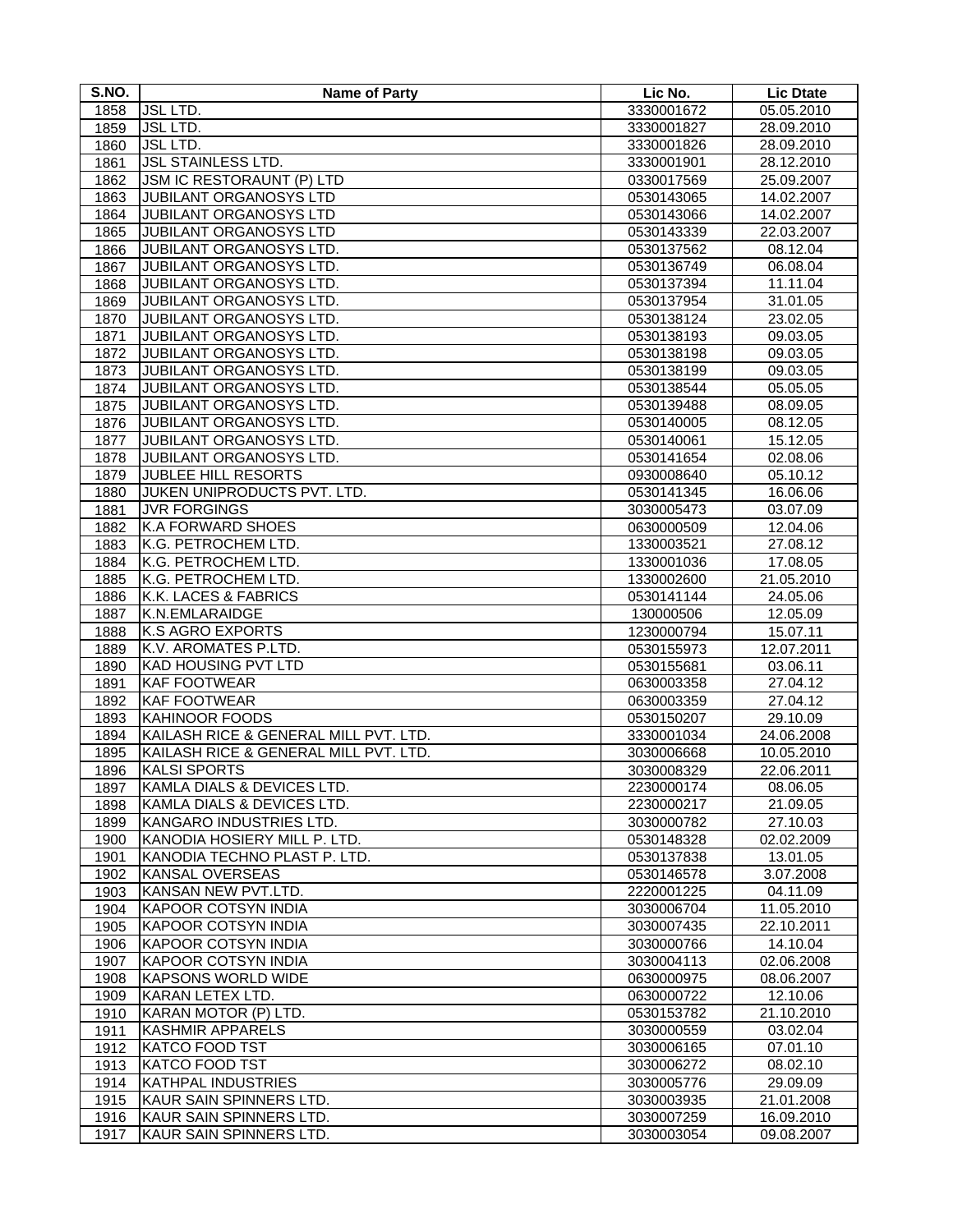| S.NO.        | <b>Name of Party</b>                                    | Lic No.                  | <b>Lic Dtate</b>       |
|--------------|---------------------------------------------------------|--------------------------|------------------------|
| 1858         | <b>JSL LTD.</b>                                         | 3330001672               | 05.05.2010             |
| 1859         | <b>JSL LTD.</b>                                         | 3330001827               | 28.09.2010             |
| 1860         | <b>JSL LTD.</b>                                         | 3330001826               | 28.09.2010             |
| 1861         | <b>JSL STAINLESS LTD.</b>                               | 3330001901               | 28.12.2010             |
| 1862         | JSM IC RESTORAUNT (P) LTD                               | 0330017569               | 25.09.2007             |
| 1863         | JUBILANT ORGANOSYS LTD                                  | 0530143065               | 14.02.2007             |
| 1864         | JUBILANT ORGANOSYS LTD                                  | 0530143066               | 14.02.2007             |
| 1865         | JUBILANT ORGANOSYS LTD                                  | 0530143339               | 22.03.2007             |
| 1866         | JUBILANT ORGANOSYS LTD.                                 | 0530137562               | 08.12.04               |
| 1867         | JUBILANT ORGANOSYS LTD.                                 | 0530136749               | 06.08.04               |
| 1868         | JUBILANT ORGANOSYS LTD.                                 | 0530137394               | 11.11.04               |
| 1869         | JUBILANT ORGANOSYS LTD.                                 | 0530137954               | 31.01.05               |
| 1870         | JUBILANT ORGANOSYS LTD.                                 | 0530138124               | 23.02.05               |
| 1871         | JUBILANT ORGANOSYS LTD.                                 | 0530138193               | 09.03.05               |
| 1872         | JUBILANT ORGANOSYS LTD.                                 | 0530138198               | 09.03.05               |
| 1873         | JUBILANT ORGANOSYS LTD.                                 | 0530138199               | 09.03.05               |
| 1874         | JUBILANT ORGANOSYS LTD.                                 | 0530138544               | 05.05.05               |
| 1875         | JUBILANT ORGANOSYS LTD.                                 | 0530139488               | 08.09.05               |
| 1876         | JUBILANT ORGANOSYS LTD.                                 | 0530140005               | 08.12.05               |
| 1877         | JUBILANT ORGANOSYS LTD.                                 | 0530140061               | 15.12.05               |
| 1878         | JUBILANT ORGANOSYS LTD.                                 | 0530141654               | 02.08.06               |
| 1879         | <b>JUBLEE HILL RESORTS</b>                              | 0930008640               | 05.10.12               |
| 1880         | JUKEN UNIPRODUCTS PVT. LTD.                             | 0530141345               | 16.06.06               |
| 1881         | <b>JVR FORGINGS</b>                                     | 3030005473               | 03.07.09               |
| 1882         | <b>K.A FORWARD SHOES</b>                                | 0630000509               | 12.04.06               |
| 1883         | K.G. PETROCHEM LTD.                                     | 1330003521               | 27.08.12               |
| 1884         | K.G. PETROCHEM LTD.                                     | 1330001036               | 17.08.05               |
| 1885         | K.G. PETROCHEM LTD.                                     | 1330002600               | 21.05.2010             |
| 1886         | K.K. LACES & FABRICS                                    |                          |                        |
| 1887         | K.N.EMLARAIDGE                                          | 0530141144<br>130000506  | 24.05.06<br>12.05.09   |
| 1888         | <b>K.S AGRO EXPORTS</b>                                 | 1230000794               | 15.07.11               |
| 1889         | K.V. AROMATES P.LTD.                                    | 0530155973               | 12.07.2011             |
| 1890         | <b>KAD HOUSING PVT LTD</b>                              | 0530155681               | 03.06.11               |
| 1891         | <b>KAF FOOTWEAR</b>                                     | 0630003358               | 27.04.12               |
| 1892         | <b>KAF FOOTWEAR</b>                                     | 0630003359               | 27.04.12               |
| 1893         | <b>KAHINOOR FOODS</b>                                   | 0530150207               | 29.10.09               |
| 1894         | KAILASH RICE & GENERAL MILL PVT. LTD.                   | 3330001034               | 24.06.2008             |
| 1895         | KAILASH RICE & GENERAL MILL PVT. LTD.                   | 3030006668               | 10.05.2010             |
| 1896         | <b>KALSI SPORTS</b>                                     | 3030008329               | 22.06.2011             |
|              | KAMLA DIALS & DEVICES LTD.                              | 2230000174               | 08.06.05               |
| 1897         | KAMLA DIALS & DEVICES LTD.                              | 2230000217               | 21.09.05               |
| 1898         |                                                         |                          |                        |
| 1899<br>1900 | KANGARO INDUSTRIES LTD.<br>KANODIA HOSIERY MILL P. LTD. | 3030000782<br>0530148328 | 27.10.03<br>02.02.2009 |
| 1901         | KANODIA TECHNO PLAST P. LTD.                            | 0530137838               | 13.01.05               |
| 1902         | <b>KANSAL OVERSEAS</b>                                  | 0530146578               | 3.07.2008              |
| 1903         | KANSAN NEW PVT.LTD.                                     | 2220001225               | 04.11.09               |
| 1904         | <b>KAPOOR COTSYN INDIA</b>                              | 3030006704               | 11.05.2010             |
|              | <b>KAPOOR COTSYN INDIA</b>                              | 3030007435               | 22.10.2011             |
| 1905         | <b>KAPOOR COTSYN INDIA</b>                              | 3030000766               | 14.10.04               |
| 1906         |                                                         |                          |                        |
| 1907         | <b>KAPOOR COTSYN INDIA</b><br><b>KAPSONS WORLD WIDE</b> | 3030004113               | 02.06.2008             |
| 1908         |                                                         | 0630000975               | 08.06.2007             |
| 1909         | KARAN LETEX LTD.<br>KARAN MOTOR (P) LTD.                | 0630000722               | 12.10.06               |
| 1910         |                                                         | 0530153782               | 21.10.2010             |
| 1911         | <b>KASHMIR APPARELS</b>                                 | 3030000559               | 03.02.04               |
| 1912         | <b>KATCO FOOD TST</b>                                   | 3030006165               | 07.01.10               |
| 1913         | <b>KATCO FOOD TST</b>                                   | 3030006272               | 08.02.10               |
| 1914         | <b>KATHPAL INDUSTRIES</b>                               | 3030005776               | 29.09.09               |
| 1915         | KAUR SAIN SPINNERS LTD.                                 | 3030003935               | 21.01.2008             |
| 1916         | KAUR SAIN SPINNERS LTD.                                 | 3030007259               | 16.09.2010             |
| 1917         | KAUR SAIN SPINNERS LTD.                                 | 3030003054               | 09.08.2007             |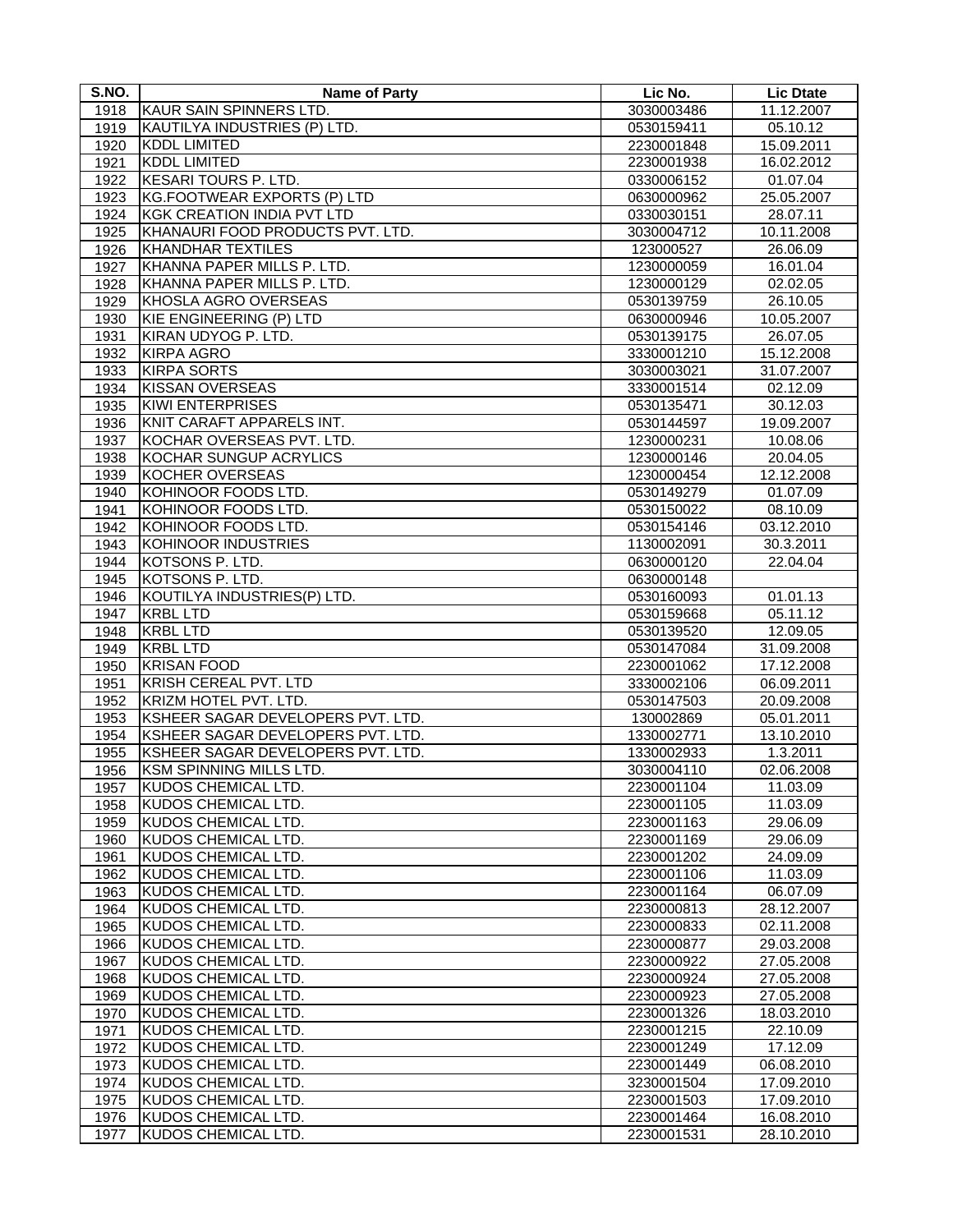| S.NO.        | <b>Name of Party</b>              | Lic No.    | <b>Lic Dtate</b> |
|--------------|-----------------------------------|------------|------------------|
| 1918         | KAUR SAIN SPINNERS LTD.           | 3030003486 | 11.12.2007       |
| 1919         | KAUTILYA INDUSTRIES (P) LTD.      | 0530159411 | 05.10.12         |
| 1920         | <b>KDDL LIMITED</b>               | 2230001848 | 15.09.2011       |
| 1921         | <b>KDDL LIMITED</b>               | 2230001938 | 16.02.2012       |
| 1922         | <b>KESARI TOURS P. LTD.</b>       | 0330006152 | 01.07.04         |
| 1923         | KG.FOOTWEAR EXPORTS (P) LTD       | 0630000962 | 25.05.2007       |
| 1924         | <b>KGK CREATION INDIA PVT LTD</b> | 0330030151 | 28.07.11         |
| 1925         | KHANAURI FOOD PRODUCTS PVT. LTD.  | 3030004712 | 10.11.2008       |
| 1926         | <b>KHANDHAR TEXTILES</b>          | 123000527  | 26.06.09         |
| 1927         | KHANNA PAPER MILLS P. LTD.        | 1230000059 | 16.01.04         |
| 1928         | KHANNA PAPER MILLS P. LTD.        | 1230000129 | 02.02.05         |
| 1929         | KHOSLA AGRO OVERSEAS              | 0530139759 | 26.10.05         |
| 1930         | KIE ENGINEERING (P) LTD           | 0630000946 | 10.05.2007       |
| 1931         | KIRAN UDYOG P. LTD.               | 0530139175 | 26.07.05         |
| 1932         | <b>KIRPA AGRO</b>                 | 3330001210 | 15.12.2008       |
| 1933         | <b>KIRPA SORTS</b>                | 3030003021 | 31.07.2007       |
| 1934         | <b>KISSAN OVERSEAS</b>            | 3330001514 | 02.12.09         |
| 1935         | <b>KIWI ENTERPRISES</b>           | 0530135471 | 30.12.03         |
| 1936         | KNIT CARAFT APPARELS INT.         | 0530144597 | 19.09.2007       |
| 1937         | KOCHAR OVERSEAS PVT. LTD.         | 1230000231 | 10.08.06         |
|              | KOCHAR SUNGUP ACRYLICS            | 1230000146 | 20.04.05         |
| 1938<br>1939 | KOCHER OVERSEAS                   | 1230000454 | 12.12.2008       |
|              | KOHINOOR FOODS LTD.               | 0530149279 | 01.07.09         |
| 1940<br>1941 | KOHINOOR FOODS LTD.               | 0530150022 | 08.10.09         |
|              | KOHINOOR FOODS LTD.               |            |                  |
| 1942         |                                   | 0530154146 | 03.12.2010       |
| 1943         | KOHINOOR INDUSTRIES               | 1130002091 | 30.3.2011        |
| 1944         | KOTSONS P. LTD.                   | 0630000120 | 22.04.04         |
| 1945         | KOTSONS P. LTD.                   | 0630000148 |                  |
| 1946         | KOUTILYA INDUSTRIES(P) LTD.       | 0530160093 | 01.01.13         |
| 1947         | <b>KRBL LTD</b>                   | 0530159668 | 05.11.12         |
| 1948         | <b>KRBL LTD</b>                   | 0530139520 | 12.09.05         |
| 1949         | <b>KRBL LTD</b>                   | 0530147084 | 31.09.2008       |
| 1950         | <b>KRISAN FOOD</b>                | 2230001062 | 17.12.2008       |
| 1951         | KRISH CEREAL PVT. LTD             | 3330002106 | 06.09.2011       |
| 1952         | KRIZM HOTEL PVT. LTD.             | 0530147503 | 20.09.2008       |
| 1953         | KSHEER SAGAR DEVELOPERS PVT. LTD. | 130002869  | 05.01.2011       |
| 1954         | KSHEER SAGAR DEVELOPERS PVT. LTD. | 1330002771 | 13.10.2010       |
| 1955         | KSHEER SAGAR DEVELOPERS PVT. LTD. | 1330002933 | 1.3.2011         |
| 1956         | <b>KSM SPINNING MILLS LTD.</b>    | 3030004110 | 02.06.2008       |
| 1957         | KUDOS CHEMICAL LTD.               | 2230001104 | 11.03.09         |
| 1958         | KUDOS CHEMICAL LTD.               | 2230001105 | 11.03.09         |
| 1959         | KUDOS CHEMICAL LTD.               | 2230001163 | 29.06.09         |
| 1960         | KUDOS CHEMICAL LTD.               | 2230001169 | 29.06.09         |
| 1961         | KUDOS CHEMICAL LTD.               | 2230001202 | 24.09.09         |
| 1962         | KUDOS CHEMICAL LTD.               | 2230001106 | 11.03.09         |
| 1963         | KUDOS CHEMICAL LTD.               | 2230001164 | 06.07.09         |
| 1964         | KUDOS CHEMICAL LTD.               | 2230000813 | 28.12.2007       |
| 1965         | KUDOS CHEMICAL LTD.               | 2230000833 | 02.11.2008       |
| 1966         | KUDOS CHEMICAL LTD.               | 2230000877 | 29.03.2008       |
| 1967         | KUDOS CHEMICAL LTD.               | 2230000922 | 27.05.2008       |
| 1968         | KUDOS CHEMICAL LTD.               | 2230000924 | 27.05.2008       |
| 1969         | KUDOS CHEMICAL LTD.               | 2230000923 | 27.05.2008       |
| 1970         | KUDOS CHEMICAL LTD.               | 2230001326 | 18.03.2010       |
| 1971         | KUDOS CHEMICAL LTD.               | 2230001215 | 22.10.09         |
| 1972         | KUDOS CHEMICAL LTD.               | 2230001249 | 17.12.09         |
| 1973         | KUDOS CHEMICAL LTD.               | 2230001449 | 06.08.2010       |
| 1974         | KUDOS CHEMICAL LTD.               | 3230001504 | 17.09.2010       |
| 1975         | KUDOS CHEMICAL LTD.               | 2230001503 | 17.09.2010       |
| 1976         | KUDOS CHEMICAL LTD.               | 2230001464 | 16.08.2010       |
| 1977         | KUDOS CHEMICAL LTD.               | 2230001531 | 28.10.2010       |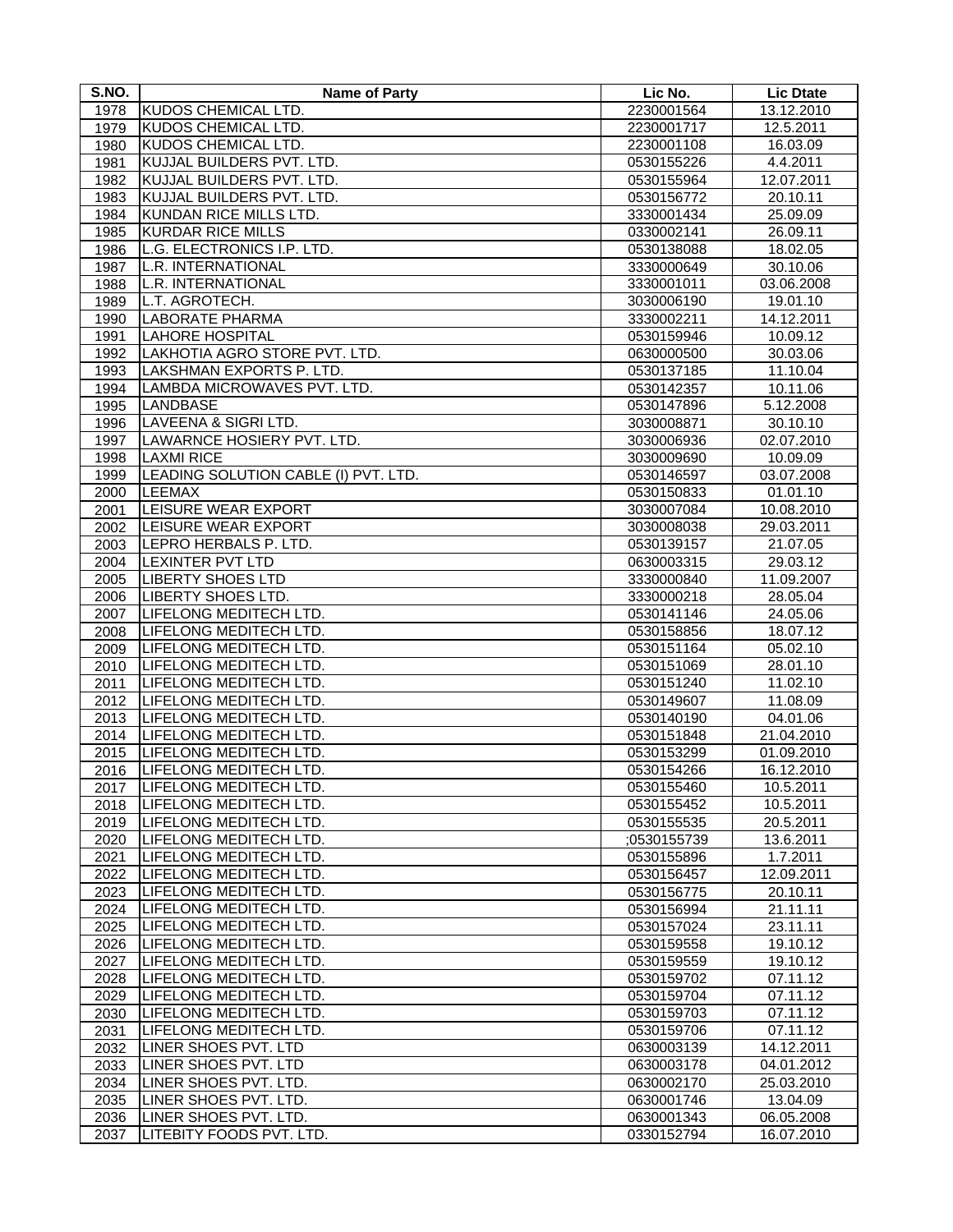| S.NO. | <b>Name of Party</b>                                      | Lic No.                  | <b>Lic Dtate</b>       |
|-------|-----------------------------------------------------------|--------------------------|------------------------|
| 1978  | KUDOS CHEMICAL LTD.                                       | 2230001564               | 13.12.2010             |
| 1979  | KUDOS CHEMICAL LTD.                                       | 2230001717               | 12.5.2011              |
| 1980  | <b>KUDOS CHEMICAL LTD.</b>                                | 2230001108               | 16.03.09               |
| 1981  | KUJJAL BUILDERS PVT. LTD.                                 | 0530155226               | 4.4.2011               |
| 1982  | KUJJAL BUILDERS PVT. LTD.                                 | 0530155964               | 12.07.2011             |
| 1983  | KUJJAL BUILDERS PVT. LTD.                                 | 0530156772               | 20.10.11               |
| 1984  | KUNDAN RICE MILLS LTD.                                    | 3330001434               | 25.09.09               |
| 1985  | <b>KURDAR RICE MILLS</b>                                  | 0330002141               | 26.09.11               |
| 1986  | L.G. ELECTRONICS I.P. LTD.                                | 0530138088               | 18.02.05               |
| 1987  | L.R. INTERNATIONAL                                        | 3330000649               | 30.10.06               |
| 1988  | L.R. INTERNATIONAL                                        | 3330001011               | 03.06.2008             |
| 1989  | L.T. AGROTECH.                                            | 3030006190               | 19.01.10               |
| 1990  | <b>LABORATE PHARMA</b>                                    | 3330002211               | 14.12.2011             |
| 1991  | <b>LAHORE HOSPITAL</b>                                    | 0530159946               | 10.09.12               |
| 1992  | LAKHOTIA AGRO STORE PVT. LTD.                             | 0630000500               | 30.03.06               |
| 1993  | LAKSHMAN EXPORTS P. LTD.                                  | 0530137185               | 11.10.04               |
| 1994  | LAMBDA MICROWAVES PVT. LTD.                               | 0530142357               | 10.11.06               |
| 1995  | LANDBASE                                                  |                          | $\overline{5.12.2008}$ |
|       | <b>LAVEENA &amp; SIGRI LTD.</b>                           | 0530147896               |                        |
| 1996  | LAWARNCE HOSIERY PVT. LTD.                                | 3030008871               | 30.10.10<br>02.07.2010 |
| 1997  |                                                           | 3030006936               |                        |
| 1998  | <b>LAXMI RICE</b><br>LEADING SOLUTION CABLE (I) PVT. LTD. | 3030009690<br>0530146597 | 10.09.09<br>03.07.2008 |
| 1999  | LEEMAX                                                    |                          |                        |
| 2000  | <b>LEISURE WEAR EXPORT</b>                                | 0530150833               | 01.01.10               |
| 2001  |                                                           | 3030007084               | 10.08.2010             |
| 2002  | <b>LEISURE WEAR EXPORT</b>                                | 3030008038               | 29.03.2011             |
| 2003  | LEPRO HERBALS P. LTD.                                     | 0530139157               | 21.07.05               |
| 2004  | <b>LEXINTER PVT LTD</b>                                   | 0630003315               | 29.03.12               |
| 2005  | <b>LIBERTY SHOES LTD</b>                                  | 3330000840               | 11.09.2007             |
| 2006  | <b>LIBERTY SHOES LTD.</b>                                 | 3330000218               | 28.05.04               |
| 2007  | LIFELONG MEDITECH LTD.                                    | 0530141146               | 24.05.06               |
| 2008  | LIFELONG MEDITECH LTD.                                    | 0530158856               | 18.07.12               |
| 2009  | LIFELONG MEDITECH LTD.                                    | 0530151164               | 05.02.10               |
| 2010  | LIFELONG MEDITECH LTD.                                    | 0530151069               | 28.01.10               |
| 2011  | LIFELONG MEDITECH LTD.                                    | 0530151240               | 11.02.10               |
| 2012  | LIFELONG MEDITECH LTD.                                    | 0530149607               | 11.08.09               |
| 2013  | LIFELONG MEDITECH LTD.                                    | 0530140190               | 04.01.06               |
| 2014  | LIFELONG MEDITECH LTD.                                    | 0530151848               | 21.04.2010             |
| 2015  | LIFELONG MEDITECH LTD.                                    | 0530153299               | 01.09.2010             |
| 2016  | LIFELONG MEDITECH LTD.                                    | 0530154266               | 16.12.2010             |
| 2017  | LIFELONG MEDITECH LTD.                                    | 0530155460               | 10.5.2011              |
| 2018  | ILIFELONG MEDITECH LTD.                                   | 0530155452               | 10.5.2011              |
| 2019  | LIFELONG MEDITECH LTD.                                    | 0530155535               | 20.5.2011              |
| 2020  | LIFELONG MEDITECH LTD.                                    | ;0530155739              | 13.6.2011              |
| 2021  | LIFELONG MEDITECH LTD.                                    | 0530155896               | 1.7.2011               |
| 2022  | LIFELONG MEDITECH LTD.                                    | 0530156457               | 12.09.2011             |
| 2023  | LIFELONG MEDITECH LTD.                                    | 0530156775               | 20.10.11               |
| 2024  | LIFELONG MEDITECH LTD.                                    | 0530156994               | 21.11.11               |
| 2025  | LIFELONG MEDITECH LTD.                                    | 0530157024               | 23.11.11               |
| 2026  | LIFELONG MEDITECH LTD.                                    | 0530159558               | 19.10.12               |
| 2027  | LIFELONG MEDITECH LTD.                                    | 0530159559               | 19.10.12               |
| 2028  | LIFELONG MEDITECH LTD.                                    | 0530159702               | 07.11.12               |
| 2029  | LIFELONG MEDITECH LTD.                                    | 0530159704               | 07.11.12               |
| 2030  | <b>LIFELONG MEDITECH LTD.</b>                             | 0530159703               | 07.11.12               |
| 2031  | LIFELONG MEDITECH LTD.                                    | 0530159706               | 07.11.12               |
| 2032  | LINER SHOES PVT. LTD                                      | 0630003139               | 14.12.2011             |
| 2033  | LINER SHOES PVT. LTD                                      | 0630003178               | 04.01.2012             |
| 2034  | LINER SHOES PVT. LTD.                                     | 0630002170               | 25.03.2010             |
| 2035  | LINER SHOES PVT. LTD.                                     | 0630001746               | 13.04.09               |
| 2036  | LINER SHOES PVT. LTD.                                     | 0630001343               | 06.05.2008             |
| 2037  | <b>LITEBITY FOODS PVT. LTD.</b>                           | 0330152794               | 16.07.2010             |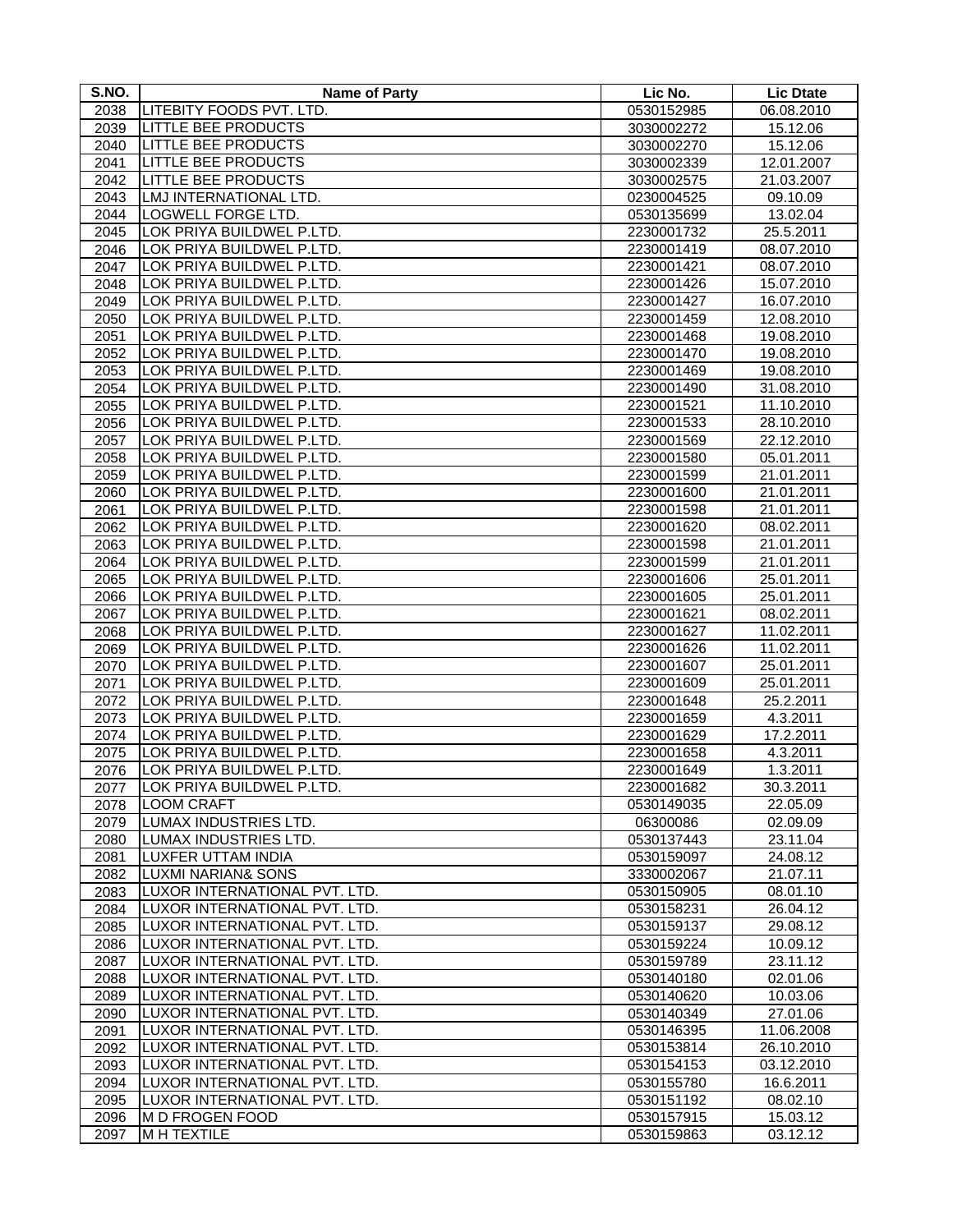| S.NO. | <b>Name of Party</b>             | Lic No.    | <b>Lic Dtate</b> |
|-------|----------------------------------|------------|------------------|
| 2038  | LITEBITY FOODS PVT. LTD.         | 0530152985 | 06.08.2010       |
| 2039  | <b>LITTLE BEE PRODUCTS</b>       | 3030002272 | 15.12.06         |
| 2040  | <b>LITTLE BEE PRODUCTS</b>       | 3030002270 | 15.12.06         |
| 2041  | <b>LITTLE BEE PRODUCTS</b>       | 3030002339 | 12.01.2007       |
| 2042  | <b>LITTLE BEE PRODUCTS</b>       | 3030002575 | 21.03.2007       |
| 2043  | LMJ INTERNATIONAL LTD.           | 0230004525 | 09.10.09         |
| 2044  | <b>LOGWELL FORGE LTD.</b>        | 0530135699 | 13.02.04         |
| 2045  | LOK PRIYA BUILDWEL P.LTD.        | 2230001732 | 25.5.2011        |
| 2046  | LOK PRIYA BUILDWEL P.LTD.        | 2230001419 | 08.07.2010       |
| 2047  | LOK PRIYA BUILDWEL P.LTD.        | 2230001421 | 08.07.2010       |
| 2048  | LOK PRIYA BUILDWEL P.LTD.        | 2230001426 | 15.07.2010       |
| 2049  | LOK PRIYA BUILDWEL P.LTD.        | 2230001427 | 16.07.2010       |
| 2050  | LOK PRIYA BUILDWEL P.LTD.        | 2230001459 | 12.08.2010       |
| 2051  | LOK PRIYA BUILDWEL P.LTD.        | 2230001468 | 19.08.2010       |
| 2052  | LOK PRIYA BUILDWEL P.LTD.        | 2230001470 | 19.08.2010       |
|       | <b>LOK PRIYA BUILDWEL P.LTD.</b> | 2230001469 | 19.08.2010       |
| 2053  | LOK PRIYA BUILDWEL P.LTD.        |            |                  |
| 2054  |                                  | 2230001490 | 31.08.2010       |
| 2055  | LOK PRIYA BUILDWEL P.LTD.        | 2230001521 | 11.10.2010       |
| 2056  | LOK PRIYA BUILDWEL P.LTD.        | 2230001533 | 28.10.2010       |
| 2057  | LOK PRIYA BUILDWEL P.LTD.        | 2230001569 | 22.12.2010       |
| 2058  | LOK PRIYA BUILDWEL P.LTD.        | 2230001580 | 05.01.2011       |
| 2059  | LOK PRIYA BUILDWEL P.LTD.        | 2230001599 | 21.01.2011       |
| 2060  | LOK PRIYA BUILDWEL P.LTD.        | 2230001600 | 21.01.2011       |
| 2061  | LOK PRIYA BUILDWEL P.LTD.        | 2230001598 | 21.01.2011       |
| 2062  | LOK PRIYA BUILDWEL P.LTD.        | 2230001620 | 08.02.2011       |
| 2063  | LOK PRIYA BUILDWEL P.LTD.        | 2230001598 | 21.01.2011       |
| 2064  | LOK PRIYA BUILDWEL P.LTD.        | 2230001599 | 21.01.2011       |
| 2065  | LOK PRIYA BUILDWEL P.LTD.        | 2230001606 | 25.01.2011       |
| 2066  | LOK PRIYA BUILDWEL P.LTD.        | 2230001605 | 25.01.2011       |
| 2067  | LOK PRIYA BUILDWEL P.LTD.        | 2230001621 | 08.02.2011       |
| 2068  | LOK PRIYA BUILDWEL P.LTD.        | 2230001627 | 11.02.2011       |
| 2069  | LOK PRIYA BUILDWEL P.LTD.        | 2230001626 | 11.02.2011       |
| 2070  | LOK PRIYA BUILDWEL P.LTD.        | 2230001607 | 25.01.2011       |
| 2071  | LOK PRIYA BUILDWEL P.LTD.        | 2230001609 | 25.01.2011       |
| 2072  | LOK PRIYA BUILDWEL P.LTD.        | 2230001648 | 25.2.2011        |
| 2073  | LOK PRIYA BUILDWEL P.LTD.        | 2230001659 | 4.3.2011         |
| 2074  | LOK PRIYA BUILDWEL P.LTD.        | 2230001629 | 17.2.2011        |
| 2075  | LOK PRIYA BUILDWEL P.LTD.        | 2230001658 | 4.3.2011         |
| 2076  | LOK PRIYA BUILDWEL P.LTD.        | 2230001649 | 1.3.2011         |
| 2077  | LOK PRIYA BUILDWEL P.LTD.        | 2230001682 | 30.3.2011        |
| 2078  | <b>LOOM CRAFT</b>                | 0530149035 | 22.05.09         |
| 2079  | LUMAX INDUSTRIES LTD.            | 06300086   | 02.09.09         |
| 2080  | LUMAX INDUSTRIES LTD.            | 0530137443 | 23.11.04         |
| 2081  | LUXFER UTTAM INDIA               | 0530159097 | 24.08.12         |
| 2082  | <b>LUXMI NARIAN&amp; SONS</b>    | 3330002067 | 21.07.11         |
| 2083  | LUXOR INTERNATIONAL PVT. LTD.    | 0530150905 | 08.01.10         |
| 2084  | LUXOR INTERNATIONAL PVT. LTD.    | 0530158231 | 26.04.12         |
| 2085  | LUXOR INTERNATIONAL PVT. LTD.    | 0530159137 | 29.08.12         |
| 2086  | LUXOR INTERNATIONAL PVT. LTD.    | 0530159224 | 10.09.12         |
| 2087  | LUXOR INTERNATIONAL PVT. LTD.    | 0530159789 | 23.11.12         |
| 2088  | LUXOR INTERNATIONAL PVT. LTD.    | 0530140180 | 02.01.06         |
| 2089  | LUXOR INTERNATIONAL PVT. LTD.    | 0530140620 | 10.03.06         |
| 2090  | LUXOR INTERNATIONAL PVT. LTD.    | 0530140349 | 27.01.06         |
| 2091  | LUXOR INTERNATIONAL PVT. LTD.    | 0530146395 | 11.06.2008       |
| 2092  | LUXOR INTERNATIONAL PVT. LTD.    | 0530153814 | 26.10.2010       |
| 2093  | LUXOR INTERNATIONAL PVT. LTD.    | 0530154153 | 03.12.2010       |
| 2094  | LUXOR INTERNATIONAL PVT. LTD.    | 0530155780 | 16.6.2011        |
| 2095  | LUXOR INTERNATIONAL PVT. LTD.    | 0530151192 | 08.02.10         |
| 2096  | <b>M D FROGEN FOOD</b>           | 0530157915 | 15.03.12         |
| 2097  | M H TEXTILE                      | 0530159863 | 03.12.12         |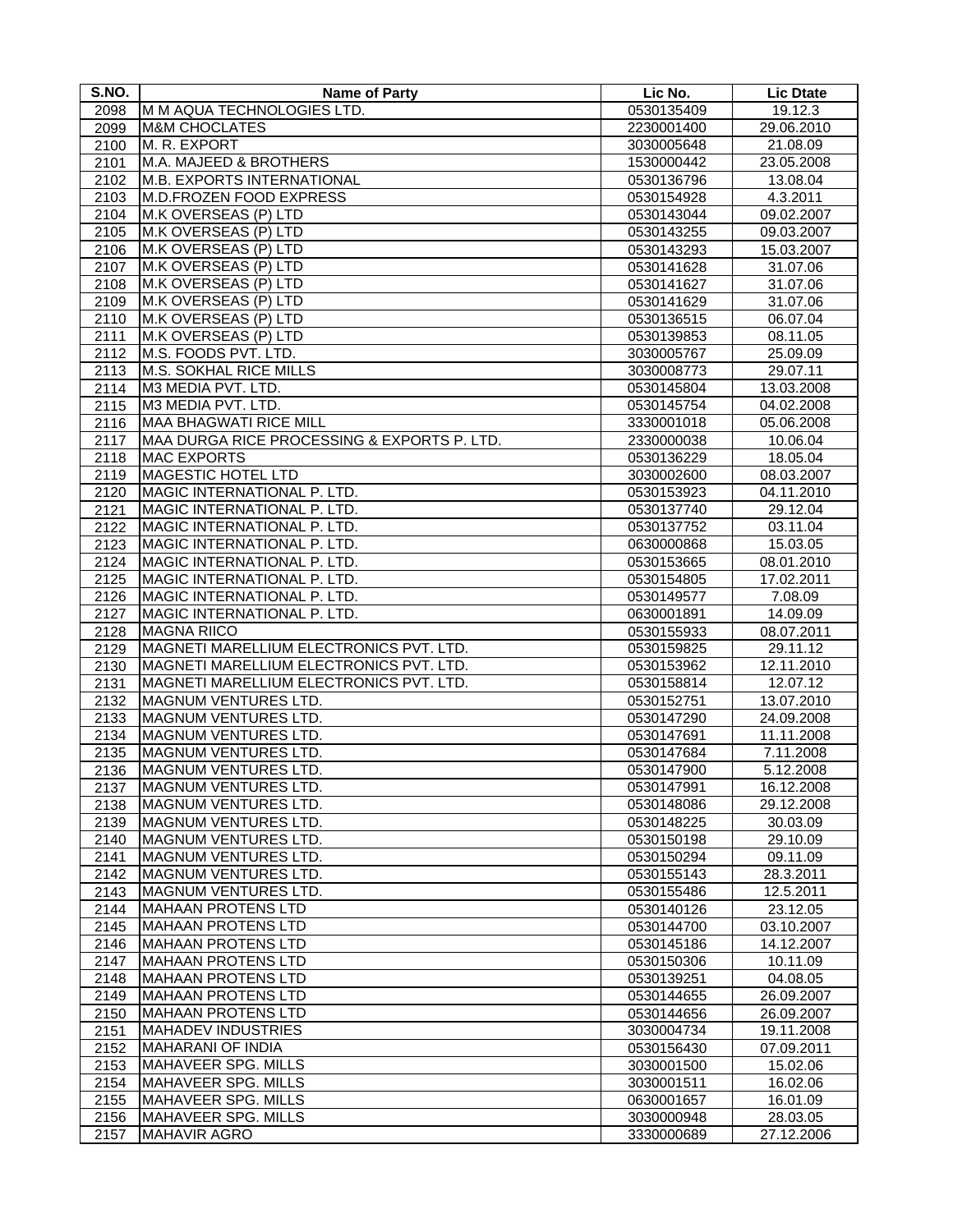| S.NO. | <b>Name of Party</b>                        | Lic No.    | <b>Lic Dtate</b> |
|-------|---------------------------------------------|------------|------------------|
| 2098  | M M AQUA TECHNOLOGIES LTD.                  | 0530135409 | 19.12.3          |
| 2099  | <b>M&amp;M CHOCLATES</b>                    | 2230001400 | 29.06.2010       |
| 2100  | M. R. EXPORT                                | 3030005648 | 21.08.09         |
| 2101  | M.A. MAJEED & BROTHERS                      | 1530000442 | 23.05.2008       |
| 2102  | <b>M.B. EXPORTS INTERNATIONAL</b>           | 0530136796 | 13.08.04         |
| 2103  | <b>M.D.FROZEN FOOD EXPRESS</b>              | 0530154928 | 4.3.2011         |
| 2104  | M.K OVERSEAS (P) LTD                        | 0530143044 | 09.02.2007       |
| 2105  | M.K OVERSEAS (P) LTD                        | 0530143255 | 09.03.2007       |
| 2106  | M.K OVERSEAS (P) LTD                        | 0530143293 | 15.03.2007       |
| 2107  | M.K OVERSEAS (P) LTD                        | 0530141628 | 31.07.06         |
| 2108  | M.K OVERSEAS (P) LTD                        | 0530141627 | 31.07.06         |
| 2109  | M.K OVERSEAS (P) LTD                        | 0530141629 | 31.07.06         |
| 2110  | M.K OVERSEAS (P) LTD                        | 0530136515 | 06.07.04         |
| 2111  | M.K OVERSEAS (P) LTD                        | 0530139853 | 08.11.05         |
| 2112  | M.S. FOODS PVT. LTD.                        | 3030005767 | 25.09.09         |
| 2113  | M.S. SOKHAL RICE MILLS                      | 3030008773 | 29.07.11         |
| 2114  | M3 MEDIA PVT. LTD.                          | 0530145804 | 13.03.2008       |
| 2115  | M3 MEDIA PVT. LTD.                          | 0530145754 | 04.02.2008       |
| 2116  | <b>MAA BHAGWATI RICE MILL</b>               | 3330001018 | 05.06.2008       |
| 2117  | MAA DURGA RICE PROCESSING & EXPORTS P. LTD. | 2330000038 | 10.06.04         |
| 2118  | <b>MAC EXPORTS</b>                          | 0530136229 | 18.05.04         |
| 2119  | <b>MAGESTIC HOTEL LTD</b>                   | 3030002600 | 08.03.2007       |
| 2120  | MAGIC INTERNATIONAL P. LTD.                 | 0530153923 | 04.11.2010       |
| 2121  | MAGIC INTERNATIONAL P. LTD.                 | 0530137740 | 29.12.04         |
| 2122  | <b>IMAGIC INTERNATIONAL P. LTD.</b>         | 0530137752 | 03.11.04         |
| 2123  | MAGIC INTERNATIONAL P. LTD.                 | 0630000868 | 15.03.05         |
| 2124  | MAGIC INTERNATIONAL P. LTD.                 | 0530153665 | 08.01.2010       |
| 2125  | MAGIC INTERNATIONAL P. LTD.                 | 0530154805 | 17.02.2011       |
| 2126  | MAGIC INTERNATIONAL P. LTD.                 | 0530149577 | 7.08.09          |
| 2127  | MAGIC INTERNATIONAL P. LTD.                 | 0630001891 | 14.09.09         |
| 2128  | <b>MAGNA RIICO</b>                          | 0530155933 | 08.07.2011       |
| 2129  | MAGNETI MARELLIUM ELECTRONICS PVT. LTD.     | 0530159825 | 29.11.12         |
| 2130  | MAGNETI MARELLIUM ELECTRONICS PVT. LTD.     | 0530153962 | 12.11.2010       |
| 2131  | MAGNETI MARELLIUM ELECTRONICS PVT. LTD.     | 0530158814 | 12.07.12         |
| 2132  | <b>MAGNUM VENTURES LTD.</b>                 | 0530152751 | 13.07.2010       |
| 2133  | MAGNUM VENTURES LTD.                        | 0530147290 | 24.09.2008       |
| 2134  | MAGNUM VENTURES LTD.                        | 0530147691 | 11.11.2008       |
| 2135  | <b>MAGNUM VENTURES LTD.</b>                 | 0530147684 | 7.11.2008        |
| 2136  | MAGNUM VENTURES LTD.                        | 0530147900 | 5.12.2008        |
| 2137  | <b>MAGNUM VENTURES LTD.</b>                 | 0530147991 | 16.12.2008       |
| 2138  | MAGNUM VENTURES LTD.                        | 0530148086 | 29.12.2008       |
| 2139  | MAGNUM VENTURES LTD.                        | 0530148225 | 30.03.09         |
| 2140  | <b>MAGNUM VENTURES LTD.</b>                 | 0530150198 | 29.10.09         |
| 2141  | MAGNUM VENTURES LTD.                        | 0530150294 | 09.11.09         |
| 2142  | MAGNUM VENTURES LTD.                        | 0530155143 | 28.3.2011        |
| 2143  | MAGNUM VENTURES LTD.                        | 0530155486 | 12.5.2011        |
| 2144  | MAHAAN PROTENS LTD                          | 0530140126 | 23.12.05         |
| 2145  | MAHAAN PROTENS LTD                          | 0530144700 | 03.10.2007       |
| 2146  | MAHAAN PROTENS LTD                          | 0530145186 | 14.12.2007       |
| 2147  | MAHAAN PROTENS LTD                          | 0530150306 | 10.11.09         |
| 2148  | MAHAAN PROTENS LTD                          | 0530139251 | 04.08.05         |
| 2149  | MAHAAN PROTENS LTD                          | 0530144655 | 26.09.2007       |
| 2150  | <b>MAHAAN PROTENS LTD</b>                   | 0530144656 | 26.09.2007       |
| 2151  | MAHADEV INDUSTRIES                          | 3030004734 | 19.11.2008       |
| 2152  | MAHARANI OF INDIA                           | 0530156430 | 07.09.2011       |
| 2153  | MAHAVEER SPG. MILLS                         | 3030001500 | 15.02.06         |
| 2154  | MAHAVEER SPG. MILLS                         | 3030001511 | 16.02.06         |
| 2155  | MAHAVEER SPG. MILLS                         | 0630001657 | 16.01.09         |
| 2156  | MAHAVEER SPG. MILLS                         | 3030000948 | 28.03.05         |
| 2157  | <b>MAHAVIR AGRO</b>                         | 3330000689 | 27.12.2006       |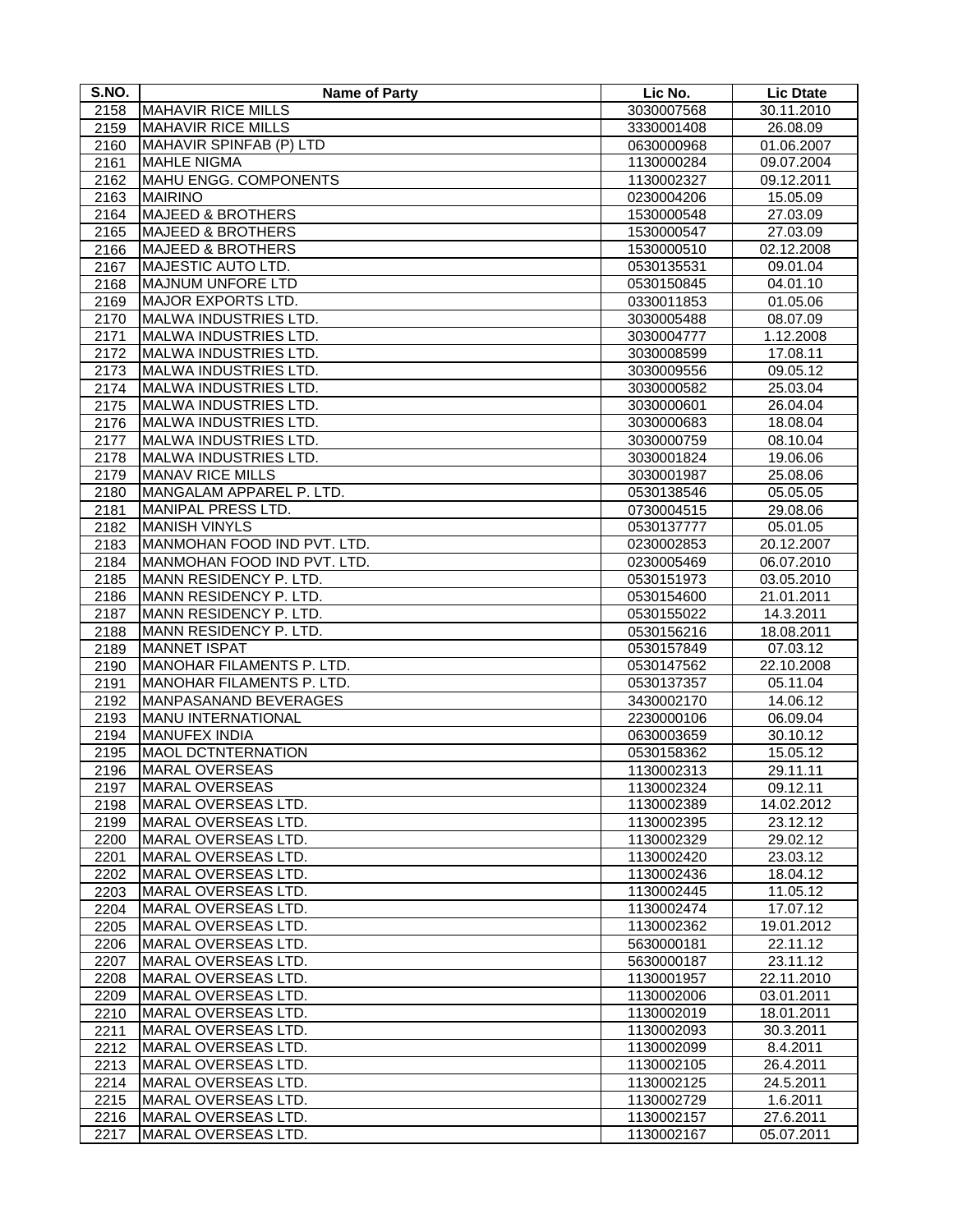| S.NO.        | <b>Name of Party</b>                       | Lic No.                  | <b>Lic Dtate</b>         |
|--------------|--------------------------------------------|--------------------------|--------------------------|
| 2158         | <b>MAHAVIR RICE MILLS</b>                  | 3030007568               | 30.11.2010               |
| 2159         | <b>MAHAVIR RICE MILLS</b>                  | 3330001408               | 26.08.09                 |
| 2160         | MAHAVIR SPINFAB (P) LTD                    | 0630000968               | 01.06.2007               |
| 2161         | <b>MAHLE NIGMA</b>                         | 1130000284               | 09.07.2004               |
| 2162         | MAHU ENGG. COMPONENTS                      | 1130002327               | 09.12.2011               |
| 2163         | <b>MAIRINO</b>                             | 0230004206               | 15.05.09                 |
| 2164         | <b>MAJEED &amp; BROTHERS</b>               | 1530000548               | 27.03.09                 |
| 2165         | <b>MAJEED &amp; BROTHERS</b>               | 1530000547               | 27.03.09                 |
| 2166         | <b>MAJEED &amp; BROTHERS</b>               | 1530000510               | 02.12.2008               |
| 2167         | MAJESTIC AUTO LTD.                         | 0530135531               | 09.01.04                 |
| 2168         | <b>MAJNUM UNFORE LTD</b>                   | 0530150845               | 04.01.10                 |
| 2169         | <b>MAJOR EXPORTS LTD.</b>                  | 0330011853               | 01.05.06                 |
| 2170         | MALWA INDUSTRIES LTD.                      | 3030005488               | 08.07.09                 |
| 2171         | MALWA INDUSTRIES LTD.                      | 3030004777               | 1.12.2008                |
| 2172         | <b>MALWA INDUSTRIES LTD.</b>               | 3030008599               | 17.08.11                 |
| 2173         | MALWA INDUSTRIES LTD.                      | 3030009556               | 09.05.12                 |
| 2174         | <b>MALWA INDUSTRIES LTD.</b>               | 3030000582               | 25.03.04                 |
| 2175         | MALWA INDUSTRIES LTD.                      | 3030000601               | 26.04.04                 |
| 2176         | MALWA INDUSTRIES LTD.                      | 3030000683               | 18.08.04                 |
| 2177         | MALWA INDUSTRIES LTD.                      | 3030000759               | 08.10.04                 |
| 2178         | <b>MALWA INDUSTRIES LTD.</b>               | 3030001824               | 19.06.06                 |
| 2179         | <b>MANAV RICE MILLS</b>                    | 3030001987               | 25.08.06                 |
| 2180         | MANGALAM APPAREL P. LTD.                   | 0530138546               | 05.05.05                 |
| 2181         | MANIPAL PRESS LTD.                         | 0730004515               | 29.08.06                 |
| 2182         | <b>MANISH VINYLS</b>                       | 0530137777               | 05.01.05                 |
| 2183         | MANMOHAN FOOD IND PVT. LTD.                |                          |                          |
| 2184         | MANMOHAN FOOD IND PVT. LTD.                | 0230002853               | 20.12.2007<br>06.07.2010 |
|              | MANN RESIDENCY P. LTD.                     | 0230005469<br>0530151973 | 03.05.2010               |
| 2185<br>2186 | MANN RESIDENCY P. LTD.                     | 0530154600               | 21.01.2011               |
| 2187         | MANN RESIDENCY P. LTD.                     | 0530155022               | 14.3.2011                |
| 2188         | MANN RESIDENCY P. LTD.                     | 0530156216               | 18.08.2011               |
| 2189         | <b>MANNET ISPAT</b>                        | 0530157849               | 07.03.12                 |
| 2190         | MANOHAR FILAMENTS P. LTD.                  | 0530147562               | 22.10.2008               |
| 2191         | MANOHAR FILAMENTS P. LTD.                  | 0530137357               | 05.11.04                 |
|              | MANPASANAND BEVERAGES                      |                          |                          |
| 2192<br>2193 | <b>MANU INTERNATIONAL</b>                  | 3430002170<br>2230000106 | 14.06.12<br>06.09.04     |
|              | <b>MANUFEX INDIA</b>                       | 0630003659               | 30.10.12                 |
| 2194         | <b>MAOL DCTNTERNATION</b>                  | 0530158362               | 15.05.12                 |
| 2195<br>2196 | <b>MARAL OVERSEAS</b>                      | 1130002313               | 29.11.11                 |
|              | MARAL OVERSEAS                             | 1130002324               |                          |
| 2197         | MARAL OVERSEAS LTD.                        |                          | 09.12.11                 |
| 2198         |                                            | 1130002389               | 14.02.2012               |
| 2199         | MARAL OVERSEAS LTD.<br>MARAL OVERSEAS LTD. | 1130002395               | 23.12.12<br>29.02.12     |
| 2200         | MARAL OVERSEAS LTD.                        | 1130002329<br>1130002420 | 23.03.12                 |
| 2201<br>2202 | MARAL OVERSEAS LTD.                        | 1130002436               | 18.04.12                 |
| 2203         | MARAL OVERSEAS LTD.                        | 1130002445               | 11.05.12                 |
| 2204         | MARAL OVERSEAS LTD.                        | 1130002474               | 17.07.12                 |
|              | MARAL OVERSEAS LTD.                        | 1130002362               | 19.01.2012               |
| 2205<br>2206 | MARAL OVERSEAS LTD.                        | 5630000181               | 22.11.12                 |
|              | MARAL OVERSEAS LTD.                        | 5630000187               | 23.11.12                 |
| 2207<br>2208 | MARAL OVERSEAS LTD.                        | 1130001957               | 22.11.2010               |
| 2209         | MARAL OVERSEAS LTD.                        | 1130002006               | 03.01.2011               |
| 2210         | MARAL OVERSEAS LTD.                        | 1130002019               | 18.01.2011               |
| 2211         | MARAL OVERSEAS LTD.                        | 1130002093               | 30.3.2011                |
| 2212         | MARAL OVERSEAS LTD.                        | 1130002099               | 8.4.2011                 |
| 2213         | MARAL OVERSEAS LTD.                        | 1130002105               | 26.4.2011                |
|              | MARAL OVERSEAS LTD.                        | 1130002125               | 24.5.2011                |
| 2214         | MARAL OVERSEAS LTD.                        | 1130002729               | 1.6.2011                 |
| 2215<br>2216 | MARAL OVERSEAS LTD.                        | 1130002157               | 27.6.2011                |
|              |                                            |                          |                          |
| 2217         | MARAL OVERSEAS LTD.                        | 1130002167               | 05.07.2011               |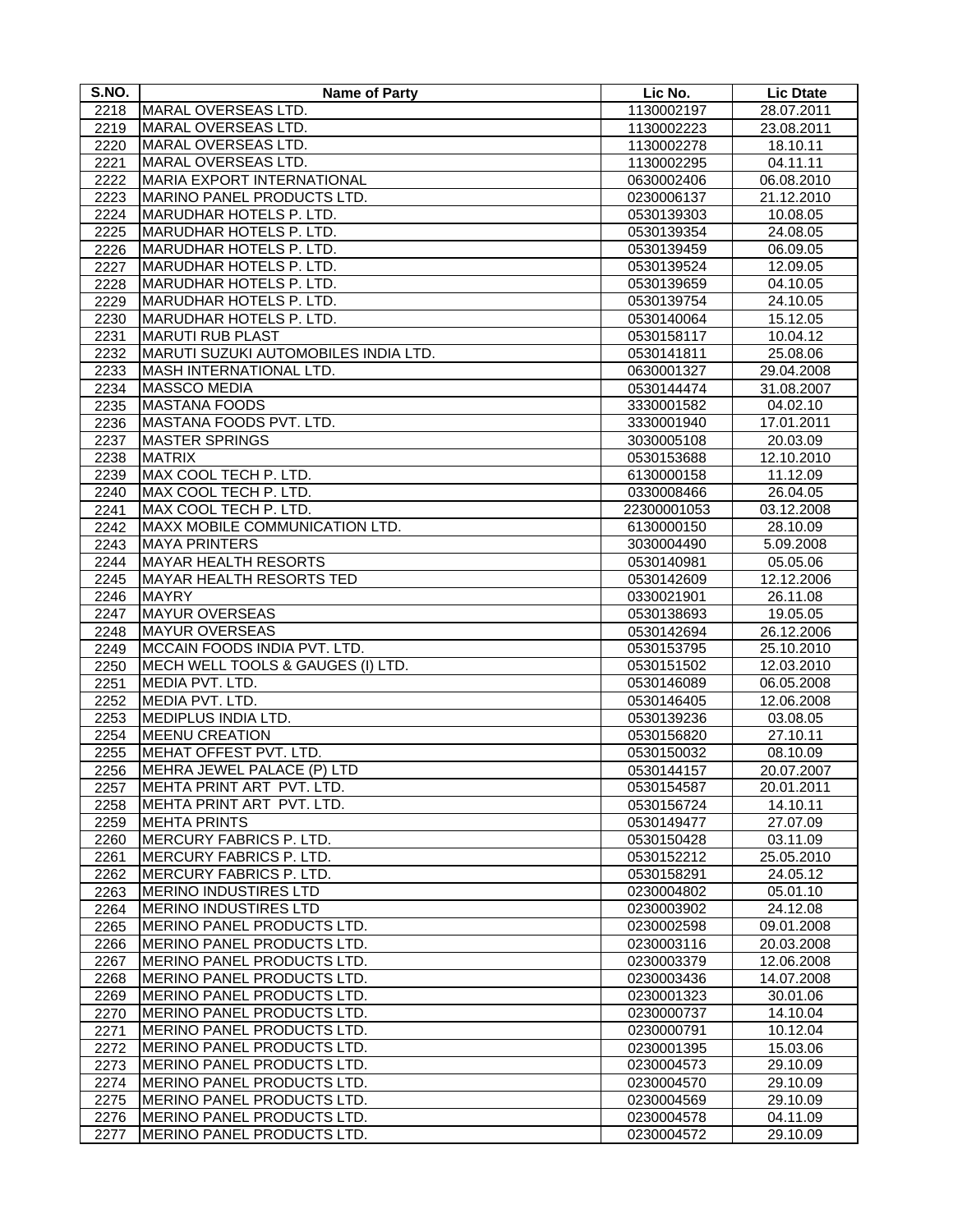| S.NO. | <b>Name of Party</b>                 | Lic No.     | <b>Lic Dtate</b> |
|-------|--------------------------------------|-------------|------------------|
| 2218  | MARAL OVERSEAS LTD.                  | 1130002197  | 28.07.2011       |
| 2219  | MARAL OVERSEAS LTD.                  | 1130002223  | 23.08.2011       |
| 2220  | MARAL OVERSEAS LTD.                  | 1130002278  | 18.10.11         |
| 2221  | MARAL OVERSEAS LTD.                  | 1130002295  | 04.11.11         |
| 2222  | <b>MARIA EXPORT INTERNATIONAL</b>    | 0630002406  | 06.08.2010       |
| 2223  | MARINO PANEL PRODUCTS LTD.           | 0230006137  | 21.12.2010       |
| 2224  | MARUDHAR HOTELS P. LTD.              | 0530139303  | 10.08.05         |
| 2225  | MARUDHAR HOTELS P. LTD.              | 0530139354  | 24.08.05         |
| 2226  | MARUDHAR HOTELS P. LTD.              | 0530139459  | 06.09.05         |
| 2227  | MARUDHAR HOTELS P. LTD.              | 0530139524  | 12.09.05         |
| 2228  | MARUDHAR HOTELS P. LTD.              | 0530139659  | 04.10.05         |
| 2229  | MARUDHAR HOTELS P. LTD.              | 0530139754  | 24.10.05         |
| 2230  | MARUDHAR HOTELS P. LTD.              | 0530140064  | 15.12.05         |
| 2231  | <b>MARUTI RUB PLAST</b>              | 0530158117  | 10.04.12         |
| 2232  | MARUTI SUZUKI AUTOMOBILES INDIA LTD. | 0530141811  | 25.08.06         |
| 2233  | <b>MASH INTERNATIONAL LTD.</b>       | 0630001327  | 29.04.2008       |
| 2234  | <b>MASSCO MEDIA</b>                  | 0530144474  | 31.08.2007       |
| 2235  | <b>MASTANA FOODS</b>                 | 3330001582  | 04.02.10         |
| 2236  | MASTANA FOODS PVT. LTD.              | 3330001940  | 17.01.2011       |
| 2237  | <b>MASTER SPRINGS</b>                | 3030005108  | 20.03.09         |
| 2238  | <b>MATRIX</b>                        | 0530153688  | 12.10.2010       |
| 2239  | MAX COOL TECH P. LTD.                | 6130000158  | 11.12.09         |
| 2240  | MAX COOL TECH P. LTD.                | 0330008466  | 26.04.05         |
| 2241  | MAX COOL TECH P. LTD.                | 22300001053 | 03.12.2008       |
| 2242  | MAXX MOBILE COMMUNICATION LTD.       | 6130000150  | 28.10.09         |
| 2243  | <b>MAYA PRINTERS</b>                 | 3030004490  | 5.09.2008        |
| 2244  | <b>MAYAR HEALTH RESORTS</b>          | 0530140981  | 05.05.06         |
| 2245  | <b>MAYAR HEALTH RESORTS TED</b>      | 0530142609  | 12.12.2006       |
| 2246  | <b>MAYRY</b>                         | 0330021901  | 26.11.08         |
| 2247  | <b>MAYUR OVERSEAS</b>                | 0530138693  | 19.05.05         |
| 2248  | <b>MAYUR OVERSEAS</b>                | 0530142694  | 26.12.2006       |
| 2249  | MCCAIN FOODS INDIA PVT. LTD.         | 0530153795  | 25.10.2010       |
| 2250  | MECH WELL TOOLS & GAUGES (I) LTD.    | 0530151502  | 12.03.2010       |
| 2251  | MEDIA PVT. LTD.                      | 0530146089  | 06.05.2008       |
| 2252  | MEDIA PVT. LTD.                      | 0530146405  | 12.06.2008       |
| 2253  | MEDIPLUS INDIA LTD.                  | 0530139236  | 03.08.05         |
| 2254  | <b>MEENU CREATION</b>                | 0530156820  | 27.10.11         |
| 2255  | MEHAT OFFEST PVT. LTD.               | 0530150032  | 08.10.09         |
| 2256  | MEHRA JEWEL PALACE (P) LTD           | 0530144157  | 20.07.2007       |
| 2257  | MEHTA PRINT ART PVT. LTD.            | 0530154587  | 20.01.2011       |
| 2258  | MEHTA PRINT ART PVT. LTD.            | 0530156724  | 14.10.11         |
| 2259  | <b>MEHTA PRINTS</b>                  | 0530149477  | 27.07.09         |
| 2260  | <b>MERCURY FABRICS P. LTD.</b>       | 0530150428  | 03.11.09         |
| 2261  | MERCURY FABRICS P. LTD.              | 0530152212  | 25.05.2010       |
| 2262  | MERCURY FABRICS P. LTD.              | 0530158291  | 24.05.12         |
| 2263  | <b>MERINO INDUSTIRES LTD</b>         | 0230004802  | 05.01.10         |
| 2264  | <b>MERINO INDUSTIRES LTD</b>         | 0230003902  | 24.12.08         |
| 2265  | MERINO PANEL PRODUCTS LTD.           | 0230002598  | 09.01.2008       |
| 2266  | MERINO PANEL PRODUCTS LTD.           | 0230003116  | 20.03.2008       |
| 2267  | MERINO PANEL PRODUCTS LTD.           | 0230003379  | 12.06.2008       |
| 2268  | MERINO PANEL PRODUCTS LTD.           | 0230003436  | 14.07.2008       |
| 2269  | MERINO PANEL PRODUCTS LTD.           | 0230001323  | 30.01.06         |
| 2270  | MERINO PANEL PRODUCTS LTD.           | 0230000737  | 14.10.04         |
| 2271  | MERINO PANEL PRODUCTS LTD.           | 0230000791  | 10.12.04         |
| 2272  | MERINO PANEL PRODUCTS LTD.           | 0230001395  | 15.03.06         |
| 2273  | MERINO PANEL PRODUCTS LTD.           | 0230004573  | 29.10.09         |
| 2274  | MERINO PANEL PRODUCTS LTD.           | 0230004570  | 29.10.09         |
| 2275  | MERINO PANEL PRODUCTS LTD.           | 0230004569  | 29.10.09         |
| 2276  | MERINO PANEL PRODUCTS LTD.           | 0230004578  | 04.11.09         |
| 2277  | MERINO PANEL PRODUCTS LTD.           | 0230004572  | 29.10.09         |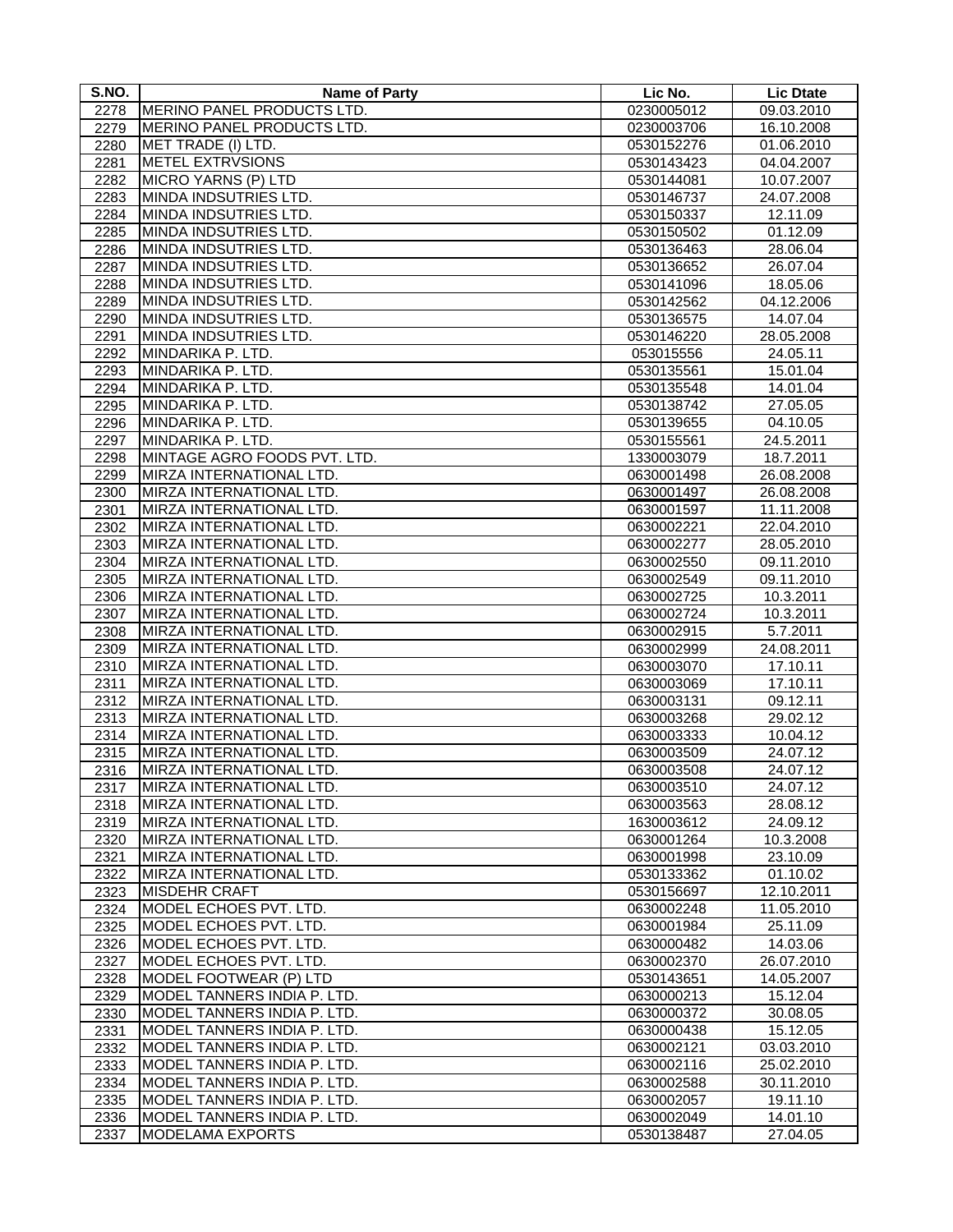| S.NO. | <b>Name of Party</b>         | Lic No.    | <b>Lic Dtate</b> |
|-------|------------------------------|------------|------------------|
| 2278  | MERINO PANEL PRODUCTS LTD.   | 0230005012 | 09.03.2010       |
| 2279  | MERINO PANEL PRODUCTS LTD.   | 0230003706 | 16.10.2008       |
| 2280  | MET TRADE (I) LTD.           | 0530152276 | 01.06.2010       |
| 2281  | <b>METEL EXTRVSIONS</b>      | 0530143423 | 04.04.2007       |
| 2282  | MICRO YARNS (P) LTD          | 0530144081 | 10.07.2007       |
| 2283  | MINDA INDSUTRIES LTD.        | 0530146737 | 24.07.2008       |
| 2284  | MINDA INDSUTRIES LTD.        | 0530150337 | 12.11.09         |
| 2285  | MINDA INDSUTRIES LTD.        | 0530150502 | 01.12.09         |
| 2286  | MINDA INDSUTRIES LTD.        | 0530136463 | 28.06.04         |
| 2287  | MINDA INDSUTRIES LTD.        | 0530136652 | 26.07.04         |
| 2288  | MINDA INDSUTRIES LTD.        | 0530141096 | 18.05.06         |
| 2289  | MINDA INDSUTRIES LTD.        | 0530142562 | 04.12.2006       |
| 2290  | MINDA INDSUTRIES LTD.        | 0530136575 | 14.07.04         |
| 2291  | MINDA INDSUTRIES LTD.        | 0530146220 | 28.05.2008       |
| 2292  | MINDARIKA P. LTD.            | 053015556  | 24.05.11         |
| 2293  | MINDARIKA P. LTD.            | 0530135561 | 15.01.04         |
| 2294  | MINDARIKA P. LTD.            | 0530135548 | 14.01.04         |
| 2295  | MINDARIKA P. LTD.            | 0530138742 | 27.05.05         |
| 2296  | MINDARIKA P. LTD.            | 0530139655 | 04.10.05         |
| 2297  | MINDARIKA P. LTD.            | 0530155561 | 24.5.2011        |
| 2298  | MINTAGE AGRO FOODS PVT. LTD. | 1330003079 | 18.7.2011        |
| 2299  | MIRZA INTERNATIONAL LTD.     | 0630001498 | 26.08.2008       |
| 2300  | MIRZA INTERNATIONAL LTD.     | 0630001497 | 26.08.2008       |
| 2301  | MIRZA INTERNATIONAL LTD.     | 0630001597 | 11.11.2008       |
| 2302  | MIRZA INTERNATIONAL LTD.     | 0630002221 | 22.04.2010       |
| 2303  | MIRZA INTERNATIONAL LTD.     | 0630002277 | 28.05.2010       |
| 2304  | MIRZA INTERNATIONAL LTD.     | 0630002550 | 09.11.2010       |
| 2305  | MIRZA INTERNATIONAL LTD.     | 0630002549 | 09.11.2010       |
| 2306  | MIRZA INTERNATIONAL LTD.     | 0630002725 | 10.3.2011        |
| 2307  | MIRZA INTERNATIONAL LTD.     | 0630002724 | 10.3.2011        |
| 2308  | MIRZA INTERNATIONAL LTD.     | 0630002915 | 5.7.2011         |
| 2309  | MIRZA INTERNATIONAL LTD.     | 0630002999 | 24.08.2011       |
| 2310  | MIRZA INTERNATIONAL LTD.     | 0630003070 | 17.10.11         |
| 2311  | MIRZA INTERNATIONAL LTD.     | 0630003069 | 17.10.11         |
| 2312  | MIRZA INTERNATIONAL LTD.     | 0630003131 | 09.12.11         |
| 2313  | MIRZA INTERNATIONAL LTD.     | 0630003268 | 29.02.12         |
| 2314  | MIRZA INTERNATIONAL LTD.     | 0630003333 | 10.04.12         |
| 2315  | MIRZA INTERNATIONAL LTD.     | 0630003509 | 24.07.12         |
| 2316  | MIRZA INTERNATIONAL LTD.     | 0630003508 | 24.07.12         |
| 2317  | MIRZA INTERNATIONAL LTD.     | 0630003510 | 24.07.12         |
| 2318  | MIRZA INTERNATIONAL LTD.     | 0630003563 | 28.08.12         |
| 2319  | MIRZA INTERNATIONAL LTD.     | 1630003612 | 24.09.12         |
| 2320  | MIRZA INTERNATIONAL LTD.     | 0630001264 | 10.3.2008        |
| 2321  | MIRZA INTERNATIONAL LTD.     | 0630001998 | 23.10.09         |
| 2322  | MIRZA INTERNATIONAL LTD.     | 0530133362 | 01.10.02         |
| 2323  | <b>MISDEHR CRAFT</b>         | 0530156697 | 12.10.2011       |
| 2324  | MODEL ECHOES PVT. LTD.       | 0630002248 | 11.05.2010       |
| 2325  | MODEL ECHOES PVT. LTD.       | 0630001984 | 25.11.09         |
| 2326  | MODEL ECHOES PVT. LTD.       | 0630000482 | 14.03.06         |
| 2327  | MODEL ECHOES PVT. LTD.       | 0630002370 | 26.07.2010       |
| 2328  | MODEL FOOTWEAR (P) LTD       | 0530143651 | 14.05.2007       |
| 2329  | MODEL TANNERS INDIA P. LTD.  | 0630000213 | 15.12.04         |
| 2330  | MODEL TANNERS INDIA P. LTD.  | 0630000372 | 30.08.05         |
| 2331  | MODEL TANNERS INDIA P. LTD.  | 0630000438 | 15.12.05         |
| 2332  | MODEL TANNERS INDIA P. LTD.  | 0630002121 | 03.03.2010       |
| 2333  | MODEL TANNERS INDIA P. LTD.  | 0630002116 | 25.02.2010       |
| 2334  | MODEL TANNERS INDIA P. LTD.  | 0630002588 | 30.11.2010       |
| 2335  | MODEL TANNERS INDIA P. LTD.  | 0630002057 | 19.11.10         |
| 2336  | MODEL TANNERS INDIA P. LTD.  | 0630002049 | 14.01.10         |
| 2337  | <b>MODELAMA EXPORTS</b>      | 0530138487 | 27.04.05         |
|       |                              |            |                  |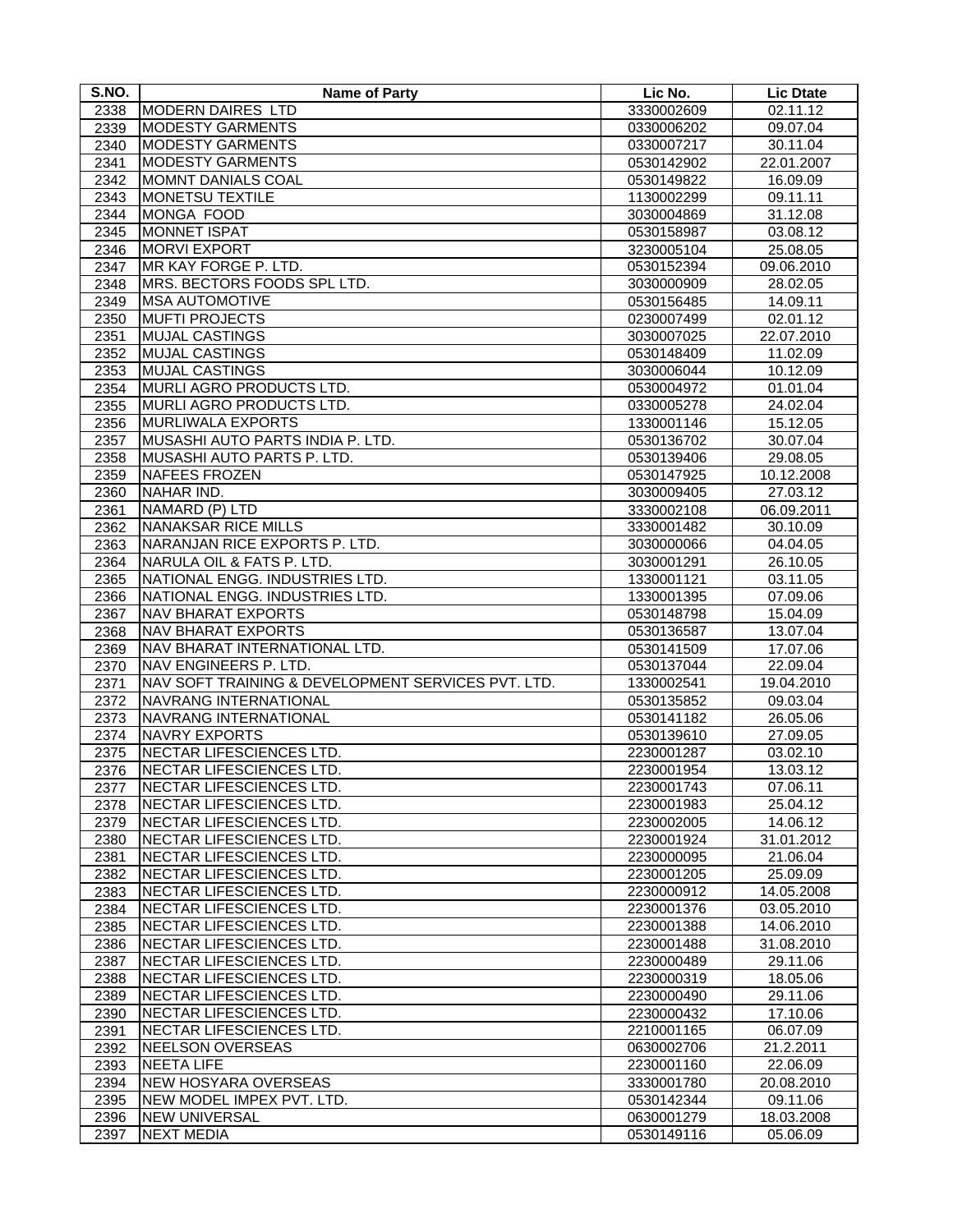| S.NO. | <b>Name of Party</b>                               | Lic No.    | <b>Lic Dtate</b> |
|-------|----------------------------------------------------|------------|------------------|
| 2338  | MODERN DAIRES LTD                                  | 3330002609 | 02.11.12         |
| 2339  | <b>MODESTY GARMENTS</b>                            | 0330006202 | 09.07.04         |
| 2340  | <b>MODESTY GARMENTS</b>                            | 0330007217 | 30.11.04         |
| 2341  | <b>MODESTY GARMENTS</b>                            | 0530142902 | 22.01.2007       |
| 2342  | <b>MOMNT DANIALS COAL</b>                          | 0530149822 | 16.09.09         |
| 2343  | <b>MONETSU TEXTILE</b>                             | 1130002299 | 09.11.11         |
| 2344  | MONGA FOOD                                         | 3030004869 | 31.12.08         |
| 2345  | <b>MONNET ISPAT</b>                                | 0530158987 | 03.08.12         |
| 2346  | <b>MORVI EXPORT</b>                                | 3230005104 | 25.08.05         |
| 2347  | MR KAY FORGE P. LTD.                               | 0530152394 | 09.06.2010       |
| 2348  | MRS. BECTORS FOODS SPL LTD.                        | 3030000909 | 28.02.05         |
| 2349  | <b>MSA AUTOMOTIVE</b>                              | 0530156485 | 14.09.11         |
| 2350  | <b>MUFTI PROJECTS</b>                              | 0230007499 | 02.01.12         |
| 2351  | <b>MUJAL CASTINGS</b>                              | 3030007025 | 22.07.2010       |
| 2352  | <b>MUJAL CASTINGS</b>                              | 0530148409 | 11.02.09         |
| 2353  | <b>MUJAL CASTINGS</b>                              | 3030006044 | 10.12.09         |
| 2354  | MURLI AGRO PRODUCTS LTD.                           | 0530004972 | 01.01.04         |
| 2355  | <b>MURLI AGRO PRODUCTS LTD.</b>                    | 0330005278 | 24.02.04         |
| 2356  | <b>MURLIWALA EXPORTS</b>                           | 1330001146 | 15.12.05         |
| 2357  | MUSASHI AUTO PARTS INDIA P. LTD.                   | 0530136702 | 30.07.04         |
| 2358  | MUSASHI AUTO PARTS P. LTD.                         | 0530139406 | 29.08.05         |
| 2359  | NAFEES FROZEN                                      | 0530147925 | 10.12.2008       |
| 2360  | NAHAR IND.                                         | 3030009405 | 27.03.12         |
| 2361  | NAMARD (P) LTD                                     | 3330002108 | 06.09.2011       |
| 2362  | <b>NANAKSAR RICE MILLS</b>                         | 3330001482 | 30.10.09         |
| 2363  | NARANJAN RICE EXPORTS P. LTD.                      | 3030000066 | 04.04.05         |
| 2364  | NARULA OIL & FATS P. LTD.                          | 3030001291 | 26.10.05         |
| 2365  | NATIONAL ENGG. INDUSTRIES LTD.                     | 1330001121 | 03.11.05         |
| 2366  | NATIONAL ENGG. INDUSTRIES LTD.                     | 1330001395 | 07.09.06         |
| 2367  | <b>NAV BHARAT EXPORTS</b>                          | 0530148798 | 15.04.09         |
| 2368  | <b>NAV BHARAT EXPORTS</b>                          | 0530136587 | 13.07.04         |
| 2369  | NAV BHARAT INTERNATIONAL LTD.                      | 0530141509 | 17.07.06         |
| 2370  | NAV ENGINEERS P. LTD.                              | 0530137044 | 22.09.04         |
| 2371  | NAV SOFT TRAINING & DEVELOPMENT SERVICES PVT. LTD. | 1330002541 | 19.04.2010       |
| 2372  | NAVRANG INTERNATIONAL                              | 0530135852 | 09.03.04         |
| 2373  | NAVRANG INTERNATIONAL                              | 0530141182 | 26.05.06         |
| 2374  | <b>NAVRY EXPORTS</b>                               | 0530139610 | 27.09.05         |
| 2375  | NECTAR LIFESCIENCES LTD.                           | 2230001287 | 03.02.10         |
| 2376  | NECTAR LIFESCIENCES LTD.                           | 2230001954 | 13.03.12         |
| 2377  | <b>INECTAR LIFESCIENCES LTD.</b>                   | 2230001743 | 07.06.11         |
| 2378  | NECTAR LIFESCIENCES LTD.                           | 2230001983 | 25.04.12         |
| 2379  | NECTAR LIFESCIENCES LTD.                           | 2230002005 | 14.06.12         |
| 2380  | NECTAR LIFESCIENCES LTD.                           | 2230001924 | 31.01.2012       |
| 2381  | NECTAR LIFESCIENCES LTD.                           | 2230000095 | 21.06.04         |
| 2382  | NECTAR LIFESCIENCES LTD.                           | 2230001205 | 25.09.09         |
| 2383  | NECTAR LIFESCIENCES LTD.                           | 2230000912 | 14.05.2008       |
| 2384  | NECTAR LIFESCIENCES LTD.                           | 2230001376 | 03.05.2010       |
| 2385  | NECTAR LIFESCIENCES LTD.                           | 2230001388 | 14.06.2010       |
| 2386  | NECTAR LIFESCIENCES LTD.                           | 2230001488 | 31.08.2010       |
| 2387  | NECTAR LIFESCIENCES LTD.                           | 2230000489 | 29.11.06         |
| 2388  | NECTAR LIFESCIENCES LTD.                           | 2230000319 | 18.05.06         |
| 2389  | NECTAR LIFESCIENCES LTD.                           | 2230000490 | 29.11.06         |
| 2390  | NECTAR LIFESCIENCES LTD.                           | 2230000432 | 17.10.06         |
| 2391  | NECTAR LIFESCIENCES LTD.                           | 2210001165 | 06.07.09         |
| 2392  | NEELSON OVERSEAS                                   | 0630002706 | 21.2.2011        |
| 2393  | <b>NEETA LIFE</b>                                  | 2230001160 | 22.06.09         |
| 2394  | <b>NEW HOSYARA OVERSEAS</b>                        | 3330001780 | 20.08.2010       |
| 2395  | NEW MODEL IMPEX PVT. LTD.                          | 0530142344 | 09.11.06         |
| 2396  | <b>NEW UNIVERSAL</b>                               | 0630001279 | 18.03.2008       |
| 2397  | <b>NEXT MEDIA</b>                                  | 0530149116 | 05.06.09         |
|       |                                                    |            |                  |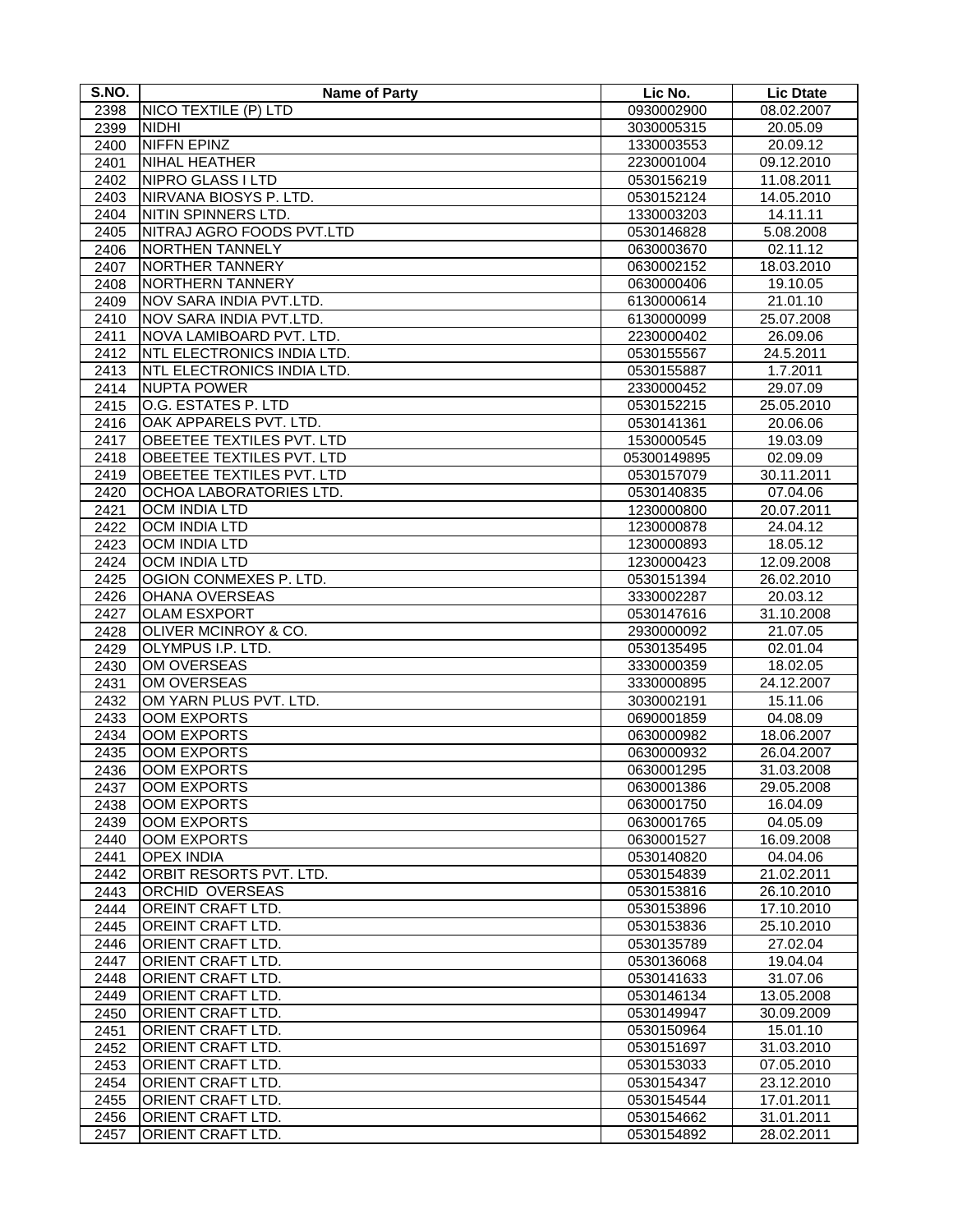| S.NO.        | <b>Name of Party</b>             | Lic No.                  | <b>Lic Dtate</b> |
|--------------|----------------------------------|--------------------------|------------------|
| 2398         | NICO TEXTILE (P) LTD             | 0930002900               | 08.02.2007       |
| 2399         | <b>NIDHI</b>                     | 3030005315               | 20.05.09         |
| 2400         | <b>NIFFN EPINZ</b>               | 1330003553               | 20.09.12         |
| 2401         | <b>NIHAL HEATHER</b>             | 2230001004               | 09.12.2010       |
| 2402         | NIPRO GLASS I LTD                | 0530156219               | 11.08.2011       |
| 2403         | NIRVANA BIOSYS P. LTD.           | 0530152124               | 14.05.2010       |
| 2404         | NITIN SPINNERS LTD.              | 1330003203               | 14.11.11         |
| 2405         | NITRAJ AGRO FOODS PVT.LTD        | 0530146828               | 5.08.2008        |
| 2406         | NORTHEN TANNELY                  | 0630003670               | 02.11.12         |
| 2407         | NORTHER TANNERY                  | 0630002152               | 18.03.2010       |
| 2408         | <b>NORTHERN TANNERY</b>          | 0630000406               | 19.10.05         |
| 2409         | NOV SARA INDIA PVT.LTD.          | 6130000614               | 21.01.10         |
| 2410         | NOV SARA INDIA PVT.LTD.          | 6130000099               | 25.07.2008       |
| 2411         | NOVA LAMIBOARD PVT. LTD.         | 2230000402               | 26.09.06         |
| 2412         | NTL ELECTRONICS INDIA LTD.       | 0530155567               | 24.5.2011        |
| 2413         | NTL ELECTRONICS INDIA LTD.       | 0530155887               | 1.7.2011         |
| 2414         | <b>NUPTA POWER</b>               | 2330000452               | 29.07.09         |
| 2415         | O.G. ESTATES P. LTD              | 0530152215               | 25.05.2010       |
| 2416         | OAK APPARELS PVT. LTD.           | 0530141361               | 20.06.06         |
| 2417         | <b>OBEETEE TEXTILES PVT. LTD</b> | 1530000545               | 19.03.09         |
| 2418         | OBEETEE TEXTILES PVT. LTD        | 05300149895              | 02.09.09         |
| 2419         | OBEETEE TEXTILES PVT. LTD        | 0530157079               | 30.11.2011       |
| 2420         | OCHOA LABORATORIES LTD.          | 0530140835               | 07.04.06         |
| 2421         | OCM INDIA LTD                    | 1230000800               | 20.07.2011       |
| 2422         | <b>OCM INDIA LTD</b>             | 1230000878               | 24.04.12         |
| 2423         | <b>OCM INDIA LTD</b>             | 1230000893               | 18.05.12         |
| 2424         | <b>OCM INDIA LTD</b>             | 1230000423               | 12.09.2008       |
| 2425         | OGION CONMEXES P. LTD.           | 0530151394               | 26.02.2010       |
| 2426         | <b>OHANA OVERSEAS</b>            | 3330002287               | 20.03.12         |
|              | <b>OLAM ESXPORT</b>              |                          | 31.10.2008       |
| 2427<br>2428 | OLIVER MCINROY & CO.             | 0530147616<br>2930000092 | 21.07.05         |
| 2429         | OLYMPUS I.P. LTD.                | 0530135495               | 02.01.04         |
| 2430         | <b>OM OVERSEAS</b>               | 3330000359               | 18.02.05         |
|              | OM OVERSEAS                      |                          |                  |
| 2431         | OM YARN PLUS PVT. LTD.           | 3330000895               | 24.12.2007       |
| 2432         | <b>OOM EXPORTS</b>               | 3030002191               | 15.11.06         |
| 2433         | <b>OOM EXPORTS</b>               | 0690001859               | 04.08.09         |
| 2434         |                                  | 0630000982               | 18.06.2007       |
| 2435         | OOM EXPORTS                      | 0630000932               | 26.04.2007       |
| 2436         | <b>OOM EXPORTS</b>               | 0630001295               | 31.03.2008       |
| 2437         | OOM EXPORTS                      | 0630001386               | 29.05.2008       |
| 2438         | <b>OOM EXPORTS</b>               | 0630001750               | 16.04.09         |
| 2439         | <b>OOM EXPORTS</b>               | 0630001765               | 04.05.09         |
| 2440         | <b>OOM EXPORTS</b>               | 0630001527               | 16.09.2008       |
| 2441         | <b>OPEX INDIA</b>                | 0530140820               | 04.04.06         |
| 2442         | ORBIT RESORTS PVT. LTD.          | 0530154839               | 21.02.2011       |
| 2443         | ORCHID OVERSEAS                  | 0530153816               | 26.10.2010       |
| 2444         | OREINT CRAFT LTD.                | 0530153896               | 17.10.2010       |
| 2445         | OREINT CRAFT LTD.                | 0530153836               | 25.10.2010       |
| 2446         | ORIENT CRAFT LTD.                | 0530135789               | 27.02.04         |
| 2447         | <b>ORIENT CRAFT LTD.</b>         | 0530136068               | 19.04.04         |
| 2448         | ORIENT CRAFT LTD.                | 0530141633               | 31.07.06         |
| 2449         | ORIENT CRAFT LTD.                | 0530146134               | 13.05.2008       |
| 2450         | ORIENT CRAFT LTD.                | 0530149947               | 30.09.2009       |
| 2451         | ORIENT CRAFT LTD.                | 0530150964               | 15.01.10         |
| 2452         | ORIENT CRAFT LTD.                | 0530151697               | 31.03.2010       |
| 2453         | ORIENT CRAFT LTD.                | 0530153033               | 07.05.2010       |
| 2454         | ORIENT CRAFT LTD.                | 0530154347               | 23.12.2010       |
| 2455         | ORIENT CRAFT LTD.                | 0530154544               | 17.01.2011       |
| 2456         | ORIENT CRAFT LTD.                | 0530154662               | 31.01.2011       |
| 2457         | ORIENT CRAFT LTD.                | 0530154892               | 28.02.2011       |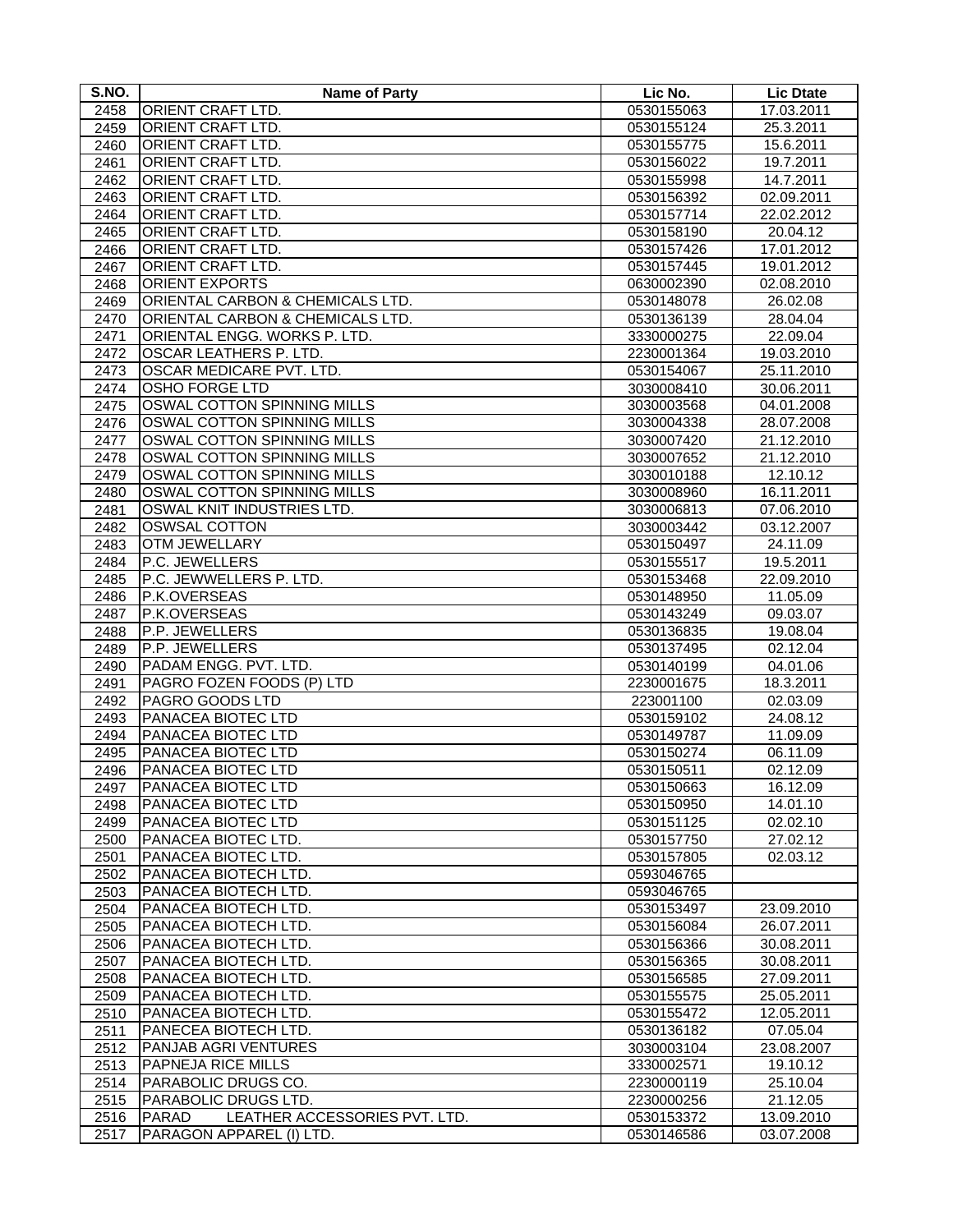| S.NO.        | <b>Name of Party</b>                          | Lic No.                  | <b>Lic Dtate</b>       |
|--------------|-----------------------------------------------|--------------------------|------------------------|
| 2458         | ORIENT CRAFT LTD.                             | 0530155063               | 17.03.2011             |
| 2459         | ORIENT CRAFT LTD.                             | 0530155124               | 25.3.2011              |
| 2460         | <b>ORIENT CRAFT LTD.</b>                      | 0530155775               | 15.6.2011              |
| 2461         | <b>ORIENT CRAFT LTD.</b>                      | 0530156022               | 19.7.2011              |
| 2462         | ORIENT CRAFT LTD.                             | 0530155998               | 14.7.2011              |
| 2463         | ORIENT CRAFT LTD.                             | 0530156392               | 02.09.2011             |
| 2464         | ORIENT CRAFT LTD.                             | 0530157714               | 22.02.2012             |
| 2465         | ORIENT CRAFT LTD.                             | 0530158190               | 20.04.12               |
| 2466         | ORIENT CRAFT LTD.                             | 0530157426               | 17.01.2012             |
| 2467         | ORIENT CRAFT LTD.                             | 0530157445               | 19.01.2012             |
| 2468         | <b>ORIENT EXPORTS</b>                         | 0630002390               | 02.08.2010             |
| 2469         | ORIENTAL CARBON & CHEMICALS LTD.              | 0530148078               | 26.02.08               |
| 2470         | ORIENTAL CARBON & CHEMICALS LTD.              | 0530136139               | 28.04.04               |
| 2471         | ORIENTAL ENGG. WORKS P. LTD.                  | 3330000275               | 22.09.04               |
| 2472         | OSCAR LEATHERS P. LTD.                        | 2230001364               | 19.03.2010             |
| 2473         | OSCAR MEDICARE PVT. LTD.                      | 0530154067               | 25.11.2010             |
| 2474         | <b>OSHO FORGE LTD</b>                         | 3030008410               | 30.06.2011             |
| 2475         | OSWAL COTTON SPINNING MILLS                   | 3030003568               | 04.01.2008             |
| 2476         | OSWAL COTTON SPINNING MILLS                   | 3030004338               | 28.07.2008             |
| 2477         | <b>OSWAL COTTON SPINNING MILLS</b>            | 3030007420               | 21.12.2010             |
| 2478         | OSWAL COTTON SPINNING MILLS                   | 3030007652               | 21.12.2010             |
| 2479         | OSWAL COTTON SPINNING MILLS                   | 3030010188               | 12.10.12               |
| 2480         | OSWAL COTTON SPINNING MILLS                   | 3030008960               | 16.11.2011             |
| 2481         | OSWAL KNIT INDUSTRIES LTD.                    | 3030006813               | 07.06.2010             |
| 2482         | <b>OSWSAL COTTON</b>                          | 3030003442               | 03.12.2007             |
| 2483         | <b>OTM JEWELLARY</b>                          | 0530150497               | 24.11.09               |
| 2484         | P.C. JEWELLERS                                | 0530155517               | 19.5.2011              |
| 2485         | P.C. JEWWELLERS P. LTD.                       | 0530153468               | 22.09.2010             |
| 2486         | P.K.OVERSEAS                                  | 0530148950               | 11.05.09               |
| 2487         | P.K.OVERSEAS                                  | 0530143249               | 09.03.07               |
| 2488         | P.P. JEWELLERS                                | 0530136835               | 19.08.04               |
| 2489         | P.P. JEWELLERS                                | 0530137495               | 02.12.04               |
| 2490         | PADAM ENGG. PVT. LTD.                         | 0530140199               | 04.01.06               |
| 2491         | PAGRO FOZEN FOODS (P) LTD                     | 2230001675               | 18.3.2011              |
| 2492         | PAGRO GOODS LTD                               | 223001100                | 02.03.09               |
| 2493         | PANACEA BIOTEC LTD                            | 0530159102               | 24.08.12               |
| 2494         | PANACEA BIOTEC LTD                            | 0530149787               | 11.09.09               |
| 2495         | PANACEA BIOTEC LTD                            | 0530150274               | 06.11.09               |
| 2496         | PANACEA BIOTEC LTD                            | 0530150511               | 02.12.09               |
| 2497         | <b>PANACEA BIOTEC LTD</b>                     | 0530150663               | 16.12.09               |
| 2498         | PANACEA BIOTEC LTD                            | 0530150950               | 14.01.10               |
| 2499         | PANACEA BIOTEC LTD                            | 0530151125               | 02.02.10               |
| 2500         | PANACEA BIOTEC LTD.                           | 0530157750               | 27.02.12               |
| 2501         | PANACEA BIOTEC LTD.                           | 0530157805               | 02.03.12               |
| 2502         | PANACEA BIOTECH LTD.                          | 0593046765               |                        |
| 2503         | PANACEA BIOTECH LTD.                          | 0593046765               |                        |
| 2504         | PANACEA BIOTECH LTD.                          | 0530153497               | 23.09.2010             |
| 2505         | PANACEA BIOTECH LTD.                          | 0530156084               | 26.07.2011             |
| 2506         | PANACEA BIOTECH LTD.                          | 0530156366               | 30.08.2011             |
| 2507         | PANACEA BIOTECH LTD.                          | 0530156365               | 30.08.2011             |
| 2508         | PANACEA BIOTECH LTD.                          | 0530156585               | 27.09.2011             |
| 2509         | PANACEA BIOTECH LTD.                          | 0530155575               | 25.05.2011             |
| 2510         | PANACEA BIOTECH LTD.                          | 0530155472               | 12.05.2011             |
| 2511         | PANECEA BIOTECH LTD.                          | 0530136182               | 07.05.04               |
| 2512         | PANJAB AGRI VENTURES                          | 3030003104               | 23.08.2007             |
| 2513         | PAPNEJA RICE MILLS<br>PARABOLIC DRUGS CO.     | 3330002571               | 19.10.12<br>25.10.04   |
| 2514         | PARABOLIC DRUGS LTD.                          | 2230000119               |                        |
| 2515<br>2516 | LEATHER ACCESSORIES PVT. LTD.<br><b>PARAD</b> | 2230000256<br>0530153372 | 21.12.05<br>13.09.2010 |
| 2517         | PARAGON APPAREL (I) LTD.                      | 0530146586               | 03.07.2008             |
|              |                                               |                          |                        |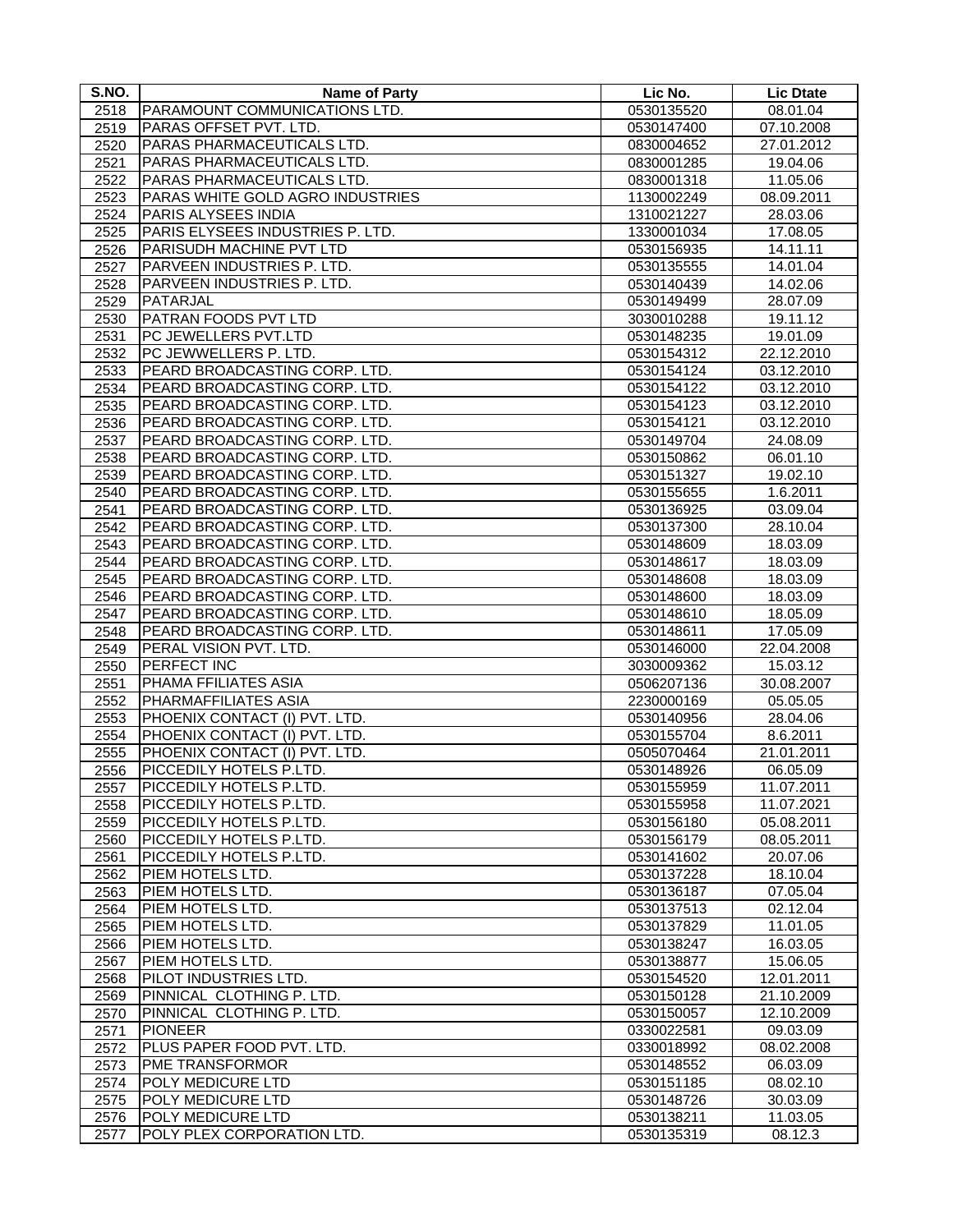| S.NO.        | <b>Name of Party</b>                 | Lic No.                  | <b>Lic Dtate</b>     |
|--------------|--------------------------------------|--------------------------|----------------------|
| 2518         | PARAMOUNT COMMUNICATIONS LTD.        | 0530135520               | 08.01.04             |
| 2519         | PARAS OFFSET PVT. LTD.               | 0530147400               | 07.10.2008           |
| 2520         | PARAS PHARMACEUTICALS LTD.           | 0830004652               | 27.01.2012           |
| 2521         | PARAS PHARMACEUTICALS LTD.           | 0830001285               | 19.04.06             |
| 2522         | PARAS PHARMACEUTICALS LTD.           | 0830001318               | 11.05.06             |
| 2523         | PARAS WHITE GOLD AGRO INDUSTRIES     | 1130002249               | 08.09.2011           |
| 2524         | PARIS ALYSEES INDIA                  | 1310021227               | 28.03.06             |
| 2525         | PARIS ELYSEES INDUSTRIES P. LTD.     | 1330001034               | 17.08.05             |
| 2526         | PARISUDH MACHINE PVT LTD             | 0530156935               | 14.11.11             |
| 2527         | PARVEEN INDUSTRIES P. LTD.           | 0530135555               | 14.01.04             |
| 2528         | PARVEEN INDUSTRIES P. LTD.           | 0530140439               | 14.02.06             |
| 2529         | PATARJAL                             | 0530149499               | 28.07.09             |
| 2530         | PATRAN FOODS PVT LTD                 | 3030010288               | 19.11.12             |
| 2531         | PC JEWELLERS PVT.LTD                 | 0530148235               | 19.01.09             |
| 2532         | PC JEWWELLERS P. LTD.                | 0530154312               | 22.12.2010           |
| 2533         | <b>PEARD BROADCASTING CORP. LTD.</b> | 0530154124               | 03.12.2010           |
| 2534         | PEARD BROADCASTING CORP. LTD.        | 0530154122               | 03.12.2010           |
| 2535         | PEARD BROADCASTING CORP. LTD.        | 0530154123               | 03.12.2010           |
| 2536         | PEARD BROADCASTING CORP. LTD.        | 0530154121               | 03.12.2010           |
|              | PEARD BROADCASTING CORP. LTD.        | 0530149704               | 24.08.09             |
| 2537<br>2538 | PEARD BROADCASTING CORP. LTD.        | 0530150862               | 06.01.10             |
| 2539         | PEARD BROADCASTING CORP. LTD.        | 0530151327               | 19.02.10             |
|              | PEARD BROADCASTING CORP. LTD.        | 0530155655               | 1.6.2011             |
| 2540         | PEARD BROADCASTING CORP. LTD.        |                          |                      |
| 2541         | PEARD BROADCASTING CORP. LTD.        | 0530136925<br>0530137300 | 03.09.04<br>28.10.04 |
| 2542         |                                      |                          |                      |
| 2543         | PEARD BROADCASTING CORP. LTD.        | 0530148609               | 18.03.09             |
| 2544         | PEARD BROADCASTING CORP. LTD.        | 0530148617               | 18.03.09             |
| 2545         | PEARD BROADCASTING CORP. LTD.        | 0530148608               | 18.03.09             |
| 2546         | PEARD BROADCASTING CORP. LTD.        | 0530148600               | 18.03.09             |
| 2547         | PEARD BROADCASTING CORP. LTD.        | 0530148610               | 18.05.09             |
| 2548         | PEARD BROADCASTING CORP. LTD.        | 0530148611               | 17.05.09             |
| 2549         | PERAL VISION PVT. LTD.               | 0530146000               | 22.04.2008           |
| 2550         | PERFECT INC                          | 3030009362               | 15.03.12             |
| 2551         | PHAMA FFILIATES ASIA                 | 0506207136               | 30.08.2007           |
| 2552         | PHARMAFFILIATES ASIA                 | 2230000169               | 05.05.05             |
| 2553         | PHOENIX CONTACT (I) PVT. LTD.        | 0530140956               | 28.04.06             |
| 2554         | PHOENIX CONTACT (I) PVT. LTD.        | 0530155704               | 8.6.2011             |
| 2555         | PHOENIX CONTACT (I) PVT. LTD.        | 0505070464               | 21.01.2011           |
| 2556         | PICCEDILY HOTELS P.LTD.              | 0530148926               | 06.05.09             |
| 2557         | PICCEDILY HOTELS P.LTD.              | 0530155959               | 11.07.2011           |
| 2558         | PICCEDILY HOTELS P.LTD.              | 0530155958               | 11.07.2021           |
| 2559         | PICCEDILY HOTELS P.LTD.              | 0530156180               | 05.08.2011           |
| 2560         | PICCEDILY HOTELS P.LTD.              | 0530156179               | 08.05.2011           |
| 2561         | PICCEDILY HOTELS P.LTD.              | 0530141602               | 20.07.06             |
| 2562         | PIEM HOTELS LTD.                     | 0530137228               | 18.10.04             |
| 2563         | PIEM HOTELS LTD.                     | 0530136187               | 07.05.04             |
| 2564         | PIEM HOTELS LTD.                     | 0530137513               | 02.12.04             |
| 2565         | PIEM HOTELS LTD.                     | 0530137829               | 11.01.05             |
| 2566         | PIEM HOTELS LTD.                     | 0530138247               | 16.03.05             |
| 2567         | PIEM HOTELS LTD.                     | 0530138877               | 15.06.05             |
| 2568         | PILOT INDUSTRIES LTD.                | 0530154520               | 12.01.2011           |
| 2569         | PINNICAL CLOTHING P. LTD.            | 0530150128               | 21.10.2009           |
| 2570         | PINNICAL CLOTHING P. LTD.            | 0530150057               | 12.10.2009           |
| 2571         | <b>PIONEER</b>                       | 0330022581               | 09.03.09             |
| 2572         | PLUS PAPER FOOD PVT. LTD.            | 0330018992               | 08.02.2008           |
| 2573         | <b>PME TRANSFORMOR</b>               | 0530148552               | 06.03.09             |
| 2574         | POLY MEDICURE LTD                    | 0530151185               | 08.02.10             |
| 2575         | POLY MEDICURE LTD                    | 0530148726               | 30.03.09             |
| 2576         | POLY MEDICURE LTD                    | 0530138211               | 11.03.05             |
| 2577         | POLY PLEX CORPORATION LTD.           | 0530135319               | 08.12.3              |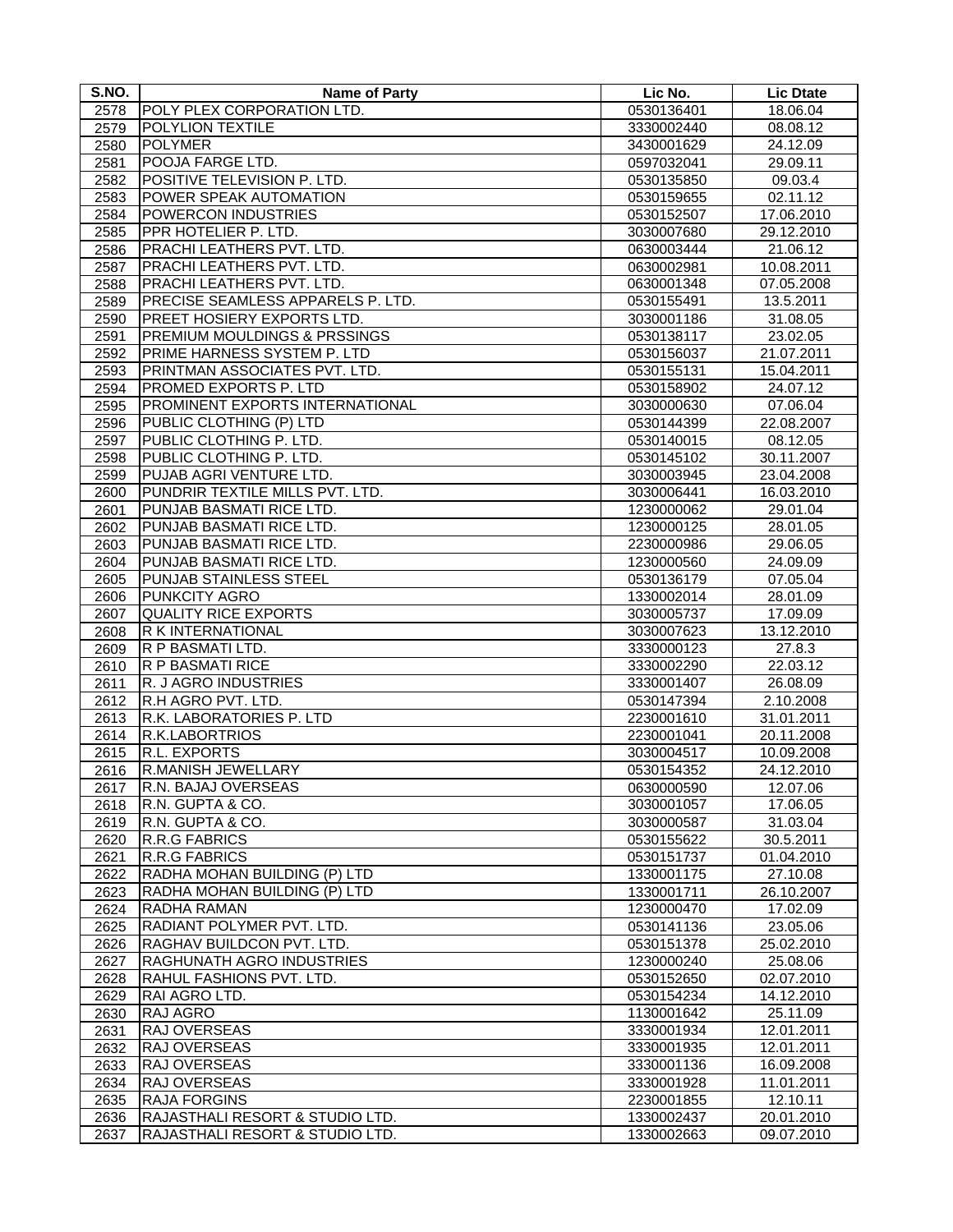| S.NO.        | <b>Name of Party</b>                             | Lic No.                  | <b>Lic Dtate</b>       |
|--------------|--------------------------------------------------|--------------------------|------------------------|
| 2578         | POLY PLEX CORPORATION LTD.                       | 0530136401               | 18.06.04               |
| 2579         | <b>POLYLION TEXTILE</b>                          | 3330002440               | 08.08.12               |
| 2580         | <b>POLYMER</b>                                   | 3430001629               | 24.12.09               |
| 2581         | POOJA FARGE LTD.                                 | 0597032041               | 29.09.11               |
| 2582         | POSITIVE TELEVISION P. LTD.                      | 0530135850               | 09.03.4                |
| 2583         | POWER SPEAK AUTOMATION                           | 0530159655               | 02.11.12               |
| 2584         | POWERCON INDUSTRIES                              | 0530152507               | 17.06.2010             |
| 2585         | PPR HOTELIER P. LTD.                             | 3030007680               | 29.12.2010             |
| 2586         | PRACHI LEATHERS PVT. LTD.                        | 0630003444               | 21.06.12               |
| 2587         | PRACHI LEATHERS PVT. LTD.                        | 0630002981               | 10.08.2011             |
| 2588         | PRACHI LEATHERS PVT. LTD.                        | 0630001348               | 07.05.2008             |
| 2589         | PRECISE SEAMLESS APPARELS P. LTD.                | 0530155491               | 13.5.2011              |
| 2590         | PREET HOSIERY EXPORTS LTD.                       | 3030001186               | 31.08.05               |
| 2591         | PREMIUM MOULDINGS & PRSSINGS                     | 0530138117               | 23.02.05               |
| 2592         | PRIME HARNESS SYSTEM P. LTD                      | 0530156037               | 21.07.2011             |
| 2593         | PRINTMAN ASSOCIATES PVT. LTD.                    | 0530155131               | 15.04.2011             |
| 2594         | PROMED EXPORTS P. LTD                            | 0530158902               | 24.07.12               |
| 2595         | PROMINENT EXPORTS INTERNATIONAL                  | 3030000630               | 07.06.04               |
| 2596         | PUBLIC CLOTHING (P) LTD                          | 0530144399               | 22.08.2007             |
| 2597         | PUBLIC CLOTHING P. LTD.                          | 0530140015               | 08.12.05               |
| 2598         | PUBLIC CLOTHING P. LTD.                          | 0530145102               | 30.11.2007             |
| 2599         | PUJAB AGRI VENTURE LTD.                          | 3030003945               | 23.04.2008             |
| 2600         | PUNDRIR TEXTILE MILLS PVT. LTD.                  | 3030006441               | 16.03.2010             |
| 2601         | PUNJAB BASMATI RICE LTD.                         | 1230000062               | 29.01.04               |
| 2602         | PUNJAB BASMATI RICE LTD.                         | 1230000125               | 28.01.05               |
| 2603         | PUNJAB BASMATI RICE LTD.                         | 2230000986               | 29.06.05               |
| 2604         | PUNJAB BASMATI RICE LTD.                         | 1230000560               | 24.09.09               |
| 2605         | PUNJAB STAINLESS STEEL                           | 0530136179               | 07.05.04               |
| 2606         | <b>PUNKCITY AGRO</b>                             | 1330002014               | 28.01.09               |
| 2607         | <b>QUALITY RICE EXPORTS</b><br>R K INTERNATIONAL | 3030005737<br>3030007623 | 17.09.09<br>13.12.2010 |
| 2608<br>2609 | R P BASMATI LTD.                                 | 3330000123               | $\overline{27.8.3}$    |
| 2610         | <b>R P BASMATI RICE</b>                          | 3330002290               | 22.03.12               |
| 2611         | R. J AGRO INDUSTRIES                             | 3330001407               | 26.08.09               |
| 2612         | R.H AGRO PVT. LTD.                               | 0530147394               | 2.10.2008              |
| 2613         | R.K. LABORATORIES P. LTD                         | 2230001610               | 31.01.2011             |
| 2614         | R.K.LABORTRIOS                                   | 2230001041               | 20.11.2008             |
| 2615         | <b>R.L. EXPORTS</b>                              | 3030004517               | 10.09.2008             |
| 2616         | R.MANISH JEWELLARY                               | 0530154352               | 24.12.2010             |
| 2617         | R.N. BAJAJ OVERSEAS                              | 0630000590               | 12.07.06               |
| 2618         | R.N. GUPTA & CO.                                 | 3030001057               | 17.06.05               |
| 2619         | R.N. GUPTA & CO.                                 | 3030000587               | 31.03.04               |
| 2620         | <b>R.R.G FABRICS</b>                             | 0530155622               | 30.5.2011              |
| 2621         | <b>R.R.G FABRICS</b>                             | 0530151737               | 01.04.2010             |
| 2622         | RADHA MOHAN BUILDING (P) LTD                     | 1330001175               | 27.10.08               |
| 2623         | RADHA MOHAN BUILDING (P) LTD                     | 1330001711               | 26.10.2007             |
| 2624         | <b>RADHA RAMAN</b>                               | 1230000470               | 17.02.09               |
| 2625         | RADIANT POLYMER PVT. LTD.                        | 0530141136               | 23.05.06               |
| 2626         | RAGHAV BUILDCON PVT. LTD.                        | 0530151378               | 25.02.2010             |
| 2627         | <b>RAGHUNATH AGRO INDUSTRIES</b>                 | 1230000240               | 25.08.06               |
| 2628         | RAHUL FASHIONS PVT. LTD.                         | 0530152650               | 02.07.2010             |
| 2629<br>2630 | RAI AGRO LTD.<br><b>RAJ AGRO</b>                 | 0530154234<br>1130001642 | 14.12.2010<br>25.11.09 |
| 2631         | RAJ OVERSEAS                                     | 3330001934               | 12.01.2011             |
| 2632         | RAJ OVERSEAS                                     | 3330001935               | 12.01.2011             |
| 2633         | RAJ OVERSEAS                                     | 3330001136               | 16.09.2008             |
| 2634         | RAJ OVERSEAS                                     | 3330001928               | 11.01.2011             |
| 2635         | <b>RAJA FORGINS</b>                              | 2230001855               | 12.10.11               |
| 2636         | RAJASTHALI RESORT & STUDIO LTD.                  | 1330002437               | 20.01.2010             |
| 2637         | RAJASTHALI RESORT & STUDIO LTD.                  | 1330002663               | 09.07.2010             |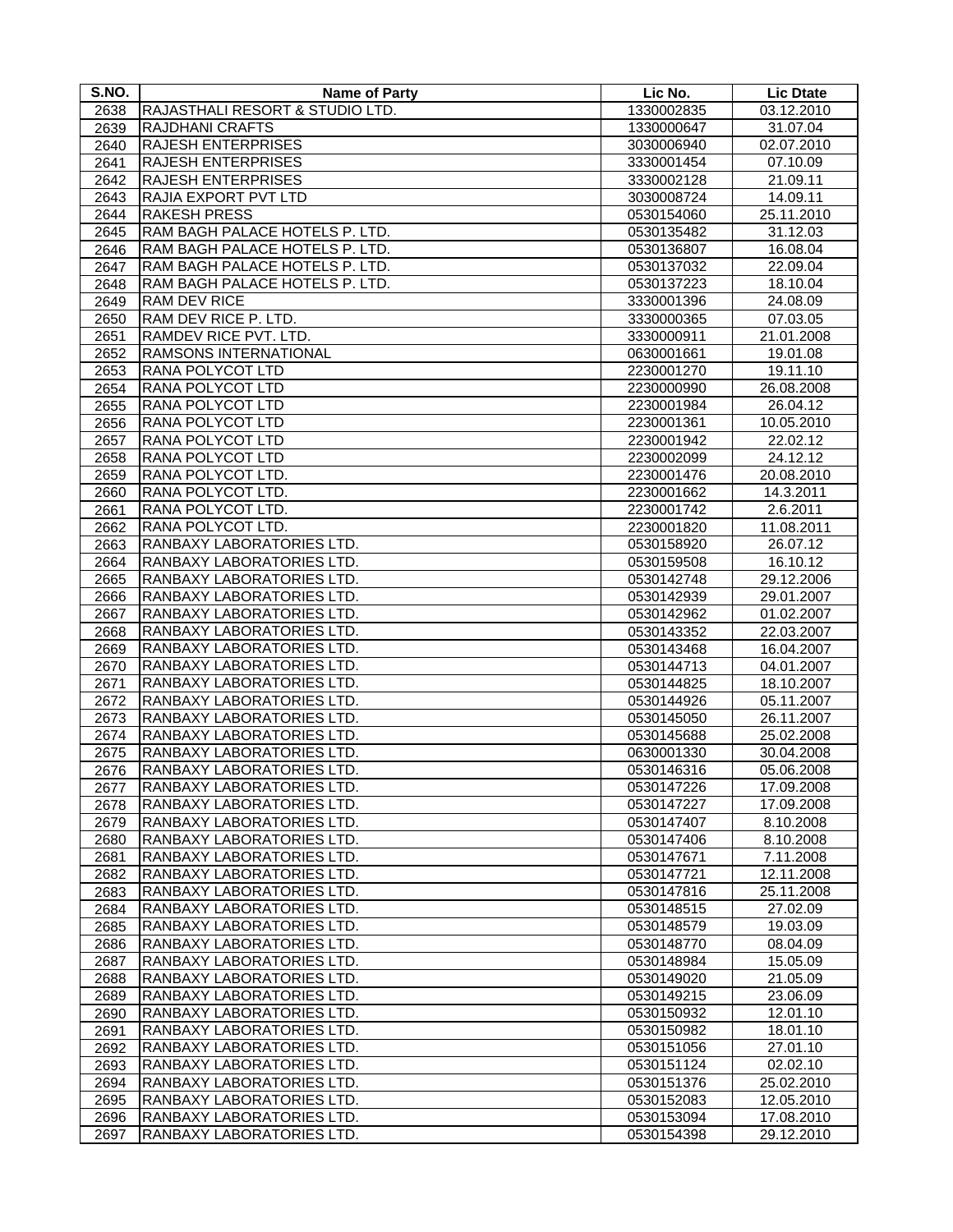| S.NO.        | <b>Name of Party</b>                                   | Lic No.                  | <b>Lic Dtate</b>         |
|--------------|--------------------------------------------------------|--------------------------|--------------------------|
| 2638         | RAJASTHALI RESORT & STUDIO LTD.                        | 1330002835               | 03.12.2010               |
| 2639         | <b>RAJDHANI CRAFTS</b>                                 | 1330000647               | 31.07.04                 |
| 2640         | <b>RAJESH ENTERPRISES</b>                              | 3030006940               | 02.07.2010               |
| 2641         | <b>RAJESH ENTERPRISES</b>                              | 3330001454               | 07.10.09                 |
| 2642         | <b>RAJESH ENTERPRISES</b>                              | 3330002128               | 21.09.11                 |
| 2643         | RAJIA EXPORT PVT LTD                                   | 3030008724               | 14.09.11                 |
| 2644         | <b>RAKESH PRESS</b>                                    | 0530154060               | 25.11.2010               |
| 2645         | RAM BAGH PALACE HOTELS P. LTD.                         | 0530135482               | 31.12.03                 |
| 2646         | RAM BAGH PALACE HOTELS P. LTD.                         | 0530136807               | 16.08.04                 |
| 2647         | RAM BAGH PALACE HOTELS P. LTD.                         | 0530137032               | 22.09.04                 |
| 2648         | RAM BAGH PALACE HOTELS P. LTD.                         | 0530137223               | 18.10.04                 |
| 2649         | <b>RAM DEV RICE</b>                                    | 3330001396               | 24.08.09                 |
| 2650         | RAM DEV RICE P. LTD.                                   | 3330000365               | 07.03.05                 |
| 2651         | RAMDEV RICE PVT. LTD.                                  | 3330000911               | 21.01.2008               |
| 2652         | RAMSONS INTERNATIONAL                                  | 0630001661               | 19.01.08                 |
| 2653         | RANA POLYCOT LTD                                       | 2230001270               | 19.11.10                 |
| 2654         | RANA POLYCOT LTD                                       | 2230000990               | 26.08.2008               |
| 2655         | RANA POLYCOT LTD                                       | 2230001984               | 26.04.12                 |
| 2656         | RANA POLYCOT LTD                                       | 2230001361               | 10.05.2010               |
| 2657         | RANA POLYCOT LTD                                       | 2230001942               | 22.02.12                 |
| 2658         | <b>RANA POLYCOT LTD</b>                                | 2230002099               | 24.12.12                 |
| 2659         | RANA POLYCOT LTD.                                      | 2230001476               | 20.08.2010               |
| 2660         | RANA POLYCOT LTD.                                      | 2230001662               | 14.3.2011                |
| 2661         | RANA POLYCOT LTD.                                      | 2230001742               | 2.6.2011                 |
| 2662         | RANA POLYCOT LTD.                                      | 2230001820               | 11.08.2011               |
| 2663         | RANBAXY LABORATORIES LTD.                              | 0530158920               | 26.07.12                 |
| 2664         | RANBAXY LABORATORIES LTD.                              | 0530159508               | 16.10.12                 |
| 2665         | RANBAXY LABORATORIES LTD.                              | 0530142748               | 29.12.2006               |
| 2666         | RANBAXY LABORATORIES LTD.                              | 0530142939               | 29.01.2007               |
| 2667<br>2668 | RANBAXY LABORATORIES LTD.<br>RANBAXY LABORATORIES LTD. | 0530142962               | 01.02.2007<br>22.03.2007 |
| 2669         | RANBAXY LABORATORIES LTD.                              | 0530143352<br>0530143468 | 16.04.2007               |
| 2670         | RANBAXY LABORATORIES LTD.                              | 0530144713               | 04.01.2007               |
| 2671         | RANBAXY LABORATORIES LTD.                              | 0530144825               | 18.10.2007               |
| 2672         | RANBAXY LABORATORIES LTD.                              | 0530144926               | 05.11.2007               |
| 2673         | RANBAXY LABORATORIES LTD.                              | 0530145050               | 26.11.2007               |
| 2674         | RANBAXY LABORATORIES LTD.                              | 0530145688               | 25.02.2008               |
| 2675         | RANBAXY LABORATORIES LTD.                              | 0630001330               | 30.04.2008               |
| 2676         | RANBAXY LABORATORIES LTD.                              | 0530146316               | 05.06.2008               |
| 2677         | RANBAXY LABORATORIES LTD.                              | 0530147226               | 17.09.2008               |
| 2678         | RANBAXY LABORATORIES LTD.                              | 0530147227               | 17.09.2008               |
| 2679         | RANBAXY LABORATORIES LTD.                              | 0530147407               | 8.10.2008                |
| 2680         | RANBAXY LABORATORIES LTD.                              | 0530147406               | 8.10.2008                |
| 2681         | RANBAXY LABORATORIES LTD.                              | 0530147671               | 7.11.2008                |
| 2682         | RANBAXY LABORATORIES LTD.                              | 0530147721               | 12.11.2008               |
| 2683         | RANBAXY LABORATORIES LTD.                              | 0530147816               | 25.11.2008               |
| 2684         | RANBAXY LABORATORIES LTD.                              | 0530148515               | 27.02.09                 |
| 2685         | RANBAXY LABORATORIES LTD.                              | 0530148579               | 19.03.09                 |
| 2686         | RANBAXY LABORATORIES LTD.                              | 0530148770               | 08.04.09                 |
| 2687         | RANBAXY LABORATORIES LTD.                              | 0530148984               | 15.05.09                 |
| 2688         | RANBAXY LABORATORIES LTD.                              | 0530149020               | 21.05.09                 |
| 2689         | RANBAXY LABORATORIES LTD.                              | 0530149215               | 23.06.09                 |
| 2690         | RANBAXY LABORATORIES LTD.                              | 0530150932               | 12.01.10                 |
| 2691         | RANBAXY LABORATORIES LTD.                              | 0530150982               | 18.01.10                 |
| 2692         | RANBAXY LABORATORIES LTD.                              | 0530151056               | 27.01.10                 |
| 2693         | RANBAXY LABORATORIES LTD.                              | 0530151124               | 02.02.10                 |
| 2694         | RANBAXY LABORATORIES LTD.<br>RANBAXY LABORATORIES LTD. | 0530151376<br>0530152083 | 25.02.2010               |
| 2695<br>2696 | RANBAXY LABORATORIES LTD.                              | 0530153094               | 12.05.2010<br>17.08.2010 |
| 2697         | RANBAXY LABORATORIES LTD.                              | 0530154398               | 29.12.2010               |
|              |                                                        |                          |                          |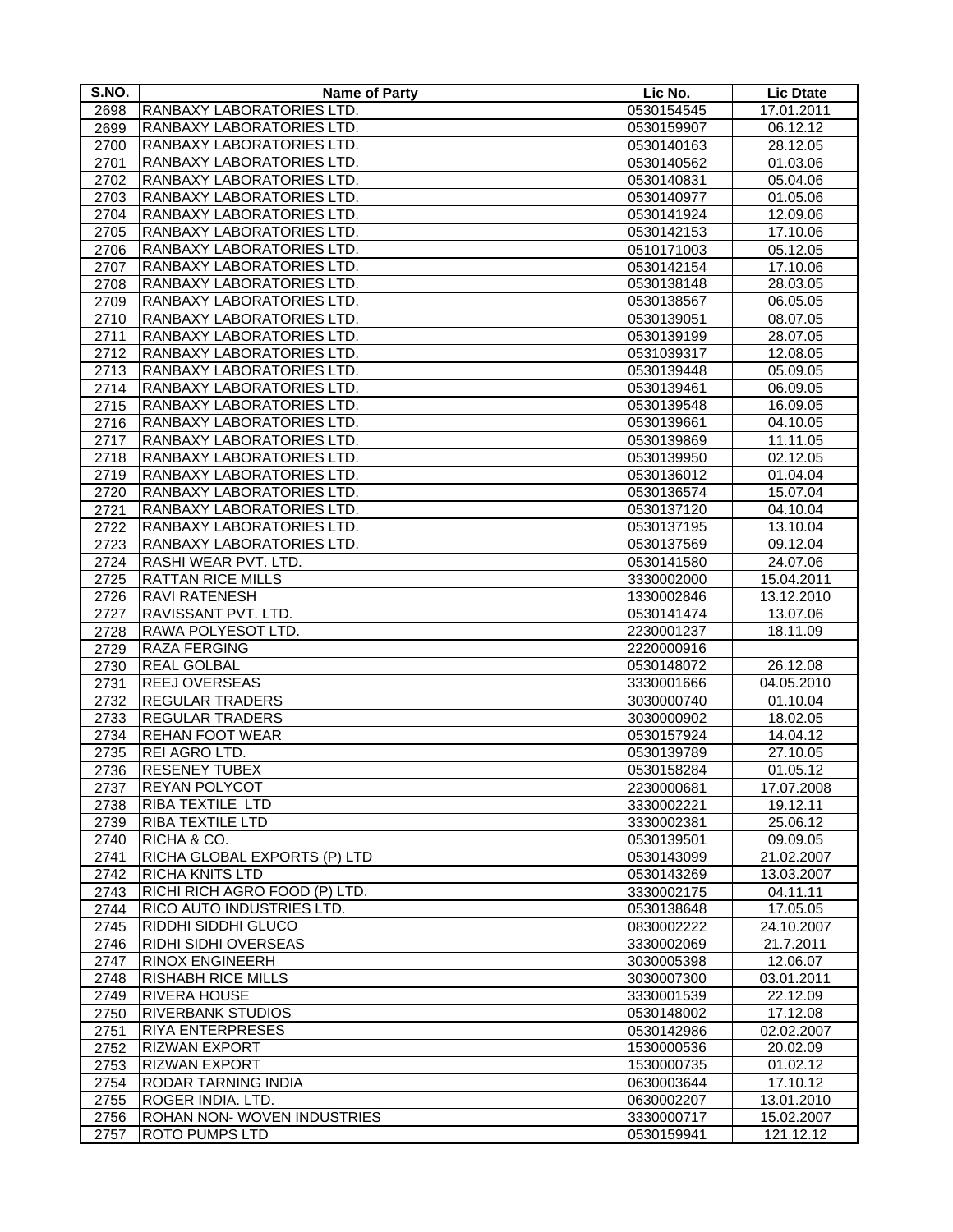| S.NO.        | <b>Name of Party</b>                                | Lic No.                  | <b>Lic Dtate</b>       |
|--------------|-----------------------------------------------------|--------------------------|------------------------|
| 2698         | RANBAXY LABORATORIES LTD.                           | 0530154545               | 17.01.2011             |
| 2699         | RANBAXY LABORATORIES LTD.                           | 0530159907               | 06.12.12               |
| 2700         | RANBAXY LABORATORIES LTD.                           | 0530140163               | 28.12.05               |
| 2701         | RANBAXY LABORATORIES LTD.                           | 0530140562               | 01.03.06               |
| 2702         | RANBAXY LABORATORIES LTD.                           | 0530140831               | 05.04.06               |
| 2703         | RANBAXY LABORATORIES LTD.                           | 0530140977               | 01.05.06               |
| 2704         | RANBAXY LABORATORIES LTD.                           | 0530141924               | 12.09.06               |
| 2705         | RANBAXY LABORATORIES LTD.                           | 0530142153               | 17.10.06               |
| 2706         | RANBAXY LABORATORIES LTD.                           | 0510171003               | 05.12.05               |
| 2707         | RANBAXY LABORATORIES LTD.                           | 0530142154               | 17.10.06               |
| 2708         | RANBAXY LABORATORIES LTD.                           | 0530138148               | 28.03.05               |
| 2709         | RANBAXY LABORATORIES LTD.                           | 0530138567               | 06.05.05               |
| 2710         | RANBAXY LABORATORIES LTD.                           | 0530139051               | 08.07.05               |
| 2711         | RANBAXY LABORATORIES LTD.                           | 0530139199               | 28.07.05               |
| 2712         | RANBAXY LABORATORIES LTD.                           | 0531039317               | 12.08.05               |
| 2713         | RANBAXY LABORATORIES LTD.                           | 0530139448               | 05.09.05               |
| 2714         | RANBAXY LABORATORIES LTD.                           | 0530139461               | 06.09.05               |
| 2715         | RANBAXY LABORATORIES LTD.                           | 0530139548               | 16.09.05               |
| 2716         | RANBAXY LABORATORIES LTD.                           | 0530139661               | 04.10.05               |
| 2717         | RANBAXY LABORATORIES LTD.                           | 0530139869               | 11.11.05               |
| 2718         | RANBAXY LABORATORIES LTD.                           | 0530139950               | 02.12.05               |
| 2719         | RANBAXY LABORATORIES LTD.                           | 0530136012               | 01.04.04               |
| 2720         | RANBAXY LABORATORIES LTD.                           | 0530136574               | 15.07.04               |
| 2721         | RANBAXY LABORATORIES LTD.                           | 0530137120               | 04.10.04               |
| 2722         | RANBAXY LABORATORIES LTD.                           | 0530137195               | 13.10.04               |
| 2723         | RANBAXY LABORATORIES LTD.                           | 0530137569               | 09.12.04               |
| 2724         | RASHI WEAR PVT. LTD.                                | 0530141580               | 24.07.06               |
| 2725         | <b>RATTAN RICE MILLS</b>                            | 3330002000               | 15.04.2011             |
| 2726         | <b>RAVI RATENESH</b>                                | 1330002846               | 13.12.2010             |
| 2727         | RAVISSANT PVT. LTD.                                 | 0530141474               | 13.07.06               |
| 2728         | RAWA POLYESOT LTD.                                  | 2230001237               | 18.11.09               |
| 2729         | <b>RAZA FERGING</b>                                 | 2220000916               |                        |
| 2730         | <b>REAL GOLBAL</b>                                  | 0530148072               | 26.12.08               |
| 2731         | <b>REEJ OVERSEAS</b>                                | 3330001666               | 04.05.2010             |
| 2732         | <b>REGULAR TRADERS</b>                              | 3030000740               | 01.10.04               |
| 2733         | <b>REGULAR TRADERS</b>                              | 3030000902               | 18.02.05               |
| 2734         | <b>REHAN FOOT WEAR</b>                              | 0530157924               | 14.04.12               |
| 2735         | REI AGRO LTD.                                       | 0530139789               | 27.10.05               |
| 2736         | <b>RESENEY TUBEX</b>                                | 0530158284               | 01.05.12               |
| 2737         | <b>REYAN POLYCOT</b>                                | 2230000681               | 17.07.2008             |
| 2738         | <b>RIBA TEXTILE LTD</b>                             | 3330002221               | 19.12.11               |
| 2739         | <b>RIBA TEXTILE LTD</b>                             | 3330002381               | 25.06.12               |
| 2740         | RICHA & CO.                                         | 0530139501               | 09.09.05               |
| 2741         | RICHA GLOBAL EXPORTS (P) LTD                        | 0530143099               | 21.02.2007             |
| 2742         | <b>RICHA KNITS LTD</b>                              | 0530143269               | 13.03.2007             |
| 2743         | RICHI RICH AGRO FOOD (P) LTD.                       | 3330002175               | 04.11.11               |
| 2744         | RICO AUTO INDUSTRIES LTD.                           | 0530138648               | 17.05.05               |
| 2745         | RIDDHI SIDDHI GLUCO                                 | 0830002222               | 24.10.2007             |
| 2746         | <b>RIDHI SIDHI OVERSEAS</b>                         | 3330002069               | 21.7.2011              |
| 2747         | <b>RINOX ENGINEERH</b><br><b>RISHABH RICE MILLS</b> | 3030005398               | 12.06.07               |
| 2748<br>2749 | <b>RIVERA HOUSE</b>                                 | 3030007300<br>3330001539 | 03.01.2011<br>22.12.09 |
| 2750         | <b>RIVERBANK STUDIOS</b>                            | 0530148002               | 17.12.08               |
| 2751         | <b>RIYA ENTERPRESES</b>                             | 0530142986               | 02.02.2007             |
| 2752         | <b>RIZWAN EXPORT</b>                                | 1530000536               | 20.02.09               |
| 2753         | <b>RIZWAN EXPORT</b>                                | 1530000735               | 01.02.12               |
| 2754         | <b>RODAR TARNING INDIA</b>                          | 0630003644               | 17.10.12               |
| 2755         | <b>ROGER INDIA. LTD.</b>                            | 0630002207               | 13.01.2010             |
| 2756         | ROHAN NON-WOVEN INDUSTRIES                          | 3330000717               | 15.02.2007             |
| 2757         | <b>ROTO PUMPS LTD</b>                               | 0530159941               | 121.12.12              |
|              |                                                     |                          |                        |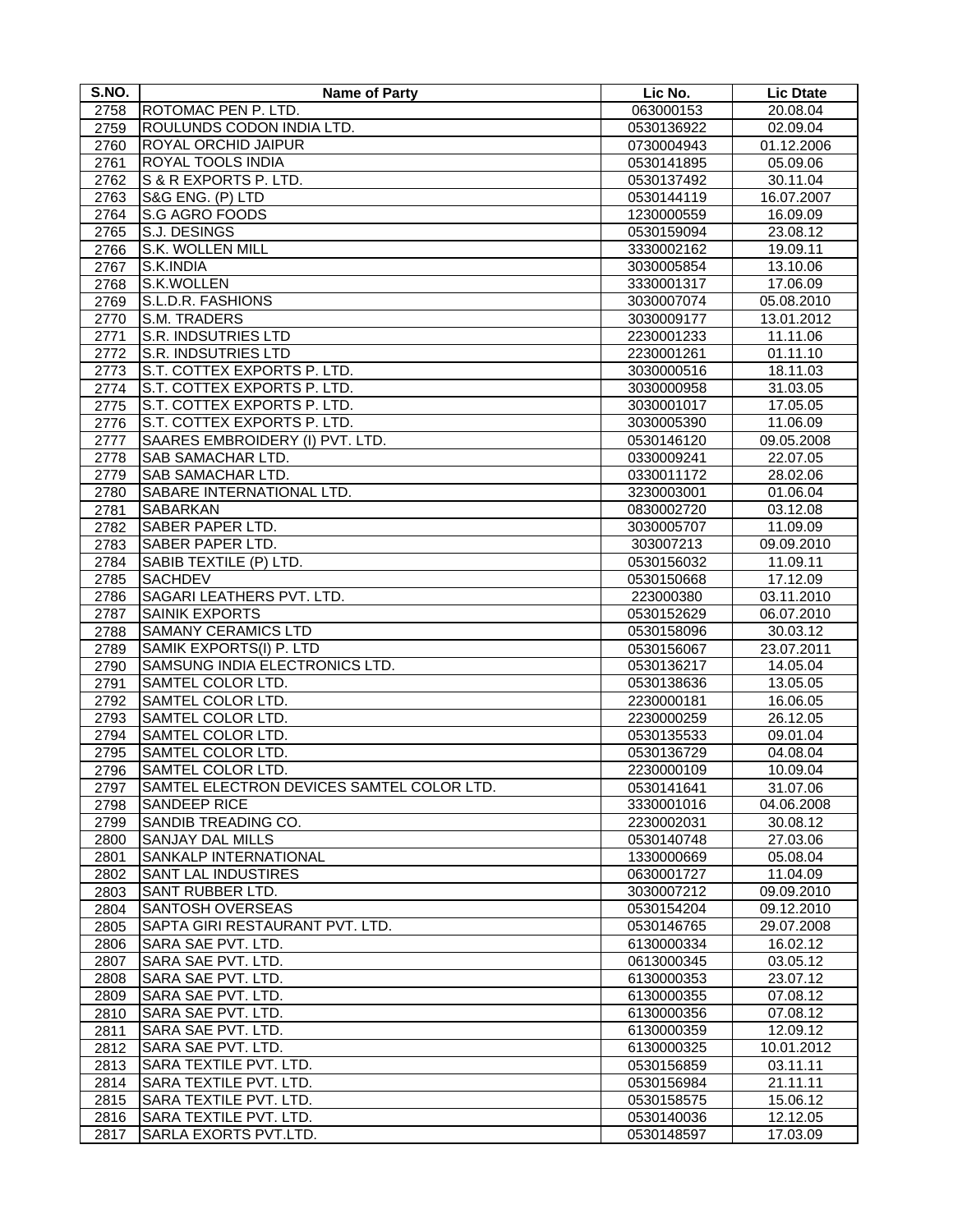| S.NO. | <b>Name of Party</b>                      | Lic No.    | <b>Lic Dtate</b> |
|-------|-------------------------------------------|------------|------------------|
| 2758  | ROTOMAC PEN P. LTD.                       | 063000153  | 20.08.04         |
| 2759  | ROULUNDS CODON INDIA LTD.                 | 0530136922 | 02.09.04         |
| 2760  | ROYAL ORCHID JAIPUR                       | 0730004943 | 01.12.2006       |
| 2761  | ROYAL TOOLS INDIA                         | 0530141895 | 05.09.06         |
| 2762  | S & R EXPORTS P. LTD.                     | 0530137492 | 30.11.04         |
| 2763  | S&G ENG. (P) LTD                          | 0530144119 | 16.07.2007       |
| 2764  | S.G AGRO FOODS                            | 1230000559 | 16.09.09         |
| 2765  | S.J. DESINGS                              | 0530159094 | 23.08.12         |
| 2766  | S.K. WOLLEN MILL                          | 3330002162 | 19.09.11         |
| 2767  | S.K.INDIA                                 | 3030005854 | 13.10.06         |
| 2768  | S.K.WOLLEN                                | 3330001317 | 17.06.09         |
| 2769  | S.L.D.R. FASHIONS                         | 3030007074 | 05.08.2010       |
| 2770  | <b>S.M. TRADERS</b>                       | 3030009177 | 13.01.2012       |
| 2771  | S.R. INDSUTRIES LTD                       | 2230001233 | 11.11.06         |
| 2772  | <b>S.R. INDSUTRIES LTD</b>                | 2230001261 | 01.11.10         |
| 2773  | S.T. COTTEX EXPORTS P. LTD.               | 3030000516 | 18.11.03         |
| 2774  | S.T. COTTEX EXPORTS P. LTD.               | 3030000958 | 31.03.05         |
| 2775  | S.T. COTTEX EXPORTS P. LTD.               | 3030001017 | 17.05.05         |
|       | S.T. COTTEX EXPORTS P. LTD.               |            |                  |
| 2776  |                                           | 3030005390 | 11.06.09         |
| 2777  | SAARES EMBROIDERY (I) PVT. LTD.           | 0530146120 | 09.05.2008       |
| 2778  | SAB SAMACHAR LTD.                         | 0330009241 | 22.07.05         |
| 2779  | SAB SAMACHAR LTD.                         | 0330011172 | 28.02.06         |
| 2780  | SABARE INTERNATIONAL LTD.                 | 3230003001 | 01.06.04         |
| 2781  | <b>SABARKAN</b>                           | 0830002720 | 03.12.08         |
| 2782  | <b>SABER PAPER LTD.</b>                   | 3030005707 | 11.09.09         |
| 2783  | SABER PAPER LTD.                          | 303007213  | 09.09.2010       |
| 2784  | SABIB TEXTILE (P) LTD.                    | 0530156032 | 11.09.11         |
| 2785  | <b>SACHDEV</b>                            | 0530150668 | 17.12.09         |
| 2786  | SAGARI LEATHERS PVT. LTD.                 | 223000380  | 03.11.2010       |
| 2787  | <b>SAINIK EXPORTS</b>                     | 0530152629 | 06.07.2010       |
| 2788  | <b>SAMANY CERAMICS LTD</b>                | 0530158096 | 30.03.12         |
| 2789  | SAMIK EXPORTS(I) P. LTD                   | 0530156067 | 23.07.2011       |
| 2790  | SAMSUNG INDIA ELECTRONICS LTD.            | 0530136217 | 14.05.04         |
| 2791  | SAMTEL COLOR LTD.                         | 0530138636 | 13.05.05         |
| 2792  | SAMTEL COLOR LTD.                         | 2230000181 | 16.06.05         |
| 2793  | SAMTEL COLOR LTD.                         | 2230000259 | 26.12.05         |
| 2794  | SAMTEL COLOR LTD.                         | 0530135533 | 09.01.04         |
| 2795  | SAMTEL COLOR LTD.                         | 0530136729 | 04.08.04         |
| 2796  | SAMTEL COLOR LTD.                         | 2230000109 | 10.09.04         |
| 2797  | SAMTEL ELECTRON DEVICES SAMTEL COLOR LTD. | 0530141641 | 31.07.06         |
| 2798  | <b>SANDEEP RICE</b>                       | 3330001016 | 04.06.2008       |
| 2799  | SANDIB TREADING CO.                       | 2230002031 | 30.08.12         |
| 2800  | <b>SANJAY DAL MILLS</b>                   | 0530140748 | 27.03.06         |
| 2801  | SANKALP INTERNATIONAL                     | 1330000669 | 05.08.04         |
| 2802  | <b>SANT LAL INDUSTIRES</b>                | 0630001727 | 11.04.09         |
| 2803  | SANT RUBBER LTD.                          | 3030007212 | 09.09.2010       |
| 2804  | <b>SANTOSH OVERSEAS</b>                   | 0530154204 | 09.12.2010       |
| 2805  | SAPTA GIRI RESTAURANT PVT. LTD.           | 0530146765 | 29.07.2008       |
| 2806  | SARA SAE PVT. LTD.                        | 6130000334 | 16.02.12         |
| 2807  | SARA SAE PVT. LTD.                        | 0613000345 | 03.05.12         |
| 2808  | SARA SAE PVT. LTD.                        | 6130000353 | 23.07.12         |
| 2809  | SARA SAE PVT. LTD.                        | 6130000355 | 07.08.12         |
| 2810  | SARA SAE PVT. LTD.                        | 6130000356 | 07.08.12         |
| 2811  | SARA SAE PVT. LTD.                        | 6130000359 | 12.09.12         |
| 2812  | SARA SAE PVT. LTD.                        | 6130000325 | 10.01.2012       |
| 2813  | SARA TEXTILE PVT. LTD.                    | 0530156859 | 03.11.11         |
| 2814  | SARA TEXTILE PVT. LTD.                    | 0530156984 | 21.11.11         |
| 2815  | SARA TEXTILE PVT. LTD.                    | 0530158575 | 15.06.12         |
| 2816  | SARA TEXTILE PVT. LTD.                    | 0530140036 | 12.12.05         |
| 2817  | SARLA EXORTS PVT.LTD.                     | 0530148597 | 17.03.09         |
|       |                                           |            |                  |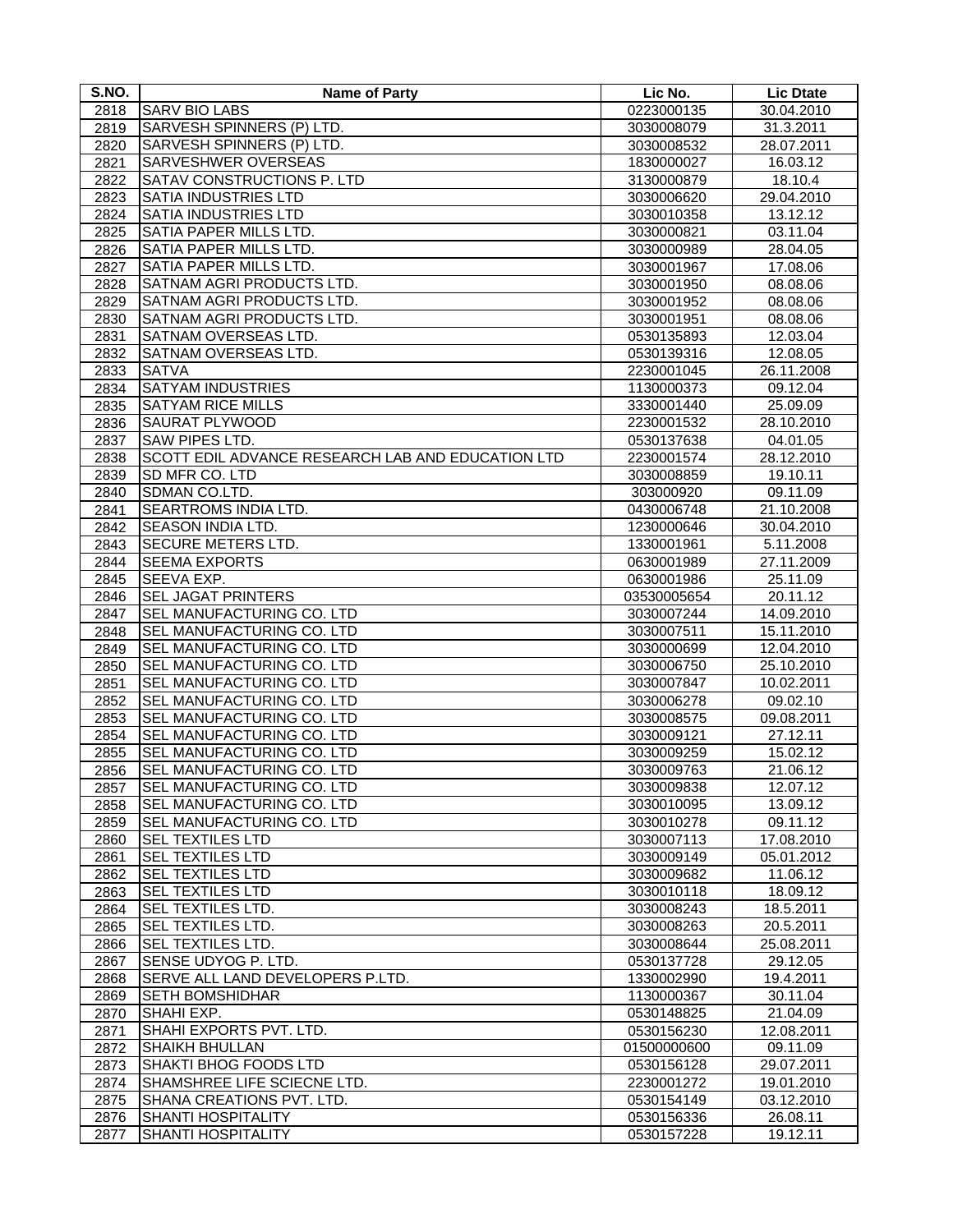| S.NO. | Name of Party                                     | Lic No.     | <b>Lic Dtate</b> |
|-------|---------------------------------------------------|-------------|------------------|
| 2818  | <b>SARV BIO LABS</b>                              | 0223000135  | 30.04.2010       |
| 2819  | SARVESH SPINNERS (P) LTD.                         | 3030008079  | 31.3.2011        |
| 2820  | SARVESH SPINNERS (P) LTD.                         | 3030008532  | 28.07.2011       |
| 2821  | SARVESHWER OVERSEAS                               | 1830000027  | 16.03.12         |
| 2822  | SATAV CONSTRUCTIONS P. LTD                        | 3130000879  | 18.10.4          |
| 2823  | SATIA INDUSTRIES LTD                              | 3030006620  | 29.04.2010       |
| 2824  | <b>SATIA INDUSTRIES LTD</b>                       | 3030010358  | 13.12.12         |
| 2825  | SATIA PAPER MILLS LTD.                            | 3030000821  | 03.11.04         |
| 2826  | SATIA PAPER MILLS LTD.                            | 3030000989  | 28.04.05         |
| 2827  | SATIA PAPER MILLS LTD.                            | 3030001967  | 17.08.06         |
| 2828  | SATNAM AGRI PRODUCTS LTD.                         | 3030001950  | 08.08.06         |
| 2829  | SATNAM AGRI PRODUCTS LTD.                         | 3030001952  | 08.08.06         |
| 2830  | SATNAM AGRI PRODUCTS LTD.                         | 3030001951  | 08.08.06         |
| 2831  | SATNAM OVERSEAS LTD.                              | 0530135893  | 12.03.04         |
| 2832  | SATNAM OVERSEAS LTD.                              | 0530139316  | 12.08.05         |
| 2833  | <b>SATVA</b>                                      | 2230001045  | 26.11.2008       |
| 2834  | <b>SATYAM INDUSTRIES</b>                          | 1130000373  | 09.12.04         |
| 2835  | <b>SATYAM RICE MILLS</b>                          | 3330001440  | 25.09.09         |
| 2836  | <b>SAURAT PLYWOOD</b>                             | 2230001532  | 28.10.2010       |
| 2837  | SAW PIPES LTD.                                    | 0530137638  | 04.01.05         |
| 2838  | SCOTT EDIL ADVANCE RESEARCH LAB AND EDUCATION LTD | 2230001574  | 28.12.2010       |
| 2839  | SD MFR CO. LTD                                    | 3030008859  | 19.10.11         |
| 2840  | SDMAN CO.LTD.                                     | 303000920   | 09.11.09         |
| 2841  | SEARTROMS INDIA LTD.                              | 0430006748  | 21.10.2008       |
| 2842  | <b>SEASON INDIA LTD.</b>                          | 1230000646  | 30.04.2010       |
| 2843  | SECURE METERS LTD.                                | 1330001961  | 5.11.2008        |
| 2844  | <b>SEEMA EXPORTS</b>                              | 0630001989  | 27.11.2009       |
| 2845  | SEEVA EXP.                                        | 0630001986  | 25.11.09         |
| 2846  | <b>SEL JAGAT PRINTERS</b>                         | 03530005654 | 20.11.12         |
| 2847  | SEL MANUFACTURING CO. LTD                         | 3030007244  | 14.09.2010       |
| 2848  | SEL MANUFACTURING CO. LTD                         | 3030007511  | 15.11.2010       |
| 2849  | SEL MANUFACTURING CO. LTD                         | 3030000699  | 12.04.2010       |
| 2850  | SEL MANUFACTURING CO. LTD                         | 3030006750  | 25.10.2010       |
| 2851  | SEL MANUFACTURING CO. LTD                         | 3030007847  | 10.02.2011       |
| 2852  | SEL MANUFACTURING CO. LTD                         | 3030006278  | 09.02.10         |
| 2853  | SEL MANUFACTURING CO. LTD                         | 3030008575  | 09.08.2011       |
| 2854  | SEL MANUFACTURING CO. LTD                         | 3030009121  | 27.12.11         |
| 2855  | SEL MANUFACTURING CO. LTD                         | 3030009259  | 15.02.12         |
| 2856  | SEL MANUFACTURING CO. LTD                         | 3030009763  | 21.06.12         |
| 2857  | SEL MANUFACTURING CO. LTD                         | 3030009838  | 12.07.12         |
| 2858  | SEL MANUFACTURING CO. LTD                         | 3030010095  | 13.09.12         |
| 2859  | SEL MANUFACTURING CO. LTD                         | 3030010278  | 09.11.12         |
| 2860  | <b>SEL TEXTILES LTD</b>                           | 3030007113  | 17.08.2010       |
| 2861  | <b>SEL TEXTILES LTD</b>                           | 3030009149  | 05.01.2012       |
| 2862  | <b>SEL TEXTILES LTD</b>                           | 3030009682  | 11.06.12         |
| 2863  | <b>SEL TEXTILES LTD</b>                           | 3030010118  | 18.09.12         |
| 2864  | <b>SEL TEXTILES LTD.</b>                          | 3030008243  | 18.5.2011        |
| 2865  | SEL TEXTILES LTD.                                 | 3030008263  | 20.5.2011        |
| 2866  | SEL TEXTILES LTD.                                 | 3030008644  | 25.08.2011       |
| 2867  | SENSE UDYOG P. LTD.                               | 0530137728  | 29.12.05         |
| 2868  | SERVE ALL LAND DEVELOPERS P.LTD.                  | 1330002990  | 19.4.2011        |
| 2869  | <b>SETH BOMSHIDHAR</b>                            | 1130000367  | 30.11.04         |
| 2870  | SHAHI EXP.                                        | 0530148825  | 21.04.09         |
| 2871  | SHAHI EXPORTS PVT. LTD.                           | 0530156230  | 12.08.2011       |
| 2872  | <b>SHAIKH BHULLAN</b>                             | 01500000600 | 09.11.09         |
| 2873  | <b>SHAKTI BHOG FOODS LTD</b>                      | 0530156128  | 29.07.2011       |
| 2874  | SHAMSHREE LIFE SCIECNE LTD.                       | 2230001272  | 19.01.2010       |
| 2875  | SHANA CREATIONS PVT. LTD.                         | 0530154149  | 03.12.2010       |
| 2876  | <b>SHANTI HOSPITALITY</b>                         | 0530156336  | 26.08.11         |
| 2877  | <b>SHANTI HOSPITALITY</b>                         | 0530157228  | 19.12.11         |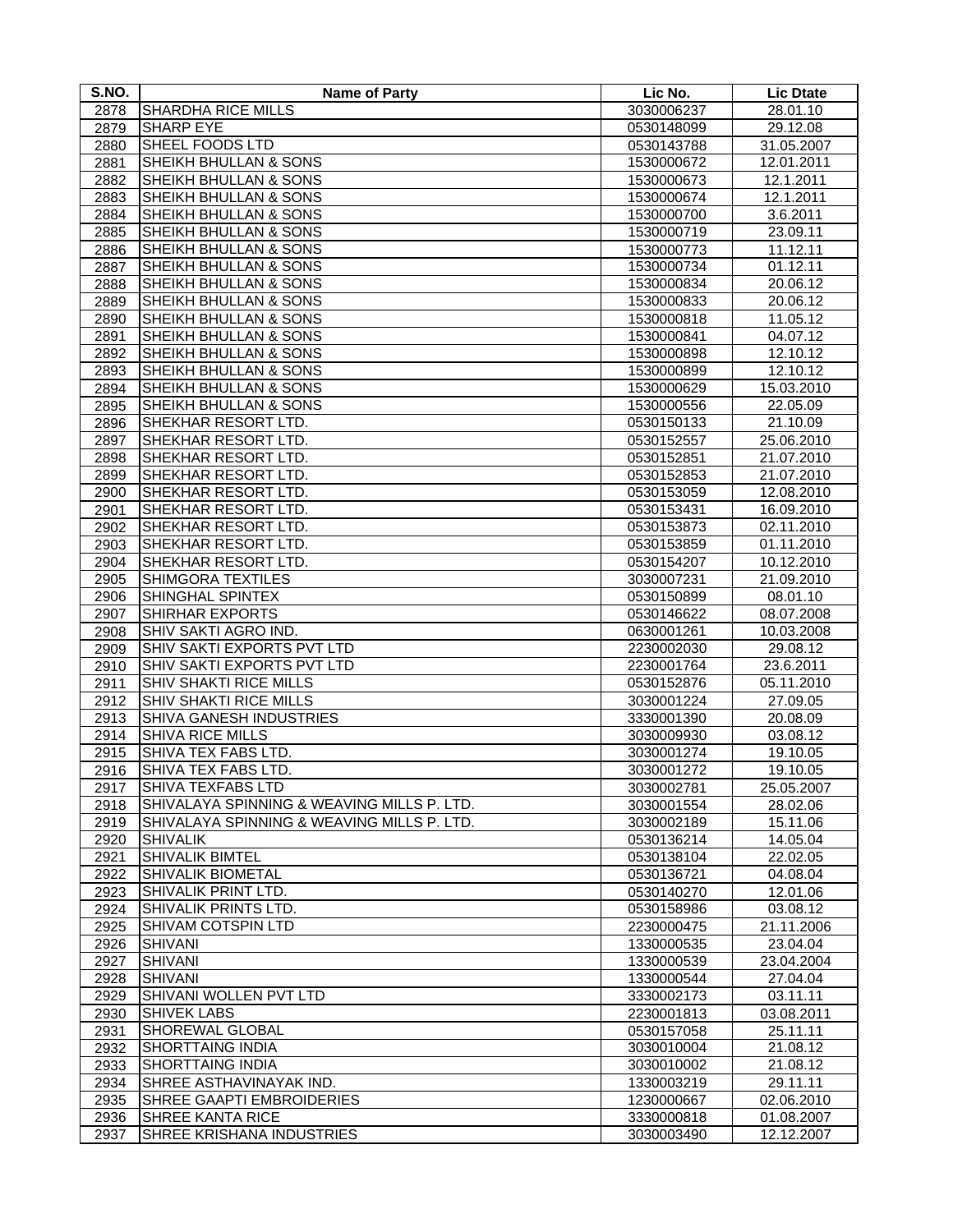| S.NO.        | <b>Name of Party</b>                        | Lic No.                  | <b>Lic Dtate</b>         |
|--------------|---------------------------------------------|--------------------------|--------------------------|
| 2878         | <b>SHARDHA RICE MILLS</b>                   | 3030006237               | 28.01.10                 |
| 2879         | <b>SHARP EYE</b>                            | 0530148099               | 29.12.08                 |
| 2880         | SHEEL FOODS LTD                             | 0530143788               | 31.05.2007               |
| 2881         | <b>SHEIKH BHULLAN &amp; SONS</b>            | 1530000672               | 12.01.2011               |
| 2882         | SHEIKH BHULLAN & SONS                       | 1530000673               | 12.1.2011                |
| 2883         | SHEIKH BHULLAN & SONS                       | 1530000674               | 12.1.2011                |
| 2884         | SHEIKH BHULLAN & SONS                       | 1530000700               | 3.6.2011                 |
| 2885         | SHEIKH BHULLAN & SONS                       | 1530000719               | 23.09.11                 |
| 2886         | SHEIKH BHULLAN & SONS                       | 1530000773               | 11.12.11                 |
| 2887         | SHEIKH BHULLAN & SONS                       | 1530000734               | 01.12.11                 |
| 2888         | SHEIKH BHULLAN & SONS                       | 1530000834               | 20.06.12                 |
| 2889         | <b>SHEIKH BHULLAN &amp; SONS</b>            | 1530000833               | 20.06.12                 |
| 2890         | SHEIKH BHULLAN & SONS                       | 1530000818               | 11.05.12                 |
| 2891         | SHEIKH BHULLAN & SONS                       | 1530000841               | 04.07.12                 |
| 2892         | SHEIKH BHULLAN & SONS                       | 1530000898               | 12.10.12                 |
| 2893         | SHEIKH BHULLAN & SONS                       | 1530000899               | 12.10.12                 |
| 2894         | SHEIKH BHULLAN & SONS                       | 1530000629               | 15.03.2010               |
| 2895         | SHEIKH BHULLAN & SONS                       | 1530000556               | 22.05.09                 |
| 2896         | SHEKHAR RESORT LTD.                         | 0530150133               | 21.10.09                 |
| 2897         | SHEKHAR RESORT LTD.                         | 0530152557               | 25.06.2010               |
| 2898         | SHEKHAR RESORT LTD.                         | 0530152851               | 21.07.2010               |
| 2899         | SHEKHAR RESORT LTD.                         | 0530152853               | 21.07.2010               |
| 2900         | SHEKHAR RESORT LTD.                         | 0530153059               | 12.08.2010               |
| 2901         | SHEKHAR RESORT LTD.                         | 0530153431               | 16.09.2010               |
| 2902         | SHEKHAR RESORT LTD.                         | 0530153873               | 02.11.2010               |
| 2903         | SHEKHAR RESORT LTD.                         | 0530153859               | 01.11.2010               |
| 2904         | SHEKHAR RESORT LTD.                         | 0530154207               | 10.12.2010               |
| 2905         | SHIMGORA TEXTILES                           | 3030007231               | 21.09.2010               |
|              | SHINGHAL SPINTEX                            | 0530150899               | 08.01.10                 |
| 2906         | SHIRHAR EXPORTS                             |                          |                          |
| 2907         | SHIV SAKTI AGRO IND.                        | 0530146622<br>0630001261 | 08.07.2008<br>10.03.2008 |
| 2908<br>2909 | SHIV SAKTI EXPORTS PVT LTD                  | 2230002030               | 29.08.12                 |
| 2910         | SHIV SAKTI EXPORTS PVT LTD                  | 2230001764               | 23.6.2011                |
|              | <b>SHIV SHAKTI RICE MILLS</b>               |                          |                          |
| 2911         | SHIV SHAKTI RICE MILLS                      | 0530152876               | 05.11.2010               |
| 2912         | SHIVA GANESH INDUSTRIES                     | 3030001224<br>3330001390 | 27.09.05<br>20.08.09     |
| 2913         | <b>SHIVA RICE MILLS</b>                     | 3030009930               | 03.08.12                 |
| 2914         | SHIVA TEX FABS LTD.                         | 3030001274               | 19.10.05                 |
| 2915         |                                             |                          |                          |
| 2916         | SHIVA TEX FABS LTD.                         | 3030001272               | 19.10.05                 |
| 2917         | <b>SHIVA TEXFABS LTD</b>                    | 3030002781               | 25.05.2007               |
| 2918         | SHIVALAYA SPINNING & WEAVING MILLS P. LTD.  | 3030001554               | 28.02.06                 |
| 2919         | SHIVALAYA SPINNING & WEAVING MILLS P. LTD.  | 3030002189               | 15.11.06                 |
| 2920         | <b>SHIVALIK</b>                             | 0530136214               | 14.05.04                 |
| 2921         | SHIVALIK BIMTEL<br><b>SHIVALIK BIOMETAL</b> | 0530138104               | 22.02.05                 |
| 2922         |                                             | 0530136721               | 04.08.04                 |
| 2923         | SHIVALIK PRINT LTD.                         | 0530140270               | 12.01.06                 |
| 2924         | SHIVALIK PRINTS LTD.                        | 0530158986               | 03.08.12                 |
| 2925         | SHIVAM COTSPIN LTD                          | 2230000475               | 21.11.2006               |
| 2926         | <b>SHIVANI</b>                              | 1330000535               | 23.04.04                 |
| 2927         | <b>SHIVANI</b>                              | 1330000539               | 23.04.2004               |
| 2928         | <b>SHIVANI</b>                              | 1330000544               | 27.04.04                 |
| 2929         | SHIVANI WOLLEN PVT LTD                      | 3330002173               | 03.11.11                 |
| 2930         | <b>SHIVEK LABS</b>                          | 2230001813               | 03.08.2011               |
| 2931         | SHOREWAL GLOBAL                             | 0530157058               | 25.11.11                 |
| 2932         | <b>SHORTTAING INDIA</b>                     | 3030010004               | 21.08.12                 |
| 2933         | <b>SHORTTAING INDIA</b>                     | 3030010002               | 21.08.12                 |
| 2934         | SHREE ASTHAVINAYAK IND.                     | 1330003219               | 29.11.11                 |
| 2935         | SHREE GAAPTI EMBROIDERIES                   | 1230000667               | 02.06.2010               |
| 2936         | <b>SHREE KANTA RICE</b>                     | 3330000818               | 01.08.2007               |
| 2937         | SHREE KRISHANA INDUSTRIES                   | 3030003490               | 12.12.2007               |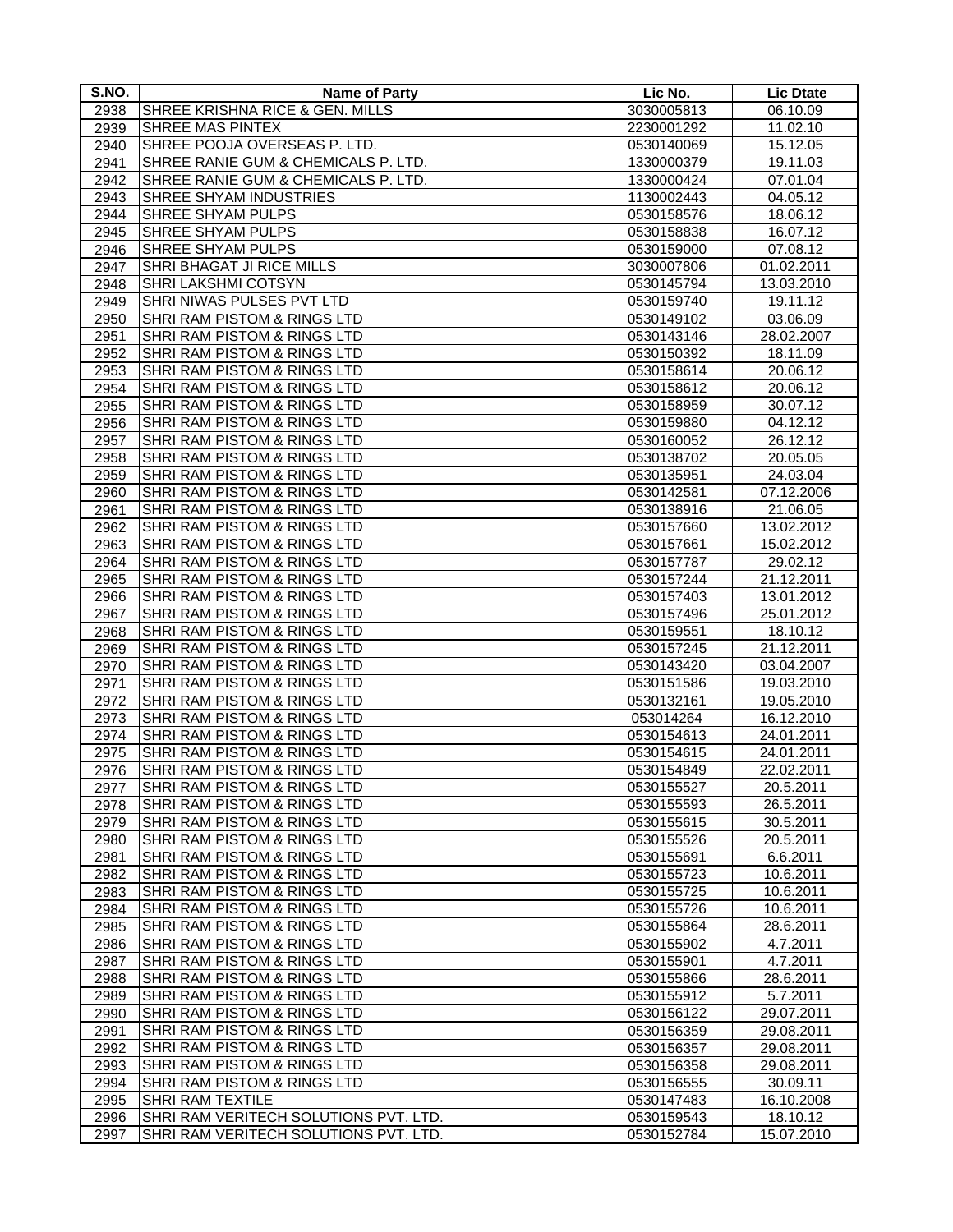| S.NO.        | <b>Name of Party</b>                                             | Lic No.                  | <b>Lic Dtate</b>       |
|--------------|------------------------------------------------------------------|--------------------------|------------------------|
| 2938         | SHREE KRISHNA RICE & GEN. MILLS                                  | 3030005813               | 06.10.09               |
| 2939         | <b>SHREE MAS PINTEX</b>                                          | 2230001292               | 11.02.10               |
| 2940         | SHREE POOJA OVERSEAS P. LTD.                                     | 0530140069               | 15.12.05               |
| 2941         | SHREE RANIE GUM & CHEMICALS P. LTD.                              | 1330000379               | 19.11.03               |
| 2942         | SHREE RANIE GUM & CHEMICALS P. LTD.                              | 1330000424               | 07.01.04               |
| 2943         | SHREE SHYAM INDUSTRIES                                           | 1130002443               | 04.05.12               |
| 2944         | SHREE SHYAM PULPS                                                | 0530158576               | 18.06.12               |
| 2945         | SHREE SHYAM PULPS                                                | 0530158838               | 16.07.12               |
| 2946         | SHREE SHYAM PULPS                                                | 0530159000               | 07.08.12               |
| 2947         | SHRI BHAGAT JI RICE MILLS                                        | 3030007806               | 01.02.2011             |
| 2948         | SHRI LAKSHMI COTSYN                                              | 0530145794               | 13.03.2010             |
| 2949         | SHRI NIWAS PULSES PVT LTD                                        | 0530159740               | 19.11.12               |
| 2950         | SHRI RAM PISTOM & RINGS LTD                                      | 0530149102               | 03.06.09               |
| 2951         | SHRI RAM PISTOM & RINGS LTD                                      | 0530143146               | 28.02.2007             |
| 2952         | SHRI RAM PISTOM & RINGS LTD                                      | 0530150392               | 18.11.09               |
| 2953         | SHRI RAM PISTOM & RINGS LTD                                      | 0530158614               | 20.06.12               |
| 2954         | SHRI RAM PISTOM & RINGS LTD                                      | 0530158612               | 20.06.12               |
| 2955         | SHRI RAM PISTOM & RINGS LTD                                      | 0530158959               | 30.07.12               |
| 2956         | SHRI RAM PISTOM & RINGS LTD                                      | 0530159880               | 04.12.12               |
| 2957         | SHRI RAM PISTOM & RINGS LTD                                      | 0530160052               | 26.12.12               |
| 2958         | SHRI RAM PISTOM & RINGS LTD                                      | 0530138702               | 20.05.05               |
| 2959         | SHRI RAM PISTOM & RINGS LTD                                      | 0530135951               | 24.03.04               |
| 2960         | SHRI RAM PISTOM & RINGS LTD                                      | 0530142581               | 07.12.2006             |
| 2961         | SHRI RAM PISTOM & RINGS LTD                                      | 0530138916               | 21.06.05               |
| 2962         | SHRI RAM PISTOM & RINGS LTD                                      | 0530157660               | 13.02.2012             |
| 2963         | SHRI RAM PISTOM & RINGS LTD                                      | 0530157661               | 15.02.2012             |
| 2964         | SHRI RAM PISTOM & RINGS LTD                                      | 0530157787               | 29.02.12               |
| 2965         | SHRI RAM PISTOM & RINGS LTD                                      | 0530157244               | 21.12.2011             |
| 2966         | SHRI RAM PISTOM & RINGS LTD                                      | 0530157403               | 13.01.2012             |
| 2967<br>2968 | SHRI RAM PISTOM & RINGS LTD<br>SHRI RAM PISTOM & RINGS LTD       | 0530157496<br>0530159551 | 25.01.2012<br>18.10.12 |
| 2969         | SHRI RAM PISTOM & RINGS LTD                                      | 0530157245               | 21.12.2011             |
| 2970         | SHRI RAM PISTOM & RINGS LTD                                      | 0530143420               | 03.04.2007             |
| 2971         | SHRI RAM PISTOM & RINGS LTD                                      | 0530151586               | 19.03.2010             |
| 2972         | SHRI RAM PISTOM & RINGS LTD                                      | 0530132161               | 19.05.2010             |
| 2973         | SHRI RAM PISTOM & RINGS LTD                                      | 053014264                | 16.12.2010             |
| 2974         | SHRI RAM PISTOM & RINGS LTD                                      | 0530154613               | 24.01.2011             |
| 2975         | SHRI RAM PISTOM & RINGS LTD                                      | 0530154615               | 24.01.2011             |
| 2976         | SHRI RAM PISTOM & RINGS LTD                                      | 0530154849               | 22.02.2011             |
| 2977         | SHRI RAM PISTOM & RINGS LTD                                      | 0530155527               | 20.5.2011              |
| 2978         | SHRI RAM PISTOM & RINGS LTD                                      | 0530155593               | 26.5.2011              |
| 2979         | SHRI RAM PISTOM & RINGS LTD                                      | 0530155615               | 30.5.2011              |
| 2980         | SHRI RAM PISTOM & RINGS LTD                                      | 0530155526               | 20.5.2011              |
| 2981         | SHRI RAM PISTOM & RINGS LTD                                      | 0530155691               | 6.6.2011               |
| 2982         | SHRI RAM PISTOM & RINGS LTD                                      | 0530155723               | 10.6.2011              |
| 2983         | SHRI RAM PISTOM & RINGS LTD                                      | 0530155725               | 10.6.2011              |
| 2984         | SHRI RAM PISTOM & RINGS LTD                                      | 0530155726               | 10.6.2011              |
| 2985         | SHRI RAM PISTOM & RINGS LTD                                      | 0530155864               | 28.6.2011              |
| 2986         | SHRI RAM PISTOM & RINGS LTD                                      | 0530155902               | 4.7.2011               |
| 2987         | SHRI RAM PISTOM & RINGS LTD                                      | 0530155901               | 4.7.2011               |
| 2988         | SHRI RAM PISTOM & RINGS LTD                                      | 0530155866               | 28.6.2011              |
| 2989         | SHRI RAM PISTOM & RINGS LTD                                      | 0530155912               | 5.7.2011               |
| 2990         | SHRI RAM PISTOM & RINGS LTD                                      | 0530156122               | 29.07.2011             |
| 2991         | SHRI RAM PISTOM & RINGS LTD                                      | 0530156359               | 29.08.2011             |
| 2992         | SHRI RAM PISTOM & RINGS LTD                                      | 0530156357               | 29.08.2011             |
| 2993         | SHRI RAM PISTOM & RINGS LTD                                      | 0530156358               | 29.08.2011             |
| 2994         | SHRI RAM PISTOM & RINGS LTD                                      | 0530156555               | 30.09.11               |
| 2995         | <b>SHRI RAM TEXTILE</b><br>SHRI RAM VERITECH SOLUTIONS PVT. LTD. | 0530147483               | 16.10.2008             |
| 2996<br>2997 | SHRI RAM VERITECH SOLUTIONS PVT. LTD.                            | 0530159543<br>0530152784 | 18.10.12<br>15.07.2010 |
|              |                                                                  |                          |                        |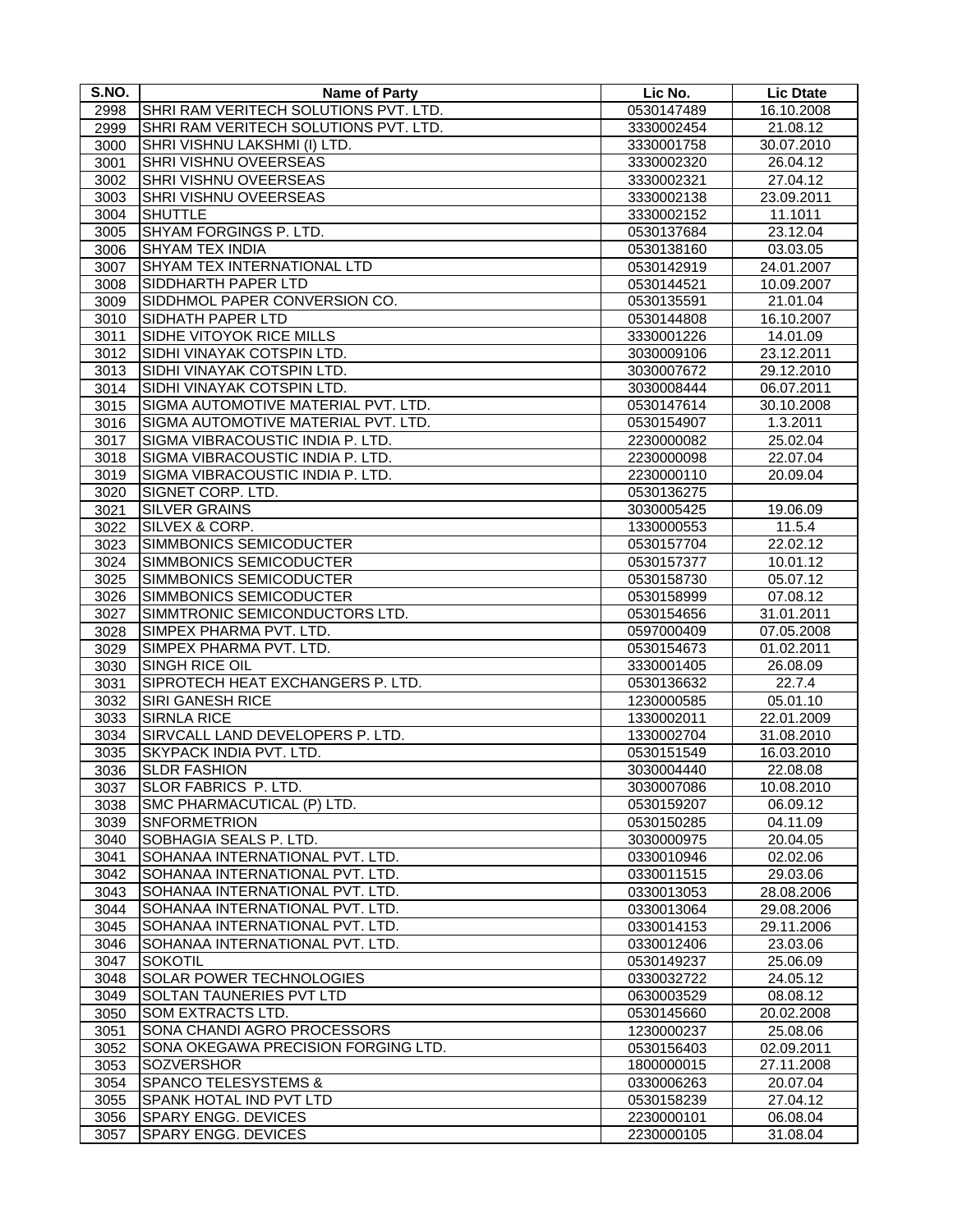| S.NO.        | <b>Name of Party</b>                          | Lic No.                  | <b>Lic Dtate</b>         |
|--------------|-----------------------------------------------|--------------------------|--------------------------|
| 2998         | SHRI RAM VERITECH SOLUTIONS PVT. LTD.         | 0530147489               | 16.10.2008               |
| 2999         | SHRI RAM VERITECH SOLUTIONS PVT. LTD.         | 3330002454               | 21.08.12                 |
| 3000         | SHRI VISHNU LAKSHMI (I) LTD.                  | 3330001758               | 30.07.2010               |
| 3001         | <b>SHRI VISHNU OVEERSEAS</b>                  | 3330002320               | 26.04.12                 |
| 3002         | SHRI VISHNU OVEERSEAS                         | 3330002321               | 27.04.12                 |
| 3003         | SHRI VISHNU OVEERSEAS                         | 3330002138               | 23.09.2011               |
| 3004         | <b>SHUTTLE</b>                                | 3330002152               | 11.1011                  |
| 3005         | SHYAM FORGINGS P. LTD.                        | 0530137684               | 23.12.04                 |
| 3006         | <b>SHYAM TEX INDIA</b>                        | 0530138160               | 03.03.05                 |
| 3007         | SHYAM TEX INTERNATIONAL LTD                   | 0530142919               | 24.01.2007               |
| 3008         | SIDDHARTH PAPER LTD                           | 0530144521               | 10.09.2007               |
| 3009         | SIDDHMOL PAPER CONVERSION CO.                 | 0530135591               | 21.01.04                 |
| 3010         | <b>SIDHATH PAPER LTD</b>                      | 0530144808               | 16.10.2007               |
| 3011         | SIDHE VITOYOK RICE MILLS                      | 3330001226               | 14.01.09                 |
| 3012         | SIDHI VINAYAK COTSPIN LTD.                    | 3030009106               | 23.12.2011               |
| 3013         | SIDHI VINAYAK COTSPIN LTD.                    | 3030007672               | 29.12.2010               |
| 3014         | SIDHI VINAYAK COTSPIN LTD.                    | 3030008444               | 06.07.2011               |
| 3015         | SIGMA AUTOMOTIVE MATERIAL PVT. LTD.           | 0530147614               | 30.10.2008               |
| 3016         | SIGMA AUTOMOTIVE MATERIAL PVT. LTD.           | 0530154907               | 1.3.2011                 |
| 3017         | SIGMA VIBRACOUSTIC INDIA P. LTD.              | 2230000082               | 25.02.04                 |
| 3018         | SIGMA VIBRACOUSTIC INDIA P. LTD.              | 2230000098               | 22.07.04                 |
| 3019         | SIGMA VIBRACOUSTIC INDIA P. LTD.              | 2230000110               | 20.09.04                 |
| 3020         | SIGNET CORP. LTD.                             | 0530136275               |                          |
| 3021         | <b>SILVER GRAINS</b>                          | 3030005425               | 19.06.09                 |
| 3022         | <b>SILVEX &amp; CORP.</b>                     | 1330000553               | 11.5.4                   |
| 3023         | SIMMBONICS SEMICODUCTER                       | 0530157704               | 22.02.12                 |
|              | SIMMBONICS SEMICODUCTER                       |                          |                          |
| 3024<br>3025 | SIMMBONICS SEMICODUCTER                       | 0530157377<br>0530158730 | 10.01.12<br>05.07.12     |
|              | SIMMBONICS SEMICODUCTER                       |                          | 07.08.12                 |
| 3026         | SIMMTRONIC SEMICONDUCTORS LTD.                | 0530158999               |                          |
| 3027<br>3028 | SIMPEX PHARMA PVT. LTD.                       | 0530154656               | 31.01.2011<br>07.05.2008 |
|              | SIMPEX PHARMA PVT. LTD.                       | 0597000409               |                          |
| 3029         | SINGH RICE OIL                                | 0530154673               | 01.02.2011<br>26.08.09   |
| 3030         |                                               | 3330001405               |                          |
| 3031         | SIPROTECH HEAT EXCHANGERS P. LTD.             | 0530136632               | 22.7.4                   |
| 3032         | <b>SIRI GANESH RICE</b><br><b>SIRNLA RICE</b> | 1230000585               | 05.01.10                 |
| 3033         |                                               | 1330002011               | 22.01.2009               |
| 3034         | SIRVCALL LAND DEVELOPERS P. LTD.              | 1330002704               | 31.08.2010               |
| 3035         | SKYPACK INDIA PVT. LTD.                       | 0530151549               | 16.03.2010               |
| 3036         | <b>SLDR FASHION</b>                           | 3030004440               | 22.08.08                 |
| 3037         | SLOR FABRICS P. LTD.                          | 3030007086               | 10.08.2010               |
| 3038         | SMC PHARMACUTICAL (P) LTD.                    | 0530159207               | 06.09.12                 |
| 3039         | <b>SNFORMETRION</b>                           | 0530150285               | 04.11.09                 |
| 3040         | SOBHAGIA SEALS P. LTD.                        | 3030000975               | 20.04.05                 |
| 3041         | SOHANAA INTERNATIONAL PVT. LTD.               | 0330010946               | 02.02.06                 |
| 3042         | SOHANAA INTERNATIONAL PVT. LTD.               | 0330011515               | 29.03.06                 |
| 3043         | SOHANAA INTERNATIONAL PVT. LTD.               | 0330013053               | 28.08.2006               |
| 3044         | SOHANAA INTERNATIONAL PVT. LTD.               | 0330013064               | 29.08.2006               |
| 3045         | SOHANAA INTERNATIONAL PVT. LTD.               | 0330014153               | 29.11.2006               |
| 3046         | SOHANAA INTERNATIONAL PVT. LTD.               | 0330012406               | 23.03.06                 |
| 3047         | <b>SOKOTIL</b>                                | 0530149237               | 25.06.09                 |
| 3048         | <b>SOLAR POWER TECHNOLOGIES</b>               | 0330032722               | 24.05.12                 |
| 3049         | <b>SOLTAN TAUNERIES PVT LTD</b>               | 0630003529               | 08.08.12                 |
| 3050         | SOM EXTRACTS LTD.                             | 0530145660               | 20.02.2008               |
| 3051         | SONA CHANDI AGRO PROCESSORS                   | 1230000237               | 25.08.06                 |
| 3052         | SONA OKEGAWA PRECISION FORGING LTD.           | 0530156403               | 02.09.2011               |
| 3053         | <b>SOZVERSHOR</b>                             | 1800000015               | 27.11.2008               |
| 3054         | <b>SPANCO TELESYSTEMS &amp;</b>               | 0330006263               | 20.07.04                 |
| 3055         | SPANK HOTAL IND PVT LTD                       | 0530158239               | 27.04.12                 |
| 3056         | <b>SPARY ENGG. DEVICES</b>                    | 2230000101               | 06.08.04                 |
| 3057         | SPARY ENGG. DEVICES                           | 2230000105               | 31.08.04                 |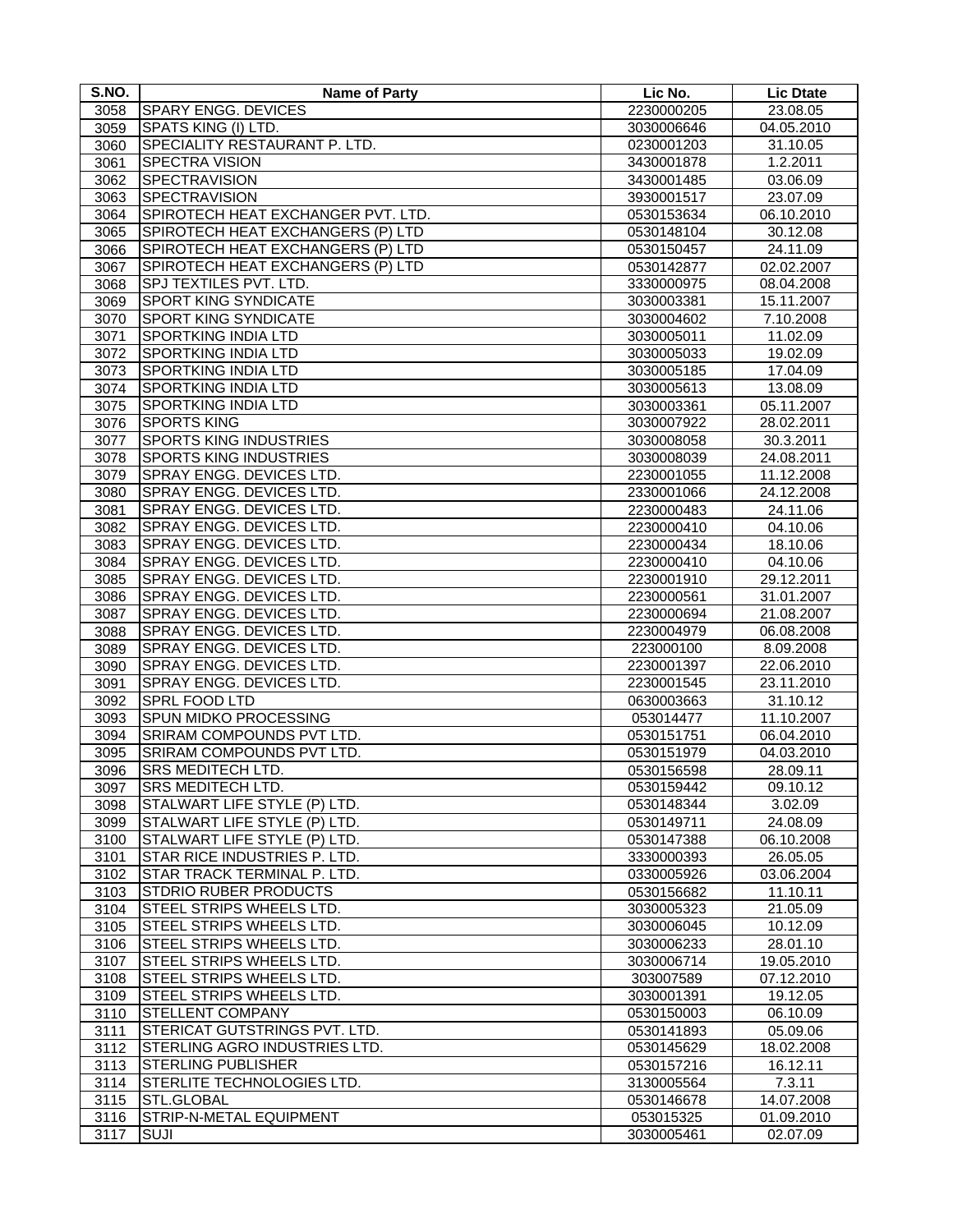| S.NO. | <b>Name of Party</b>                 | Lic No.                  | <b>Lic Dtate</b>         |
|-------|--------------------------------------|--------------------------|--------------------------|
| 3058  | <b>SPARY ENGG. DEVICES</b>           | 2230000205               | 23.08.05                 |
| 3059  | SPATS KING (I) LTD.                  | 3030006646               | 04.05.2010               |
| 3060  | SPECIALITY RESTAURANT P. LTD.        | 0230001203               | 31.10.05                 |
| 3061  | SPECTRA VISION                       | 3430001878               | 1.2.2011                 |
| 3062  | SPECTRAVISION                        | 3430001485               | 03.06.09                 |
| 3063  | <b>SPECTRAVISION</b>                 | 3930001517               | 23.07.09                 |
| 3064  | SPIROTECH HEAT EXCHANGER PVT. LTD.   | 0530153634               | 06.10.2010               |
| 3065  | SPIROTECH HEAT EXCHANGERS (P) LTD    | 0530148104               | 30.12.08                 |
| 3066  | SPIROTECH HEAT EXCHANGERS (P) LTD    | 0530150457               | 24.11.09                 |
| 3067  | SPIROTECH HEAT EXCHANGERS (P) LTD    | 0530142877               | 02.02.2007               |
| 3068  | SPJ TEXTILES PVT. LTD.               | 3330000975               | 08.04.2008               |
| 3069  | <b>SPORT KING SYNDICATE</b>          | 3030003381               | 15.11.2007               |
| 3070  | <b>SPORT KING SYNDICATE</b>          | 3030004602               | 7.10.2008                |
| 3071  | <b>SPORTKING INDIA LTD</b>           | 3030005011               | 11.02.09                 |
| 3072  | <b>SPORTKING INDIA LTD</b>           | 3030005033               | 19.02.09                 |
| 3073  | <b>SPORTKING INDIA LTD</b>           | 3030005185               | 17.04.09                 |
| 3074  | <b>SPORTKING INDIA LTD</b>           | 3030005613               | 13.08.09                 |
| 3075  | <b>SPORTKING INDIA LTD</b>           | 3030003361               | 05.11.2007               |
| 3076  | <b>SPORTS KING</b>                   | 3030007922               | 28.02.2011               |
| 3077  | SPORTS KING INDUSTRIES               |                          |                          |
| 3078  | <b>SPORTS KING INDUSTRIES</b>        | 3030008058               | 30.3.2011                |
| 3079  | SPRAY ENGG. DEVICES LTD.             | 3030008039<br>2230001055 | 24.08.2011<br>11.12.2008 |
|       | SPRAY ENGG. DEVICES LTD.             |                          |                          |
| 3080  | SPRAY ENGG. DEVICES LTD.             | 2330001066               | 24.12.2008               |
| 3081  | SPRAY ENGG. DEVICES LTD.             | 2230000483               | 24.11.06                 |
| 3082  |                                      | 2230000410               | 04.10.06                 |
| 3083  | SPRAY ENGG. DEVICES LTD.             | 2230000434               | 18.10.06                 |
| 3084  | SPRAY ENGG. DEVICES LTD.             | 2230000410               | 04.10.06                 |
| 3085  | SPRAY ENGG. DEVICES LTD.             | 2230001910               | 29.12.2011               |
| 3086  | SPRAY ENGG. DEVICES LTD.             | 2230000561               | 31.01.2007               |
| 3087  | SPRAY ENGG. DEVICES LTD.             | 2230000694               | 21.08.2007               |
| 3088  | SPRAY ENGG. DEVICES LTD.             | 2230004979               | 06.08.2008               |
| 3089  | SPRAY ENGG. DEVICES LTD.             | 223000100                | 8.09.2008                |
| 3090  | SPRAY ENGG. DEVICES LTD.             | 2230001397               | 22.06.2010               |
| 3091  | SPRAY ENGG. DEVICES LTD.             | 2230001545               | 23.11.2010               |
| 3092  | SPRL FOOD LTD                        | 0630003663               | 31.10.12                 |
| 3093  | <b>SPUN MIDKO PROCESSING</b>         | 053014477                | 11.10.2007               |
| 3094  | SRIRAM COMPOUNDS PVT LTD.            | 0530151751               | 06.04.2010               |
| 3095  | SRIRAM COMPOUNDS PVT LTD.            | 0530151979               | 04.03.2010               |
| 3096  | <b>SRS MEDITECH LTD.</b>             | 0530156598               | 28.09.11                 |
| 3097  | SRS MEDITECH LTD.                    | 0530159442               | 09.10.12                 |
| 3098  | STALWART LIFE STYLE (P) LTD.         | 0530148344               | 3.02.09                  |
| 3099  | STALWART LIFE STYLE (P) LTD.         | 0530149711               | 24.08.09                 |
| 3100  | STALWART LIFE STYLE (P) LTD.         | 0530147388               | 06.10.2008               |
| 3101  | STAR RICE INDUSTRIES P. LTD.         | 3330000393               | 26.05.05                 |
| 3102  | STAR TRACK TERMINAL P. LTD.          | 0330005926               | 03.06.2004               |
| 3103  | <b>STDRIO RUBER PRODUCTS</b>         | 0530156682               | 11.10.11                 |
| 3104  | STEEL STRIPS WHEELS LTD.             | 3030005323               | 21.05.09                 |
| 3105  | STEEL STRIPS WHEELS LTD.             | 3030006045               | 10.12.09                 |
| 3106  | STEEL STRIPS WHEELS LTD.             | 3030006233               | 28.01.10                 |
| 3107  | STEEL STRIPS WHEELS LTD.             | 3030006714               | 19.05.2010               |
| 3108  | STEEL STRIPS WHEELS LTD.             | 303007589                | 07.12.2010               |
| 3109  | STEEL STRIPS WHEELS LTD.             | 3030001391               | 19.12.05                 |
| 3110  | <b>STELLENT COMPANY</b>              | 0530150003               | 06.10.09                 |
| 3111  | <b>STERICAT GUTSTRINGS PVT. LTD.</b> | 0530141893               | 05.09.06                 |
| 3112  | STERLING AGRO INDUSTRIES LTD.        | 0530145629               | 18.02.2008               |
| 3113  | <b>STERLING PUBLISHER</b>            | 0530157216               | 16.12.11                 |
| 3114  | STERLITE TECHNOLOGIES LTD.           | 3130005564               | 7.3.11                   |
| 3115  | STL.GLOBAL                           | 0530146678               | 14.07.2008               |
| 3116  | STRIP-N-METAL EQUIPMENT              | 053015325                | 01.09.2010               |
| 3117  | SUJI                                 | 3030005461               | 02.07.09                 |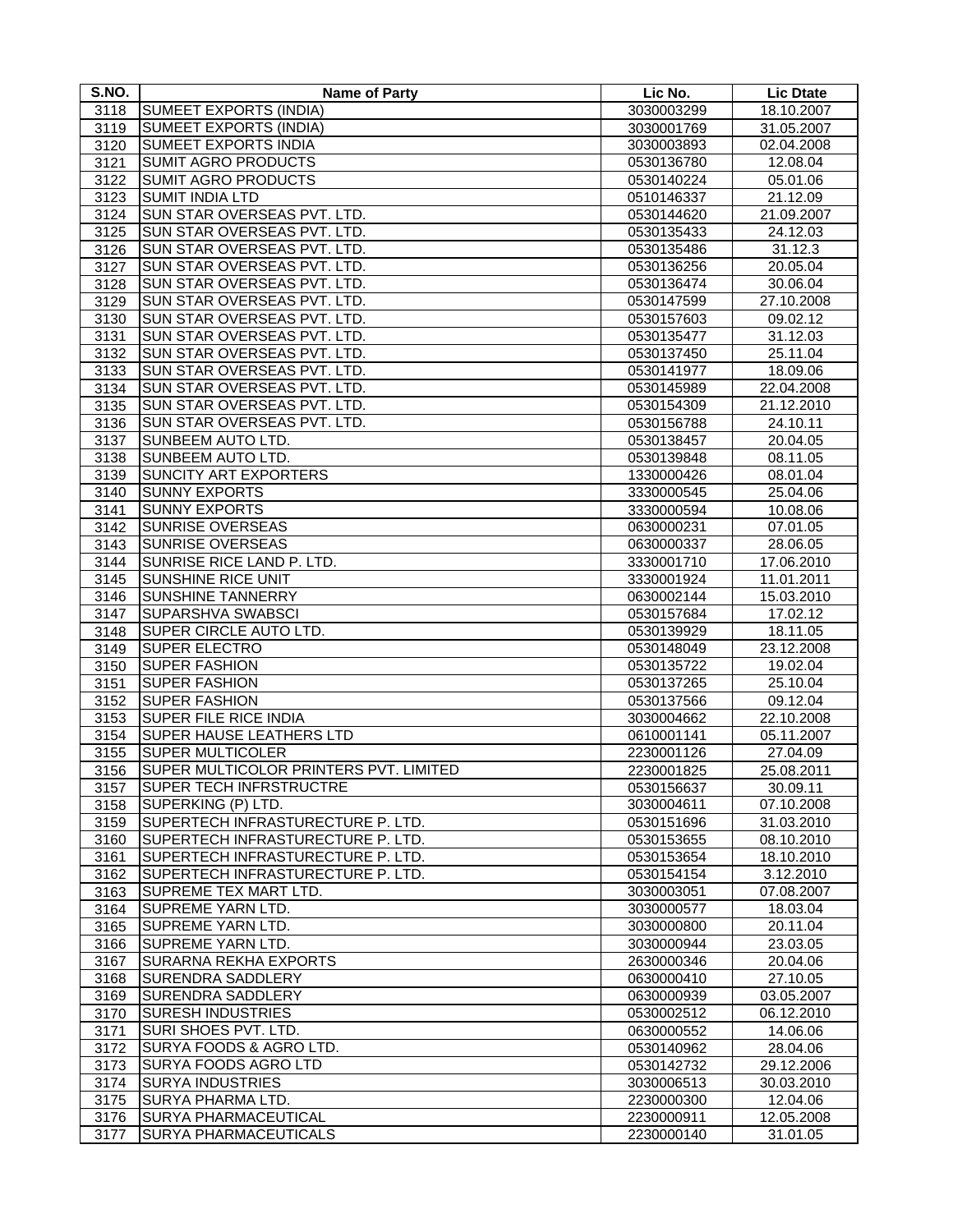| S.NO. | <b>Name of Party</b>                   | Lic No.    | <b>Lic Dtate</b> |
|-------|----------------------------------------|------------|------------------|
| 3118  | SUMEET EXPORTS (INDIA)                 | 3030003299 | 18.10.2007       |
| 3119  | <b>SUMEET EXPORTS (INDIA)</b>          | 3030001769 | 31.05.2007       |
| 3120  | <b>SUMEET EXPORTS INDIA</b>            | 3030003893 | 02.04.2008       |
| 3121  | <b>SUMIT AGRO PRODUCTS</b>             | 0530136780 | 12.08.04         |
| 3122  | <b>SUMIT AGRO PRODUCTS</b>             | 0530140224 | 05.01.06         |
| 3123  | <b>SUMIT INDIA LTD</b>                 | 0510146337 | 21.12.09         |
| 3124  | SUN STAR OVERSEAS PVT. LTD.            | 0530144620 | 21.09.2007       |
| 3125  | SUN STAR OVERSEAS PVT. LTD.            | 0530135433 | 24.12.03         |
| 3126  | SUN STAR OVERSEAS PVT. LTD.            | 0530135486 | 31.12.3          |
| 3127  | SUN STAR OVERSEAS PVT. LTD.            | 0530136256 | 20.05.04         |
| 3128  | SUN STAR OVERSEAS PVT. LTD.            | 0530136474 | 30.06.04         |
| 3129  | SUN STAR OVERSEAS PVT. LTD.            | 0530147599 | 27.10.2008       |
| 3130  | SUN STAR OVERSEAS PVT. LTD.            | 0530157603 | 09.02.12         |
| 3131  | SUN STAR OVERSEAS PVT. LTD.            | 0530135477 | 31.12.03         |
| 3132  | SUN STAR OVERSEAS PVT. LTD.            | 0530137450 | 25.11.04         |
| 3133  | SUN STAR OVERSEAS PVT. LTD.            | 0530141977 | 18.09.06         |
| 3134  | SUN STAR OVERSEAS PVT. LTD.            | 0530145989 | 22.04.2008       |
| 3135  | SUN STAR OVERSEAS PVT. LTD.            | 0530154309 | 21.12.2010       |
| 3136  | SUN STAR OVERSEAS PVT. LTD.            | 0530156788 | 24.10.11         |
| 3137  | SUNBEEM AUTO LTD.                      | 0530138457 | 20.04.05         |
| 3138  | SUNBEEM AUTO LTD.                      | 0530139848 | 08.11.05         |
| 3139  | <b>SUNCITY ART EXPORTERS</b>           | 1330000426 | 08.01.04         |
| 3140  | <b>SUNNY EXPORTS</b>                   | 3330000545 | 25.04.06         |
| 3141  | <b>SUNNY EXPORTS</b>                   | 3330000594 | 10.08.06         |
| 3142  | <b>SUNRISE OVERSEAS</b>                | 0630000231 | 07.01.05         |
| 3143  | <b>SUNRISE OVERSEAS</b>                | 0630000337 | 28.06.05         |
| 3144  | SUNRISE RICE LAND P. LTD.              | 3330001710 | 17.06.2010       |
| 3145  | <b>SUNSHINE RICE UNIT</b>              | 3330001924 | 11.01.2011       |
| 3146  | <b>SUNSHINE TANNERRY</b>               | 0630002144 | 15.03.2010       |
| 3147  | SUPARSHVA SWABSCI                      | 0530157684 | 17.02.12         |
| 3148  | SUPER CIRCLE AUTO LTD.                 | 0530139929 | 18.11.05         |
| 3149  | <b>SUPER ELECTRO</b>                   | 0530148049 | 23.12.2008       |
| 3150  | <b>SUPER FASHION</b>                   | 0530135722 | 19.02.04         |
| 3151  | <b>SUPER FASHION</b>                   | 0530137265 | 25.10.04         |
| 3152  | <b>SUPER FASHION</b>                   | 0530137566 | 09.12.04         |
| 3153  | <b>SUPER FILE RICE INDIA</b>           | 3030004662 | 22.10.2008       |
| 3154  | <b>SUPER HAUSE LEATHERS LTD</b>        | 0610001141 | 05.11.2007       |
| 3155  | <b>SUPER MULTICOLER</b>                | 2230001126 | 27.04.09         |
| 3156  | SUPER MULTICOLOR PRINTERS PVT. LIMITED | 2230001825 | 25.08.2011       |
| 3157  | SUPER TECH INFRSTRUCTRE                | 0530156637 | 30.09.11         |
| 3158  | SUPERKING (P) LTD.                     | 3030004611 | 07.10.2008       |
| 3159  | SUPERTECH INFRASTURECTURE P. LTD.      | 0530151696 | 31.03.2010       |
| 3160  | SUPERTECH INFRASTURECTURE P. LTD.      | 0530153655 | 08.10.2010       |
| 3161  | SUPERTECH INFRASTURECTURE P. LTD.      | 0530153654 | 18.10.2010       |
| 3162  | SUPERTECH INFRASTURECTURE P. LTD.      | 0530154154 | 3.12.2010        |
| 3163  | <b>SUPREME TEX MART LTD.</b>           | 3030003051 | 07.08.2007       |
| 3164  | SUPREME YARN LTD.                      | 3030000577 | 18.03.04         |
| 3165  | SUPREME YARN LTD.                      | 3030000800 | 20.11.04         |
| 3166  | SUPREME YARN LTD.                      | 3030000944 | 23.03.05         |
| 3167  | <b>SURARNA REKHA EXPORTS</b>           | 2630000346 | 20.04.06         |
| 3168  | SURENDRA SADDLERY                      | 0630000410 | 27.10.05         |
| 3169  | <b>SURENDRA SADDLERY</b>               | 0630000939 | 03.05.2007       |
| 3170  | <b>SURESH INDUSTRIES</b>               | 0530002512 | 06.12.2010       |
| 3171  | SURI SHOES PVT. LTD.                   | 0630000552 | 14.06.06         |
| 3172  | SURYA FOODS & AGRO LTD.                | 0530140962 | 28.04.06         |
| 3173  | <b>SURYA FOODS AGRO LTD</b>            | 0530142732 | 29.12.2006       |
| 3174  | <b>SURYA INDUSTRIES</b>                | 3030006513 | 30.03.2010       |
| 3175  | SURYA PHARMA LTD.                      | 2230000300 | 12.04.06         |
| 3176  | <b>SURYA PHARMACEUTICAL</b>            | 2230000911 | 12.05.2008       |
| 3177  | <b>SURYA PHARMACEUTICALS</b>           | 2230000140 | 31.01.05         |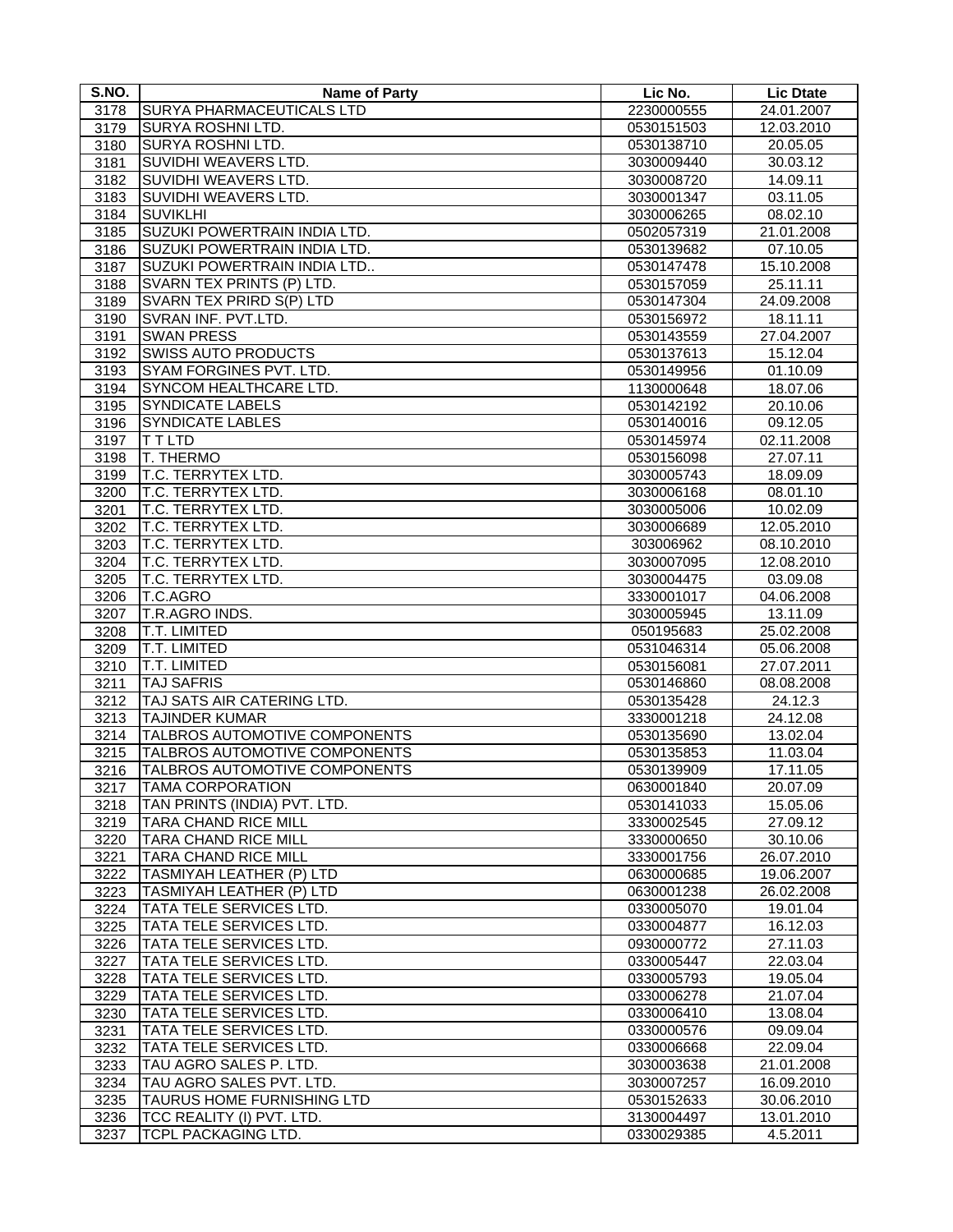| S.NO.        | <b>Name of Party</b>                                       | Lic No.                  | <b>Lic Dtate</b>       |
|--------------|------------------------------------------------------------|--------------------------|------------------------|
| 3178         | <b>SURYA PHARMACEUTICALS LTD</b>                           | 2230000555               | 24.01.2007             |
| 3179         | <b>SURYA ROSHNI LTD.</b>                                   | 0530151503               | 12.03.2010             |
| 3180         | <b>SURYA ROSHNI LTD.</b>                                   | 0530138710               | 20.05.05               |
| 3181         | SUVIDHI WEAVERS LTD.                                       | 3030009440               | 30.03.12               |
| 3182         | SUVIDHI WEAVERS LTD.                                       | 3030008720               | 14.09.11               |
| 3183         | SUVIDHI WEAVERS LTD.                                       | 3030001347               | 03.11.05               |
| 3184         | <b>SUVIKLHI</b>                                            | 3030006265               | 08.02.10               |
| 3185         | SUZUKI POWERTRAIN INDIA LTD.                               | 0502057319               | 21.01.2008             |
| 3186         | SUZUKI POWERTRAIN INDIA LTD.                               | 0530139682               | 07.10.05               |
| 3187         | SUZUKI POWERTRAIN INDIA LTD                                | 0530147478               | 15.10.2008             |
| 3188         | SVARN TEX PRINTS (P) LTD.                                  | 0530157059               | 25.11.11               |
| 3189         | SVARN TEX PRIRD S(P) LTD                                   | 0530147304               | 24.09.2008             |
| 3190         | SVRAN INF. PVT.LTD.                                        | 0530156972               | 18.11.11               |
| 3191         | <b>SWAN PRESS</b>                                          | 0530143559               | 27.04.2007             |
| 3192         | <b>SWISS AUTO PRODUCTS</b>                                 | 0530137613               | 15.12.04               |
| 3193         | <b>SYAM FORGINES PVT. LTD.</b>                             | 0530149956               | 01.10.09               |
| 3194         | SYNCOM HEALTHCARE LTD.                                     | 1130000648               | 18.07.06               |
| 3195         | <b>SYNDICATE LABELS</b>                                    | 0530142192               | 20.10.06               |
| 3196         | <b>SYNDICATE LABLES</b>                                    | 0530140016               | 09.12.05               |
| 3197         | <b>TTLTD</b>                                               | 0530145974               | 02.11.2008             |
| 3198         | T. THERMO                                                  | 0530156098               | 27.07.11               |
| 3199         | T.C. TERRYTEX LTD.                                         | 3030005743               | 18.09.09               |
| 3200         | T.C. TERRYTEX LTD.                                         | 3030006168               | 08.01.10               |
| 3201         | T.C. TERRYTEX LTD.                                         | 3030005006               | 10.02.09               |
| 3202         | T.C. TERRYTEX LTD.                                         | 3030006689               | 12.05.2010             |
| 3203         | T.C. TERRYTEX LTD.                                         |                          |                        |
|              |                                                            | 303006962                | 08.10.2010             |
| 3204         | T.C. TERRYTEX LTD.                                         | 3030007095               | 12.08.2010             |
| 3205         | T.C. TERRYTEX LTD.<br>T.C.AGRO                             | 3030004475               | 03.09.08               |
| 3206         | T.R.AGRO INDS.                                             | 3330001017               | 04.06.2008             |
| 3207<br>3208 | T.T. LIMITED                                               | 3030005945<br>050195683  | 13.11.09<br>25.02.2008 |
| 3209         | <b>T.T. LIMITED</b>                                        | 0531046314               | 05.06.2008             |
| 3210         | T.T. LIMITED                                               | 0530156081               | 27.07.2011             |
| 3211         | <b>TAJ SAFRIS</b>                                          |                          |                        |
|              |                                                            | 0530146860               | 08.08.2008<br>24.12.3  |
| 3212<br>3213 | TAJ SATS AIR CATERING LTD.<br><b>TAJINDER KUMAR</b>        | 0530135428<br>3330001218 | 24.12.08               |
|              | TALBROS AUTOMOTIVE COMPONENTS                              | 0530135690               | 13.02.04               |
| 3214         | TALBROS AUTOMOTIVE COMPONENTS                              | 0530135853               | 11.03.04               |
| 3215<br>3216 | TALBROS AUTOMOTIVE COMPONENTS                              | 0530139909               | 17.11.05               |
|              |                                                            |                          |                        |
| 3217         | TAMA CORPORATION                                           | 0630001840               | 20.07.09               |
| 3218         | TAN PRINTS (INDIA) PVT. LTD.                               | 0530141033               | 15.05.06               |
| 3219         | <b>TARA CHAND RICE MILL</b><br><b>TARA CHAND RICE MILL</b> | 3330002545               | 27.09.12               |
| 3220         | <b>TARA CHAND RICE MILL</b>                                | 3330000650               | 30.10.06               |
| 3221         | <b>TASMIYAH LEATHER (P) LTD</b>                            | 3330001756               | 26.07.2010             |
| 3222         | <b>TASMIYAH LEATHER (P) LTD</b>                            | 0630000685               | 19.06.2007             |
| 3223         | TATA TELE SERVICES LTD.                                    | 0630001238               | 26.02.2008             |
| 3224         | TATA TELE SERVICES LTD.                                    | 0330005070<br>0330004877 | 19.01.04<br>16.12.03   |
| 3225         |                                                            |                          |                        |
| 3226         | TATA TELE SERVICES LTD.                                    | 0930000772               | 27.11.03               |
| 3227         | TATA TELE SERVICES LTD.                                    | 0330005447               | 22.03.04               |
| 3228         | TATA TELE SERVICES LTD.                                    | 0330005793               | 19.05.04               |
| 3229         | TATA TELE SERVICES LTD.                                    | 0330006278               | 21.07.04               |
| 3230         | TATA TELE SERVICES LTD.                                    | 0330006410               | 13.08.04               |
| 3231         | TATA TELE SERVICES LTD.                                    | 0330000576               | 09.09.04               |
| 3232         | TATA TELE SERVICES LTD.                                    | 0330006668               | 22.09.04               |
| 3233         | TAU AGRO SALES P. LTD.                                     | 3030003638               | 21.01.2008             |
| 3234         | TAU AGRO SALES PVT. LTD.                                   | 3030007257               | 16.09.2010             |
| 3235         | TAURUS HOME FURNISHING LTD                                 | 0530152633               | 30.06.2010             |
| 3236         | TCC REALITY (I) PVT. LTD.                                  | 3130004497               | 13.01.2010             |
| 3237         | TCPL PACKAGING LTD.                                        | 0330029385               | 4.5.2011               |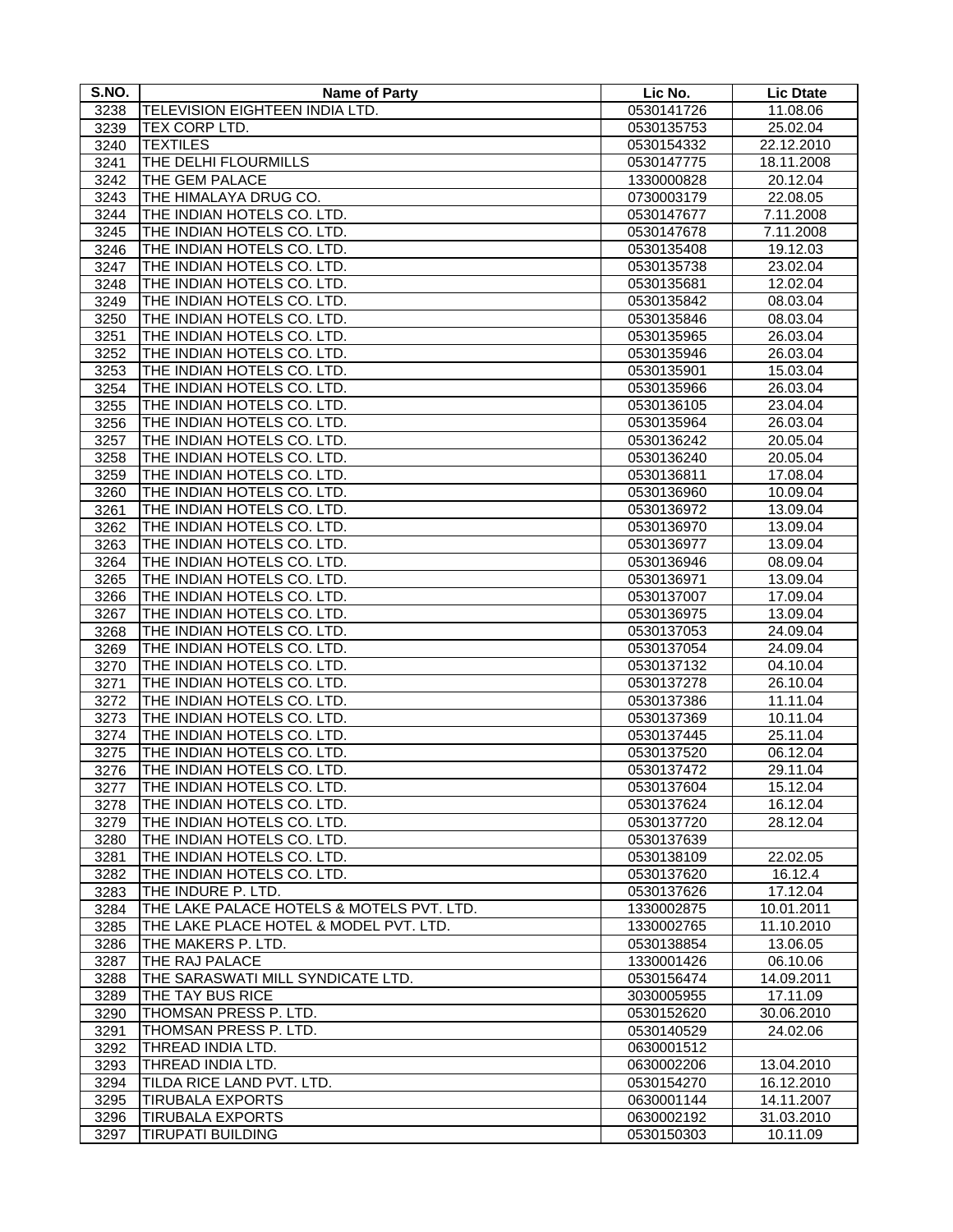| S.NO.        | <b>Name of Party</b>                                     | Lic No.                  | <b>Lic Dtate</b>    |
|--------------|----------------------------------------------------------|--------------------------|---------------------|
| 3238         | TELEVISION EIGHTEEN INDIA LTD.                           | 0530141726               | 11.08.06            |
| 3239         | TEX CORP LTD.                                            | 0530135753               | 25.02.04            |
| 3240         | <b>TEXTILES</b>                                          | 0530154332               | 22.12.2010          |
| 3241         | THE DELHI FLOURMILLS                                     | 0530147775               | 18.11.2008          |
| 3242         | THE GEM PALACE                                           | 1330000828               | 20.12.04            |
| 3243         | THE HIMALAYA DRUG CO.                                    | 0730003179               | 22.08.05            |
| 3244         | THE INDIAN HOTELS CO. LTD.                               | 0530147677               | 7.11.2008           |
| 3245         | THE INDIAN HOTELS CO. LTD.                               | 0530147678               | 7.11.2008           |
| 3246         | THE INDIAN HOTELS CO. LTD.                               | 0530135408               | 19.12.03            |
| 3247         | THE INDIAN HOTELS CO. LTD.                               | 0530135738               | 23.02.04            |
| 3248         | THE INDIAN HOTELS CO. LTD.                               | 0530135681               | 12.02.04            |
| 3249         | THE INDIAN HOTELS CO. LTD.                               | 0530135842               | 08.03.04            |
| 3250         | THE INDIAN HOTELS CO. LTD.                               | 0530135846               | 08.03.04            |
| 3251         | THE INDIAN HOTELS CO. LTD.                               | 0530135965               | 26.03.04            |
| 3252         | THE INDIAN HOTELS CO. LTD.                               | 0530135946               | 26.03.04            |
| 3253         | THE INDIAN HOTELS CO. LTD.                               | 0530135901               | 15.03.04            |
| 3254         | THE INDIAN HOTELS CO. LTD.                               | 0530135966               | 26.03.04            |
| 3255         | THE INDIAN HOTELS CO. LTD.                               | 0530136105               | 23.04.04            |
| 3256         | THE INDIAN HOTELS CO. LTD.                               | 0530135964               | 26.03.04            |
| 3257         | THE INDIAN HOTELS CO. LTD.                               | 0530136242               | 20.05.04            |
| 3258         | THE INDIAN HOTELS CO. LTD.                               | 0530136240               | 20.05.04            |
| 3259         | THE INDIAN HOTELS CO. LTD.                               | 0530136811               | 17.08.04            |
| 3260         | THE INDIAN HOTELS CO. LTD.                               | 0530136960               | 10.09.04            |
| 3261         | THE INDIAN HOTELS CO. LTD.                               | 0530136972               | 13.09.04            |
| 3262         | THE INDIAN HOTELS CO. LTD.                               | 0530136970               | 13.09.04            |
| 3263         | THE INDIAN HOTELS CO. LTD.                               | 0530136977               | 13.09.04            |
| 3264         | THE INDIAN HOTELS CO. LTD.                               | 0530136946               | 08.09.04            |
| 3265         | THE INDIAN HOTELS CO. LTD.                               | 0530136971               | 13.09.04            |
| 3266         | THE INDIAN HOTELS CO. LTD.                               | 0530137007               | 17.09.04            |
| 3267         | THE INDIAN HOTELS CO. LTD.                               | 0530136975               | 13.09.04            |
| 3268         | THE INDIAN HOTELS CO. LTD.                               | 0530137053               | 24.09.04            |
| 3269         | THE INDIAN HOTELS CO. LTD.                               | 0530137054               | 24.09.04            |
| 3270         | THE INDIAN HOTELS CO. LTD.                               | 0530137132               | 04.10.04            |
| 3271         | THE INDIAN HOTELS CO. LTD.                               | 0530137278               | 26.10.04            |
| 3272         | THE INDIAN HOTELS CO. LTD.                               | 0530137386               | 11.11.04            |
| 3273         | THE INDIAN HOTELS CO. LTD.                               | 0530137369               | 10.11.04            |
| 3274         | THE INDIAN HOTELS CO. LTD.                               | 0530137445               | 25.11.04            |
|              | THE INDIAN HOTELS CO. LTD.                               | 0530137520               | 06.12.04            |
| 3275<br>3276 | THE INDIAN HOTELS CO. LTD.                               |                          | 29.11.04            |
|              | THE INDIAN HOTELS CO. LTD.                               | 0530137472<br>0530137604 |                     |
| 3277         |                                                          |                          | 15.12.04            |
| 3278         | THE INDIAN HOTELS CO. LTD.                               | 0530137624               | 16.12.04            |
| 3279         | THE INDIAN HOTELS CO. LTD.                               | 0530137720               | 28.12.04            |
| 3280         | THE INDIAN HOTELS CO. LTD.                               | 0530137639               |                     |
| 3281         | THE INDIAN HOTELS CO. LTD.<br>THE INDIAN HOTELS CO. LTD. | 0530138109<br>0530137620 | 22.02.05<br>16.12.4 |
| 3282         |                                                          |                          |                     |
| 3283         | THE INDURE P. LTD.                                       | 0530137626               | 17.12.04            |
| 3284         | THE LAKE PALACE HOTELS & MOTELS PVT. LTD.                | 1330002875               | 10.01.2011          |
| 3285         | THE LAKE PLACE HOTEL & MODEL PVT. LTD.                   | 1330002765               | 11.10.2010          |
| 3286         | THE MAKERS P. LTD.                                       | 0530138854               | 13.06.05            |
| 3287         | THE RAJ PALACE                                           | 1330001426               | 06.10.06            |
| 3288         | THE SARASWATI MILL SYNDICATE LTD.                        | 0530156474               | 14.09.2011          |
| 3289         | THE TAY BUS RICE                                         | 3030005955               | 17.11.09            |
| 3290         | THOMSAN PRESS P. LTD.                                    | 0530152620               | 30.06.2010          |
| 3291         | THOMSAN PRESS P. LTD.                                    | 0530140529               | 24.02.06            |
| 3292         | THREAD INDIA LTD.                                        | 0630001512               |                     |
| 3293         | THREAD INDIA LTD.                                        | 0630002206               | 13.04.2010          |
| 3294         | TILDA RICE LAND PVT. LTD.                                | 0530154270               | 16.12.2010          |
| 3295         | <b>TIRUBALA EXPORTS</b>                                  | 0630001144               | 14.11.2007          |
| 3296         | <b>TIRUBALA EXPORTS</b>                                  | 0630002192               | 31.03.2010          |
| 3297         | <b>TIRUPATI BUILDING</b>                                 | 0530150303               | 10.11.09            |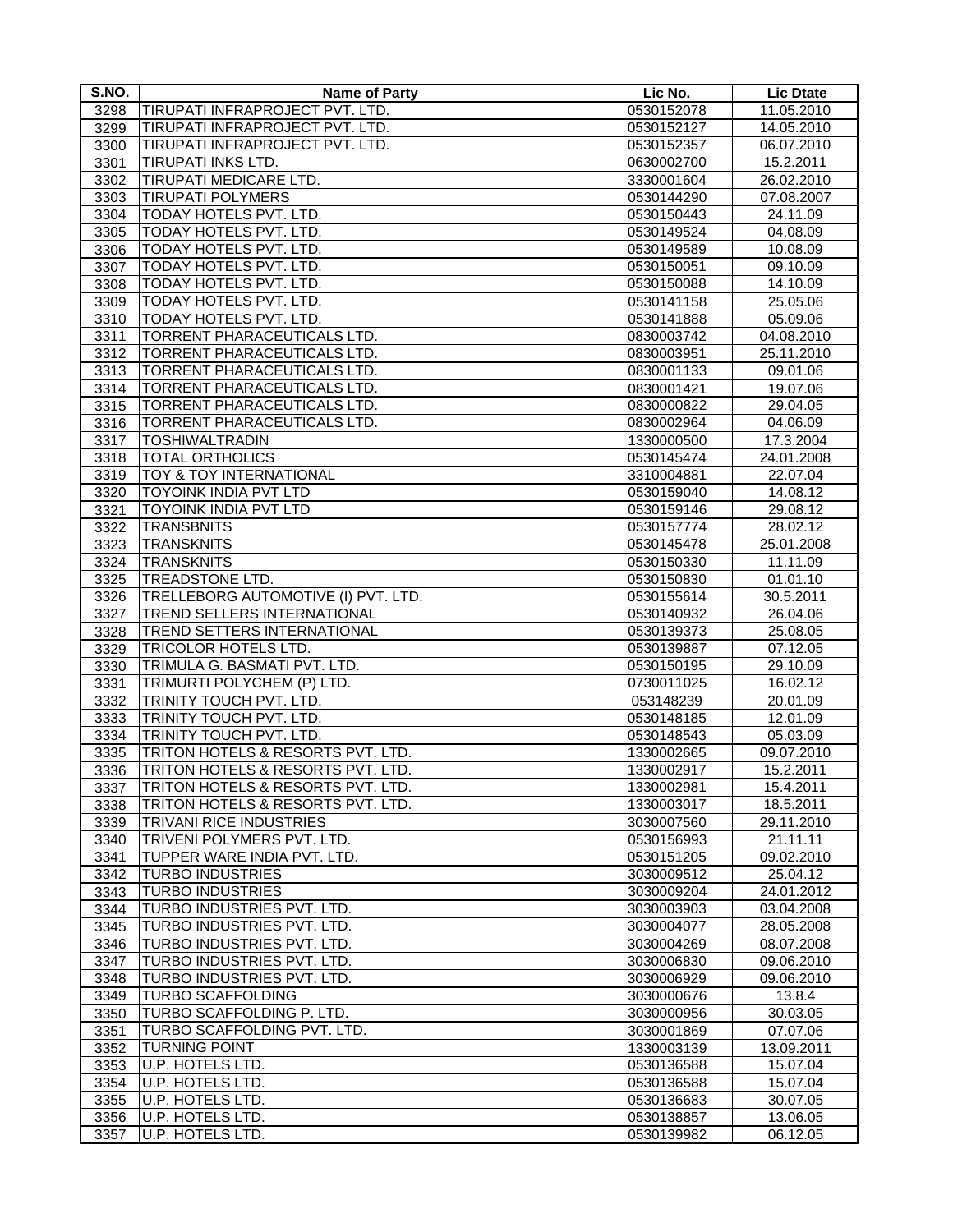| S.NO. | <b>Name of Party</b>                | Lic No.    | <b>Lic Dtate</b> |
|-------|-------------------------------------|------------|------------------|
| 3298  | TIRUPATI INFRAPROJECT PVT. LTD.     | 0530152078 | 11.05.2010       |
| 3299  | TIRUPATI INFRAPROJECT PVT. LTD.     | 0530152127 | 14.05.2010       |
| 3300  | TIRUPATI INFRAPROJECT PVT. LTD.     | 0530152357 | 06.07.2010       |
| 3301  | TIRUPATI INKS LTD.                  | 0630002700 | 15.2.2011        |
| 3302  | TIRUPATI MEDICARE LTD.              | 3330001604 | 26.02.2010       |
| 3303  | <b>TIRUPATI POLYMERS</b>            | 0530144290 | 07.08.2007       |
| 3304  | TODAY HOTELS PVT. LTD.              | 0530150443 | 24.11.09         |
| 3305  | TODAY HOTELS PVT. LTD.              | 0530149524 | 04.08.09         |
| 3306  | TODAY HOTELS PVT. LTD.              | 0530149589 | 10.08.09         |
| 3307  | TODAY HOTELS PVT. LTD.              | 0530150051 | 09.10.09         |
| 3308  | TODAY HOTELS PVT. LTD.              | 0530150088 | 14.10.09         |
| 3309  | TODAY HOTELS PVT. LTD.              |            | 25.05.06         |
|       | TODAY HOTELS PVT. LTD.              | 0530141158 |                  |
| 3310  |                                     | 0530141888 | 05.09.06         |
| 3311  | TORRENT PHARACEUTICALS LTD.         | 0830003742 | 04.08.2010       |
| 3312  | TORRENT PHARACEUTICALS LTD.         | 0830003951 | 25.11.2010       |
| 3313  | <b>TORRENT PHARACEUTICALS LTD.</b>  | 0830001133 | 09.01.06         |
| 3314  | <b>TORRENT PHARACEUTICALS LTD.</b>  | 0830001421 | 19.07.06         |
| 3315  | TORRENT PHARACEUTICALS LTD.         | 0830000822 | 29.04.05         |
| 3316  | TORRENT PHARACEUTICALS LTD.         | 0830002964 | 04.06.09         |
| 3317  | <b>TOSHIWALTRADIN</b>               | 1330000500 | 17.3.2004        |
| 3318  | <b>TOTAL ORTHOLICS</b>              | 0530145474 | 24.01.2008       |
| 3319  | TOY & TOY INTERNATIONAL             | 3310004881 | 22.07.04         |
| 3320  | TOYOINK INDIA PVT LTD               | 0530159040 | 14.08.12         |
| 3321  | <b>TOYOINK INDIA PVT LTD</b>        | 0530159146 | 29.08.12         |
| 3322  | <b>TRANSBNITS</b>                   | 0530157774 | 28.02.12         |
| 3323  | <b>TRANSKNITS</b>                   | 0530145478 | 25.01.2008       |
| 3324  | <b>TRANSKNITS</b>                   | 0530150330 | 11.11.09         |
| 3325  | TREADSTONE LTD.                     | 0530150830 | 01.01.10         |
| 3326  | TRELLEBORG AUTOMOTIVE (I) PVT. LTD. | 0530155614 | 30.5.2011        |
| 3327  | TREND SELLERS INTERNATIONAL         | 0530140932 | 26.04.06         |
| 3328  | TREND SETTERS INTERNATIONAL         | 0530139373 | 25.08.05         |
| 3329  | <b>TRICOLOR HOTELS LTD.</b>         | 0530139887 | 07.12.05         |
| 3330  | TRIMULA G. BASMATI PVT. LTD.        | 0530150195 | 29.10.09         |
| 3331  | TRIMURTI POLYCHEM (P) LTD.          | 0730011025 | 16.02.12         |
| 3332  | TRINITY TOUCH PVT. LTD.             | 053148239  | 20.01.09         |
| 3333  | TRINITY TOUCH PVT. LTD.             | 0530148185 | 12.01.09         |
| 3334  | TRINITY TOUCH PVT. LTD.             | 0530148543 | 05.03.09         |
| 3335  | TRITON HOTELS & RESORTS PVT. LTD.   | 1330002665 | 09.07.2010       |
| 3336  | TRITON HOTELS & RESORTS PVT. LTD.   | 1330002917 | 15.2.2011        |
| 3337  | TRITON HOTELS & RESORTS PVT. LTD.   | 1330002981 | 15.4.2011        |
| 3338  | TRITON HOTELS & RESORTS PVT. LTD.   | 1330003017 | 18.5.2011        |
| 3339  | <b>TRIVANI RICE INDUSTRIES</b>      | 3030007560 | 29.11.2010       |
| 3340  | TRIVENI POLYMERS PVT. LTD.          | 0530156993 | 21.11.11         |
| 3341  | TUPPER WARE INDIA PVT. LTD.         | 0530151205 | 09.02.2010       |
| 3342  | <b>TURBO INDUSTRIES</b>             | 3030009512 | 25.04.12         |
| 3343  | <b>TURBO INDUSTRIES</b>             | 3030009204 | 24.01.2012       |
| 3344  | TURBO INDUSTRIES PVT. LTD.          | 3030003903 | 03.04.2008       |
| 3345  | TURBO INDUSTRIES PVT. LTD.          | 3030004077 | 28.05.2008       |
| 3346  | TURBO INDUSTRIES PVT. LTD.          | 3030004269 | 08.07.2008       |
| 3347  | TURBO INDUSTRIES PVT. LTD.          | 3030006830 | 09.06.2010       |
| 3348  | TURBO INDUSTRIES PVT. LTD.          | 3030006929 | 09.06.2010       |
| 3349  | <b>TURBO SCAFFOLDING</b>            | 3030000676 | 13.8.4           |
| 3350  | TURBO SCAFFOLDING P. LTD.           | 3030000956 | 30.03.05         |
| 3351  | TURBO SCAFFOLDING PVT. LTD.         | 3030001869 | 07.07.06         |
| 3352  | <b>TURNING POINT</b>                | 1330003139 | 13.09.2011       |
| 3353  | U.P. HOTELS LTD.                    | 0530136588 | 15.07.04         |
| 3354  | U.P. HOTELS LTD.                    | 0530136588 | 15.07.04         |
| 3355  | U.P. HOTELS LTD.                    | 0530136683 | 30.07.05         |
| 3356  | U.P. HOTELS LTD.                    | 0530138857 | 13.06.05         |
| 3357  | U.P. HOTELS LTD.                    | 0530139982 | 06.12.05         |
|       |                                     |            |                  |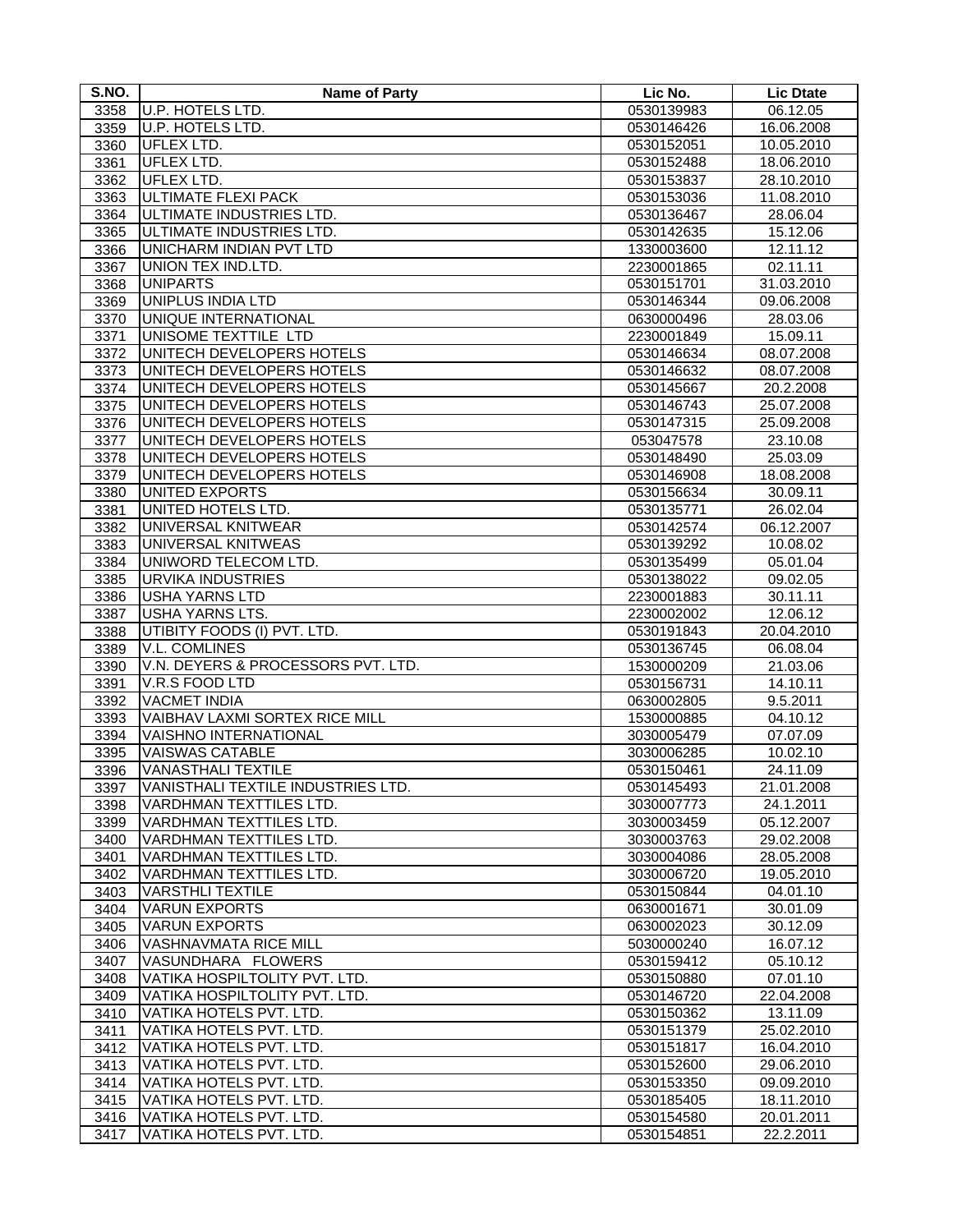| S.NO. | Name of Party                      | Lic No.    | <b>Lic Dtate</b> |
|-------|------------------------------------|------------|------------------|
| 3358  | U.P. HOTELS LTD.                   | 0530139983 | 06.12.05         |
| 3359  | U.P. HOTELS LTD.                   | 0530146426 | 16.06.2008       |
| 3360  | UFLEX LTD.                         | 0530152051 | 10.05.2010       |
| 3361  | <b>UFLEX LTD.</b>                  | 0530152488 | 18.06.2010       |
| 3362  | <b>UFLEX LTD.</b>                  | 0530153837 | 28.10.2010       |
| 3363  | <b>ULTIMATE FLEXI PACK</b>         | 0530153036 | 11.08.2010       |
| 3364  | ULTIMATE INDUSTRIES LTD.           | 0530136467 | 28.06.04         |
| 3365  | ULTIMATE INDUSTRIES LTD.           | 0530142635 | 15.12.06         |
| 3366  | UNICHARM INDIAN PVT LTD            | 1330003600 | 12.11.12         |
| 3367  | UNION TEX IND.LTD.                 | 2230001865 | 02.11.11         |
| 3368  | <b>UNIPARTS</b>                    | 0530151701 | 31.03.2010       |
| 3369  | <b>UNIPLUS INDIA LTD</b>           | 0530146344 | 09.06.2008       |
| 3370  | UNIQUE INTERNATIONAL               | 0630000496 | 28.03.06         |
| 3371  | UNISOME TEXTTILE LTD               | 2230001849 | 15.09.11         |
| 3372  | UNITECH DEVELOPERS HOTELS          | 0530146634 | 08.07.2008       |
| 3373  | UNITECH DEVELOPERS HOTELS          | 0530146632 | 08.07.2008       |
| 3374  | UNITECH DEVELOPERS HOTELS          | 0530145667 | 20.2.2008        |
| 3375  | UNITECH DEVELOPERS HOTELS          | 0530146743 | 25.07.2008       |
| 3376  | UNITECH DEVELOPERS HOTELS          | 0530147315 | 25.09.2008       |
| 3377  | UNITECH DEVELOPERS HOTELS          | 053047578  | 23.10.08         |
| 3378  | UNITECH DEVELOPERS HOTELS          | 0530148490 | 25.03.09         |
| 3379  | UNITECH DEVELOPERS HOTELS          | 0530146908 | 18.08.2008       |
| 3380  | <b>UNITED EXPORTS</b>              | 0530156634 | 30.09.11         |
| 3381  | UNITED HOTELS LTD.                 | 0530135771 | 26.02.04         |
| 3382  | <b>UNIVERSAL KNITWEAR</b>          | 0530142574 | 06.12.2007       |
| 3383  | UNIVERSAL KNITWEAS                 | 0530139292 | 10.08.02         |
| 3384  | UNIWORD TELECOM LTD.               | 0530135499 | 05.01.04         |
| 3385  | <b>URVIKA INDUSTRIES</b>           | 0530138022 | 09.02.05         |
| 3386  | <b>USHA YARNS LTD</b>              | 2230001883 | 30.11.11         |
| 3387  | <b>USHA YARNS LTS.</b>             | 2230002002 | 12.06.12         |
| 3388  | UTIBITY FOODS (I) PVT. LTD.        | 0530191843 | 20.04.2010       |
| 3389  | V.L. COMLINES                      | 0530136745 | 06.08.04         |
| 3390  | V.N. DEYERS & PROCESSORS PVT. LTD. | 1530000209 | 21.03.06         |
| 3391  | V.R.S FOOD LTD                     | 0530156731 | 14.10.11         |
| 3392  | <b>VACMET INDIA</b>                | 0630002805 | 9.5.2011         |
| 3393  | VAIBHAV LAXMI SORTEX RICE MILL     | 1530000885 | 04.10.12         |
| 3394  | VAISHNO INTERNATIONAL              | 3030005479 | 07.07.09         |
| 3395  | <b>VAISWAS CATABLE</b>             | 3030006285 | 10.02.10         |
| 3396  | <b>VANASTHALI TEXTILE</b>          | 0530150461 | 24.11.09         |
| 3397  | VANISTHALI TEXTILE INDUSTRIES LTD. | 0530145493 | 21.01.2008       |
| 3398  | VARDHMAN TEXTTILES LTD.            | 3030007773 | 24.1.2011        |
| 3399  | VARDHMAN TEXTTILES LTD.            | 3030003459 | 05.12.2007       |
| 3400  | VARDHMAN TEXTTILES LTD.            | 3030003763 | 29.02.2008       |
| 3401  | VARDHMAN TEXTTILES LTD.            | 3030004086 | 28.05.2008       |
| 3402  | VARDHMAN TEXTTILES LTD.            | 3030006720 | 19.05.2010       |
| 3403  | <b>VARSTHLI TEXTILE</b>            | 0530150844 | 04.01.10         |
| 3404  | <b>VARUN EXPORTS</b>               | 0630001671 | 30.01.09         |
| 3405  | <b>VARUN EXPORTS</b>               | 0630002023 | 30.12.09         |
| 3406  | <b>VASHNAVMATA RICE MILL</b>       | 5030000240 | 16.07.12         |
| 3407  | VASUNDHARA FLOWERS                 | 0530159412 | 05.10.12         |
| 3408  | VATIKA HOSPILTOLITY PVT. LTD.      | 0530150880 | 07.01.10         |
| 3409  | VATIKA HOSPILTOLITY PVT. LTD.      | 0530146720 | 22.04.2008       |
| 3410  | VATIKA HOTELS PVT. LTD.            | 0530150362 | 13.11.09         |
| 3411  | VATIKA HOTELS PVT. LTD.            | 0530151379 | 25.02.2010       |
| 3412  | VATIKA HOTELS PVT. LTD.            | 0530151817 | 16.04.2010       |
| 3413  | VATIKA HOTELS PVT. LTD.            | 0530152600 | 29.06.2010       |
| 3414  | VATIKA HOTELS PVT. LTD.            | 0530153350 | 09.09.2010       |
| 3415  | VATIKA HOTELS PVT. LTD.            | 0530185405 | 18.11.2010       |
| 3416  | VATIKA HOTELS PVT. LTD.            | 0530154580 | 20.01.2011       |
| 3417  | VATIKA HOTELS PVT. LTD.            | 0530154851 | 22.2.2011        |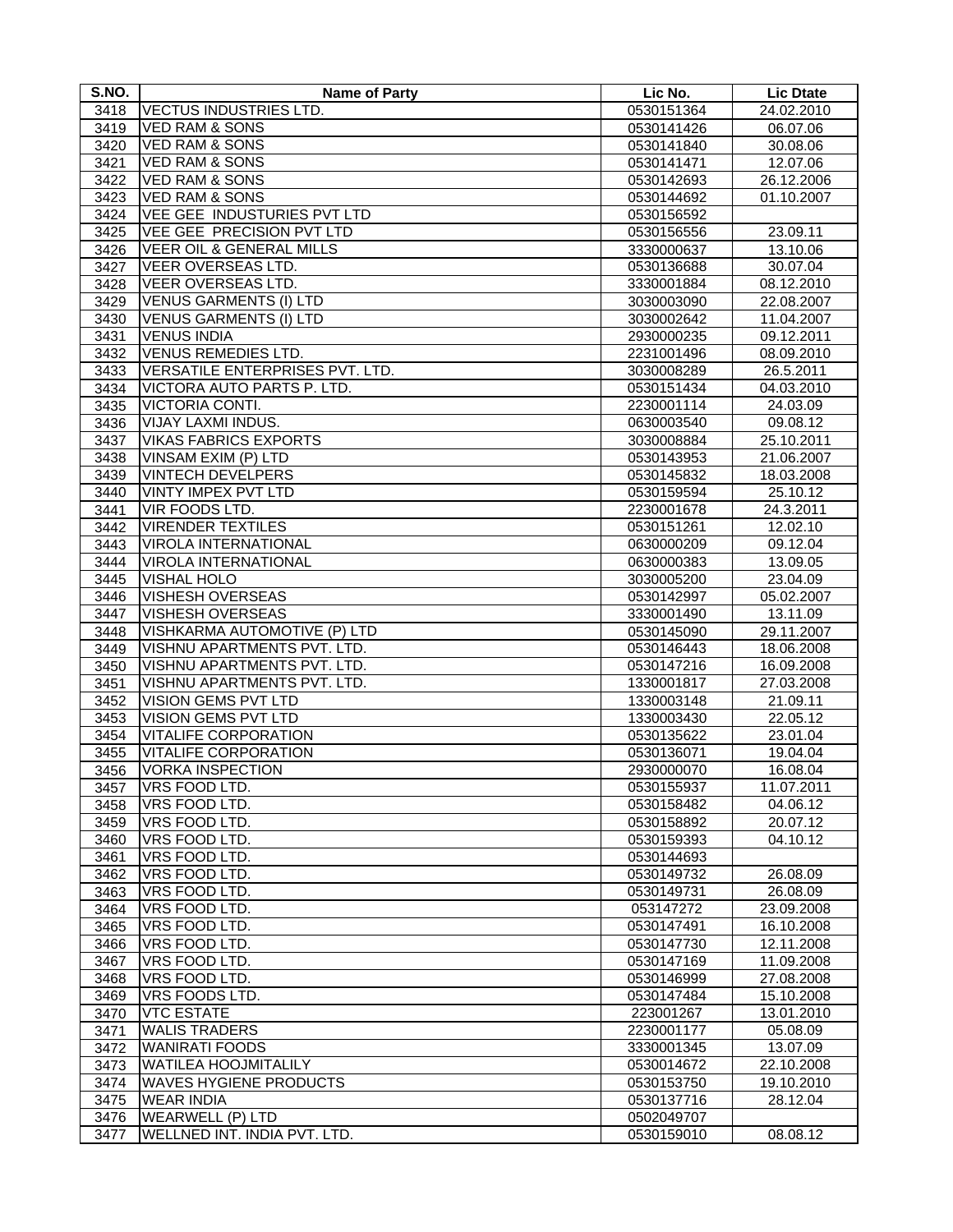| S.NO. | <b>Name of Party</b>                | Lic No.    | <b>Lic Dtate</b>      |
|-------|-------------------------------------|------------|-----------------------|
| 3418  | <b>VECTUS INDUSTRIES LTD.</b>       | 0530151364 | 24.02.2010            |
| 3419  | <b>VED RAM &amp; SONS</b>           | 0530141426 | 06.07.06              |
| 3420  | <b>VED RAM &amp; SONS</b>           | 0530141840 | 30.08.06              |
| 3421  | <b>VED RAM &amp; SONS</b>           | 0530141471 | 12.07.06              |
| 3422  | <b>VED RAM &amp; SONS</b>           | 0530142693 | 26.12.2006            |
| 3423  | <b>VED RAM &amp; SONS</b>           | 0530144692 | 01.10.2007            |
| 3424  | <b>VEE GEE INDUSTURIES PVT LTD</b>  | 0530156592 |                       |
| 3425  | VEE GEE PRECISION PVT LTD           | 0530156556 | 23.09.11              |
| 3426  | <b>VEER OIL &amp; GENERAL MILLS</b> | 3330000637 | 13.10.06              |
| 3427  | VEER OVERSEAS LTD.                  | 0530136688 | 30.07.04              |
| 3428  | <b>VEER OVERSEAS LTD.</b>           | 3330001884 | 08.12.2010            |
| 3429  | <b>VENUS GARMENTS (I) LTD</b>       | 3030003090 | 22.08.2007            |
| 3430  | <b>VENUS GARMENTS (I) LTD</b>       | 3030002642 | 11.04.2007            |
| 3431  | <b>VENUS INDIA</b>                  | 2930000235 | 09.12.2011            |
| 3432  | <b>VENUS REMEDIES LTD.</b>          | 2231001496 | 08.09.2010            |
| 3433  | VERSATILE ENTERPRISES PVT. LTD.     | 3030008289 | 26.5.2011             |
| 3434  | VICTORA AUTO PARTS P. LTD.          | 0530151434 | 04.03.2010            |
| 3435  | VICTORIA CONTI.                     | 2230001114 | 24.03.09              |
| 3436  | VIJAY LAXMI INDUS.                  | 0630003540 | 09.08.12              |
| 3437  | <b>VIKAS FABRICS EXPORTS</b>        | 3030008884 | 25.10.2011            |
| 3438  | VINSAM EXIM (P) LTD                 | 0530143953 | 21.06.2007            |
| 3439  | <b>VINTECH DEVELPERS</b>            | 0530145832 | 18.03.2008            |
| 3440  | <b>VINTY IMPEX PVT LTD</b>          | 0530159594 | 25.10.12              |
| 3441  | VIR FOODS LTD.                      | 2230001678 | 24.3.2011             |
| 3442  | <b>VIRENDER TEXTILES</b>            | 0530151261 | 12.02.10              |
| 3443  | <b>VIROLA INTERNATIONAL</b>         | 0630000209 | 09.12.04              |
| 3444  | <b>VIROLA INTERNATIONAL</b>         | 0630000383 | 13.09.05              |
| 3445  | VISHAL HOLO                         | 3030005200 | 23.04.09              |
| 3446  | <b>VISHESH OVERSEAS</b>             | 0530142997 | 05.02.2007            |
| 3447  | VISHESH OVERSEAS                    | 3330001490 | 13.11.09              |
| 3448  | VISHKARMA AUTOMOTIVE (P) LTD        | 0530145090 | 29.11.2007            |
| 3449  | VISHNU APARTMENTS PVT. LTD.         | 0530146443 | 18.06.2008            |
| 3450  | VISHNU APARTMENTS PVT. LTD.         | 0530147216 | 16.09.2008            |
| 3451  | VISHNU APARTMENTS PVT. LTD.         | 1330001817 | 27.03.2008            |
| 3452  | VISION GEMS PVT LTD                 | 1330003148 | 21.09.11              |
| 3453  | VISION GEMS PVT LTD                 | 1330003430 | 22.05.12              |
| 3454  | <b>VITALIFE CORPORATION</b>         | 0530135622 | 23.01.04              |
| 3455  | <b>VITALIFE CORPORATION</b>         | 0530136071 | 19.04.04              |
| 3456  | <b>VORKA INSPECTION</b>             | 2930000070 | 16.08.04              |
| 3457  | VRS FOOD LTD.                       | 0530155937 | 11.07.2011            |
| 3458  | VRS FOOD LTD.                       | 0530158482 | $\overline{04.06.12}$ |
| 3459  | VRS FOOD LTD.                       | 0530158892 | 20.07.12              |
| 3460  | VRS FOOD LTD.                       | 0530159393 | 04.10.12              |
| 3461  | VRS FOOD LTD.                       | 0530144693 |                       |
| 3462  | VRS FOOD LTD.                       | 0530149732 | 26.08.09              |
| 3463  | VRS FOOD LTD.                       | 0530149731 | 26.08.09              |
| 3464  | VRS FOOD LTD.                       | 053147272  | 23.09.2008            |
| 3465  | VRS FOOD LTD.                       | 0530147491 | 16.10.2008            |
| 3466  | VRS FOOD LTD.                       | 0530147730 | 12.11.2008            |
| 3467  | VRS FOOD LTD.                       | 0530147169 | 11.09.2008            |
| 3468  | VRS FOOD LTD.                       | 0530146999 | 27.08.2008            |
| 3469  | VRS FOODS LTD.                      | 0530147484 | 15.10.2008            |
| 3470  | <b>VTC ESTATE</b>                   | 223001267  | 13.01.2010            |
| 3471  | <b>WALIS TRADERS</b>                | 2230001177 | 05.08.09              |
| 3472  | <b>WANIRATI FOODS</b>               | 3330001345 | 13.07.09              |
| 3473  | <b>WATILEA HOOJMITALILY</b>         | 0530014672 | 22.10.2008            |
| 3474  | <b>WAVES HYGIENE PRODUCTS</b>       | 0530153750 | 19.10.2010            |
| 3475  | <b>WEAR INDIA</b>                   | 0530137716 | 28.12.04              |
| 3476  | <b>WEARWELL (P) LTD</b>             | 0502049707 |                       |
| 3477  | WELLNED INT. INDIA PVT. LTD.        | 0530159010 | 08.08.12              |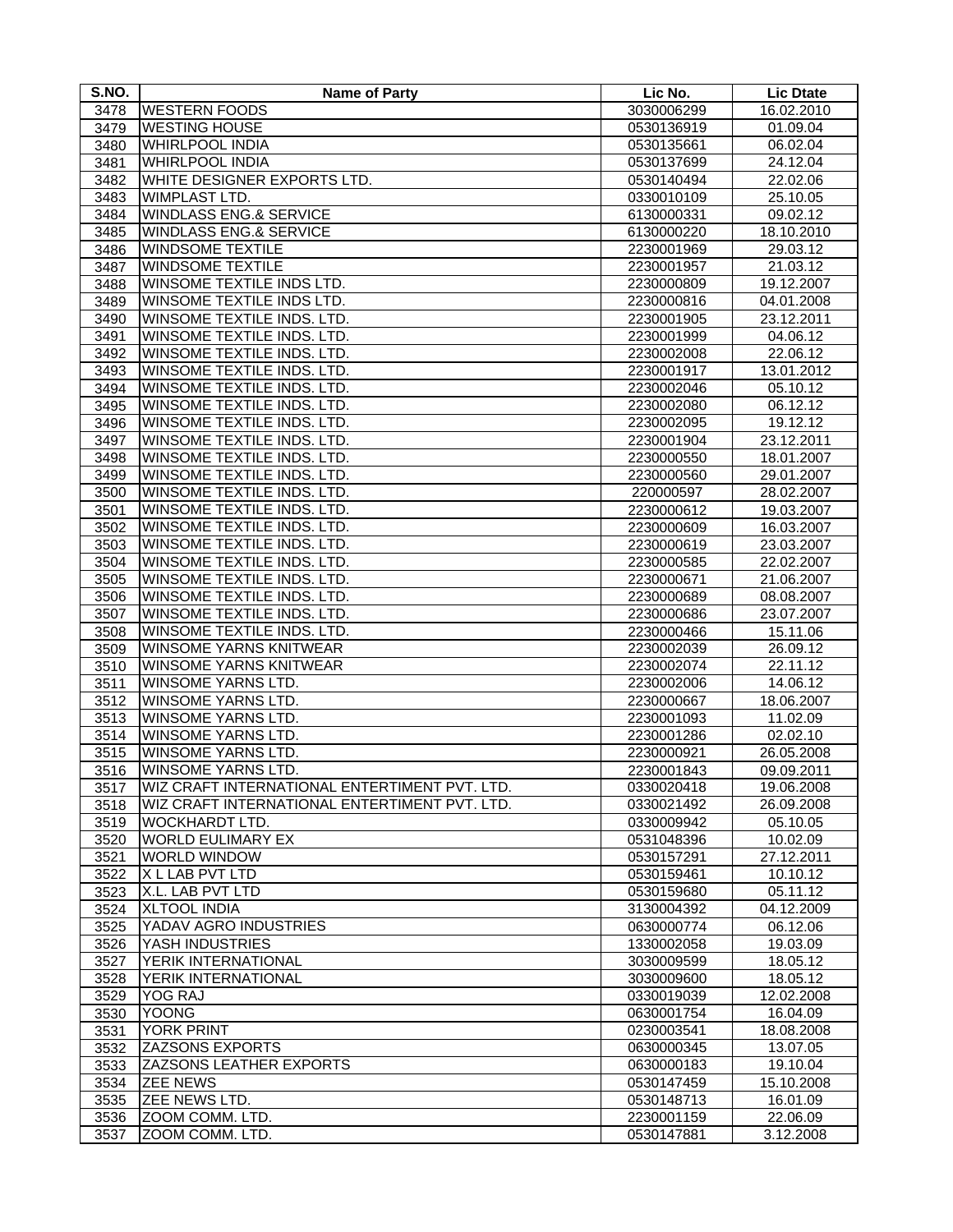| S.NO.        | <b>Name of Party</b>                                     | Lic No.                  | <b>Lic Dtate</b> |
|--------------|----------------------------------------------------------|--------------------------|------------------|
| 3478         | <b>WESTERN FOODS</b>                                     | 3030006299               | 16.02.2010       |
| 3479         | <b>WESTING HOUSE</b>                                     | 0530136919               | 01.09.04         |
| 3480         | <b>WHIRLPOOL INDIA</b>                                   | 0530135661               | 06.02.04         |
| 3481         | <b>WHIRLPOOL INDIA</b>                                   | 0530137699               | 24.12.04         |
| 3482         | WHITE DESIGNER EXPORTS LTD.                              | 0530140494               | 22.02.06         |
| 3483         | WIMPLAST LTD.                                            | 0330010109               | 25.10.05         |
| 3484         | <b>WINDLASS ENG.&amp; SERVICE</b>                        | 6130000331               | 09.02.12         |
| 3485         | <b>WINDLASS ENG.&amp; SERVICE</b>                        | 6130000220               | 18.10.2010       |
| 3486         | <b>WINDSOME TEXTILE</b>                                  | 2230001969               | 29.03.12         |
| 3487         | <b>WINDSOME TEXTILE</b>                                  | 2230001957               | 21.03.12         |
| 3488         | WINSOME TEXTILE INDS LTD.                                | 2230000809               | 19.12.2007       |
| 3489         | WINSOME TEXTILE INDS LTD.                                | 2230000816               | 04.01.2008       |
| 3490         | WINSOME TEXTILE INDS. LTD.                               | 2230001905               | 23.12.2011       |
| 3491         | WINSOME TEXTILE INDS. LTD.                               | 2230001999               | 04.06.12         |
| 3492         | WINSOME TEXTILE INDS. LTD.                               | 2230002008               | 22.06.12         |
| 3493         | WINSOME TEXTILE INDS. LTD.                               | 2230001917               | 13.01.2012       |
| 3494         | WINSOME TEXTILE INDS. LTD.                               | 2230002046               | 05.10.12         |
| 3495         | WINSOME TEXTILE INDS. LTD.                               | 2230002080               | 06.12.12         |
|              | WINSOME TEXTILE INDS. LTD.                               |                          |                  |
| 3496         | WINSOME TEXTILE INDS. LTD.                               | 2230002095               | 19.12.12         |
| 3497         |                                                          | 2230001904               | 23.12.2011       |
| 3498<br>3499 | WINSOME TEXTILE INDS. LTD.<br>WINSOME TEXTILE INDS. LTD. | 2230000550<br>2230000560 | 18.01.2007       |
|              |                                                          |                          | 29.01.2007       |
| 3500         | WINSOME TEXTILE INDS. LTD.<br>WINSOME TEXTILE INDS. LTD. | 220000597                | 28.02.2007       |
| 3501         |                                                          | 2230000612               | 19.03.2007       |
| 3502         | <b>WINSOME TEXTILE INDS. LTD.</b>                        | 2230000609               | 16.03.2007       |
| 3503         | WINSOME TEXTILE INDS. LTD.                               | 2230000619               | 23.03.2007       |
| 3504         | WINSOME TEXTILE INDS. LTD.                               | 2230000585               | 22.02.2007       |
| 3505         | WINSOME TEXTILE INDS. LTD.                               | 2230000671               | 21.06.2007       |
| 3506         | WINSOME TEXTILE INDS. LTD.                               | 2230000689               | 08.08.2007       |
| 3507         | WINSOME TEXTILE INDS. LTD.                               | 2230000686               | 23.07.2007       |
| 3508         | WINSOME TEXTILE INDS. LTD.                               | 2230000466               | 15.11.06         |
| 3509         | <b>WINSOME YARNS KNITWEAR</b>                            | 2230002039               | 26.09.12         |
| 3510         | WINSOME YARNS KNITWEAR                                   | 2230002074               | 22.11.12         |
| 3511         | WINSOME YARNS LTD.                                       | 2230002006               | 14.06.12         |
| 3512         | WINSOME YARNS LTD.                                       | 2230000667               | 18.06.2007       |
| 3513         | <b>WINSOME YARNS LTD.</b>                                | 2230001093               | 11.02.09         |
| 3514         | WINSOME YARNS LTD.                                       | 2230001286               | 02.02.10         |
| 3515         | WINSOME YARNS LTD.                                       | 2230000921               | 26.05.2008       |
| 3516         | WINSOME YARNS LTD.                                       | 2230001843               | 09.09.2011       |
| 3517         | WIZ CRAFT INTERNATIONAL ENTERTIMENT PVT. LTD.            | 0330020418               | 19.06.2008       |
| 3518         | WIZ CRAFT INTERNATIONAL ENTERTIMENT PVT. LTD.            | 0330021492               | 26.09.2008       |
| 3519         | <b>WOCKHARDT LTD.</b>                                    | 0330009942               | 05.10.05         |
| 3520         | <b>WORLD EULIMARY EX</b>                                 | 0531048396               | 10.02.09         |
| 3521         | <b>WORLD WINDOW</b>                                      | 0530157291               | 27.12.2011       |
| 3522         | X L LAB PVT LTD                                          | 0530159461               | 10.10.12         |
| 3523         | X.L. LAB PVT LTD                                         | 0530159680               | 05.11.12         |
| 3524         | <b>XLTOOL INDIA</b>                                      | 3130004392               | 04.12.2009       |
| 3525         | YADAV AGRO INDUSTRIES                                    | 0630000774               | 06.12.06         |
| 3526         | YASH INDUSTRIES                                          | 1330002058               | 19.03.09         |
| 3527         | YERIK INTERNATIONAL                                      | 3030009599               | 18.05.12         |
| 3528         | YERIK INTERNATIONAL                                      | 3030009600               | 18.05.12         |
| 3529         | <b>YOG RAJ</b>                                           | 0330019039               | 12.02.2008       |
| 3530         | <b>YOONG</b>                                             | 0630001754               | 16.04.09         |
| 3531         | <b>YORK PRINT</b>                                        | 0230003541               | 18.08.2008       |
| 3532         | <b>ZAZSONS EXPORTS</b>                                   | 0630000345               | 13.07.05         |
| 3533         | <b>ZAZSONS LEATHER EXPORTS</b>                           | 0630000183               | 19.10.04         |
| 3534         | <b>ZEE NEWS</b>                                          | 0530147459               | 15.10.2008       |
| 3535         | ZEE NEWS LTD.                                            | 0530148713               | 16.01.09         |
| 3536         | ZOOM COMM. LTD.                                          | 2230001159               | 22.06.09         |
| 3537         | ZOOM COMM. LTD.                                          | 0530147881               | 3.12.2008        |